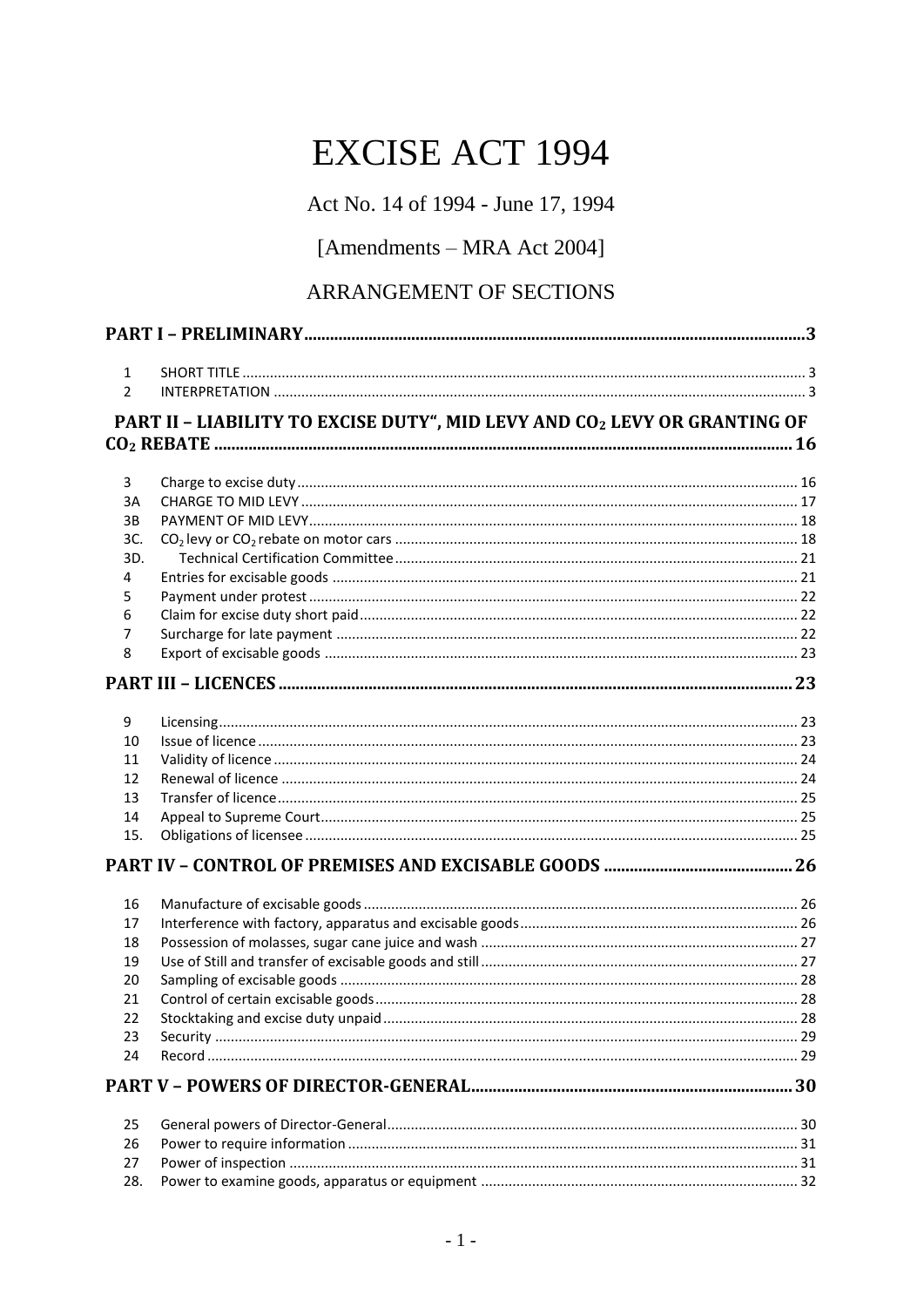# **EXCISE ACT 1994**

Act No. 14 of 1994 - June 17, 1994

## [Amendments - MRA Act 2004]

## ARRANGEMENT OF SECTIONS

| $\mathbf{1}$ |                                                                           |  |
|--------------|---------------------------------------------------------------------------|--|
| 2            |                                                                           |  |
|              | PART II - LIABILITY TO EXCISE DUTY", MID LEVY AND CO2 LEVY OR GRANTING OF |  |
|              |                                                                           |  |
| 3            |                                                                           |  |
| 3A           |                                                                           |  |
| 3B           |                                                                           |  |
| 3C.          |                                                                           |  |
| 3D.          |                                                                           |  |
| 4            |                                                                           |  |
| 5            |                                                                           |  |
| 6            |                                                                           |  |
| 7            |                                                                           |  |
| 8            |                                                                           |  |
|              |                                                                           |  |
| 9            |                                                                           |  |
| 10           |                                                                           |  |
| 11           |                                                                           |  |
| 12           |                                                                           |  |
| 13           |                                                                           |  |
| 14           |                                                                           |  |
| 15.          |                                                                           |  |
|              |                                                                           |  |
| 16           |                                                                           |  |
| 17           |                                                                           |  |
| 18           |                                                                           |  |
| 19           |                                                                           |  |
| 20           |                                                                           |  |
| 21           |                                                                           |  |
| 22           |                                                                           |  |
| 23           |                                                                           |  |
| 24           |                                                                           |  |
|              |                                                                           |  |
| 25           |                                                                           |  |
| 26           |                                                                           |  |
| 27           |                                                                           |  |
| 28.          |                                                                           |  |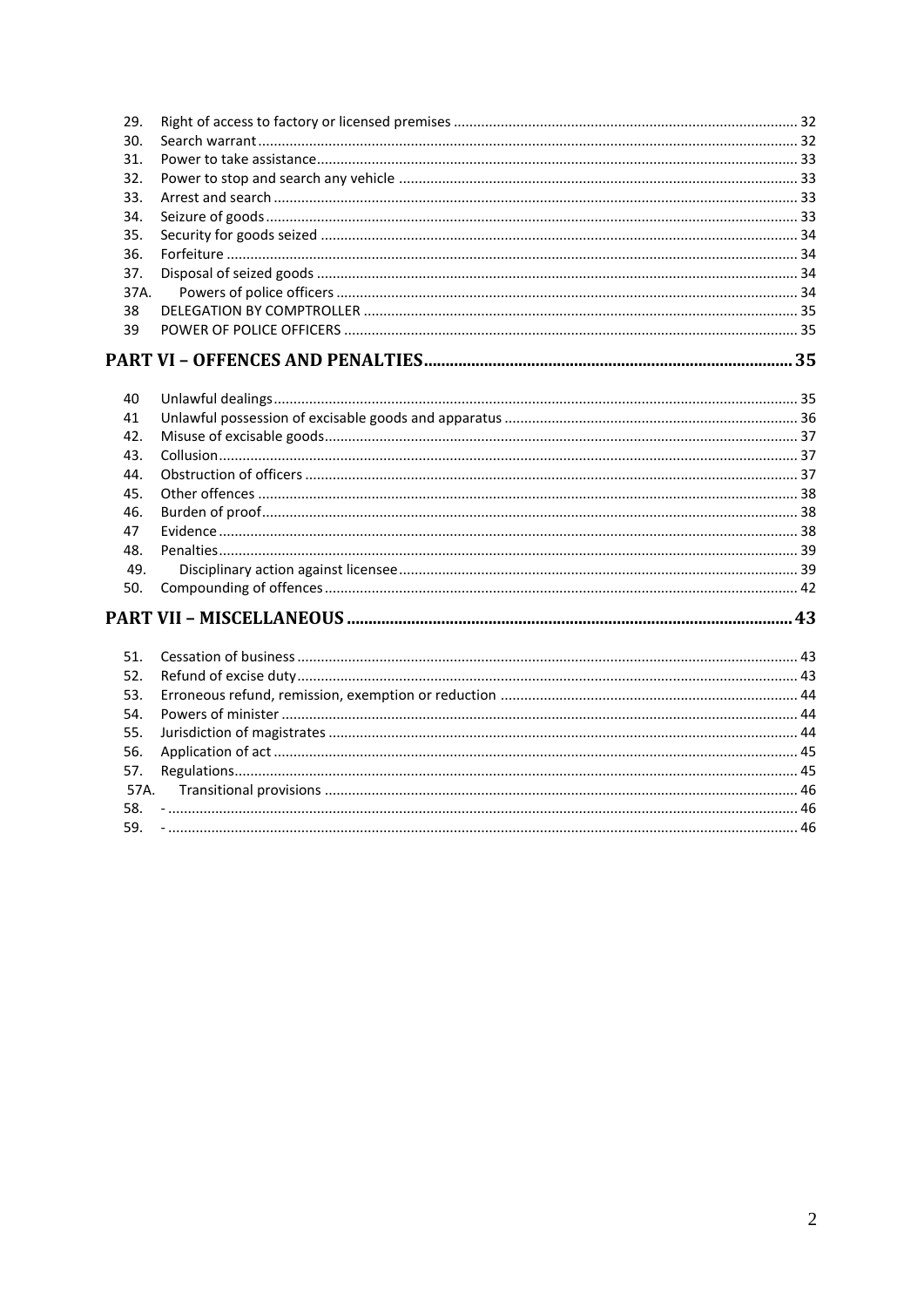| 29.  |  |
|------|--|
| 30.  |  |
| 31.  |  |
| 32.  |  |
| 33.  |  |
| 34.  |  |
| 35.  |  |
| 36.  |  |
| 37.  |  |
| 37A. |  |
| 38   |  |
| 39   |  |
|      |  |
|      |  |
| 40   |  |
| 41   |  |
| 42.  |  |
| 43.  |  |
| 44.  |  |
| 45.  |  |
| 46.  |  |
| 47   |  |
| 48.  |  |
| 49.  |  |
| 50.  |  |
|      |  |
| 51.  |  |
| 52.  |  |
| 53.  |  |
| 54.  |  |
| 55.  |  |
| 56.  |  |
| 57.  |  |
| 57A. |  |
|      |  |
| 58.  |  |
| 59.  |  |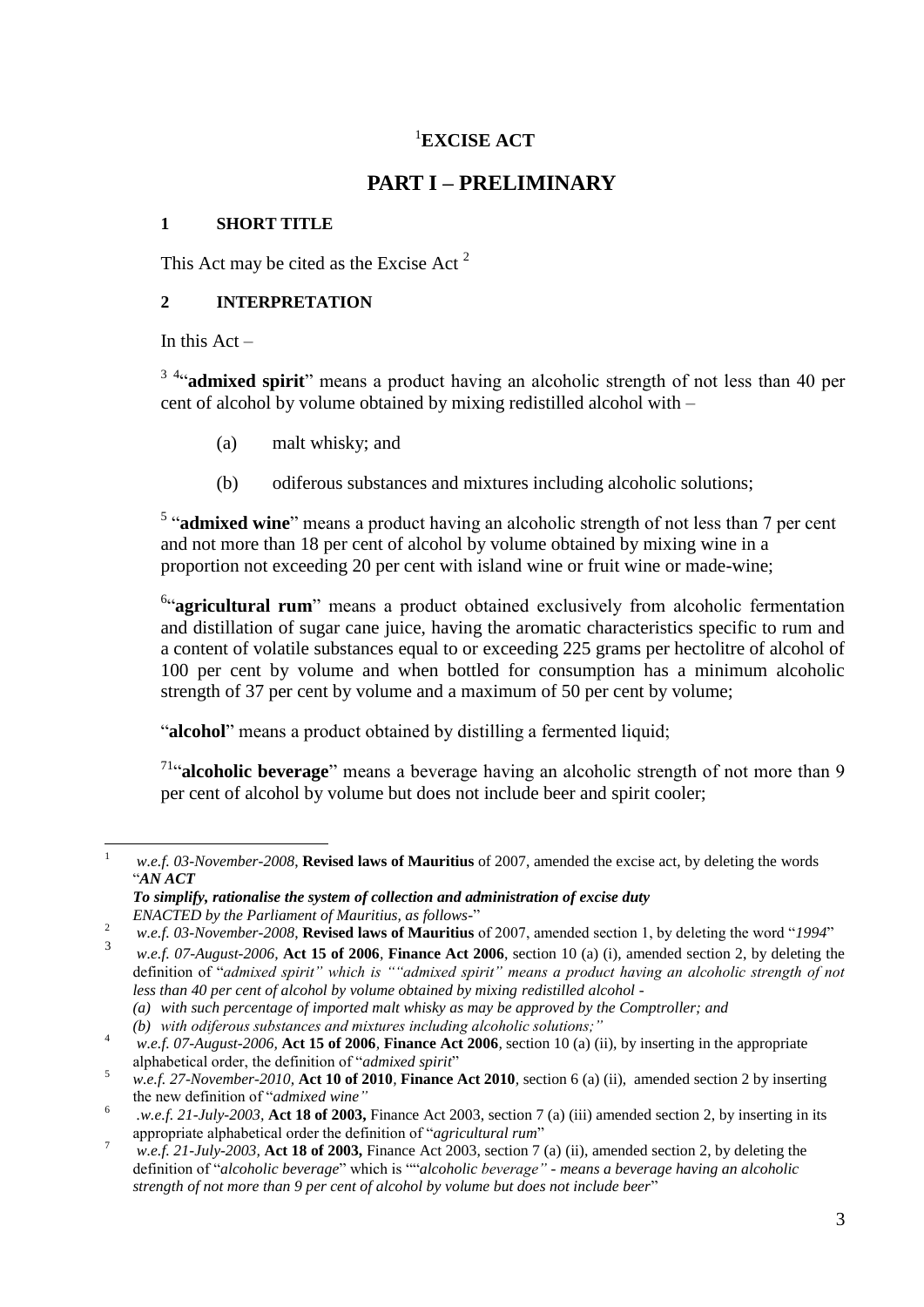### <sup>1</sup>**EXCISE ACT**

### **PART I – PRELIMINARY**

#### <span id="page-2-1"></span><span id="page-2-0"></span>**1 SHORT TITLE**

This Act may be cited as the Excise Act<sup>2</sup>

#### <span id="page-2-2"></span>**2 INTERPRETATION**

In this  $Act -$ 

<sup>3 4</sup>"**admixed spirit**" means a product having an alcoholic strength of not less than 40 per cent of alcohol by volume obtained by mixing redistilled alcohol with –

- (a) malt whisky; and
- (b) odiferous substances and mixtures including alcoholic solutions;

<sup>5</sup> "admixed wine" means a product having an alcoholic strength of not less than 7 per cent and not more than 18 per cent of alcohol by volume obtained by mixing wine in a proportion not exceeding 20 per cent with island wine or fruit wine or made-wine;

<sup>6</sup>"agricultural rum" means a product obtained exclusively from alcoholic fermentation and distillation of sugar cane juice, having the aromatic characteristics specific to rum and a content of volatile substances equal to or exceeding 225 grams per hectolitre of alcohol of 100 per cent by volume and when bottled for consumption has a minimum alcoholic strength of 37 per cent by volume and a maximum of 50 per cent by volume;

"**alcohol**" means a product obtained by distilling a fermented liquid;

<sup>71</sup>"alcoholic beverage" means a beverage having an alcoholic strength of not more than 9 per cent of alcohol by volume but does not include beer and spirit cooler;

 $\mathbf{1}$ <sup>1</sup> *w.e.f. 03-November-2008*, **Revised laws of Mauritius** of 2007, amended the excise act, by deleting the words "*AN ACT*

*To simplify, rationalise the system of collection and administration of excise duty ENACTED by the Parliament of Mauritius, as follows-*"

<sup>2</sup> *w.e.f. 03-November-2008*, **Revised laws of Mauritius** of 2007, amended section 1, by deleting the word "*1994*"

<sup>3</sup> *w.e.f. 07-August-2006,* **Act 15 of 2006**, **Finance Act 2006**, section 10 (a) (i), amended section 2, by deleting the definition of "*admixed spirit" which is ""admixed spirit" means a product having an alcoholic strength of not less than 40 per cent of alcohol by volume obtained by mixing redistilled alcohol -*

*<sup>(</sup>a) with such percentage of imported malt whisky as may be approved by the Comptroller; and*

*<sup>(</sup>b) with odiferous substances and mixtures including alcoholic solutions;"*

<sup>4</sup> *w.e.f. 07-August-2006,* **Act 15 of 2006***,* **Finance Act 2006***,* section 10 (a) (ii), by inserting in the appropriate alphabetical order, the definition of "*admixed spirit*"

<sup>5</sup> *w.e.f. 27-November-2010,* **Act 10 of 2010***,* **Finance Act 2010***,* section 6 (a) (ii), amended section 2 by inserting the new definition of "*admixed wine"*

<sup>6</sup> *.w.e.f. 21-July-2003,* **Act 18 of 2003,** Finance Act 2003, section 7 (a) (iii) amended section 2, by inserting in its appropriate alphabetical order the definition of "*agricultural rum*"

<sup>7</sup> *w.e.f. 21-July-2003,* **Act 18 of 2003,** Finance Act 2003, section 7 (a) (ii), amended section 2, by deleting the definition of "*alcoholic beverage*" which is ""*alcoholic beverage" - means a beverage having an alcoholic strength of not more than 9 per cent of alcohol by volume but does not include beer*"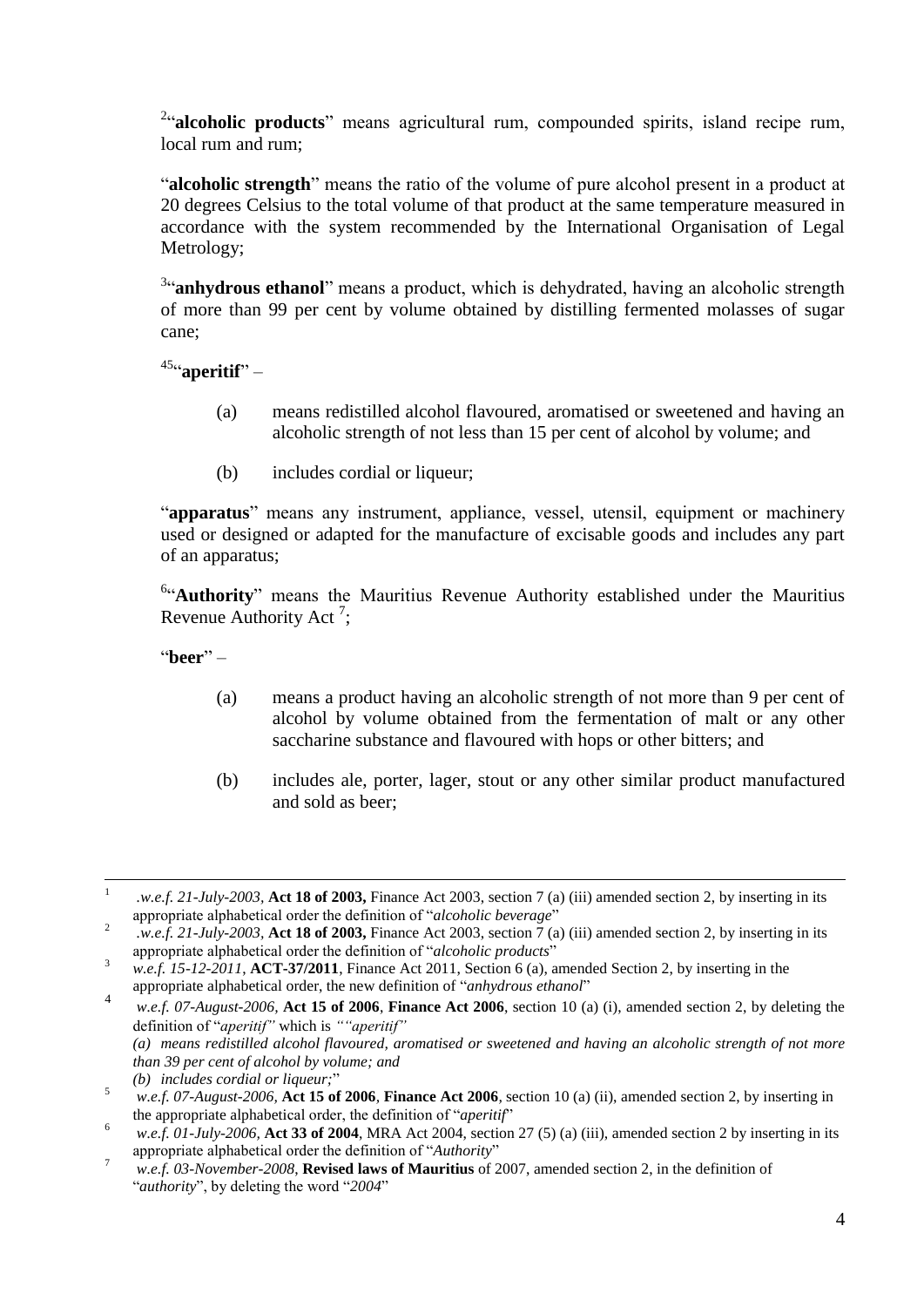<sup>2</sup>alcoholic products" means agricultural rum, compounded spirits, island recipe rum, local rum and rum;

"**alcoholic strength**" means the ratio of the volume of pure alcohol present in a product at 20 degrees Celsius to the total volume of that product at the same temperature measured in accordance with the system recommended by the International Organisation of Legal Metrology;

<sup>3</sup>"**anhydrous ethanol**" means a product, which is dehydrated, having an alcoholic strength of more than 99 per cent by volume obtained by distilling fermented molasses of sugar cane;

45 "**aperitif**" –

- (a) means redistilled alcohol flavoured, aromatised or sweetened and having an alcoholic strength of not less than 15 per cent of alcohol by volume; and
- (b) includes cordial or liqueur;

"**apparatus**" means any instrument, appliance, vessel, utensil, equipment or machinery used or designed or adapted for the manufacture of excisable goods and includes any part of an apparatus;

<sup>6</sup>"Authority" means the Mauritius Revenue Authority established under the Mauritius Revenue Authority Act<sup>7</sup>;

"**beer**" –

- (a) means a product having an alcoholic strength of not more than 9 per cent of alcohol by volume obtained from the fermentation of malt or any other saccharine substance and flavoured with hops or other bitters; and
- (b) includes ale, porter, lager, stout or any other similar product manufactured and sold as beer;

 $\frac{1}{1}$ *.w.e.f. 21-July-2003,* **Act 18 of 2003,** Finance Act 2003, section 7 (a) (iii) amended section 2, by inserting in its appropriate alphabetical order the definition of "*alcoholic beverage*"

<sup>2</sup> *.w.e.f. 21-July-2003,* **Act 18 of 2003,** Finance Act 2003, section 7 (a) (iii) amended section 2, by inserting in its appropriate alphabetical order the definition of "*alcoholic products*"

<sup>3</sup> *w.e.f. 15-12-2011*, **ACT-37/2011**, Finance Act 2011, Section 6 (a), amended Section 2, by inserting in the appropriate alphabetical order, the new definition of "*anhydrous ethanol*" 4

*w.e.f. 07-August-2006,* **Act 15 of 2006**, **Finance Act 2006**, section 10 (a) (i), amended section 2, by deleting the definition of "*aperitif"* which is *""aperitif" (a) means redistilled alcohol flavoured, aromatised or sweetened and having an alcoholic strength of not more than 39 per cent of alcohol by volume; and*

*<sup>(</sup>b) includes cordial or liqueur;*"

<sup>5</sup> *w.e.f. 07-August-2006,* **Act 15 of 2006***,* **Finance Act 2006***,* section 10 (a) (ii), amended section 2, by inserting in the appropriate alphabetical order, the definition of "*aperitif*"

 $\frac{6}{x}$  *w.e.f. 01-July-2006*, **Act 33 of 2004**, MRA Act 2004, section 27 (5) (a) (iii), amended section 2 by inserting in its appropriate alphabetical order the definition of "*Authority*"

<sup>7</sup> *w.e.f. 03-November-2008*, **Revised laws of Mauritius** of 2007, amended section 2, in the definition of "*authority*", by deleting the word "*2004*"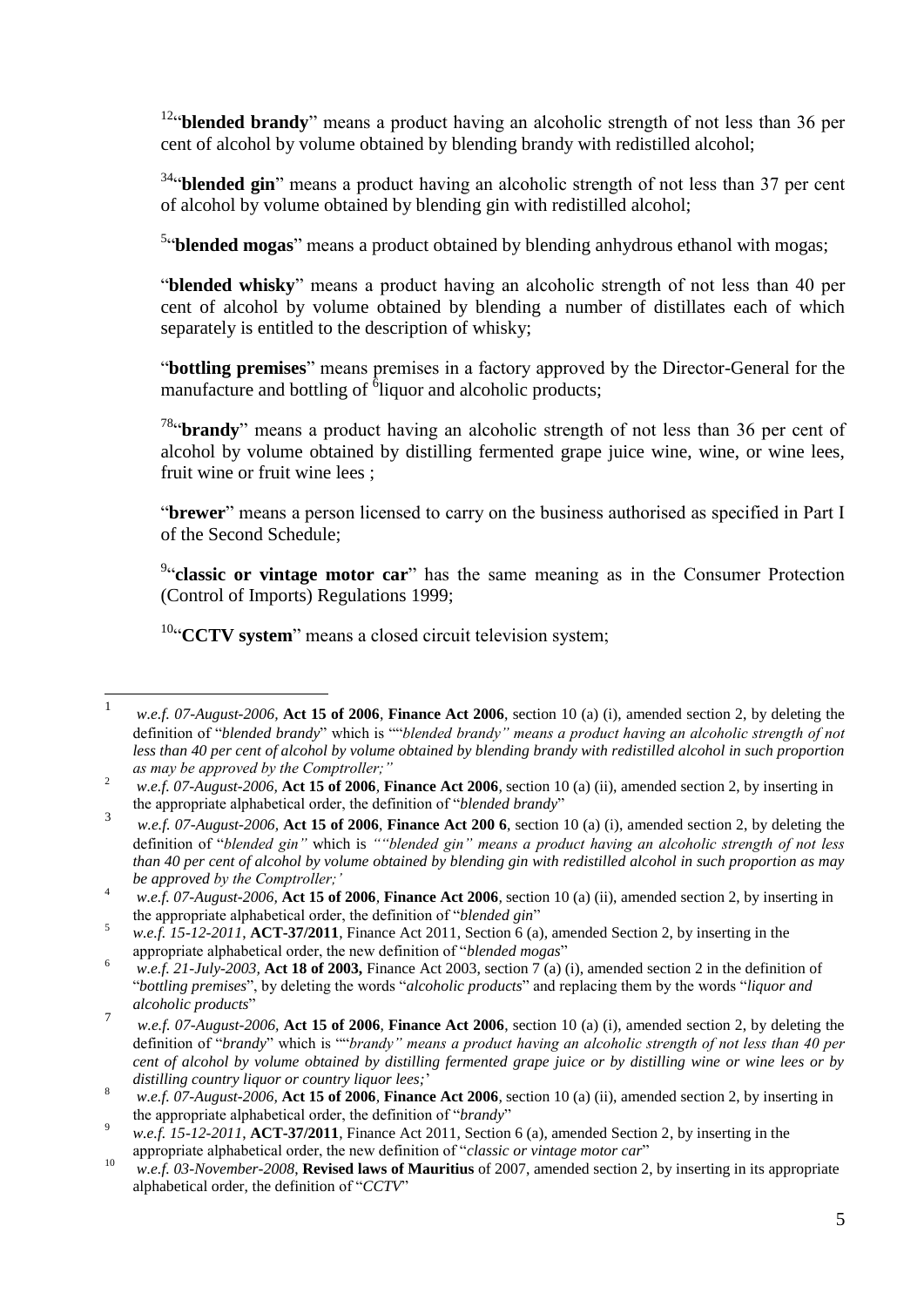<sup>12</sup>"**blended brandy**" means a product having an alcoholic strength of not less than 36 per cent of alcohol by volume obtained by blending brandy with redistilled alcohol;

<sup>34</sup>"blended gin" means a product having an alcoholic strength of not less than 37 per cent of alcohol by volume obtained by blending gin with redistilled alcohol;

<sup>5</sup>"blended mogas" means a product obtained by blending anhydrous ethanol with mogas;

"**blended whisky**" means a product having an alcoholic strength of not less than 40 per cent of alcohol by volume obtained by blending a number of distillates each of which separately is entitled to the description of whisky;

"**bottling premises**" means premises in a factory approved by the Director-General for the manufacture and bottling of  $\delta$ liquor and alcoholic products;

<sup>78</sup>"**brandy**" means a product having an alcoholic strength of not less than 36 per cent of alcohol by volume obtained by distilling fermented grape juice wine, wine, or wine lees, fruit wine or fruit wine lees ;

"**brewer**" means a person licensed to carry on the business authorised as specified in Part I of the Second Schedule;

<sup>9</sup>"classic or vintage motor car" has the same meaning as in the Consumer Protection (Control of Imports) Regulations 1999;

<sup>10"</sup>**CCTV system**" means a closed circuit television system;

 $\frac{1}{1}$ *w.e.f. 07-August-2006,* **Act 15 of 2006**, **Finance Act 2006**, section 10 (a) (i), amended section 2, by deleting the definition of "*blended brandy*" which is ""*blended brandy" means a product having an alcoholic strength of not*  less than 40 per cent of alcohol by volume obtained by blending brandy with redistilled alcohol in such proportion *as may be approved by the Comptroller;"*

<sup>2</sup> *w.e.f. 07-August-2006,* **Act 15 of 2006***,* **Finance Act 2006***,* section 10 (a) (ii), amended section 2, by inserting in the appropriate alphabetical order, the definition of "*blended brandy*"

<sup>3</sup> *w.e.f. 07-August-2006,* **Act 15 of 2006**, **Finance Act 200 6**, section 10 (a) (i), amended section 2, by deleting the definition of "*blended gin"* which is *""blended gin" means a product having an alcoholic strength of not less than 40 per cent of alcohol by volume obtained by blending gin with redistilled alcohol in such proportion as may be approved by the Comptroller;'*

<sup>4</sup> *w.e.f. 07-August-2006,* **Act 15 of 2006***,* **Finance Act 2006***,* section 10 (a) (ii), amended section 2, by inserting in the appropriate alphabetical order, the definition of "*blended gin*"

<sup>&</sup>lt;sup>5</sup> *w.e.f.* 15-12-2011, **ACT-37/2011**, Finance Act 2011, Section 6 (a), amended Section 2, by inserting in the appropriate alphabetical order, the new definition of "*blended mogas*"

<sup>&</sup>lt;sup>6</sup> *w.e.f.* 21-July-2003, **Act 18 of 2003,** Finance Act 2003, section 7 (a) (i), amended section 2 in the definition of "*bottling premises*", by deleting the words "*alcoholic products*" and replacing them by the words "*liquor and alcoholic products*" 7

*w.e.f. 07-August-2006,* **Act 15 of 2006**, **Finance Act 2006**, section 10 (a) (i), amended section 2, by deleting the definition of "*brandy*" which is ""*brandy" means a product having an alcoholic strength of not less than 40 per cent of alcohol by volume obtained by distilling fermented grape juice or by distilling wine or wine lees or by distilling country liquor or country liquor lees;*'

 $\frac{8}{x}$  *w.e.f. 07-August-2006*, Act 15 of 2006, Finance Act 2006, section 10 (a) (ii), amended section 2, by inserting in the appropriate alphabetical order, the definition of "*brandy*"

<sup>9</sup> *w.e.f. 15-12-2011*, **ACT-37/2011**, Finance Act 2011, Section 6 (a), amended Section 2, by inserting in the appropriate alphabetical order, the new definition of "*classic or vintage motor car*"

<sup>10</sup> *w.e.f. 03-November-2008*, **Revised laws of Mauritius** of 2007, amended section 2, by inserting in its appropriate alphabetical order, the definition of "*CCTV*"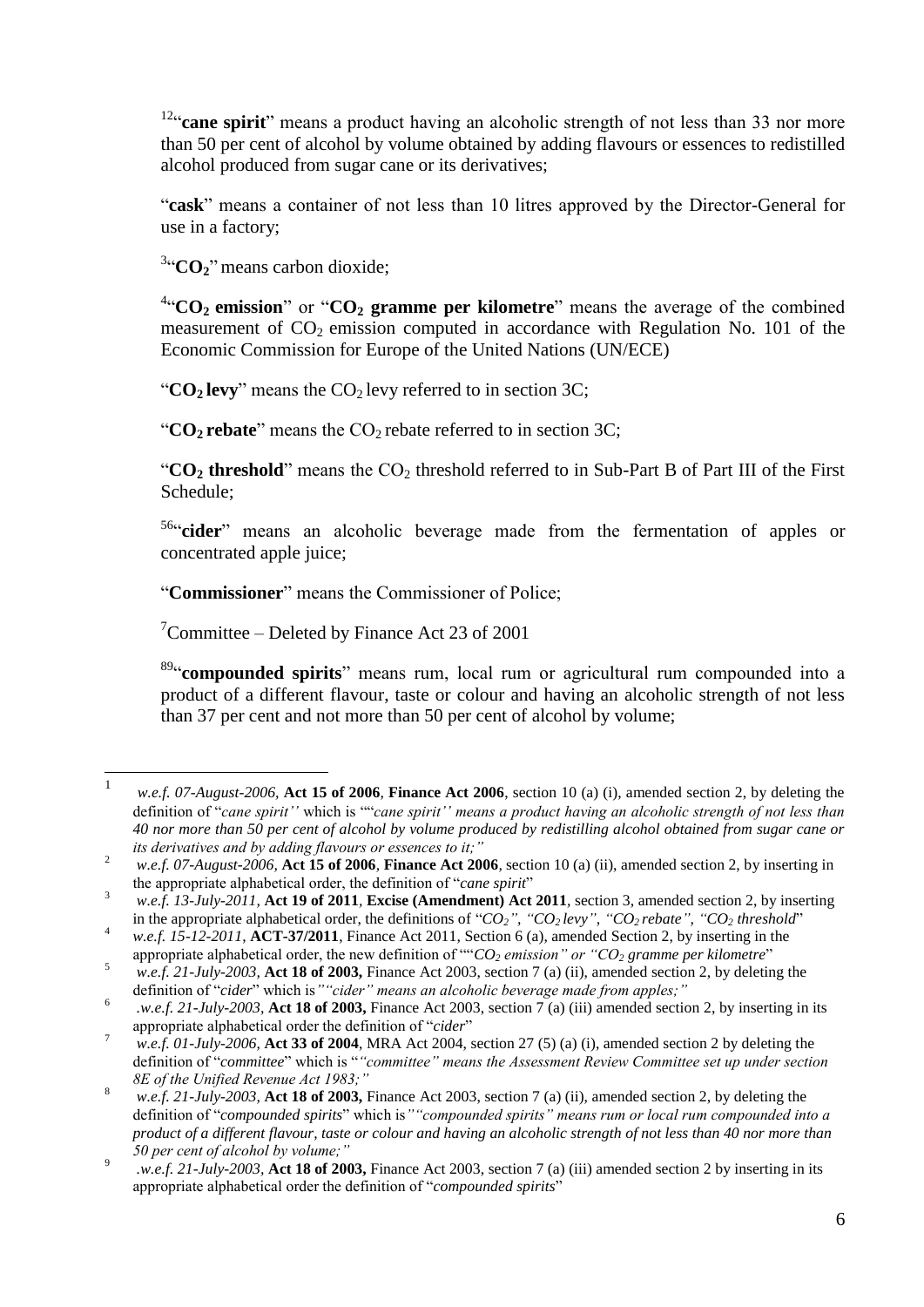<sup>12</sup>"**cane spirit**" means a product having an alcoholic strength of not less than 33 nor more than 50 per cent of alcohol by volume obtained by adding flavours or essences to redistilled alcohol produced from sugar cane or its derivatives;

"**cask**" means a container of not less than 10 litres approved by the Director-General for use in a factory;

<sup>3</sup>"CO<sub>2</sub>" means carbon dioxide;

4 "**CO2 emission**" or "**CO<sup>2</sup> gramme per kilometre**" means the average of the combined measurement of  $CO<sub>2</sub>$  emission computed in accordance with Regulation No. 101 of the Economic Commission for Europe of the United Nations (UN/ECE)

" $CO<sub>2</sub>$  **levy**" means the  $CO<sub>2</sub>$  levy referred to in section 3C;

" $CO<sub>2</sub>$  **rebate**" means the  $CO<sub>2</sub>$  rebate referred to in section 3C;

" $CO<sub>2</sub>$  **threshold**" means the  $CO<sub>2</sub>$  threshold referred to in Sub-Part B of Part III of the First Schedule;

<sup>56</sup>"cider" means an alcoholic beverage made from the fermentation of apples or concentrated apple juice;

"**Commissioner**" means the Commissioner of Police;

 $\degree$ Committee – Deleted by Finance Act 23 of 2001

 $\overline{a}$ 

89 "**compounded spirits**" means rum, local rum or agricultural rum compounded into a product of a different flavour, taste or colour and having an alcoholic strength of not less than 37 per cent and not more than 50 per cent of alcohol by volume;

<sup>1</sup> *w.e.f. 07-August-2006,* **Act 15 of 2006**, **Finance Act 2006**, section 10 (a) (i), amended section 2, by deleting the definition of "*cane spirit''* which is ""*cane spirit'' means a product having an alcoholic strength of not less than 40 nor more than 50 per cent of alcohol by volume produced by redistilling alcohol obtained from sugar cane or its derivatives and by adding flavours or essences to it;"*

<sup>2</sup> *w.e.f. 07-August-2006,* **Act 15 of 2006***,* **Finance Act 2006***,* section 10 (a) (ii), amended section 2, by inserting in the appropriate alphabetical order, the definition of "*cane spirit*"

<sup>3</sup> *w.e.f. 13-July-2011,* **Act 19 of 2011***,* **Excise (Amendment) Act 2011***,* section 3, amended section 2, by inserting in the appropriate alphabetical order, the definitions of " $CO<sub>2</sub>$ ", " $CO<sub>2</sub>$  *levy*", " $CO<sub>2</sub>$  *rebate*", " $CO<sub>2</sub>$  *threshold*"

<sup>4</sup> *w.e.f. 15-12-2011*, **ACT-37/2011**, Finance Act 2011, Section 6 (a), amended Section 2, by inserting in the appropriate alphabetical order, the new definition of ""*CO<sup>2</sup> emission" or "CO<sup>2</sup> gramme per kilometre*"

<sup>5</sup> *w.e.f. 21-July-2003,* **Act 18 of 2003,** Finance Act 2003, section 7 (a) (ii), amended section 2, by deleting the definition of "*cider*" which is*""cider" means an alcoholic beverage made from apples;"*

<sup>6</sup> *.w.e.f. 21-July-2003,* **Act 18 of 2003,** Finance Act 2003, section 7 (a) (iii) amended section 2, by inserting in its appropriate alphabetical order the definition of "*cider*"

<sup>7</sup> *w.e.f. 01-July-2006,* **Act 33 of 2004**, MRA Act 2004, section 27 (5) (a) (i), amended section 2 by deleting the definition of "*committee*" which is "*"committee" means the Assessment Review Committee set up under section 8E of the Unified Revenue Act 1983;"*

<sup>8</sup> *w.e.f. 21-July-2003,* **Act 18 of 2003,** Finance Act 2003, section 7 (a) (ii), amended section 2, by deleting the definition of "*compounded spirits*" which is*""compounded spirits" means rum or local rum compounded into a product of a different flavour, taste or colour and having an alcoholic strength of not less than 40 nor more than 50 per cent of alcohol by volume;"*

<sup>9</sup> *.w.e.f. 21-July-2003,* **Act 18 of 2003,** Finance Act 2003, section 7 (a) (iii) amended section 2 by inserting in its appropriate alphabetical order the definition of "*compounded spirits*"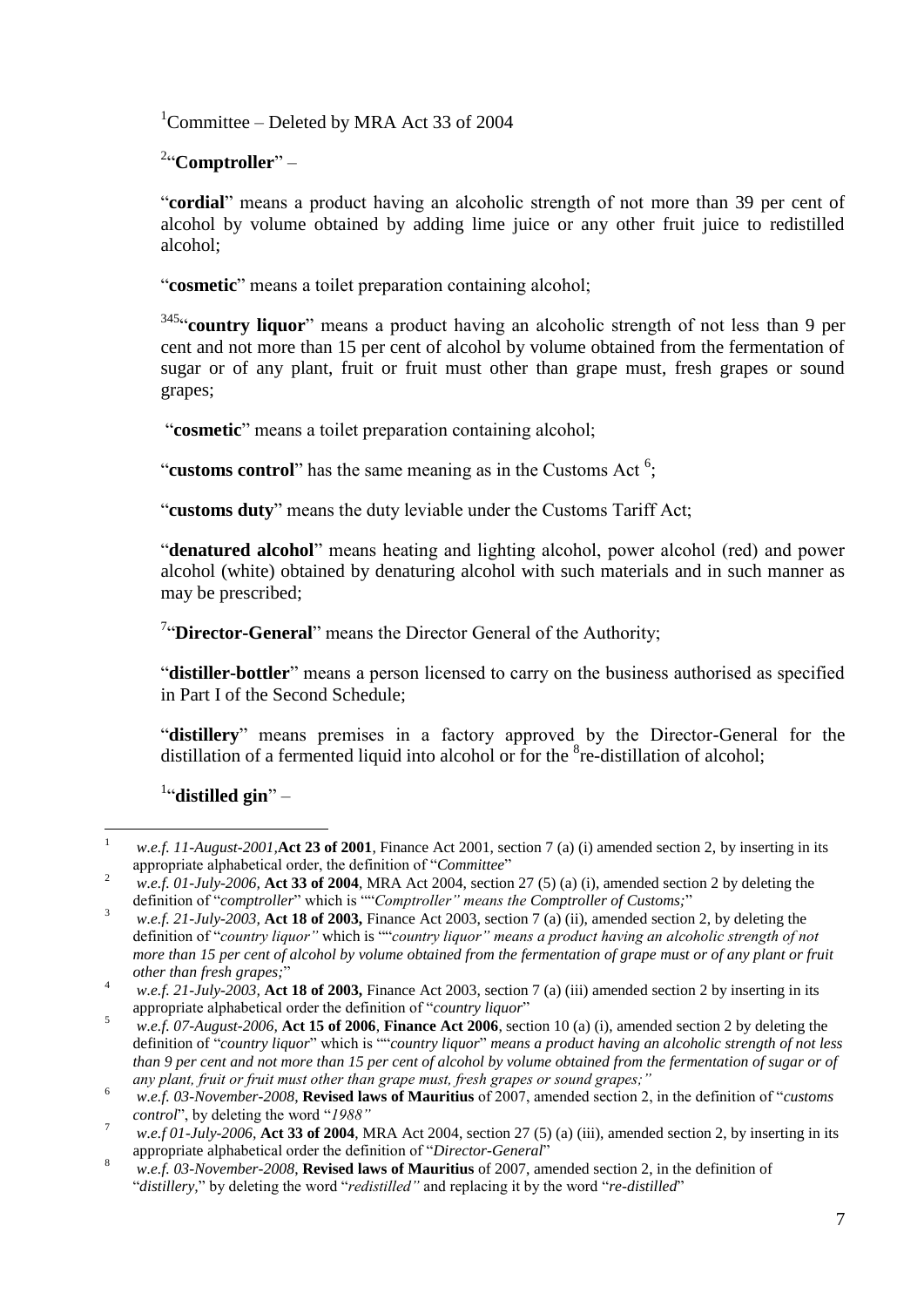<sup>1</sup>Committee – Deleted by MRA Act 33 of 2004

2 "**Comptroller**" –

"**cordial**" means a product having an alcoholic strength of not more than 39 per cent of alcohol by volume obtained by adding lime juice or any other fruit juice to redistilled alcohol;

"**cosmetic**" means a toilet preparation containing alcohol;

<sup>345</sup>"**country liquor**" means a product having an alcoholic strength of not less than 9 per cent and not more than 15 per cent of alcohol by volume obtained from the fermentation of sugar or of any plant, fruit or fruit must other than grape must, fresh grapes or sound grapes;

"**cosmetic**" means a toilet preparation containing alcohol;

"customs control" has the same meaning as in the Customs Act<sup>6</sup>;

"**customs duty**" means the duty leviable under the Customs Tariff Act;

"**denatured alcohol**" means heating and lighting alcohol, power alcohol (red) and power alcohol (white) obtained by denaturing alcohol with such materials and in such manner as may be prescribed;

<sup>7</sup>"Director-General" means the Director General of the Authority;

"**distiller-bottler**" means a person licensed to carry on the business authorised as specified in Part I of the Second Schedule;

"**distillery**" means premises in a factory approved by the Director-General for the distillation of a fermented liquid into alcohol or for the <sup>8</sup>re-distillation of alcohol;

1 "**distilled gin**" –

 $\mathbf{1}$ <sup>1</sup> *w.e.f. 11-August-2001,***Act 23 of 2001**, Finance Act 2001, section 7 (a) (i) amended section 2, by inserting in its appropriate alphabetical order, the definition of "*Committee*"

<sup>&</sup>lt;sup>2</sup> *w.e.f. 01-July-2006*, **Act 33 of 2004**, MRA Act 2004, section 27 (5) (a) (i), amended section 2 by deleting the definition of "*comptroller*" which is ""*Comptroller" means the Comptroller of Customs;*"

<sup>&</sup>lt;sup>3</sup> *w.e.f. 21-July-2003*, **Act 18 of 2003**, Finance Act 2003, section 7 (a) (ii), amended section 2, by deleting the definition of "*country liquor"* which is ""*country liquor" means a product having an alcoholic strength of not more than 15 per cent of alcohol by volume obtained from the fermentation of grape must or of any plant or fruit other than fresh grapes;*"

<sup>4</sup> *w.e.f. 21-July-2003,* **Act 18 of 2003,** Finance Act 2003, section 7 (a) (iii) amended section 2 by inserting in its appropriate alphabetical order the definition of "*country liquor*"

<sup>5</sup> *w.e.f. 07-August-2006,* **Act 15 of 2006**, **Finance Act 2006**, section 10 (a) (i), amended section 2 by deleting the definition of "*country liquor*" which is ""*country liquor*" *means a product having an alcoholic strength of not less than 9 per cent and not more than 15 per cent of alcohol by volume obtained from the fermentation of sugar or of any plant, fruit or fruit must other than grape must, fresh grapes or sound grapes;"*

<sup>6</sup> *w.e.f. 03-November-2008*, **Revised laws of Mauritius** of 2007, amended section 2, in the definition of "*customs control*", by deleting the word "*1988"*

<sup>7</sup> *w.e.f 01-July-2006,* **Act 33 of 2004**, MRA Act 2004, section 27 (5) (a) (iii), amended section 2, by inserting in its appropriate alphabetical order the definition of "*Director-General*"

<sup>8</sup> *w.e.f. 03-November-2008*, **Revised laws of Mauritius** of 2007, amended section 2, in the definition of "*distillery,*" by deleting the word "*redistilled"* and replacing it by the word "*re-distilled*"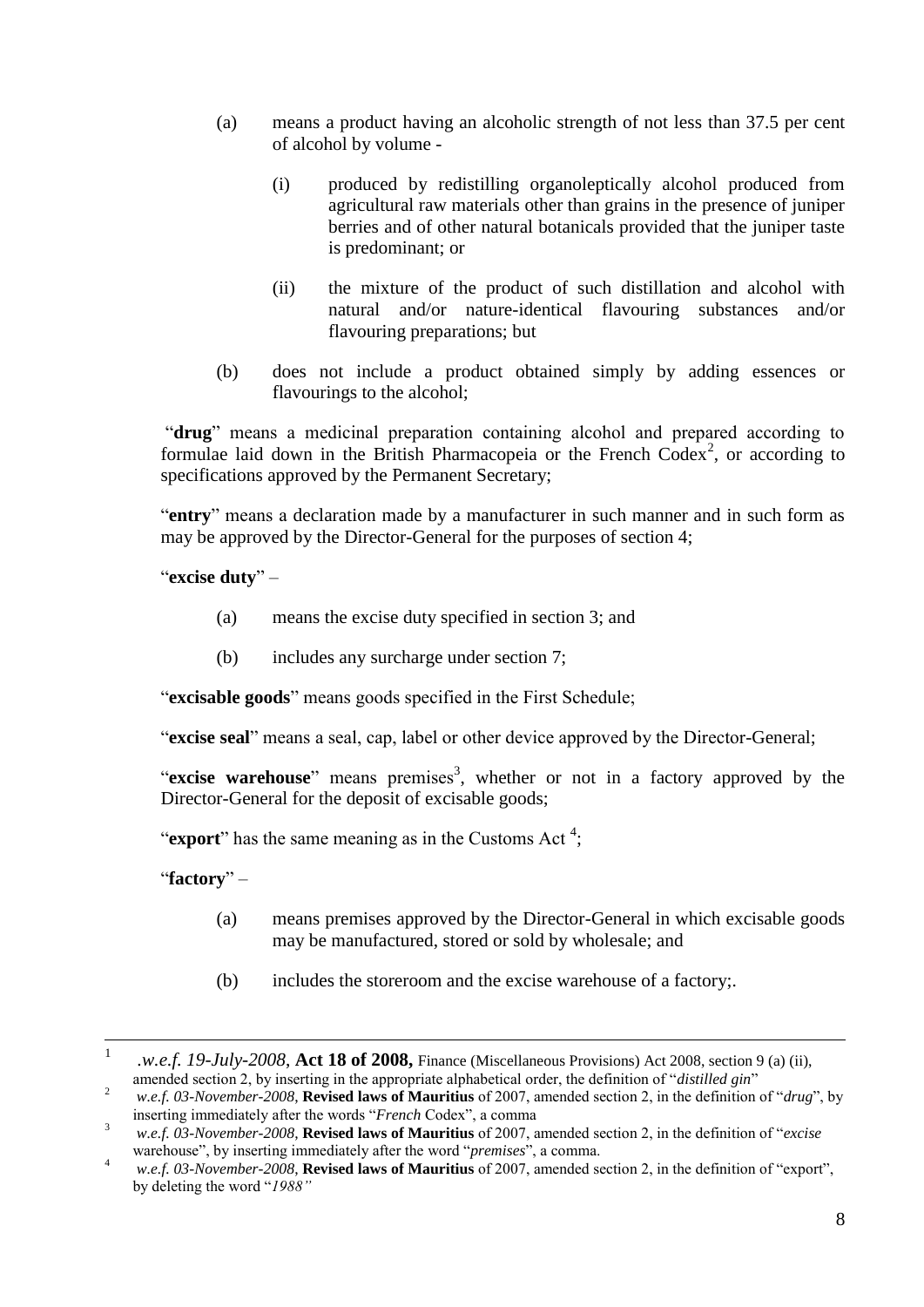- (a) means a product having an alcoholic strength of not less than 37.5 per cent of alcohol by volume -
	- (i) produced by redistilling organoleptically alcohol produced from agricultural raw materials other than grains in the presence of juniper berries and of other natural botanicals provided that the juniper taste is predominant; or
	- (ii) the mixture of the product of such distillation and alcohol with natural and/or nature-identical flavouring substances and/or flavouring preparations; but
- (b) does not include a product obtained simply by adding essences or flavourings to the alcohol;

"**drug**" means a medicinal preparation containing alcohol and prepared according to formulae laid down in the British Pharmacopeia or the French  $Codex^2$ , or according to specifications approved by the Permanent Secretary;

"**entry**" means a declaration made by a manufacturer in such manner and in such form as may be approved by the Director-General for the purposes of section 4;

"**excise duty**" –

- (a) means the excise duty specified in section 3; and
- (b) includes any surcharge under section 7;

"**excisable goods**" means goods specified in the First Schedule;

"**excise seal**" means a seal, cap, label or other device approved by the Director-General;

"excise warehouse" means premises<sup>3</sup>, whether or not in a factory approved by the Director-General for the deposit of excisable goods;

"**export**" has the same meaning as in the Customs Act<sup>4</sup>;

"**factory**" –

- (a) means premises approved by the Director-General in which excisable goods may be manufactured, stored or sold by wholesale; and
- (b) includes the storeroom and the excise warehouse of a factory;.

 $\frac{1}{1}$ *.w.e.f. 19-July-2008*, **Act 18 of 2008,** Finance (Miscellaneous Provisions) Act 2008, section 9 (a) (ii), amended section 2, by inserting in the appropriate alphabetical order, the definition of "*distilled gin*"

<sup>2</sup> *w.e.f. 03-November-2008*, **Revised laws of Mauritius** of 2007, amended section 2, in the definition of "*drug*", by inserting immediately after the words "*French* Codex", a comma

<sup>3</sup> *w.e.f. 03-November-2008*, **Revised laws of Mauritius** of 2007, amended section 2, in the definition of "*excise*  warehouse", by inserting immediately after the word "*premises*", a comma.

<sup>4</sup> *w.e.f. 03-November-2008*, **Revised laws of Mauritius** of 2007, amended section 2, in the definition of "export", by deleting the word "*1988"*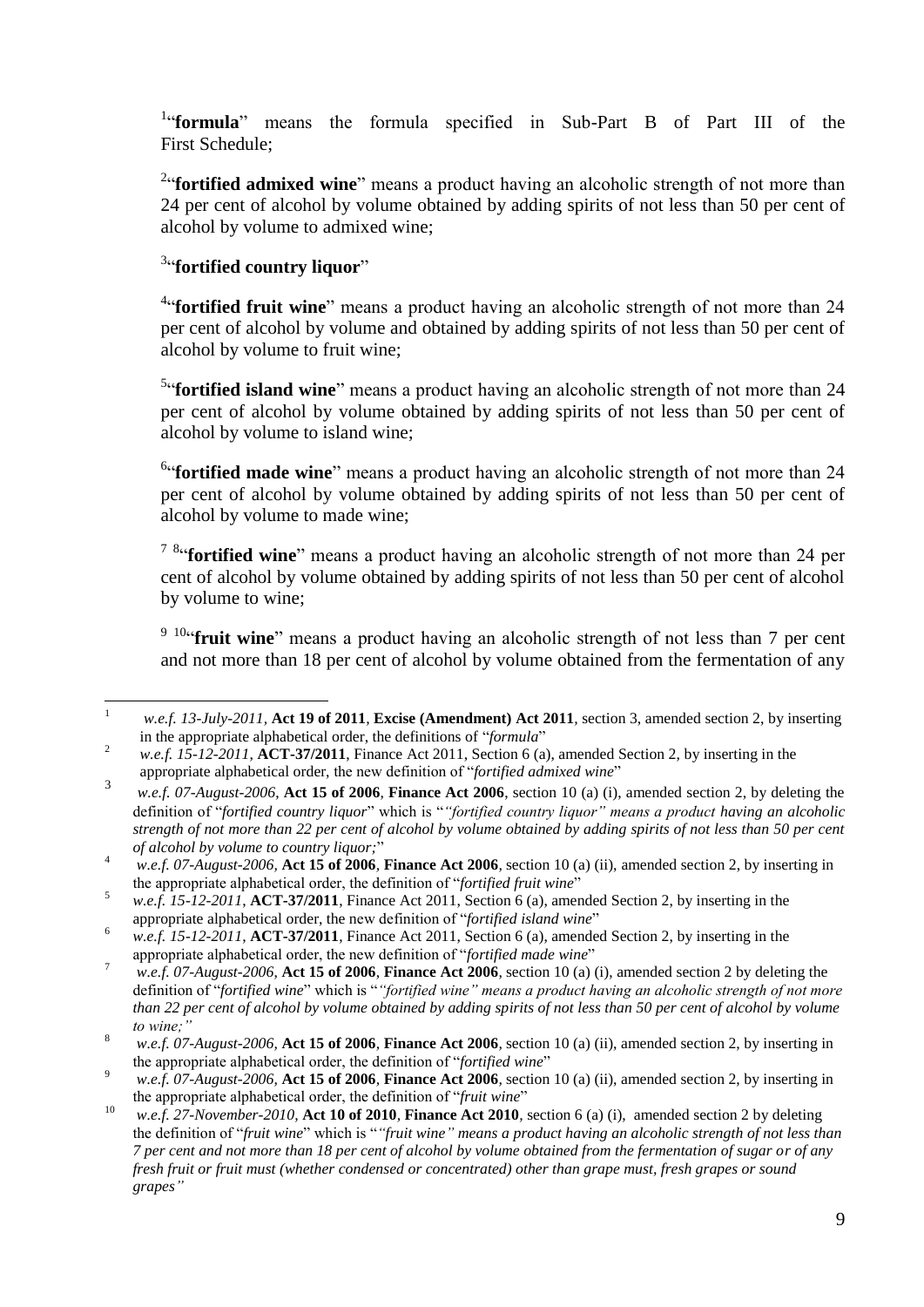<sup>1</sup>"**formula**" means the formula specified in Sub-Part B of Part III of the First Schedule;

<sup>2</sup>"**fortified admixed wine**" means a product having an alcoholic strength of not more than 24 per cent of alcohol by volume obtained by adding spirits of not less than 50 per cent of alcohol by volume to admixed wine;

### <sup>3</sup>"fortified country liquor"

<sup>4</sup>"**fortified fruit wine**" means a product having an alcoholic strength of not more than 24 per cent of alcohol by volume and obtained by adding spirits of not less than 50 per cent of alcohol by volume to fruit wine;

<sup>5</sup>"**fortified island wine**" means a product having an alcoholic strength of not more than 24 per cent of alcohol by volume obtained by adding spirits of not less than 50 per cent of alcohol by volume to island wine;

<sup>6</sup>"**fortified made wine**" means a product having an alcoholic strength of not more than 24 per cent of alcohol by volume obtained by adding spirits of not less than 50 per cent of alcohol by volume to made wine;

<sup>7 8</sup>"**fortified wine**" means a product having an alcoholic strength of not more than 24 per cent of alcohol by volume obtained by adding spirits of not less than 50 per cent of alcohol by volume to wine;

<sup>9 10"</sup>**fruit wine**" means a product having an alcoholic strength of not less than 7 per cent and not more than 18 per cent of alcohol by volume obtained from the fermentation of any

 $\mathbf{1}$ <sup>1</sup> *w.e.f. 13-July-2011,* **Act 19 of 2011***,* **Excise (Amendment) Act 2011***,* section 3, amended section 2, by inserting in the appropriate alphabetical order, the definitions of "*formula*"

<sup>&</sup>lt;sup>2</sup> *w.e.f.*  $15-12-2011$ ,  $\angle$ **ACT-37/2011**, Finance Act 2011, Section 6 (a), amended Section 2, by inserting in the appropriate alphabetical order, the new definition of "*fortified admixed wine*"

<sup>3</sup> *w.e.f. 07-August-2006*, **Act 15 of 2006**, **Finance Act 2006**, section 10 (a) (i), amended section 2, by deleting the definition of "*fortified country liquor*" which is "*"fortified country liquor" means a product having an alcoholic strength of not more than 22 per cent of alcohol by volume obtained by adding spirits of not less than 50 per cent of alcohol by volume to country liquor;*"

<sup>4</sup> *w.e.f. 07-August-2006,* **Act 15 of 2006***,* **Finance Act 2006***,* section 10 (a) (ii), amended section 2, by inserting in the appropriate alphabetical order, the definition of "*fortified fruit wine*"

<sup>5</sup> *w.e.f. 15-12-2011*, **ACT-37/2011**, Finance Act 2011, Section 6 (a), amended Section 2, by inserting in the appropriate alphabetical order, the new definition of "*fortified island wine*"

<sup>&</sup>lt;sup>6</sup> *w.e.f.* 15-12-2011, **ACT-37/2011**, Finance Act 2011, Section 6 (a), amended Section 2, by inserting in the appropriate alphabetical order, the new definition of "*fortified made wine*"

<sup>7</sup> *w.e.f. 07-August-2006*, **Act 15 of 2006**, **Finance Act 2006**, section 10 (a) (i), amended section 2 by deleting the definition of "*fortified wine*" which is "*"fortified wine" means a product having an alcoholic strength of not more than 22 per cent of alcohol by volume obtained by adding spirits of not less than 50 per cent of alcohol by volume to wine;"*

<sup>8</sup> *w.e.f. 07-August-2006,* **Act 15 of 2006***,* **Finance Act 2006***,* section 10 (a) (ii), amended section 2, by inserting in the appropriate alphabetical order, the definition of "*fortified wine*"

<sup>9</sup> *w.e.f. 07-August-2006,* **Act 15 of 2006***,* **Finance Act 2006***,* section 10 (a) (ii), amended section 2, by inserting in the appropriate alphabetical order, the definition of "*fruit wine*"

<sup>10</sup> *w.e.f. 27-November-2010,* **Act 10 of 2010***,* **Finance Act 2010***,* section 6 (a) (i), amended section 2 by deleting the definition of "*fruit wine*" which is "*"fruit wine" means a product having an alcoholic strength of not less than 7 per cent and not more than 18 per cent of alcohol by volume obtained from the fermentation of sugar or of any fresh fruit or fruit must (whether condensed or concentrated) other than grape must, fresh grapes or sound grapes"*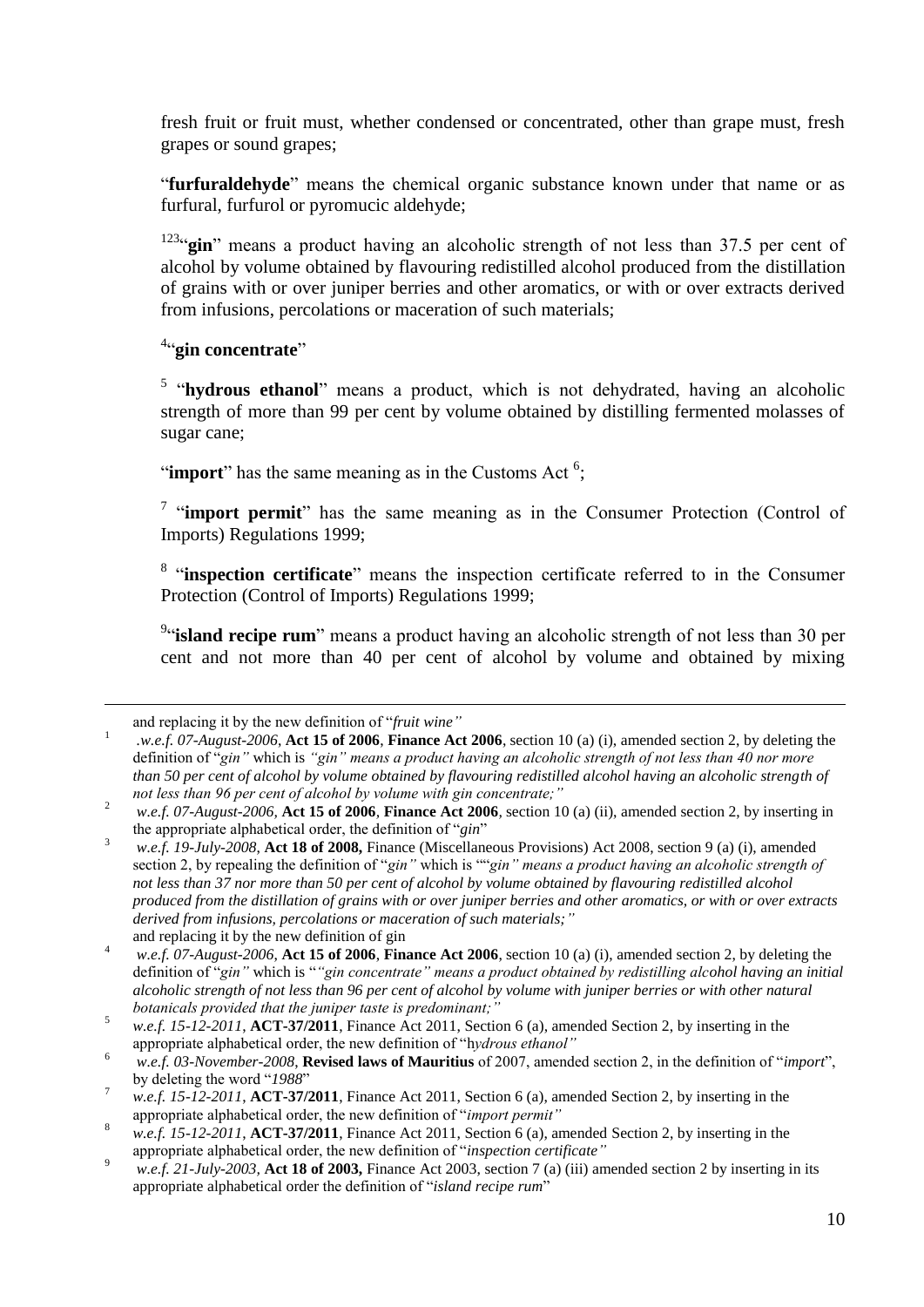fresh fruit or fruit must, whether condensed or concentrated, other than grape must, fresh grapes or sound grapes;

"**furfuraldehyde**" means the chemical organic substance known under that name or as furfural, furfurol or pyromucic aldehyde;

<sup>123</sup>"gin" means a product having an alcoholic strength of not less than 37.5 per cent of alcohol by volume obtained by flavouring redistilled alcohol produced from the distillation of grains with or over juniper berries and other aromatics, or with or over extracts derived from infusions, percolations or maceration of such materials;

4 "**gin concentrate**"

<sup>5</sup> "hydrous ethanol" means a product, which is not dehydrated, having an alcoholic strength of more than 99 per cent by volume obtained by distilling fermented molasses of sugar cane;

"**import**" has the same meaning as in the Customs Act  $6$ ;

<sup>7</sup> "import permit" has the same meaning as in the Consumer Protection (Control of Imports) Regulations 1999;

<sup>8</sup> "inspection certificate" means the inspection certificate referred to in the Consumer Protection (Control of Imports) Regulations 1999;

<sup>9</sup>"**island recipe rum**" means a product having an alcoholic strength of not less than 30 per cent and not more than 40 per cent of alcohol by volume and obtained by mixing

 $\overline{a}$ 

and replacing it by the new definition of "*fruit wine"*

<sup>1</sup> *.w.e.f. 07-August-2006*, **Act 15 of 2006**, **Finance Act 2006**, section 10 (a) (i), amended section 2, by deleting the definition of "*gin"* which is *"gin" means a product having an alcoholic strength of not less than 40 nor more than 50 per cent of alcohol by volume obtained by flavouring redistilled alcohol having an alcoholic strength of not less than 96 per cent of alcohol by volume with gin concentrate;"*

<sup>2</sup> *w.e.f. 07-August-2006,* **Act 15 of 2006***,* **Finance Act 2006***,* section 10 (a) (ii), amended section 2, by inserting in the appropriate alphabetical order, the definition of "*gin*"

<sup>3</sup> *w.e.f. 19-July-2008*, **Act 18 of 2008,** Finance (Miscellaneous Provisions) Act 2008, section 9 (a) (i), amended section 2, by repealing the definition of "*gin"* which is ""*gin" means a product having an alcoholic strength of not less than 37 nor more than 50 per cent of alcohol by volume obtained by flavouring redistilled alcohol produced from the distillation of grains with or over juniper berries and other aromatics, or with or over extracts derived from infusions, percolations or maceration of such materials;"* and replacing it by the new definition of gin

<sup>4</sup> *w.e.f. 07-August-2006*, **Act 15 of 2006**, **Finance Act 2006**, section 10 (a) (i), amended section 2, by deleting the definition of "*gin"* which is "*"gin concentrate" means a product obtained by redistilling alcohol having an initial alcoholic strength of not less than 96 per cent of alcohol by volume with juniper berries or with other natural botanicals provided that the juniper taste is predominant;"*

<sup>5</sup> *w.e.f. 15-12-2011*, **ACT-37/2011**, Finance Act 2011, Section 6 (a), amended Section 2, by inserting in the appropriate alphabetical order, the new definition of "h*ydrous ethanol"*

<sup>6</sup> *w.e.f. 03-November-2008*, **Revised laws of Mauritius** of 2007, amended section 2, in the definition of "*import*", by deleting the word "*1988*"

<sup>7</sup> *w.e.f. 15-12-2011*, **ACT-37/2011**, Finance Act 2011, Section 6 (a), amended Section 2, by inserting in the appropriate alphabetical order, the new definition of "*import permit"*

<sup>&</sup>lt;sup>8</sup> *w.e.f.* 15-12-2011, **ACT-37/2011**, Finance Act 2011, Section 6 (a), amended Section 2, by inserting in the appropriate alphabetical order, the new definition of "*inspection certificate"*

<sup>9</sup> *w.e.f. 21-July-2003,* **Act 18 of 2003,** Finance Act 2003, section 7 (a) (iii) amended section 2 by inserting in its appropriate alphabetical order the definition of "*island recipe rum*"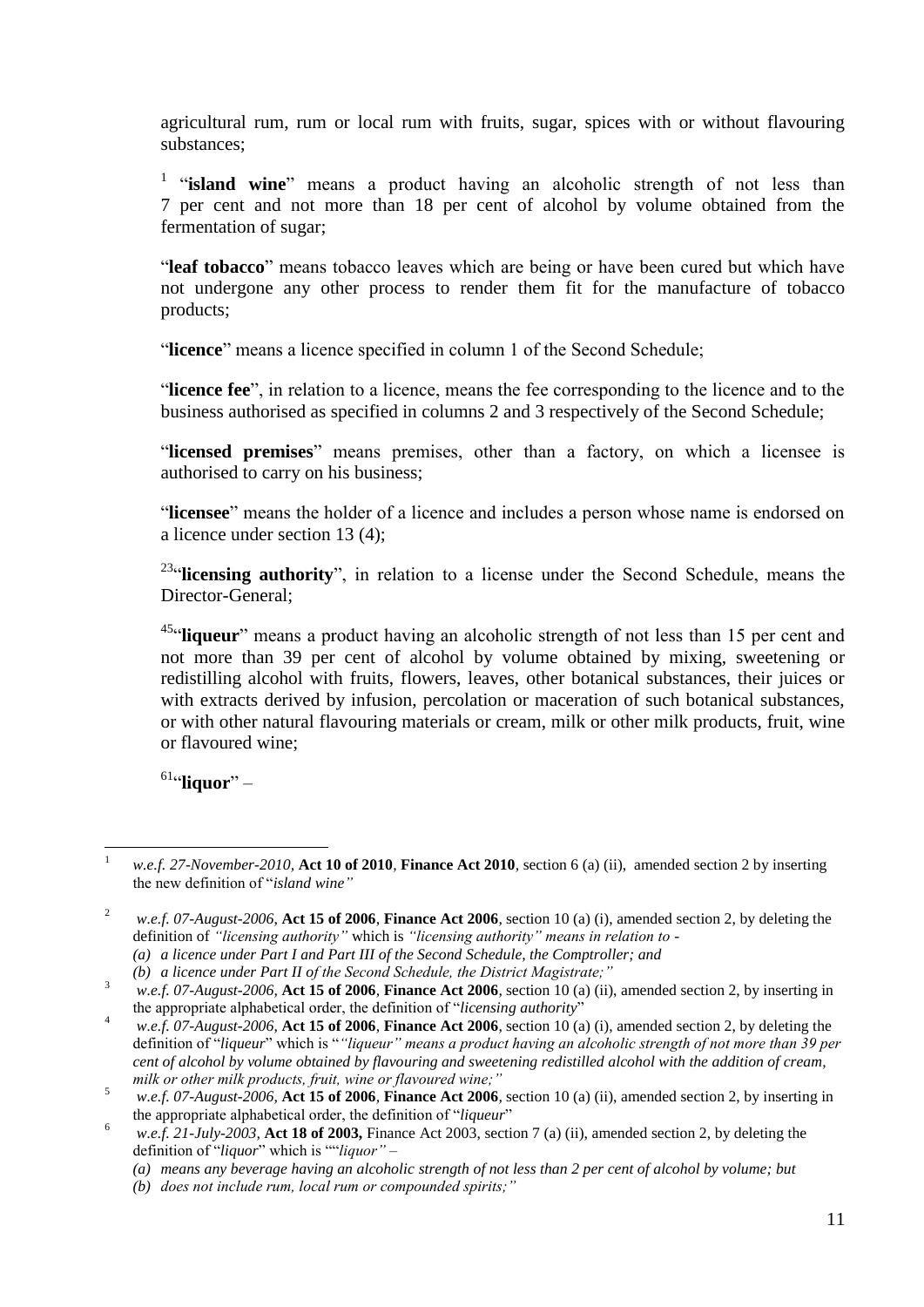agricultural rum, rum or local rum with fruits, sugar, spices with or without flavouring substances;

<sup>1</sup> "island wine" means a product having an alcoholic strength of not less than 7 per cent and not more than 18 per cent of alcohol by volume obtained from the fermentation of sugar;

"**leaf tobacco**" means tobacco leaves which are being or have been cured but which have not undergone any other process to render them fit for the manufacture of tobacco products;

"**licence**" means a licence specified in column 1 of the Second Schedule;

"**licence fee**", in relation to a licence, means the fee corresponding to the licence and to the business authorised as specified in columns 2 and 3 respectively of the Second Schedule;

"**licensed premises**" means premises, other than a factory, on which a licensee is authorised to carry on his business;

"**licensee**" means the holder of a licence and includes a person whose name is endorsed on a licence under section 13 (4);

<sup>23</sup>"licensing authority", in relation to a license under the Second Schedule, means the Director-General;

<sup>45</sup>"liqueur" means a product having an alcoholic strength of not less than 15 per cent and not more than 39 per cent of alcohol by volume obtained by mixing, sweetening or redistilling alcohol with fruits, flowers, leaves, other botanical substances, their juices or with extracts derived by infusion, percolation or maceration of such botanical substances, or with other natural flavouring materials or cream, milk or other milk products, fruit, wine or flavoured wine;

61 "**liquor**" –

 $\mathbf{1}$ <sup>1</sup> *w.e.f. 27-November-2010,* **Act 10 of 2010***,* **Finance Act 2010***,* section 6 (a) (ii), amended section 2 by inserting the new definition of "*island wine"*

<sup>2</sup> *w.e.f. 07-August-2006*, **Act 15 of 2006**, **Finance Act 2006**, section 10 (a) (i), amended section 2, by deleting the definition of *"licensing authority"* which is *"licensing authority" means in relation to - (a) a licence under Part I and Part III of the Second Schedule, the Comptroller; and*

*<sup>(</sup>b) a licence under Part II of the Second Schedule, the District Magistrate;"*

<sup>3</sup> *w.e.f. 07-August-2006,* **Act 15 of 2006***,* **Finance Act 2006***,* section 10 (a) (ii), amended section 2, by inserting in the appropriate alphabetical order, the definition of "*licensing authority*"

<sup>4</sup> *w.e.f. 07-August-2006*, **Act 15 of 2006**, **Finance Act 2006**, section 10 (a) (i), amended section 2, by deleting the definition of "*liqueur*" which is "*"liqueur" means a product having an alcoholic strength of not more than 39 per cent of alcohol by volume obtained by flavouring and sweetening redistilled alcohol with the addition of cream, milk or other milk products, fruit, wine or flavoured wine;"*

 $\frac{5}{2}$  *w.e.f. 07-August-2006*, Act 15 of 2006, Finance Act 2006, section 10 (a) (ii), amended section 2, by inserting in the appropriate alphabetical order, the definition of "*liqueur*"

<sup>&</sup>lt;sup>6</sup> *w.e.f.* 21-July-2003, **Act 18 of 2003,** Finance Act 2003, section 7 (a) (ii), amended section 2, by deleting the definition of "*liquor*" which is ""*liquor" –*

*<sup>(</sup>a) means any beverage having an alcoholic strength of not less than 2 per cent of alcohol by volume; but*

*<sup>(</sup>b) does not include rum, local rum or compounded spirits;"*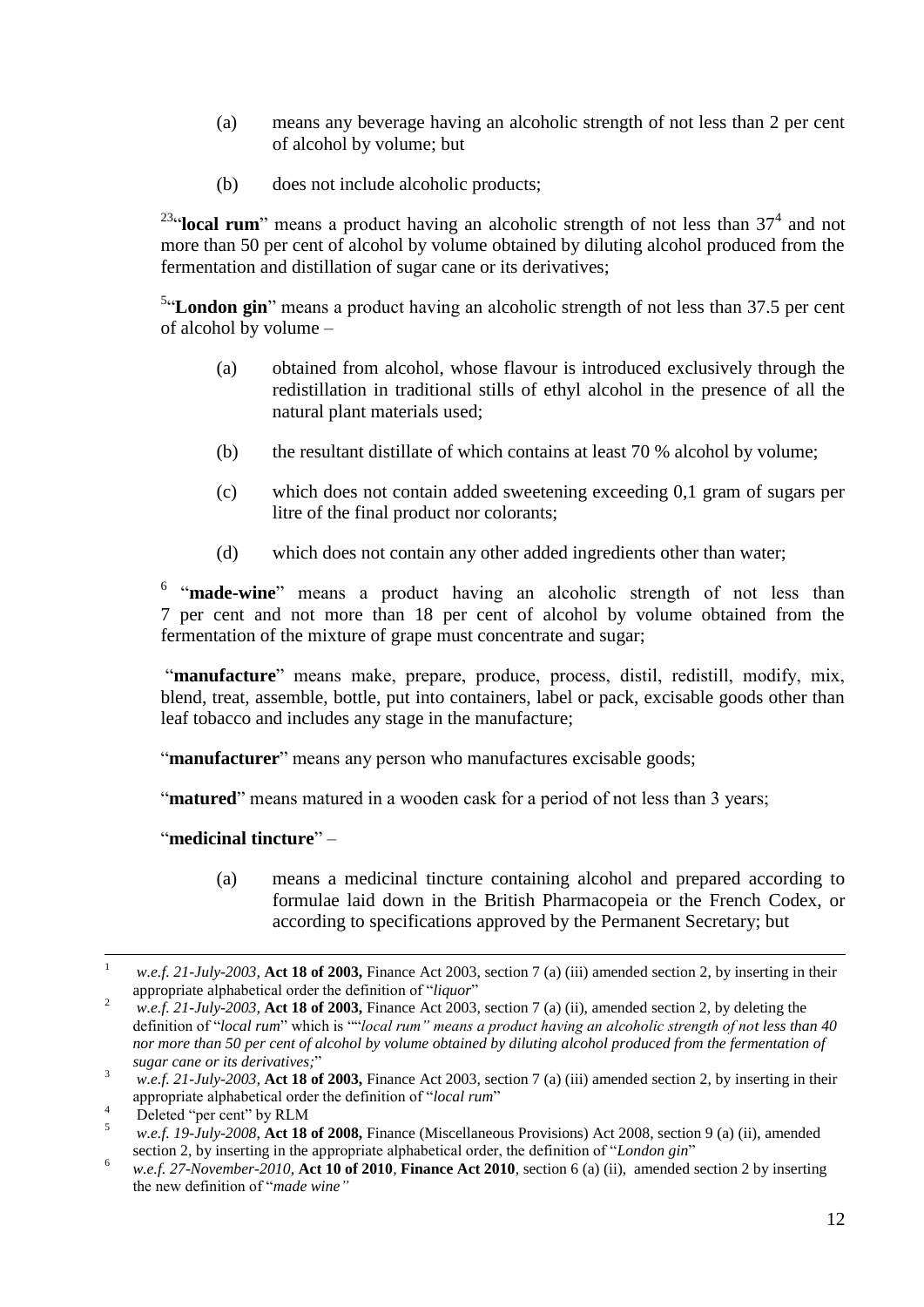- (a) means any beverage having an alcoholic strength of not less than 2 per cent of alcohol by volume; but
- (b) does not include alcoholic products;

<sup>23</sup>"**local rum**" means a product having an alcoholic strength of not less than  $37<sup>4</sup>$  and not more than 50 per cent of alcohol by volume obtained by diluting alcohol produced from the fermentation and distillation of sugar cane or its derivatives;

<sup>5</sup>"London gin" means a product having an alcoholic strength of not less than 37.5 per cent of alcohol by volume –

- (a) obtained from alcohol, whose flavour is introduced exclusively through the redistillation in traditional stills of ethyl alcohol in the presence of all the natural plant materials used;
- (b) the resultant distillate of which contains at least 70 % alcohol by volume;
- (c) which does not contain added sweetening exceeding 0,1 gram of sugars per litre of the final product nor colorants;
- (d) which does not contain any other added ingredients other than water;

<sup>6</sup> "made-wine" means a product having an alcoholic strength of not less than 7 per cent and not more than 18 per cent of alcohol by volume obtained from the fermentation of the mixture of grape must concentrate and sugar;

"manufacture" means make, prepare, produce, process, distil, redistill, modify, mix, blend, treat, assemble, bottle, put into containers, label or pack, excisable goods other than leaf tobacco and includes any stage in the manufacture;

"**manufacturer**" means any person who manufactures excisable goods;

"**matured**" means matured in a wooden cask for a period of not less than 3 years;

#### "**medicinal tincture**" –

(a) means a medicinal tincture containing alcohol and prepared according to formulae laid down in the British Pharmacopeia or the French Codex, or according to specifications approved by the Permanent Secretary; but

 $\overline{a}$ 

<sup>1</sup> *w.e.f. 21-July-2003,* **Act 18 of 2003,** Finance Act 2003, section 7 (a) (iii) amended section 2, by inserting in their appropriate alphabetical order the definition of "*liquor*"

<sup>2</sup> *w.e.f. 21-July-2003,* **Act 18 of 2003,** Finance Act 2003, section 7 (a) (ii), amended section 2, by deleting the definition of "*local rum*" which is ""*local rum" means a product having an alcoholic strength of not less than 40 nor more than 50 per cent of alcohol by volume obtained by diluting alcohol produced from the fermentation of sugar cane or its derivatives;*"

<sup>3</sup> *w.e.f. 21-July-2003,* **Act 18 of 2003,** Finance Act 2003, section 7 (a) (iii) amended section 2, by inserting in their appropriate alphabetical order the definition of "*local rum*"

 $^{4}$  Deleted "per cent" by RLM

<sup>5</sup> *w.e.f. 19-July-2008*, **Act 18 of 2008,** Finance (Miscellaneous Provisions) Act 2008, section 9 (a) (ii), amended section 2, by inserting in the appropriate alphabetical order, the definition of "*London gin*"

<sup>6</sup> *w.e.f. 27-November-2010,* **Act 10 of 2010***,* **Finance Act 2010***,* section 6 (a) (ii), amended section 2 by inserting the new definition of "*made wine"*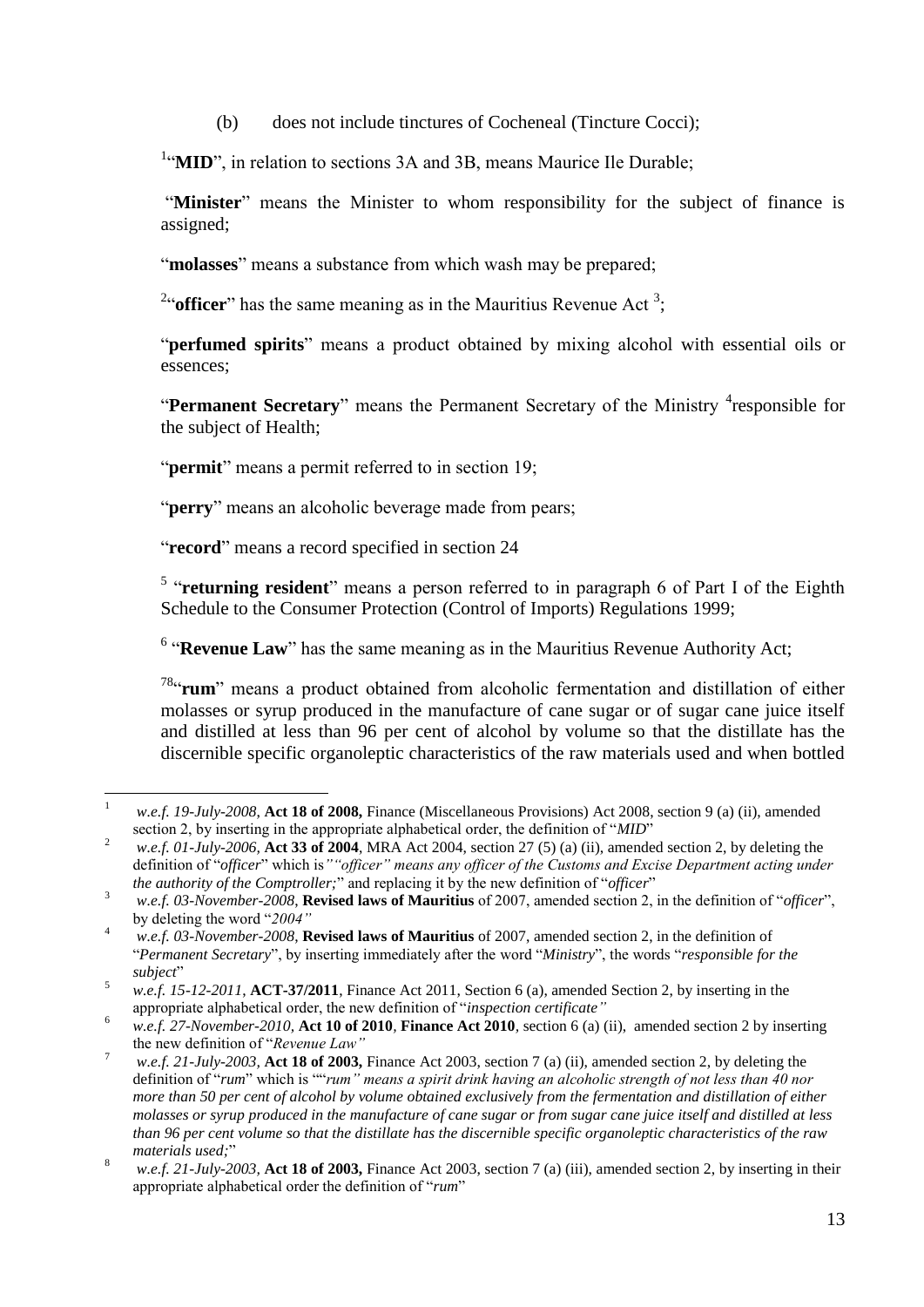(b) does not include tinctures of Cocheneal (Tincture Cocci);

<sup>1</sup>"MID", in relation to sections 3A and 3B, means Maurice Ile Durable;

"**Minister**" means the Minister to whom responsibility for the subject of finance is assigned;

"**molasses**" means a substance from which wash may be prepared;

<sup>2"</sup> officer" has the same meaning as in the Mauritius Revenue Act<sup>3</sup>;

"**perfumed spirits**" means a product obtained by mixing alcohol with essential oils or essences;

"Permanent Secretary" means the Permanent Secretary of the Ministry <sup>4</sup>responsible for the subject of Health;

"**permit**" means a permit referred to in section 19;

"**perry**" means an alcoholic beverage made from pears;

"**record**" means a record specified in section 24

<sup>5</sup> "returning resident" means a person referred to in paragraph 6 of Part I of the Eighth Schedule to the Consumer Protection (Control of Imports) Regulations 1999;

<sup>6</sup> "Revenue Law" has the same meaning as in the Mauritius Revenue Authority Act;

78 "**rum**" means a product obtained from alcoholic fermentation and distillation of either molasses or syrup produced in the manufacture of cane sugar or of sugar cane juice itself and distilled at less than 96 per cent of alcohol by volume so that the distillate has the discernible specific organoleptic characteristics of the raw materials used and when bottled

 $\overline{1}$ <sup>1</sup> *w.e.f. 19-July-2008*, **Act 18 of 2008,** Finance (Miscellaneous Provisions) Act 2008, section 9 (a) (ii), amended section 2, by inserting in the appropriate alphabetical order, the definition of "*MID*"

<sup>2</sup> *w.e.f. 01-July-2006,* **Act 33 of 2004**, MRA Act 2004, section 27 (5) (a) (ii), amended section 2, by deleting the definition of "*officer*" which is*""officer" means any officer of the Customs and Excise Department acting under the authority of the Comptroller;*" and replacing it by the new definition of "*officer*"

<sup>3</sup> *w.e.f. 03-November-2008*, **Revised laws of Mauritius** of 2007, amended section 2, in the definition of "*officer*", by deleting the word "*2004"*

<sup>4</sup> *w.e.f. 03-November-2008*, **Revised laws of Mauritius** of 2007, amended section 2, in the definition of "*Permanent Secretary*", by inserting immediately after the word "*Ministry*", the words "*responsible for the subject*"

<sup>5</sup> *w.e.f. 15-12-2011*, **ACT-37/2011**, Finance Act 2011, Section 6 (a), amended Section 2, by inserting in the appropriate alphabetical order, the new definition of "*inspection certificate"*

<sup>6</sup> *w.e.f. 27-November-2010,* **Act 10 of 2010***,* **Finance Act 2010***,* section 6 (a) (ii), amended section 2 by inserting the new definition of "*Revenue Law"*

<sup>7</sup> *w.e.f. 21-July-2003,* **Act 18 of 2003,** Finance Act 2003, section 7 (a) (ii), amended section 2, by deleting the definition of "*rum*" which is ""*rum" means a spirit drink having an alcoholic strength of not less than 40 nor more than 50 per cent of alcohol by volume obtained exclusively from the fermentation and distillation of either molasses or syrup produced in the manufacture of cane sugar or from sugar cane juice itself and distilled at less than 96 per cent volume so that the distillate has the discernible specific organoleptic characteristics of the raw materials used;*"

<sup>8</sup> *w.e.f. 21-July-2003,* **Act 18 of 2003,** Finance Act 2003, section 7 (a) (iii), amended section 2, by inserting in their appropriate alphabetical order the definition of "*rum*"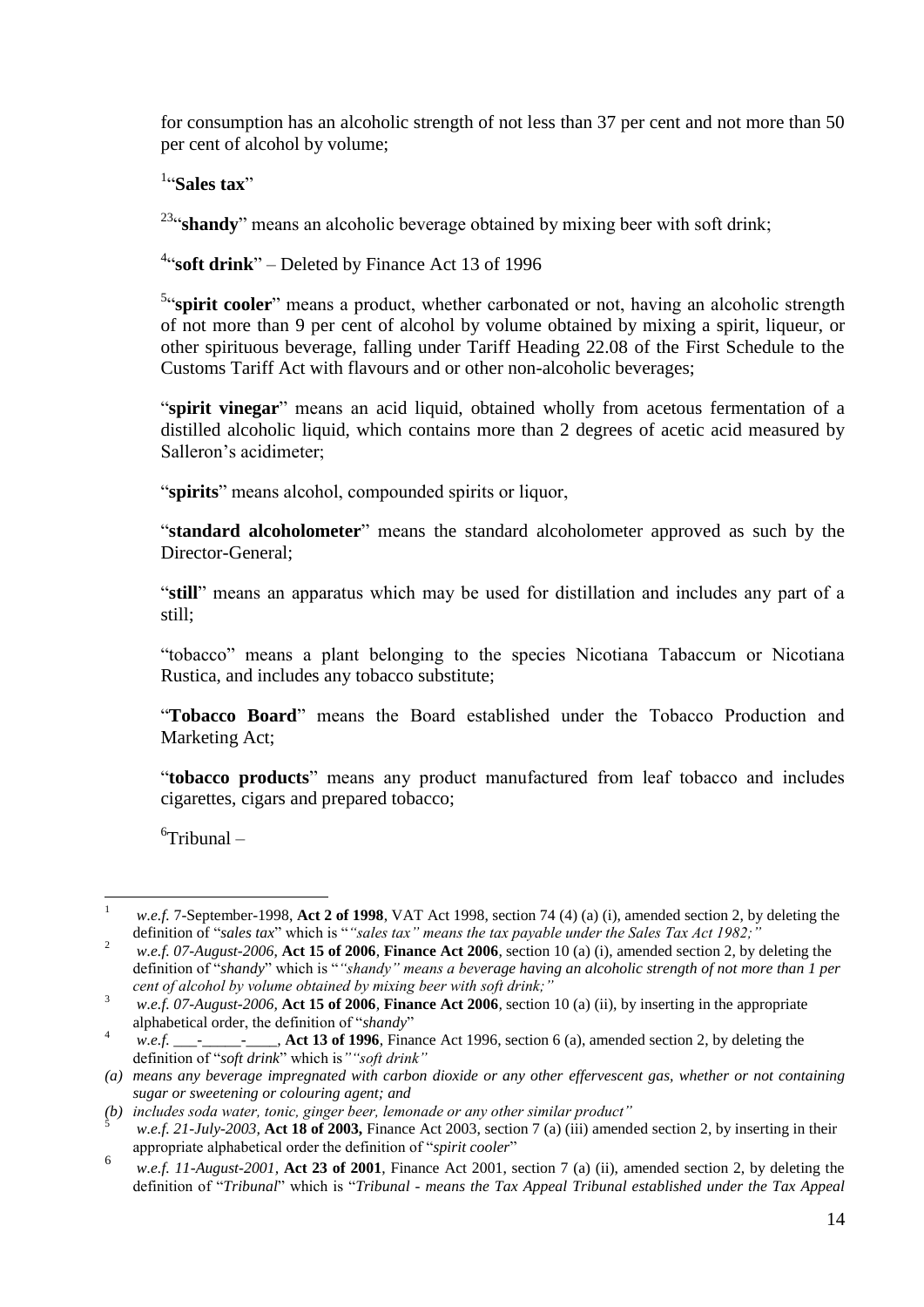for consumption has an alcoholic strength of not less than 37 per cent and not more than 50 per cent of alcohol by volume;

1 "**Sales tax**"

<sup>23</sup>" shandy" means an alcoholic beverage obtained by mixing beer with soft drink;

<sup>4</sup>"soft drink" – Deleted by Finance Act 13 of 1996

<sup>5</sup>"spirit cooler" means a product, whether carbonated or not, having an alcoholic strength of not more than 9 per cent of alcohol by volume obtained by mixing a spirit, liqueur, or other spirituous beverage, falling under Tariff Heading 22.08 of the First Schedule to the Customs Tariff Act with flavours and or other non-alcoholic beverages;

"**spirit vinegar**" means an acid liquid, obtained wholly from acetous fermentation of a distilled alcoholic liquid, which contains more than 2 degrees of acetic acid measured by Salleron's acidimeter;

"**spirits**" means alcohol, compounded spirits or liquor,

"**standard alcoholometer**" means the standard alcoholometer approved as such by the Director-General;

"**still**" means an apparatus which may be used for distillation and includes any part of a still;

"tobacco" means a plant belonging to the species Nicotiana Tabaccum or Nicotiana Rustica, and includes any tobacco substitute;

"**Tobacco Board**" means the Board established under the Tobacco Production and Marketing Act;

"**tobacco products**" means any product manufactured from leaf tobacco and includes cigarettes, cigars and prepared tobacco;

6 Tribunal –

 $\mathbf{1}$ <sup>1</sup> *w.e.f.* 7-September-1998, **Act 2 of 1998**, VAT Act 1998, section 74 (4) (a) (i), amended section 2, by deleting the definition of "*sales tax*" which is "*"sales tax" means the tax payable under the Sales Tax Act 1982;"*

<sup>2</sup> *w.e.f. 07-August-2006*, **Act 15 of 2006**, **Finance Act 2006**, section 10 (a) (i), amended section 2, by deleting the definition of "*shandy*" which is "*"shandy" means a beverage having an alcoholic strength of not more than 1 per cent of alcohol by volume obtained by mixing beer with soft drink;"*

<sup>3</sup> *w.e.f. 07-August-2006,* **Act 15 of 2006***,* **Finance Act 2006***,* section 10 (a) (ii), by inserting in the appropriate alphabetical order, the definition of "*shandy*"

<sup>4</sup> *w.e.f. \_\_\_-\_\_\_\_\_-\_\_\_\_,* **Act 13 of 1996**, Finance Act 1996, section 6 (a), amended section 2, by deleting the definition of "*soft drink*" which is*""soft drink"*

*<sup>(</sup>a) means any beverage impregnated with carbon dioxide or any other effervescent gas, whether or not containing sugar or sweetening or colouring agent; and*

*<sup>(</sup>b) includes soda water, tonic, ginger beer, lemonade or any other similar product"*

<sup>5</sup> *w.e.f. 21-July-2003,* **Act 18 of 2003,** Finance Act 2003, section 7 (a) (iii) amended section 2, by inserting in their appropriate alphabetical order the definition of "*spirit cooler*"

<sup>6</sup> *w.e.f. 11-August-2001,* **Act 23 of 2001**, Finance Act 2001, section 7 (a) (ii), amended section 2, by deleting the definition of "*Tribunal*" which is "*Tribunal - means the Tax Appeal Tribunal established under the Tax Appeal*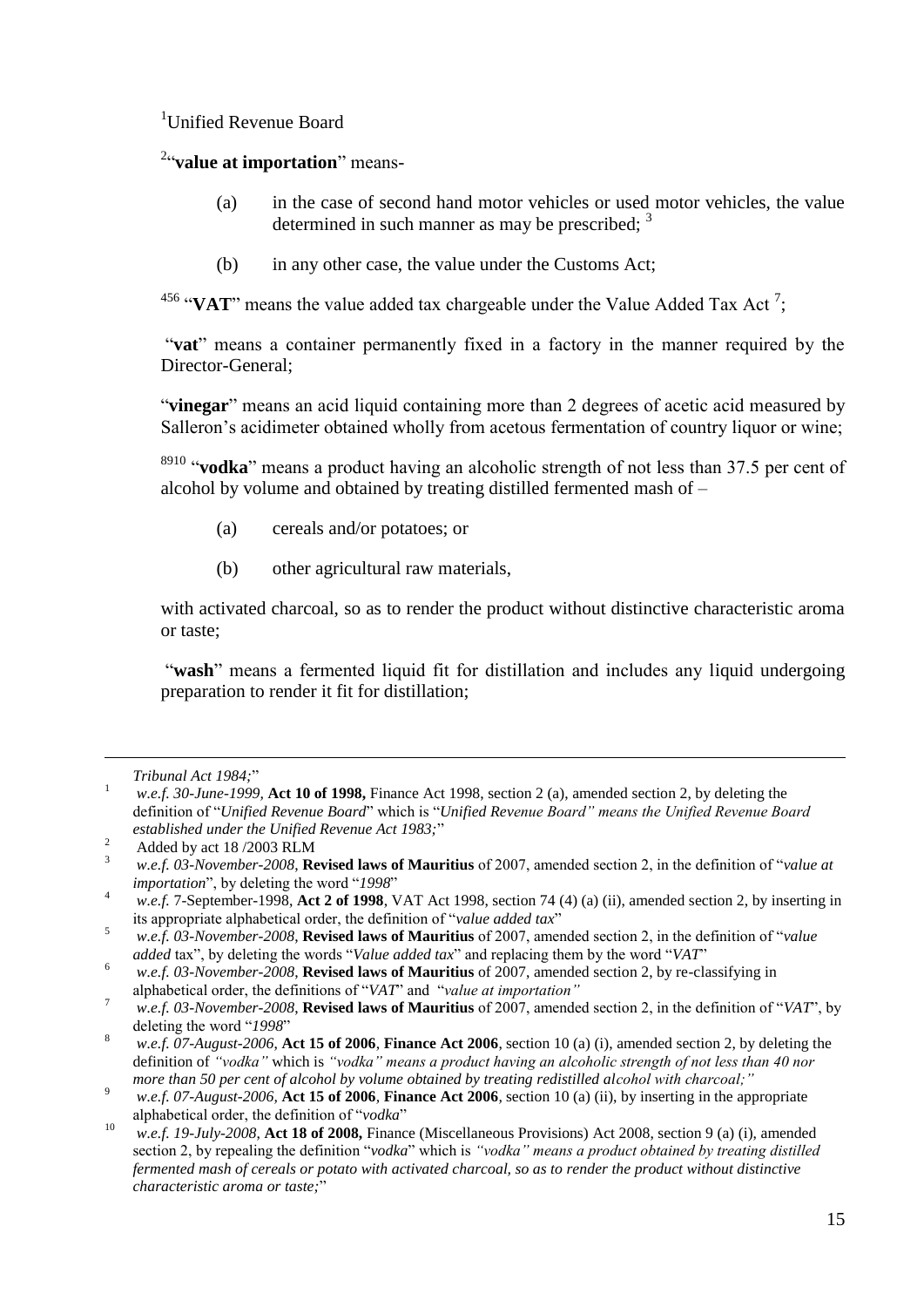<sup>1</sup>Unified Revenue Board

2 "**value at importation**" means-

- (a) in the case of second hand motor vehicles or used motor vehicles, the value determined in such manner as may be prescribed;  $3$
- (b) in any other case, the value under the Customs Act;

<sup>456</sup> "VAT" means the value added tax chargeable under the Value Added Tax Act<sup>7</sup>;

"**vat**" means a container permanently fixed in a factory in the manner required by the Director-General;

"**vinegar**" means an acid liquid containing more than 2 degrees of acetic acid measured by Salleron's acidimeter obtained wholly from acetous fermentation of country liquor or wine;

<sup>8910</sup> "**vodka**" means a product having an alcoholic strength of not less than 37.5 per cent of alcohol by volume and obtained by treating distilled fermented mash of –

- (a) cereals and/or potatoes; or
- (b) other agricultural raw materials,

with activated charcoal, so as to render the product without distinctive characteristic aroma or taste;

"wash" means a fermented liquid fit for distillation and includes any liquid undergoing preparation to render it fit for distillation;

 $\overline{a}$ 

*Tribunal Act 1984;*"

<sup>1</sup> *w.e.f. 30-June-1999,* **Act 10 of 1998,** Finance Act 1998, section 2 (a), amended section 2, by deleting the definition of "*Unified Revenue Board*" which is "*Unified Revenue Board" means the Unified Revenue Board established under the Unified Revenue Act 1983;*"

<sup>&</sup>lt;sup>2</sup> Added by act 18/2003 RLM

<sup>3</sup> *w.e.f. 03-November-2008*, **Revised laws of Mauritius** of 2007, amended section 2, in the definition of "*value at importation*", by deleting the word "*1998*"

<sup>4</sup> *w.e.f.* 7-September-1998, **Act 2 of 1998**, VAT Act 1998, section 74 (4) (a) (ii), amended section 2, by inserting in its appropriate alphabetical order, the definition of "*value added tax*"

<sup>5</sup> *w.e.f. 03-November-2008*, **Revised laws of Mauritius** of 2007, amended section 2, in the definition of "*value added* tax", by deleting the words "*Value added tax*" and replacing them by the word "*VAT*"

<sup>6</sup> *w.e.f. 03-November-2008*, **Revised laws of Mauritius** of 2007, amended section 2, by re-classifying in alphabetical order, the definitions of "*VAT*" and "*value at importation"*

<sup>7</sup> *w.e.f. 03-November-2008*, **Revised laws of Mauritius** of 2007, amended section 2, in the definition of "*VAT*", by deleting the word "*1998*"

<sup>8</sup> *w.e.f. 07-August-2006*, **Act 15 of 2006**, **Finance Act 2006**, section 10 (a) (i), amended section 2, by deleting the definition of *"vodka"* which is *"vodka" means a product having an alcoholic strength of not less than 40 nor more than 50 per cent of alcohol by volume obtained by treating redistilled alcohol with charcoal;"*

<sup>9</sup> *w.e.f. 07-August-2006,* **Act 15 of 2006***,* **Finance Act 2006***,* section 10 (a) (ii), by inserting in the appropriate alphabetical order, the definition of "*vodka*"

<sup>10</sup> *w.e.f. 19-July-2008*, **Act 18 of 2008,** Finance (Miscellaneous Provisions) Act 2008, section 9 (a) (i), amended section 2, by repealing the definition "*vodka*" which is *"vodka" means a product obtained by treating distilled fermented mash of cereals or potato with activated charcoal, so as to render the product without distinctive characteristic aroma or taste;*"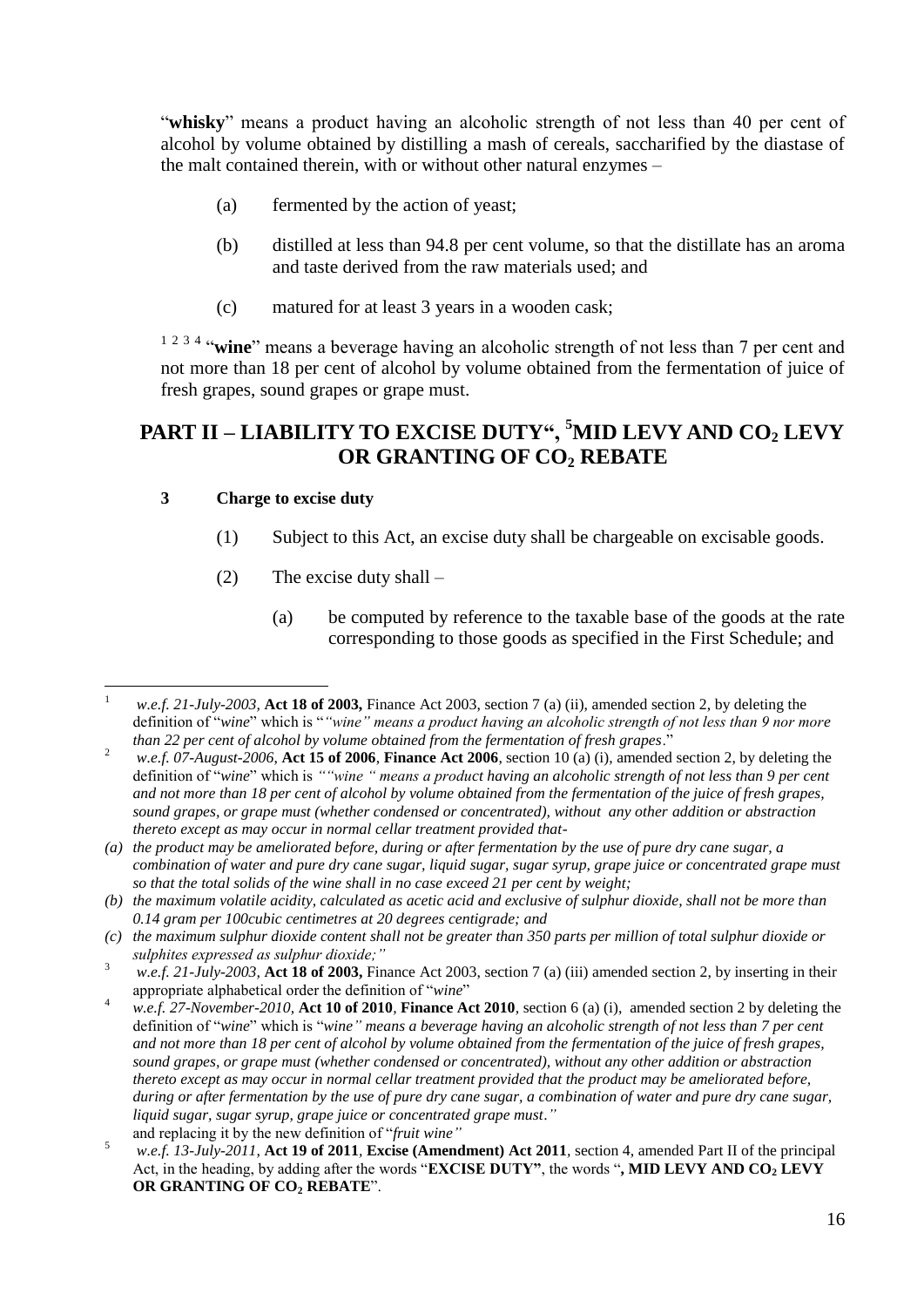"**whisky**" means a product having an alcoholic strength of not less than 40 per cent of alcohol by volume obtained by distilling a mash of cereals, saccharified by the diastase of the malt contained therein, with or without other natural enzymes –

- (a) fermented by the action of yeast;
- (b) distilled at less than 94.8 per cent volume, so that the distillate has an aroma and taste derived from the raw materials used; and
- (c) matured for at least 3 years in a wooden cask;

<sup>1 2 3 4</sup> "wine" means a beverage having an alcoholic strength of not less than 7 per cent and not more than 18 per cent of alcohol by volume obtained from the fermentation of juice of fresh grapes, sound grapes or grape must.

### <span id="page-15-0"></span>**PART II – LIABILITY TO EXCISE DUTY", <sup>5</sup>MID LEVY AND CO<sup>2</sup> LEVY OR GRANTING OF CO<sup>2</sup> REBATE**

#### <span id="page-15-1"></span>**3 Charge to excise duty**

- (1) Subject to this Act, an excise duty shall be chargeable on excisable goods.
- (2) The excise duty shall
	- (a) be computed by reference to the taxable base of the goods at the rate corresponding to those goods as specified in the First Schedule; and

 $\mathbf{1}$ <sup>1</sup> *w.e.f. 21-July-2003,* **Act 18 of 2003,** Finance Act 2003, section 7 (a) (ii), amended section 2, by deleting the definition of "*wine*" which is "*"wine" means a product having an alcoholic strength of not less than 9 nor more than 22 per cent of alcohol by volume obtained from the fermentation of fresh grapes*."

<sup>2</sup> *w.e.f. 07-August-2006*, **Act 15 of 2006**, **Finance Act 2006**, section 10 (a) (i), amended section 2, by deleting the definition of "*wine*" which is *""wine " means a product having an alcoholic strength of not less than 9 per cent and not more than 18 per cent of alcohol by volume obtained from the fermentation of the juice of fresh grapes, sound grapes, or grape must (whether condensed or concentrated), without any other addition or abstraction thereto except as may occur in normal cellar treatment provided that-*

*<sup>(</sup>a) the product may be ameliorated before, during or after fermentation by the use of pure dry cane sugar, a combination of water and pure dry cane sugar, liquid sugar, sugar syrup, grape juice or concentrated grape must so that the total solids of the wine shall in no case exceed 21 per cent by weight;*

*<sup>(</sup>b) the maximum volatile acidity, calculated as acetic acid and exclusive of sulphur dioxide, shall not be more than 0.14 gram per 100cubic centimetres at 20 degrees centigrade; and*

*<sup>(</sup>c) the maximum sulphur dioxide content shall not be greater than 350 parts per million of total sulphur dioxide or sulphites expressed as sulphur dioxide;"*

<sup>3</sup> *w.e.f. 21-July-2003,* **Act 18 of 2003,** Finance Act 2003, section 7 (a) (iii) amended section 2, by inserting in their appropriate alphabetical order the definition of "*wine*"

<sup>4</sup> *w.e.f. 27-November-2010,* **Act 10 of 2010***,* **Finance Act 2010***,* section 6 (a) (i), amended section 2 by deleting the definition of "*wine*" which is "*wine" means a beverage having an alcoholic strength of not less than 7 per cent and not more than 18 per cent of alcohol by volume obtained from the fermentation of the juice of fresh grapes, sound grapes, or grape must (whether condensed or concentrated), without any other addition or abstraction thereto except as may occur in normal cellar treatment provided that the product may be ameliorated before, during or after fermentation by the use of pure dry cane sugar, a combination of water and pure dry cane sugar, liquid sugar, sugar syrup, grape juice or concentrated grape must*.*"* and replacing it by the new definition of "*fruit wine"*

<sup>5</sup> *w.e.f. 13-July-2011,* **Act 19 of 2011***,* **Excise (Amendment) Act 2011***,* section 4, amended Part II of the principal Act, in the heading, by adding after the words "**EXCISE DUTY"**, the words "**, MID LEVY AND CO<sup>2</sup> LEVY OR GRANTING OF CO<sup>2</sup> REBATE**".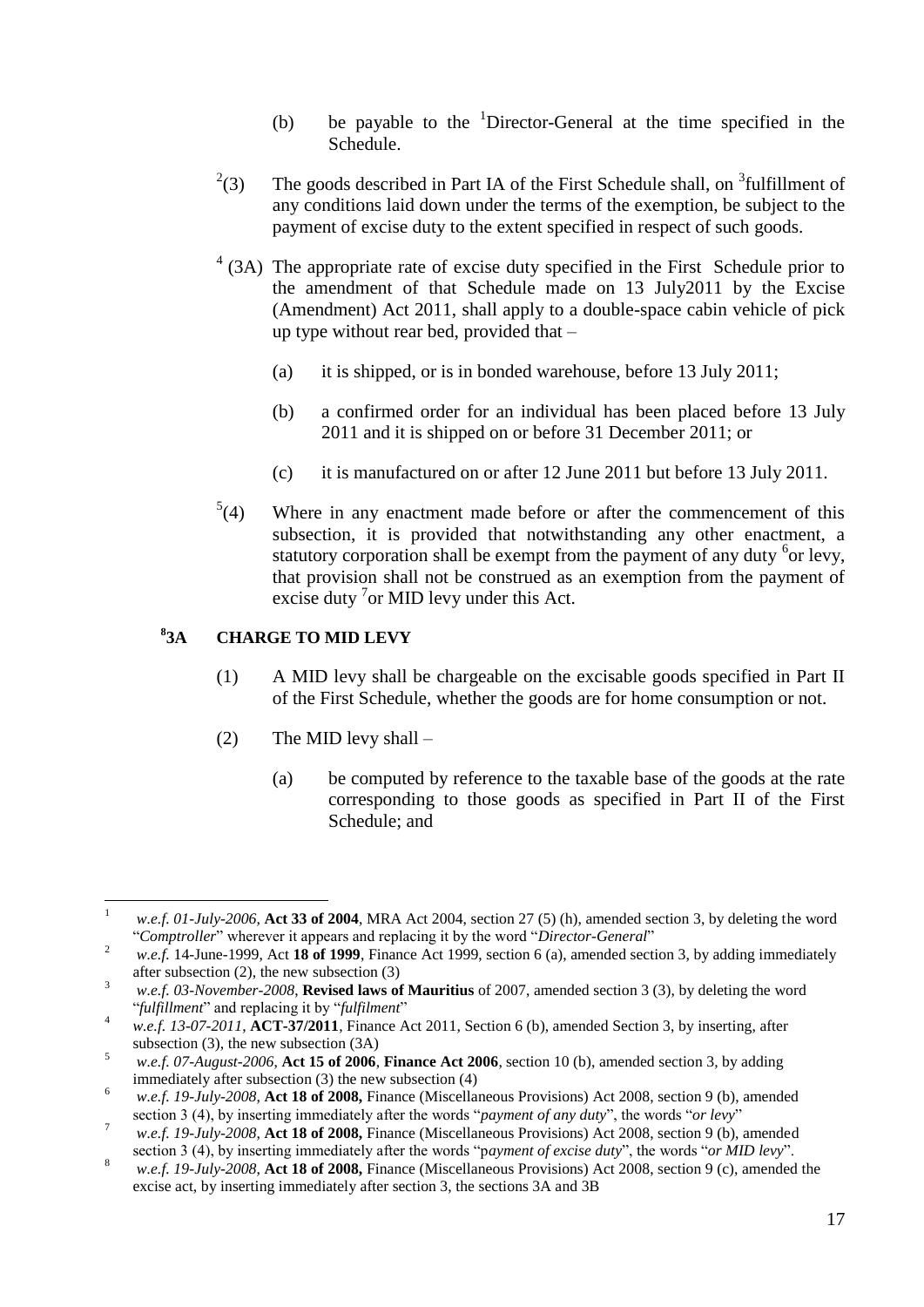- (b) be payable to the  $1$ Director-General at the time specified in the Schedule.
- $^{2}(3)$ (3) The goods described in Part IA of the First Schedule shall, on  $3$  fulfillment of any conditions laid down under the terms of the exemption, be subject to the payment of excise duty to the extent specified in respect of such goods.
- $4$  (3A) The appropriate rate of excise duty specified in the First Schedule prior to the amendment of that Schedule made on 13 July2011 by the Excise (Amendment) Act 2011, shall apply to a double-space cabin vehicle of pick up type without rear bed, provided that –
	- (a) it is shipped, or is in bonded warehouse, before 13 July 2011;
	- (b) a confirmed order for an individual has been placed before 13 July 2011 and it is shipped on or before 31 December 2011; or
	- (c) it is manufactured on or after 12 June 2011 but before 13 July 2011.
- $^{5}(4)$ Where in any enactment made before or after the commencement of this subsection, it is provided that notwithstanding any other enactment, a statutory corporation shall be exempt from the payment of any duty  $6$  or levy, that provision shall not be construed as an exemption from the payment of excise duty  $\frac{7}{1}$  or MID levy under this Act.

#### <span id="page-16-0"></span>**8 3A CHARGE TO MID LEVY**

- (1) A MID levy shall be chargeable on the excisable goods specified in Part II of the First Schedule, whether the goods are for home consumption or not.
- (2) The MID levy shall  $-$ 
	- (a) be computed by reference to the taxable base of the goods at the rate corresponding to those goods as specified in Part II of the First Schedule; and

 $\mathbf{1}$ <sup>1</sup> *w.e.f. 01-July-2006,* **Act 33 of 2004**, MRA Act 2004, section 27 (5) (h), amended section 3, by deleting the word "*Comptroller*" wherever it appears and replacing it by the word "*Director-General*"

<sup>&</sup>lt;sup>2</sup> *w.e.f.* 14-June-1999, Act **18 of 1999**, Finance Act 1999, section 6 (a), amended section 3, by adding immediately after subsection (2), the new subsection (3)

<sup>3</sup> *w.e.f. 03-November-2008*, **Revised laws of Mauritius** of 2007, amended section 3 (3), by deleting the word "*fulfillment*" and replacing it by "*fulfilment*"

<sup>4</sup> *w.e.f. 13-07-2011*, **ACT-37/2011**, Finance Act 2011, Section 6 (b), amended Section 3, by inserting, after subsection (3), the new subsection (3A)

<sup>5</sup> *w.e.f. 07-August-2006*, **Act 15 of 2006**, **Finance Act 2006**, section 10 (b), amended section 3, by adding immediately after subsection (3) the new subsection (4)

<sup>6</sup> *w.e.f. 19-July-2008*, **Act 18 of 2008,** Finance (Miscellaneous Provisions) Act 2008, section 9 (b), amended section 3 (4), by inserting immediately after the words "*payment of any duty*", the words "*or levy*"

<sup>7</sup> *w.e.f. 19-July-2008*, **Act 18 of 2008,** Finance (Miscellaneous Provisions) Act 2008, section 9 (b), amended section 3 (4), by inserting immediately after the words "p*ayment of excise duty*", the words "*or MID levy*".

<sup>8</sup> *w.e.f. 19-July-2008*, **Act 18 of 2008,** Finance (Miscellaneous Provisions) Act 2008, section 9 (c), amended the excise act, by inserting immediately after section 3, the sections 3A and 3B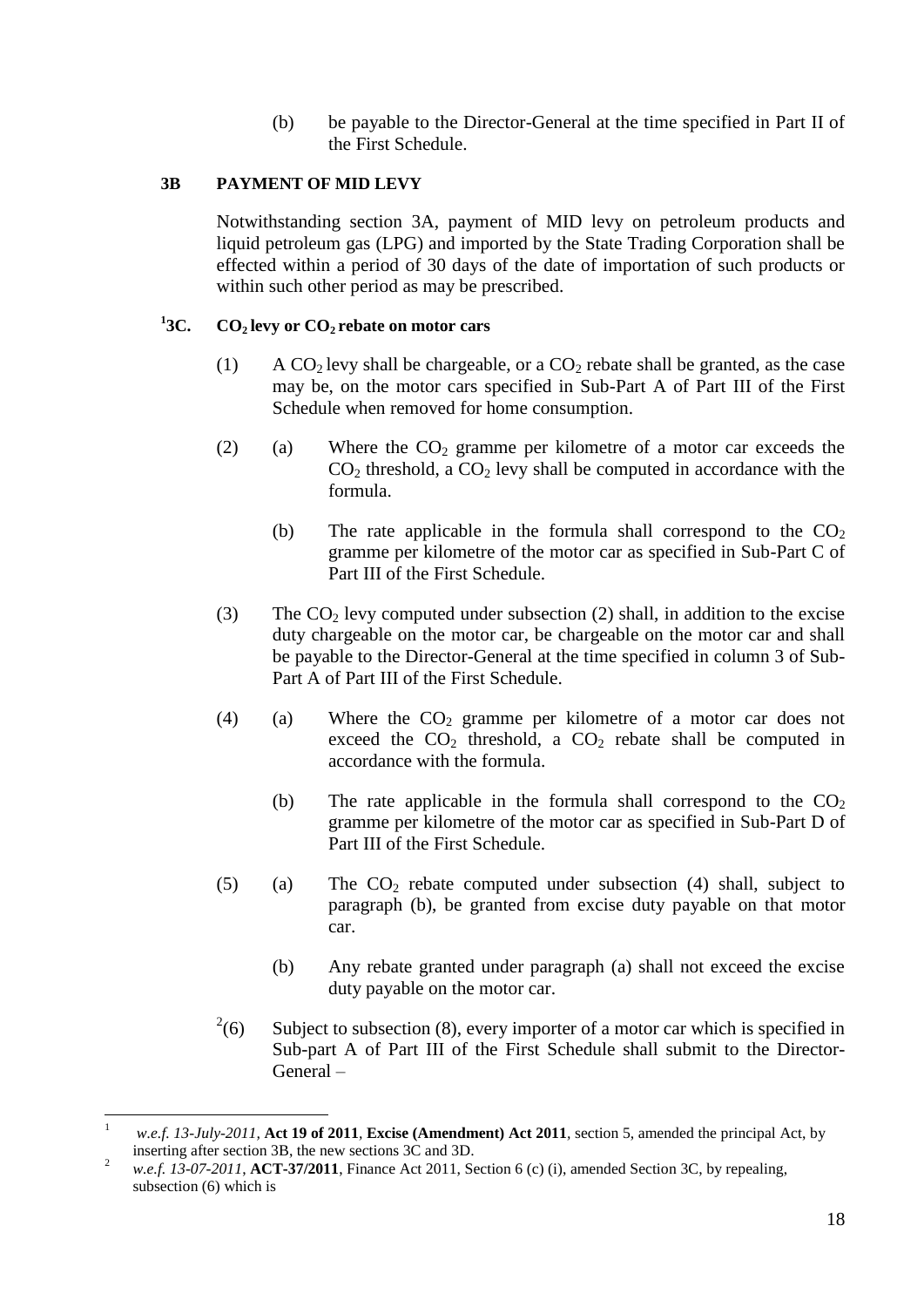(b) be payable to the Director-General at the time specified in Part II of the First Schedule.

#### <span id="page-17-0"></span>**3B PAYMENT OF MID LEVY**

Notwithstanding section 3A, payment of MID levy on petroleum products and liquid petroleum gas (LPG) and imported by the State Trading Corporation shall be effected within a period of 30 days of the date of importation of such products or within such other period as may be prescribed.

#### <span id="page-17-1"></span> $^{1}$ 3C. **3C. CO2 levy or CO2 rebate on motor cars**

- (1) A CO<sub>2</sub> levy shall be chargeable, or a CO<sub>2</sub> rebate shall be granted, as the case may be, on the motor cars specified in Sub-Part A of Part III of the First Schedule when removed for home consumption.
- (2) (a) Where the  $CO<sub>2</sub>$  gramme per kilometre of a motor car exceeds the  $CO<sub>2</sub>$  threshold, a  $CO<sub>2</sub>$  levy shall be computed in accordance with the formula.
	- (b) The rate applicable in the formula shall correspond to the  $CO<sub>2</sub>$ gramme per kilometre of the motor car as specified in Sub-Part C of Part III of the First Schedule.
- (3) The  $CO<sub>2</sub>$  levy computed under subsection (2) shall, in addition to the excise duty chargeable on the motor car, be chargeable on the motor car and shall be payable to the Director-General at the time specified in column 3 of Sub-Part A of Part III of the First Schedule.
- (4) (a) Where the  $CO<sub>2</sub>$  gramme per kilometre of a motor car does not exceed the  $CO<sub>2</sub>$  threshold, a  $CO<sub>2</sub>$  rebate shall be computed in accordance with the formula.
	- (b) The rate applicable in the formula shall correspond to the  $CO<sub>2</sub>$ gramme per kilometre of the motor car as specified in Sub-Part D of Part III of the First Schedule.
- (5) (a) The  $CO<sub>2</sub>$  rebate computed under subsection (4) shall, subject to paragraph (b), be granted from excise duty payable on that motor car.
	- (b) Any rebate granted under paragraph (a) shall not exceed the excise duty payable on the motor car.
- $^{2}(6)$ Subject to subsection (8), every importer of a motor car which is specified in Sub-part A of Part III of the First Schedule shall submit to the Director-General –

 $\mathbf{1}$ <sup>1</sup> *w.e.f. 13-July-2011,* **Act 19 of 2011***,* **Excise (Amendment) Act 2011***,* section 5, amended the principal Act, by inserting after section 3B, the new sections 3C and 3D.

<sup>2</sup> *w.e.f. 13-07-2011*, **ACT-37/2011**, Finance Act 2011, Section 6 (c) (i), amended Section 3C, by repealing, subsection (6) which is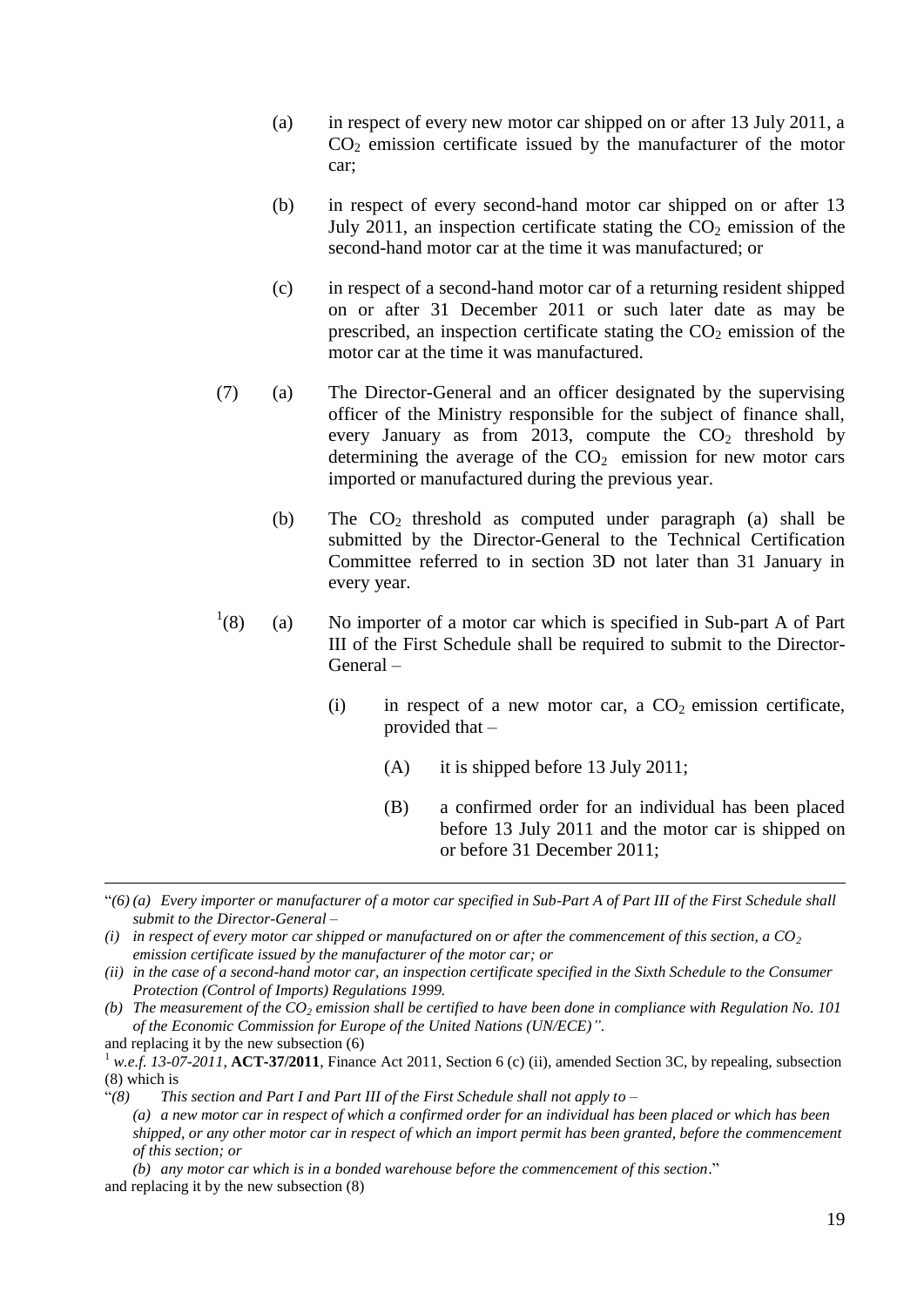- (a) in respect of every new motor car shipped on or after 13 July 2011, a  $CO<sub>2</sub>$  emission certificate issued by the manufacturer of the motor car;
- (b) in respect of every second-hand motor car shipped on or after 13 July 2011, an inspection certificate stating the  $CO<sub>2</sub>$  emission of the second-hand motor car at the time it was manufactured; or
- (c) in respect of a second-hand motor car of a returning resident shipped on or after 31 December 2011 or such later date as may be prescribed, an inspection certificate stating the  $CO<sub>2</sub>$  emission of the motor car at the time it was manufactured.
- (7) (a) The Director-General and an officer designated by the supervising officer of the Ministry responsible for the subject of finance shall, every January as from 2013, compute the  $CO<sub>2</sub>$  threshold by determining the average of the  $CO<sub>2</sub>$  emission for new motor cars imported or manufactured during the previous year.
	- (b) The  $CO<sub>2</sub>$  threshold as computed under paragraph (a) shall be submitted by the Director-General to the Technical Certification Committee referred to in section 3D not later than 31 January in every year.
- $^{1}(8)$ (8) (a) No importer of a motor car which is specified in Sub-part A of Part III of the First Schedule shall be required to submit to the Director-General –
	- (i) in respect of a new motor car, a  $CO<sub>2</sub>$  emission certificate, provided that –
		- (A) it is shipped before 13 July 2011;
		- (B) a confirmed order for an individual has been placed before 13 July 2011 and the motor car is shipped on or before 31 December 2011;

 $\overline{a}$ 

<sup>&</sup>quot;*(6) (a) Every importer or manufacturer of a motor car specified in Sub-Part A of Part III of the First Schedule shall submit to the Director-General –*

*<sup>(</sup>i)* in respect of every motor car shipped or manufactured on or after the commencement of this section, a  $CO<sub>2</sub>$ *emission certificate issued by the manufacturer of the motor car; or*

*<sup>(</sup>ii) in the case of a second-hand motor car, an inspection certificate specified in the Sixth Schedule to the Consumer Protection (Control of Imports) Regulations 1999.*

*<sup>(</sup>b) The measurement of the CO<sup>2</sup> emission shall be certified to have been done in compliance with Regulation No. 101 of the Economic Commission for Europe of the United Nations (UN/ECE)"*.

and replacing it by the new subsection (6)

<sup>&</sup>lt;sup>1</sup> *w.e.f.* 13-07-2011, **ACT-37/2011**, Finance Act 2011, Section 6 (c) (ii), amended Section 3C, by repealing, subsection (8) which is

<sup>&</sup>quot;*(8) This section and Part I and Part III of the First Schedule shall not apply to – (a) a new motor car in respect of which a confirmed order for an individual has been placed or which has been shipped, or any other motor car in respect of which an import permit has been granted, before the commencement of this section; or* 

*<sup>(</sup>b) any motor car which is in a bonded warehouse before the commencement of this section*." and replacing it by the new subsection (8)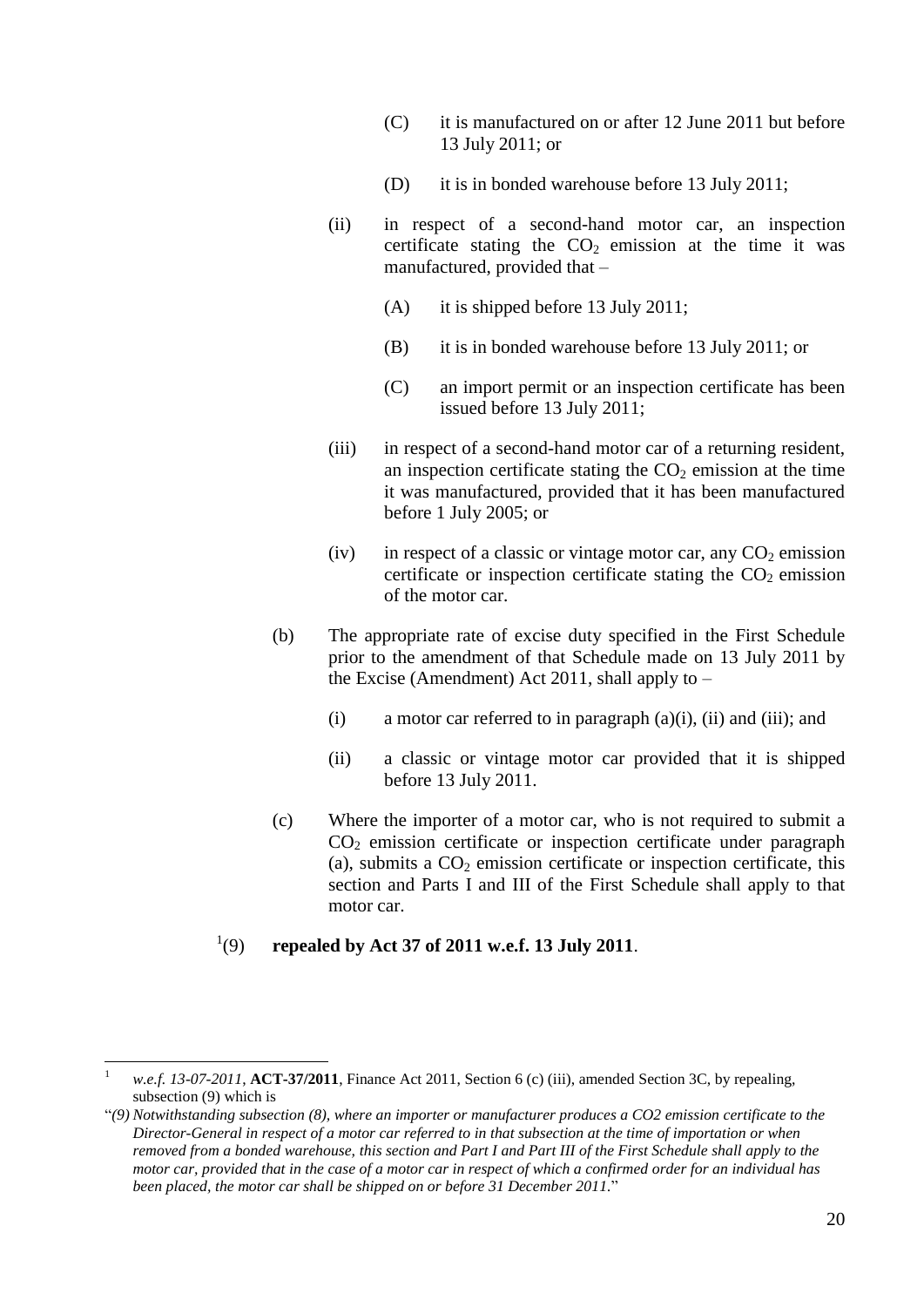- (C) it is manufactured on or after 12 June 2011 but before 13 July 2011; or
- (D) it is in bonded warehouse before 13 July 2011;
- (ii) in respect of a second-hand motor car, an inspection certificate stating the  $CO<sub>2</sub>$  emission at the time it was manufactured, provided that –
	- (A) it is shipped before 13 July 2011;
	- (B) it is in bonded warehouse before 13 July 2011; or
	- (C) an import permit or an inspection certificate has been issued before 13 July 2011;
- (iii) in respect of a second-hand motor car of a returning resident, an inspection certificate stating the  $CO<sub>2</sub>$  emission at the time it was manufactured, provided that it has been manufactured before 1 July 2005; or
- (iv) in respect of a classic or vintage motor car, any  $CO<sub>2</sub>$  emission certificate or inspection certificate stating the  $CO<sub>2</sub>$  emission of the motor car.
- (b) The appropriate rate of excise duty specified in the First Schedule prior to the amendment of that Schedule made on 13 July 2011 by the Excise (Amendment) Act 2011, shall apply to –
	- (i) a motor car referred to in paragraph  $(a)(i)$ ,  $(ii)$  and  $(iii)$ ; and
	- (ii) a classic or vintage motor car provided that it is shipped before 13 July 2011.
- (c) Where the importer of a motor car, who is not required to submit a  $CO<sub>2</sub>$  emission certificate or inspection certificate under paragraph (a), submits a  $CO<sub>2</sub>$  emission certificate or inspection certificate, this section and Parts I and III of the First Schedule shall apply to that motor car.

#### $^{1}(9)$ (9) **repealed by Act 37 of 2011 w.e.f. 13 July 2011**.

 $\overline{a}$ 

<sup>1</sup> *w.e.f. 13-07-2011*, **ACT-37/2011**, Finance Act 2011, Section 6 (c) (iii), amended Section 3C, by repealing, subsection (9) which is

<sup>&</sup>quot;*(9) Notwithstanding subsection (8), where an importer or manufacturer produces a CO2 emission certificate to the Director-General in respect of a motor car referred to in that subsection at the time of importation or when removed from a bonded warehouse, this section and Part I and Part III of the First Schedule shall apply to the motor car, provided that in the case of a motor car in respect of which a confirmed order for an individual has been placed, the motor car shall be shipped on or before 31 December 2011.*"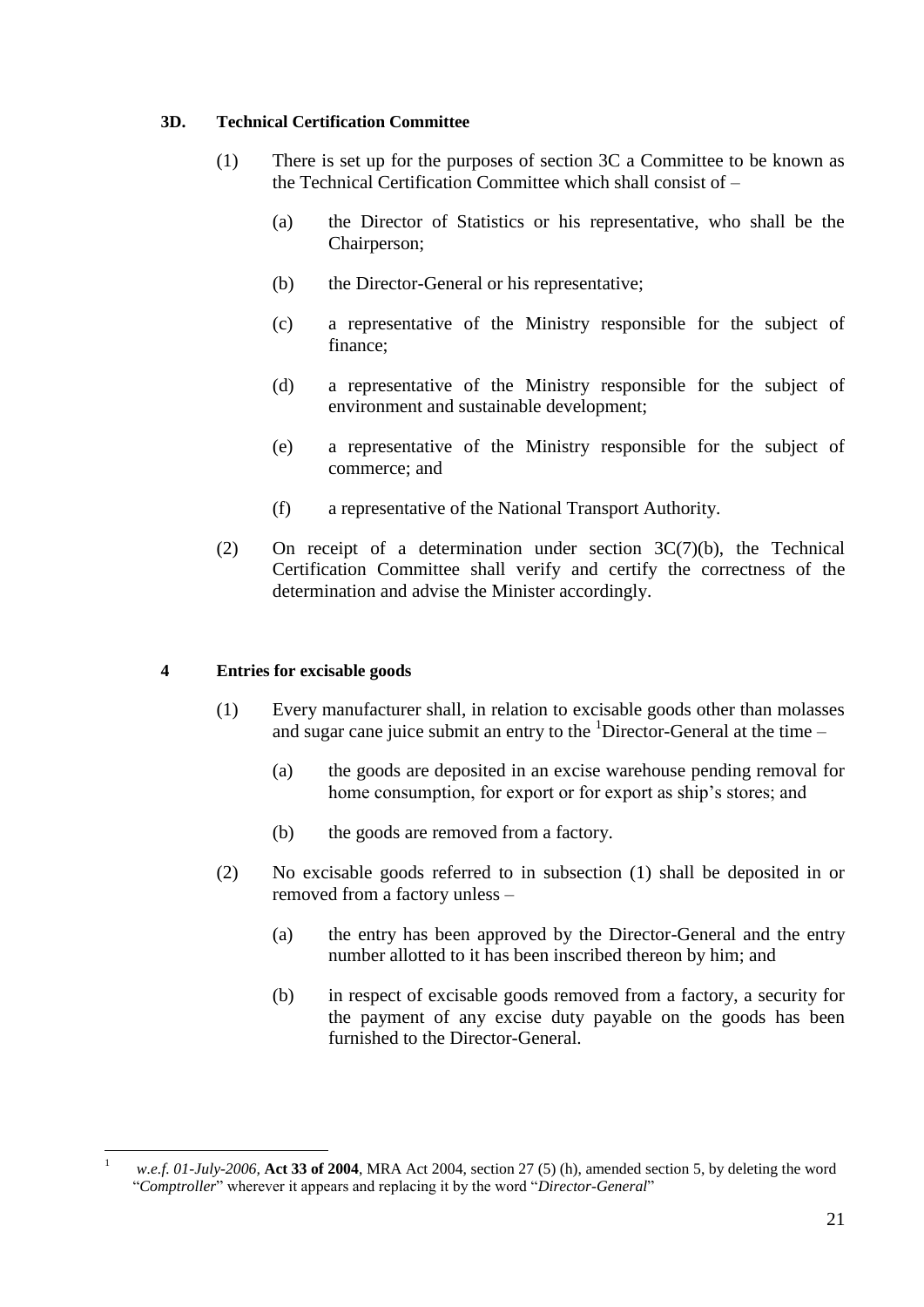#### <span id="page-20-0"></span>**3D. Technical Certification Committee**

- (1) There is set up for the purposes of section 3C a Committee to be known as the Technical Certification Committee which shall consist of –
	- (a) the Director of Statistics or his representative, who shall be the Chairperson;
	- (b) the Director-General or his representative;
	- (c) a representative of the Ministry responsible for the subject of finance;
	- (d) a representative of the Ministry responsible for the subject of environment and sustainable development;
	- (e) a representative of the Ministry responsible for the subject of commerce; and
	- (f) a representative of the National Transport Authority.
- (2) On receipt of a determination under section 3C(7)(b), the Technical Certification Committee shall verify and certify the correctness of the determination and advise the Minister accordingly.

#### <span id="page-20-1"></span>**4 Entries for excisable goods**

- (1) Every manufacturer shall, in relation to excisable goods other than molasses and sugar cane juice submit an entry to the  ${}^{1}$ Director-General at the time –
	- (a) the goods are deposited in an excise warehouse pending removal for home consumption, for export or for export as ship's stores; and
	- (b) the goods are removed from a factory.
- (2) No excisable goods referred to in subsection (1) shall be deposited in or removed from a factory unless –
	- (a) the entry has been approved by the Director-General and the entry number allotted to it has been inscribed thereon by him; and
	- (b) in respect of excisable goods removed from a factory, a security for the payment of any excise duty payable on the goods has been furnished to the Director-General.

 $\mathbf{1}$ <sup>1</sup> *w.e.f. 01-July-2006,* **Act 33 of 2004**, MRA Act 2004, section 27 (5) (h), amended section 5, by deleting the word "*Comptroller*" wherever it appears and replacing it by the word "*Director-General*"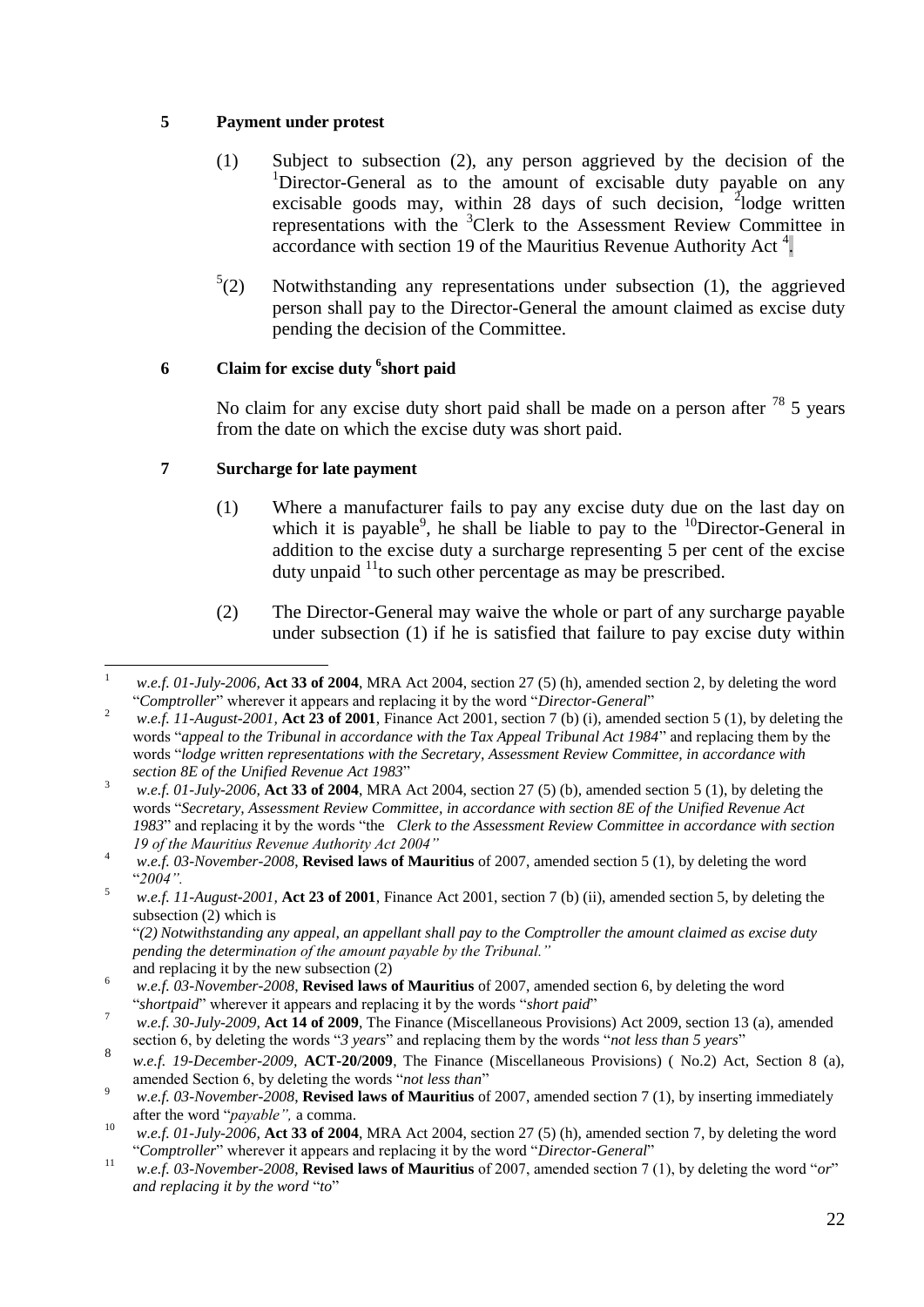#### <span id="page-21-0"></span>**5 Payment under protest**

- (1) Subject to subsection (2), any person aggrieved by the decision of the  $1$ Director-General as to the amount of excisable duty payable on any excisable goods may, within 28 days of such decision,  $\frac{3}{2}$ lodge written representations with the <sup>3</sup>Clerk to the Assessment Review Committee in  $\alpha$  accordance with section 19 of the Mauritius Revenue Authority Act<sup>4</sup>.
- $^{5}(2)$ Notwithstanding any representations under subsection (1), the aggrieved person shall pay to the Director-General the amount claimed as excise duty pending the decision of the Committee.

#### <span id="page-21-1"></span>**6 Claim for excise duty <sup>6</sup> short paid**

No claim for any excise duty short paid shall be made on a person after  $^{78}$  5 years from the date on which the excise duty was short paid.

#### <span id="page-21-2"></span>**7 Surcharge for late payment**

- (1) Where a manufacturer fails to pay any excise duty due on the last day on which it is payable<sup>9</sup>, he shall be liable to pay to the  $^{10}$ Director-General in addition to the excise duty a surcharge representing 5 per cent of the excise duty unpaid  $11$  to such other percentage as may be prescribed.
- (2) The Director-General may waive the whole or part of any surcharge payable under subsection (1) if he is satisfied that failure to pay excise duty within

"*(2) Notwithstanding any appeal, an appellant shall pay to the Comptroller the amount claimed as excise duty pending the determination of the amount payable by the Tribunal."*

 $\overline{a}$ <sup>1</sup> *w.e.f. 01-July-2006,* **Act 33 of 2004**, MRA Act 2004, section 27 (5) (h), amended section 2, by deleting the word "*Comptroller*" wherever it appears and replacing it by the word "*Director-General*"

<sup>&</sup>lt;sup>2</sup> *w.e.f. 11-August-2001*, **Act 23 of 2001**, Finance Act 2001, section 7 (b) (i), amended section 5 (1), by deleting the words "*appeal to the Tribunal in accordance with the Tax Appeal Tribunal Act 1984*" and replacing them by the words "*lodge written representations with the Secretary, Assessment Review Committee, in accordance with section 8E of the Unified Revenue Act 1983*"

<sup>3</sup> *w.e.f. 01-July-2006,* **Act 33 of 2004**, MRA Act 2004, section 27 (5) (b), amended section 5 (1), by deleting the words "*Secretary, Assessment Review Committee, in accordance with section 8E of the Unified Revenue Act 1983*" and replacing it by the words "the *Clerk to the Assessment Review Committee in accordance with section 19 of the Mauritius Revenue Authority Act 2004"*

<sup>4</sup> *w.e.f. 03-November-2008*, **Revised laws of Mauritius** of 2007, amended section 5 (1), by deleting the word "*2004".*

<sup>5</sup> *w.e.f. 11-August-2001,* **Act 23 of 2001**, Finance Act 2001, section 7 (b) (ii), amended section 5, by deleting the subsection (2) which is

and replacing it by the new subsection (2)

<sup>6</sup> *w.e.f. 03-November-2008*, **Revised laws of Mauritius** of 2007, amended section 6, by deleting the word "*shortpaid*" wherever it appears and replacing it by the words "*short paid*"

<sup>7</sup> *w.e.f. 30-July-2009,* **Act 14 of 2009**, The Finance (Miscellaneous Provisions) Act 2009, section 13 (a), amended section 6, by deleting the words "*3 years*" and replacing them by the words "*not less than 5 years*"

<sup>8</sup> *w.e.f. 19-December-2009,* **ACT-20/2009**, The Finance (Miscellaneous Provisions) ( No.2) Act, Section 8 (a), amended Section 6, by deleting the words "*not less than*"

<sup>9</sup> *w.e.f. 03-November-2008*, **Revised laws of Mauritius** of 2007, amended section 7 (1), by inserting immediately after the word "*payable",* a comma.

<sup>10</sup> *w.e.f. 01-July-2006,* **Act 33 of 2004**, MRA Act 2004, section 27 (5) (h), amended section 7, by deleting the word "*Comptroller*" wherever it appears and replacing it by the word "*Director-General*"

<sup>11</sup> *w.e.f. 03-November-2008*, **Revised laws of Mauritius** of 2007, amended section 7 (1), by deleting the word "*or*" *and replacing it by the word* "*to*"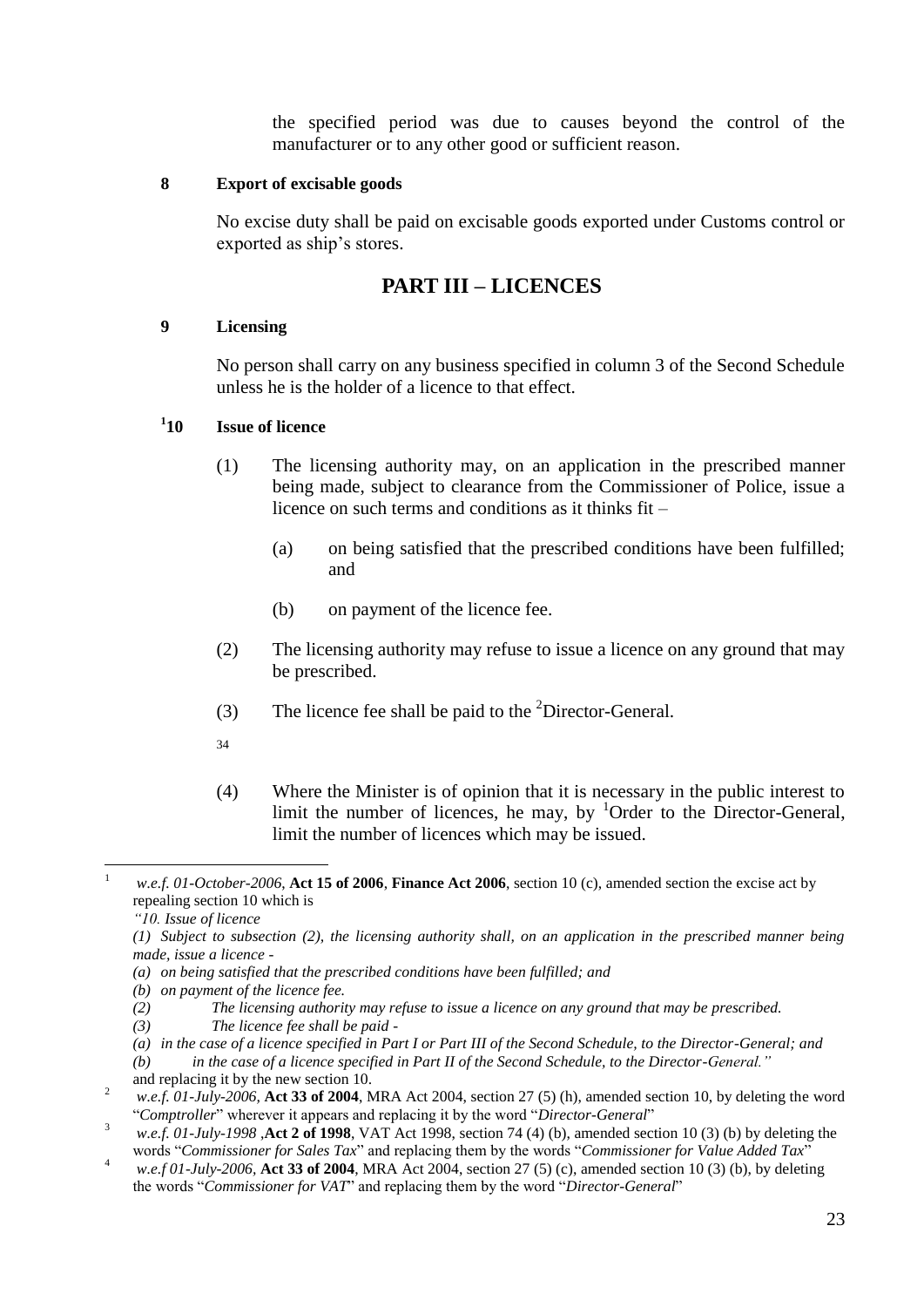the specified period was due to causes beyond the control of the manufacturer or to any other good or sufficient reason.

#### <span id="page-22-0"></span>**8 Export of excisable goods**

No excise duty shall be paid on excisable goods exported under Customs control or exported as ship's stores.

### **PART III – LICENCES**

#### <span id="page-22-2"></span><span id="page-22-1"></span>**9 Licensing**

No person shall carry on any business specified in column 3 of the Second Schedule unless he is the holder of a licence to that effect.

#### <span id="page-22-3"></span> $1_{10}$ **1ssue of licence**

- (1) The licensing authority may, on an application in the prescribed manner being made, subject to clearance from the Commissioner of Police, issue a licence on such terms and conditions as it thinks fit –
	- (a) on being satisfied that the prescribed conditions have been fulfilled; and
	- (b) on payment of the licence fee.
- (2) The licensing authority may refuse to issue a licence on any ground that may be prescribed.
- (3) The licence fee shall be paid to the  ${}^{2}$ Director-General.
- 34
- (4) Where the Minister is of opinion that it is necessary in the public interest to limit the number of licences, he may, by  ${}^{1}$ Order to the Director-General, limit the number of licences which may be issued.

- *(b) on payment of the licence fee.*
- *(2) The licensing authority may refuse to issue a licence on any ground that may be prescribed.*
- *(3) The licence fee shall be paid -*
- *(a) in the case of a licence specified in Part I or Part III of the Second Schedule, to the Director-General; and*

and replacing it by the new section 10.

 $\overline{1}$ <sup>1</sup> *w.e.f. 01-October-2006*, **Act 15 of 2006**, **Finance Act 2006**, section 10 (c), amended section the excise act by repealing section 10 which is

*<sup>&</sup>quot;10. Issue of licence*

*<sup>(1)</sup> Subject to subsection (2), the licensing authority shall, on an application in the prescribed manner being made, issue a licence -*

*<sup>(</sup>a) on being satisfied that the prescribed conditions have been fulfilled; and*

*<sup>(</sup>b) in the case of a licence specified in Part II of the Second Schedule, to the Director-General."*

<sup>2</sup> *w.e.f. 01-July-2006,* **Act 33 of 2004**, MRA Act 2004, section 27 (5) (h), amended section 10, by deleting the word "*Comptroller*" wherever it appears and replacing it by the word "*Director-General*"

<sup>3</sup> *w.e.f. 01-July-1998* ,**Act 2 of 1998**, VAT Act 1998, section 74 (4) (b), amended section 10 (3) (b) by deleting the words "*Commissioner for Sales Tax*" and replacing them by the words "*Commissioner for Value Added Tax*"

<sup>4</sup> *w.e.f 01-July-2006,* **Act 33 of 2004**, MRA Act 2004, section 27 (5) (c), amended section 10 (3) (b), by deleting the words "*Commissioner for VAT*" and replacing them by the word "*Director-General*"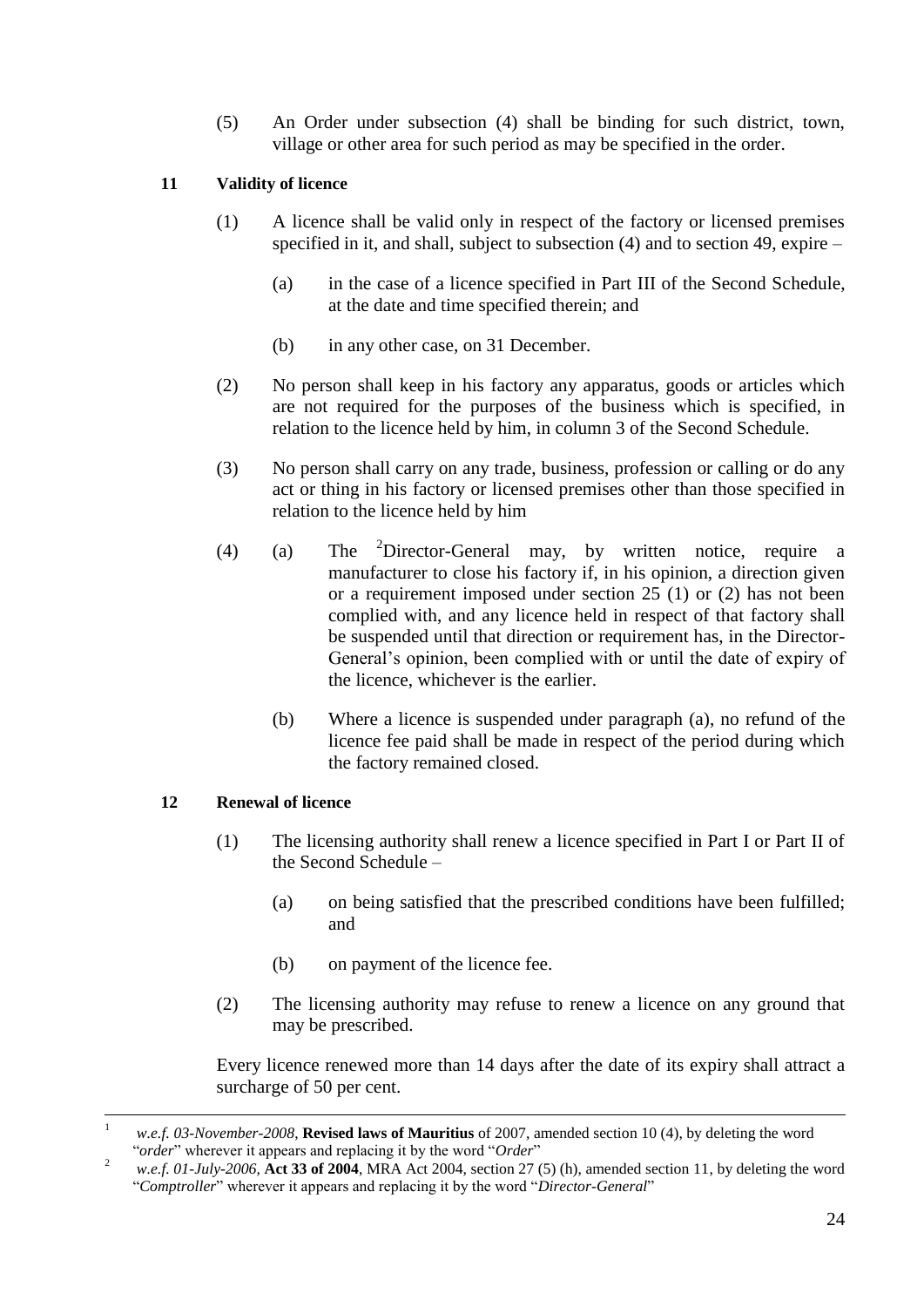(5) An Order under subsection (4) shall be binding for such district, town, village or other area for such period as may be specified in the order.

#### <span id="page-23-0"></span>**11 Validity of licence**

- (1) A licence shall be valid only in respect of the factory or licensed premises specified in it, and shall, subject to subsection (4) and to section 49, expire –
	- (a) in the case of a licence specified in Part III of the Second Schedule, at the date and time specified therein; and
	- (b) in any other case, on 31 December.
- (2) No person shall keep in his factory any apparatus, goods or articles which are not required for the purposes of the business which is specified, in relation to the licence held by him, in column 3 of the Second Schedule.
- (3) No person shall carry on any trade, business, profession or calling or do any act or thing in his factory or licensed premises other than those specified in relation to the licence held by him
- (4) (a) The <sup>2</sup>Director-General may, by written notice, require a manufacturer to close his factory if, in his opinion, a direction given or a requirement imposed under section 25 (1) or (2) has not been complied with, and any licence held in respect of that factory shall be suspended until that direction or requirement has, in the Director-General's opinion, been complied with or until the date of expiry of the licence, whichever is the earlier.
	- (b) Where a licence is suspended under paragraph (a), no refund of the licence fee paid shall be made in respect of the period during which the factory remained closed.

#### <span id="page-23-1"></span>**12 Renewal of licence**

- (1) The licensing authority shall renew a licence specified in Part I or Part II of the Second Schedule –
	- (a) on being satisfied that the prescribed conditions have been fulfilled; and
	- (b) on payment of the licence fee.
- (2) The licensing authority may refuse to renew a licence on any ground that may be prescribed.

Every licence renewed more than 14 days after the date of its expiry shall attract a surcharge of 50 per cent.

<sup>1</sup> *w.e.f. 03-November-2008*, **Revised laws of Mauritius** of 2007, amended section 10 (4), by deleting the word "*order*" wherever it appears and replacing it by the word "*Order*"

<sup>2</sup> *w.e.f. 01-July-2006,* **Act 33 of 2004**, MRA Act 2004, section 27 (5) (h), amended section 11, by deleting the word "*Comptroller*" wherever it appears and replacing it by the word "*Director-General*"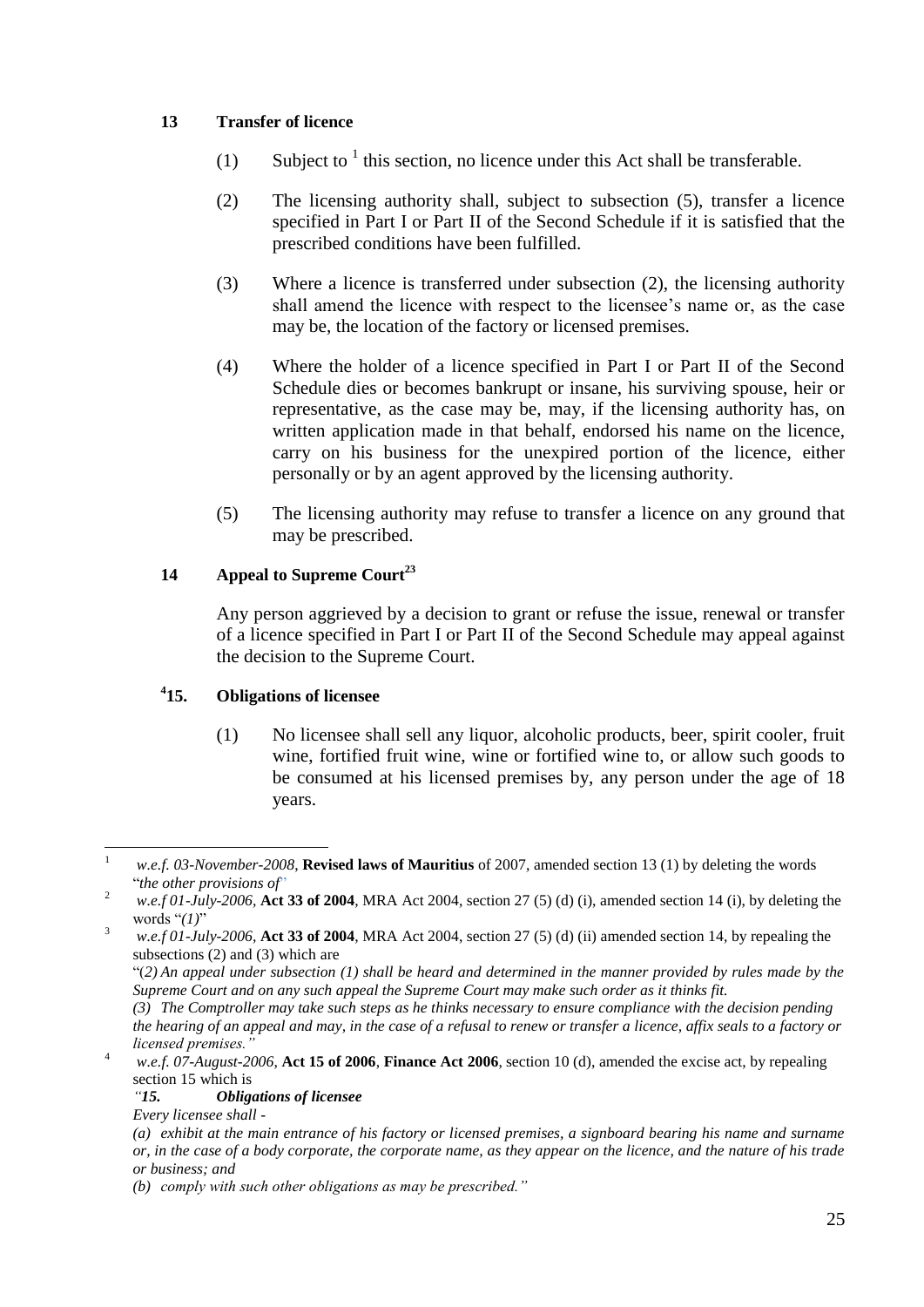#### <span id="page-24-0"></span>**13 Transfer of licence**

- (1) Subject to  $<sup>1</sup>$  this section, no licence under this Act shall be transferable.</sup>
- (2) The licensing authority shall, subject to subsection (5), transfer a licence specified in Part I or Part II of the Second Schedule if it is satisfied that the prescribed conditions have been fulfilled.
- (3) Where a licence is transferred under subsection (2), the licensing authority shall amend the licence with respect to the licensee's name or, as the case may be, the location of the factory or licensed premises.
- (4) Where the holder of a licence specified in Part I or Part II of the Second Schedule dies or becomes bankrupt or insane, his surviving spouse, heir or representative, as the case may be, may, if the licensing authority has, on written application made in that behalf, endorsed his name on the licence, carry on his business for the unexpired portion of the licence, either personally or by an agent approved by the licensing authority.
- (5) The licensing authority may refuse to transfer a licence on any ground that may be prescribed.

#### <span id="page-24-1"></span>**14 Appeal to Supreme Court<sup>23</sup>**

Any person aggrieved by a decision to grant or refuse the issue, renewal or transfer of a licence specified in Part I or Part II of the Second Schedule may appeal against the decision to the Supreme Court.

#### <span id="page-24-2"></span> $^{4}15.$ **15. Obligations of licensee**

(1) No licensee shall sell any liquor, alcoholic products, beer, spirit cooler, fruit wine, fortified fruit wine, wine or fortified wine to, or allow such goods to be consumed at his licensed premises by, any person under the age of 18 years.

 $\mathbf{1}$ <sup>1</sup> *w.e.f. 03-November-2008*, **Revised laws of Mauritius** of 2007, amended section 13 (1) by deleting the words "*the other provisions of*"

<sup>2</sup> *w.e.f 01-July-2006,* **Act 33 of 2004**, MRA Act 2004, section 27 (5) (d) (i), amended section 14 (i), by deleting the words "*(1)*"

<sup>3</sup> *w.e.f 01-July-2006,* **Act 33 of 2004**, MRA Act 2004, section 27 (5) (d) (ii) amended section 14, by repealing the subsections (2) and (3) which are

<sup>&</sup>quot;(*2) An appeal under subsection (1) shall be heard and determined in the manner provided by rules made by the Supreme Court and on any such appeal the Supreme Court may make such order as it thinks fit.*

*<sup>(3)</sup> The Comptroller may take such steps as he thinks necessary to ensure compliance with the decision pending the hearing of an appeal and may, in the case of a refusal to renew or transfer a licence, affix seals to a factory or licensed premises."*

<sup>4</sup> *w.e.f. 07-August-2006*, **Act 15 of 2006**, **Finance Act 2006**, section 10 (d), amended the excise act, by repealing section 15 which is

*<sup>&</sup>quot;15. Obligations of licensee*

*Every licensee shall -*

*<sup>(</sup>a) exhibit at the main entrance of his factory or licensed premises, a signboard bearing his name and surname or, in the case of a body corporate, the corporate name, as they appear on the licence, and the nature of his trade or business; and*

*<sup>(</sup>b) comply with such other obligations as may be prescribed."*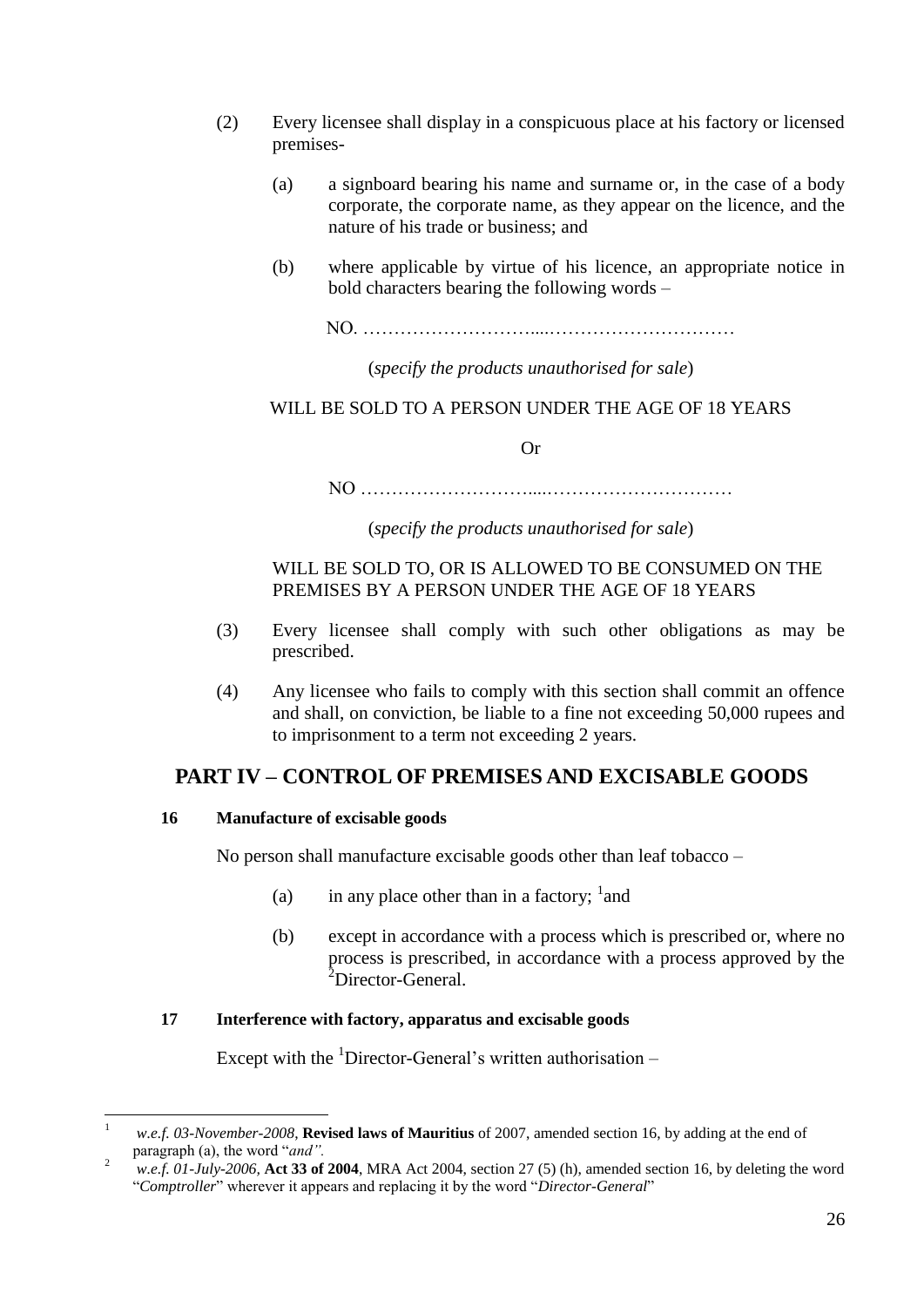- (2) Every licensee shall display in a conspicuous place at his factory or licensed premises-
	- (a) a signboard bearing his name and surname or, in the case of a body corporate, the corporate name, as they appear on the licence, and the nature of his trade or business; and
	- (b) where applicable by virtue of his licence, an appropriate notice in bold characters bearing the following words –
		- NO. ………………………....…………………………

(*specify the products unauthorised for sale*)

WILL BE SOLD TO A PERSON UNDER THE AGE OF 18 YEARS

Or

NO ………………………....…………………………

(*specify the products unauthorised for sale*)

#### WILL BE SOLD TO, OR IS ALLOWED TO BE CONSUMED ON THE PREMISES BY A PERSON UNDER THE AGE OF 18 YEARS

- (3) Every licensee shall comply with such other obligations as may be prescribed.
- (4) Any licensee who fails to comply with this section shall commit an offence and shall, on conviction, be liable to a fine not exceeding 50,000 rupees and to imprisonment to a term not exceeding 2 years.

### <span id="page-25-0"></span>**PART IV – CONTROL OF PREMISES AND EXCISABLE GOODS**

#### <span id="page-25-1"></span>**16 Manufacture of excisable goods**

No person shall manufacture excisable goods other than leaf tobacco –

- (a) in any place other than in a factory;  $\frac{1}{2}$  and
- (b) except in accordance with a process which is prescribed or, where no process is prescribed, in accordance with a process approved by the <sup>2</sup>Director-General.

#### <span id="page-25-2"></span>**17 Interference with factory, apparatus and excisable goods**

Except with the  ${}^{1}$ Director-General's written authorisation –

<sup>1</sup> *w.e.f. 03-November-2008*, **Revised laws of Mauritius** of 2007, amended section 16, by adding at the end of paragraph (a), the word "*and".*

<sup>2</sup> *w.e.f. 01-July-2006,* **Act 33 of 2004**, MRA Act 2004, section 27 (5) (h), amended section 16, by deleting the word "*Comptroller*" wherever it appears and replacing it by the word "*Director-General*"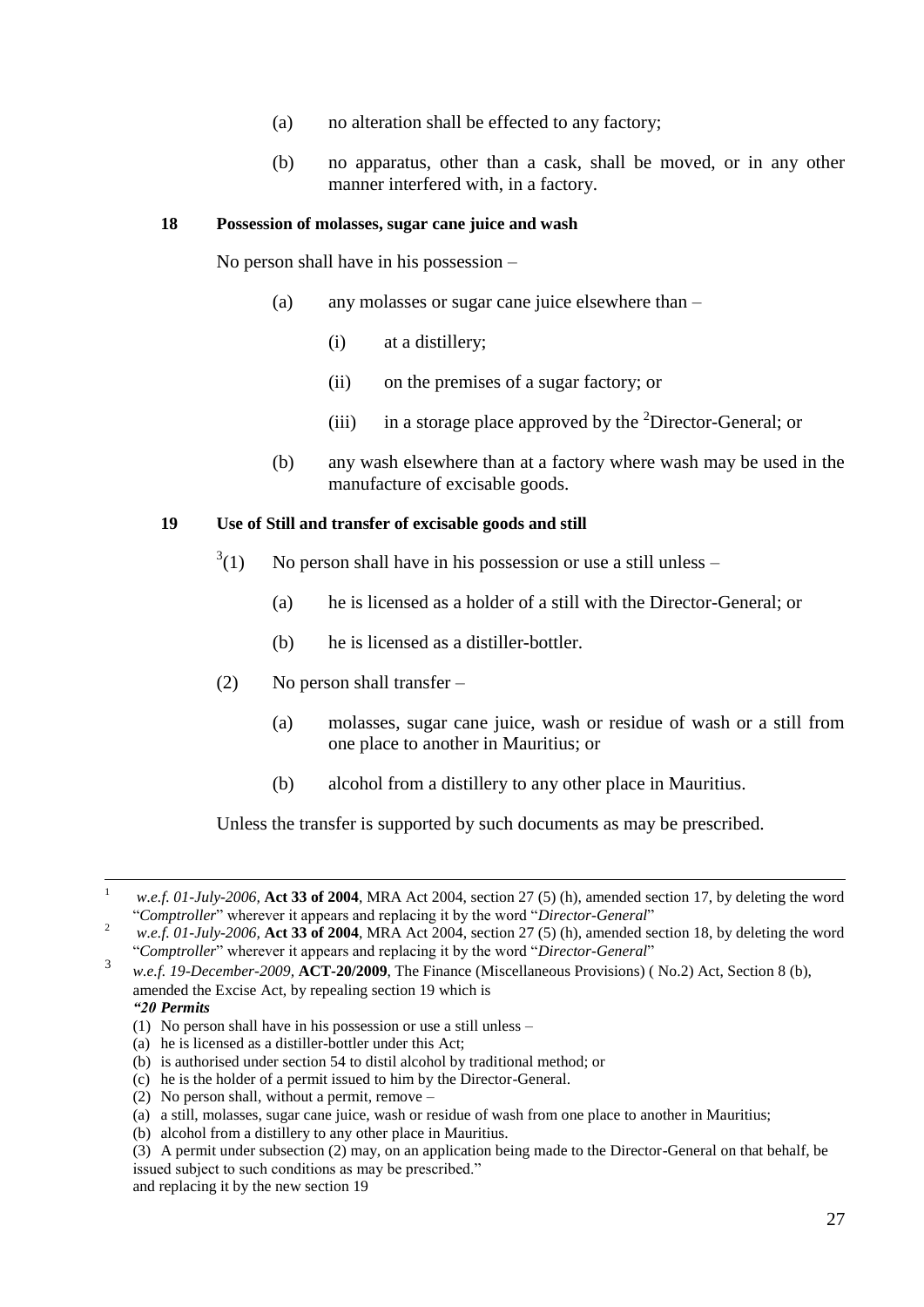- (a) no alteration shall be effected to any factory;
- (b) no apparatus, other than a cask, shall be moved, or in any other manner interfered with, in a factory.

#### <span id="page-26-0"></span>**18 Possession of molasses, sugar cane juice and wash**

No person shall have in his possession –

- (a) any molasses or sugar cane juice elsewhere than
	- (i) at a distillery;
	- (ii) on the premises of a sugar factory; or
	- (iii) in a storage place approved by the  ${}^{2}$ Director-General; or
- (b) any wash elsewhere than at a factory where wash may be used in the manufacture of excisable goods.

#### <span id="page-26-1"></span>**19 Use of Still and transfer of excisable goods and still**

- $3(1)$ No person shall have in his possession or use a still unless –
	- (a) he is licensed as a holder of a still with the Director-General; or
	- (b) he is licensed as a distiller-bottler.
- (2) No person shall transfer
	- (a) molasses, sugar cane juice, wash or residue of wash or a still from one place to another in Mauritius; or
	- (b) alcohol from a distillery to any other place in Mauritius.

Unless the transfer is supported by such documents as may be prescribed.

- (1) No person shall have in his possession or use a still unless –
- (a) he is licensed as a distiller-bottler under this Act;
- (b) is authorised under section 54 to distil alcohol by traditional method; or
- (c) he is the holder of a permit issued to him by the Director-General.

 $\mathbf{1}$ <sup>1</sup> *w.e.f. 01-July-2006,* **Act 33 of 2004**, MRA Act 2004, section 27 (5) (h), amended section 17, by deleting the word "*Comptroller*" wherever it appears and replacing it by the word "*Director-General*"

<sup>2</sup> *w.e.f. 01-July-2006,* **Act 33 of 2004**, MRA Act 2004, section 27 (5) (h), amended section 18, by deleting the word "*Comptroller*" wherever it appears and replacing it by the word "*Director-General*" 3

*w.e.f. 19-December-2009,* **ACT-20/2009**, The Finance (Miscellaneous Provisions) ( No.2) Act, Section 8 (b), amended the Excise Act, by repealing section 19 which is *"20 Permits*

<sup>(2)</sup> No person shall, without a permit, remove –

<sup>(</sup>a) a still, molasses, sugar cane juice, wash or residue of wash from one place to another in Mauritius;

<sup>(</sup>b) alcohol from a distillery to any other place in Mauritius.

<sup>(3)</sup> A permit under subsection (2) may, on an application being made to the Director-General on that behalf, be issued subject to such conditions as may be prescribed." and replacing it by the new section 19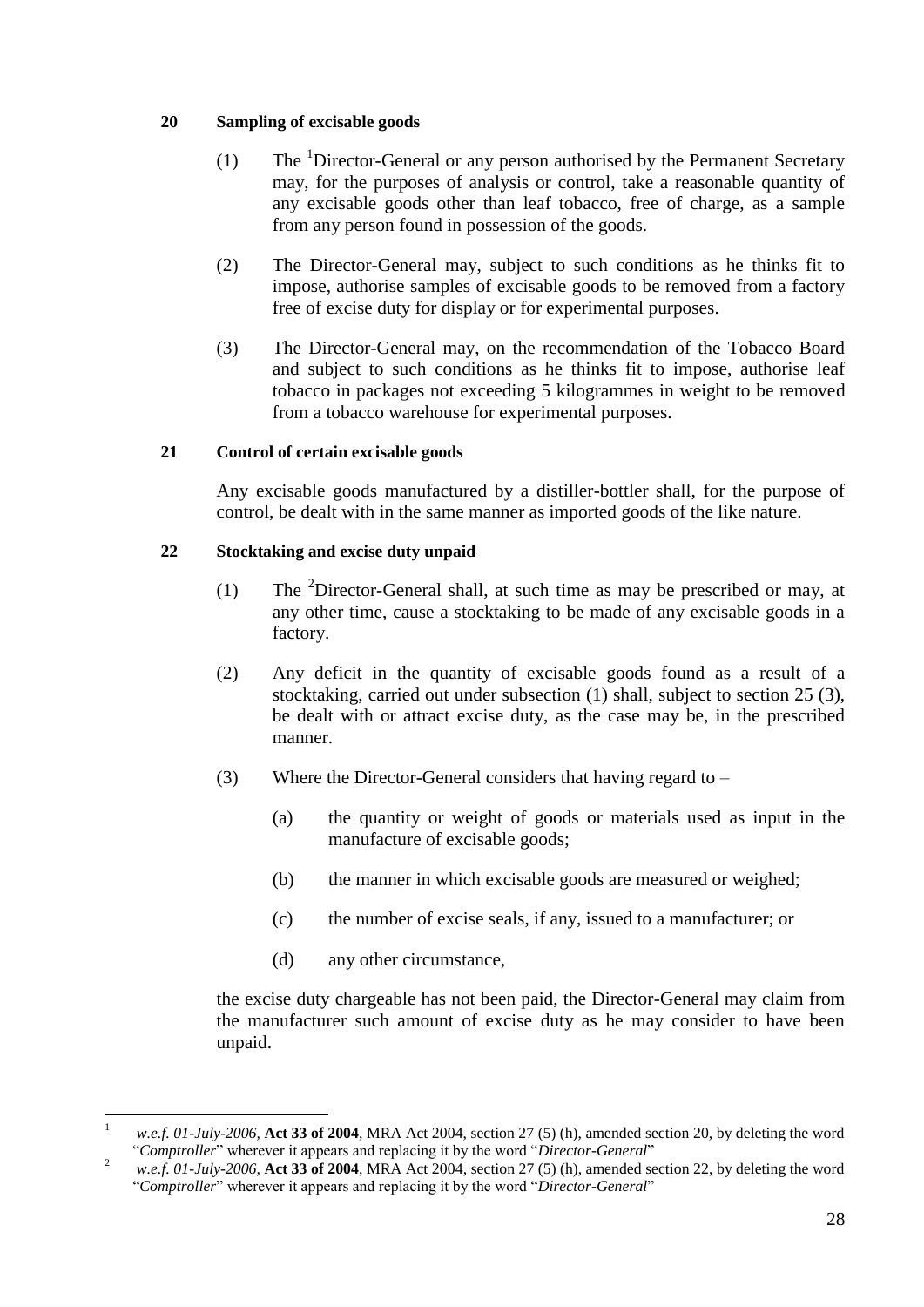#### <span id="page-27-0"></span>**20 Sampling of excisable goods**

- (1) The  ${}^{1}$ Director-General or any person authorised by the Permanent Secretary may, for the purposes of analysis or control, take a reasonable quantity of any excisable goods other than leaf tobacco, free of charge, as a sample from any person found in possession of the goods.
- (2) The Director-General may, subject to such conditions as he thinks fit to impose, authorise samples of excisable goods to be removed from a factory free of excise duty for display or for experimental purposes.
- (3) The Director-General may, on the recommendation of the Tobacco Board and subject to such conditions as he thinks fit to impose, authorise leaf tobacco in packages not exceeding 5 kilogrammes in weight to be removed from a tobacco warehouse for experimental purposes.

#### <span id="page-27-1"></span>**21 Control of certain excisable goods**

Any excisable goods manufactured by a distiller-bottler shall, for the purpose of control, be dealt with in the same manner as imported goods of the like nature.

#### <span id="page-27-2"></span>**22 Stocktaking and excise duty unpaid**

- (1) The <sup>2</sup>Director-General shall, at such time as may be prescribed or may, at any other time, cause a stocktaking to be made of any excisable goods in a factory.
- (2) Any deficit in the quantity of excisable goods found as a result of a stocktaking, carried out under subsection (1) shall, subject to section 25 (3), be dealt with or attract excise duty, as the case may be, in the prescribed manner.
- (3) Where the Director-General considers that having regard to
	- (a) the quantity or weight of goods or materials used as input in the manufacture of excisable goods;
	- (b) the manner in which excisable goods are measured or weighed;
	- (c) the number of excise seals, if any, issued to a manufacturer; or
	- (d) any other circumstance,

the excise duty chargeable has not been paid, the Director-General may claim from the manufacturer such amount of excise duty as he may consider to have been unpaid.

<sup>1</sup> *w.e.f. 01-July-2006,* **Act 33 of 2004**, MRA Act 2004, section 27 (5) (h), amended section 20, by deleting the word "*Comptroller*" wherever it appears and replacing it by the word "*Director-General*"

<sup>2</sup> *w.e.f. 01-July-2006,* **Act 33 of 2004**, MRA Act 2004, section 27 (5) (h), amended section 22, by deleting the word "*Comptroller*" wherever it appears and replacing it by the word "*Director-General*"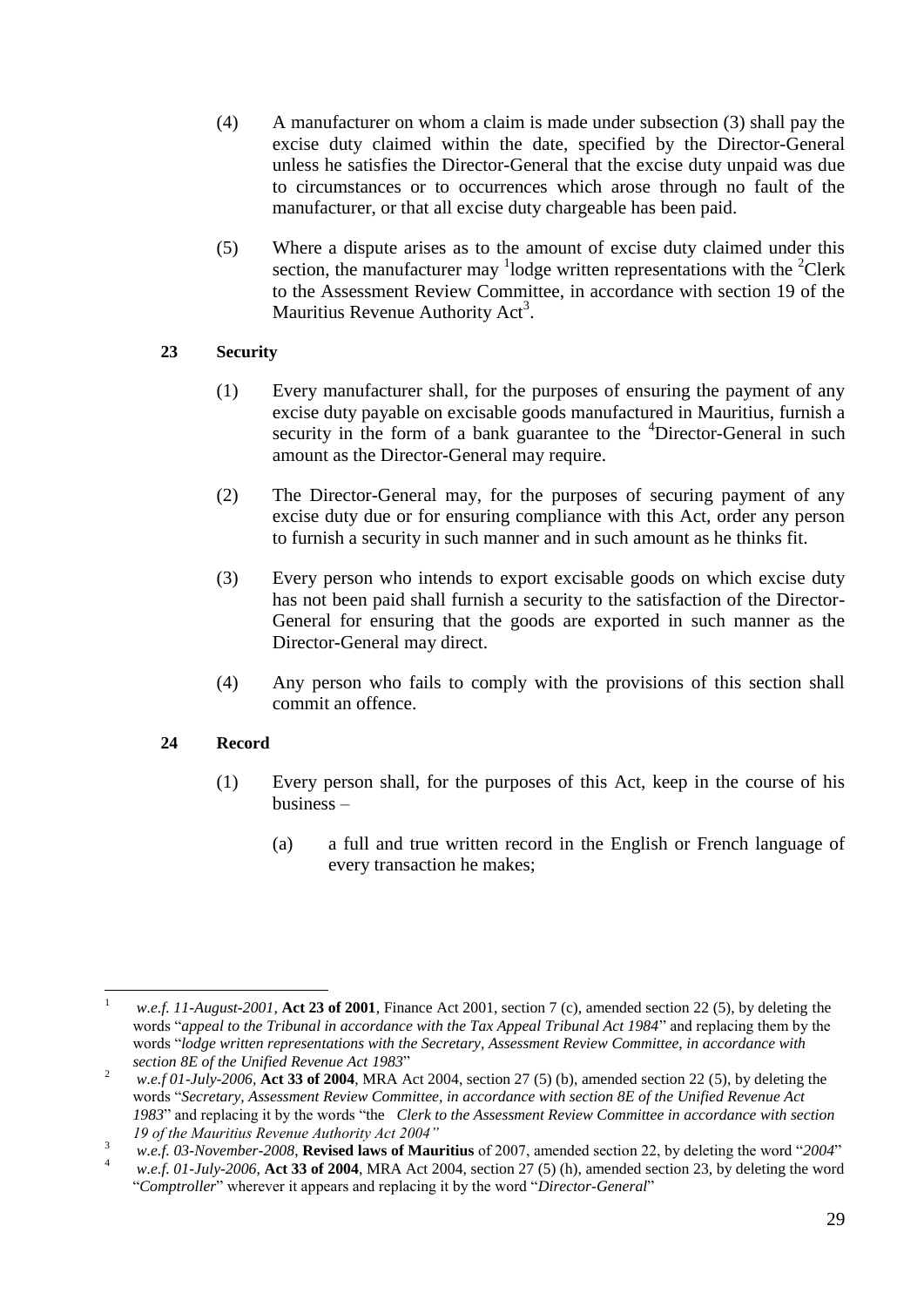- (4) A manufacturer on whom a claim is made under subsection (3) shall pay the excise duty claimed within the date, specified by the Director-General unless he satisfies the Director-General that the excise duty unpaid was due to circumstances or to occurrences which arose through no fault of the manufacturer, or that all excise duty chargeable has been paid.
- (5) Where a dispute arises as to the amount of excise duty claimed under this section, the manufacturer may <sup>1</sup>lodge written representations with the <sup>2</sup>Clerk to the Assessment Review Committee, in accordance with section 19 of the Mauritius Revenue Authority Act<sup>3</sup>.

#### <span id="page-28-0"></span>**23 Security**

- (1) Every manufacturer shall, for the purposes of ensuring the payment of any excise duty payable on excisable goods manufactured in Mauritius, furnish a security in the form of a bank guarantee to the <sup>4</sup>Director-General in such amount as the Director-General may require.
- (2) The Director-General may, for the purposes of securing payment of any excise duty due or for ensuring compliance with this Act, order any person to furnish a security in such manner and in such amount as he thinks fit.
- (3) Every person who intends to export excisable goods on which excise duty has not been paid shall furnish a security to the satisfaction of the Director-General for ensuring that the goods are exported in such manner as the Director-General may direct.
- (4) Any person who fails to comply with the provisions of this section shall commit an offence.

#### <span id="page-28-1"></span>**24 Record**

- (1) Every person shall, for the purposes of this Act, keep in the course of his business –
	- (a) a full and true written record in the English or French language of every transaction he makes;

 $\mathbf{1}$ <sup>1</sup> *w.e.f. 11-August-2001,* **Act 23 of 2001**, Finance Act 2001, section 7 (c), amended section 22 (5), by deleting the words "*appeal to the Tribunal in accordance with the Tax Appeal Tribunal Act 1984*" and replacing them by the words "*lodge written representations with the Secretary, Assessment Review Committee, in accordance with section 8E of the Unified Revenue Act 1983*"

<sup>&</sup>lt;sup>2</sup> *w.e.f 01-July-2006*, **Act 33 of 2004**, MRA Act 2004, section 27 (5) (b), amended section 22 (5), by deleting the words "*Secretary, Assessment Review Committee, in accordance with section 8E of the Unified Revenue Act 1983*" and replacing it by the words "the *Clerk to the Assessment Review Committee in accordance with section 19 of the Mauritius Revenue Authority Act 2004"*

<sup>3</sup> *w.e.f. 03-November-2008*, **Revised laws of Mauritius** of 2007, amended section 22, by deleting the word "*2004*"

<sup>4</sup> *w.e.f. 01-July-2006,* **Act 33 of 2004**, MRA Act 2004, section 27 (5) (h), amended section 23, by deleting the word "*Comptroller*" wherever it appears and replacing it by the word "*Director-General*"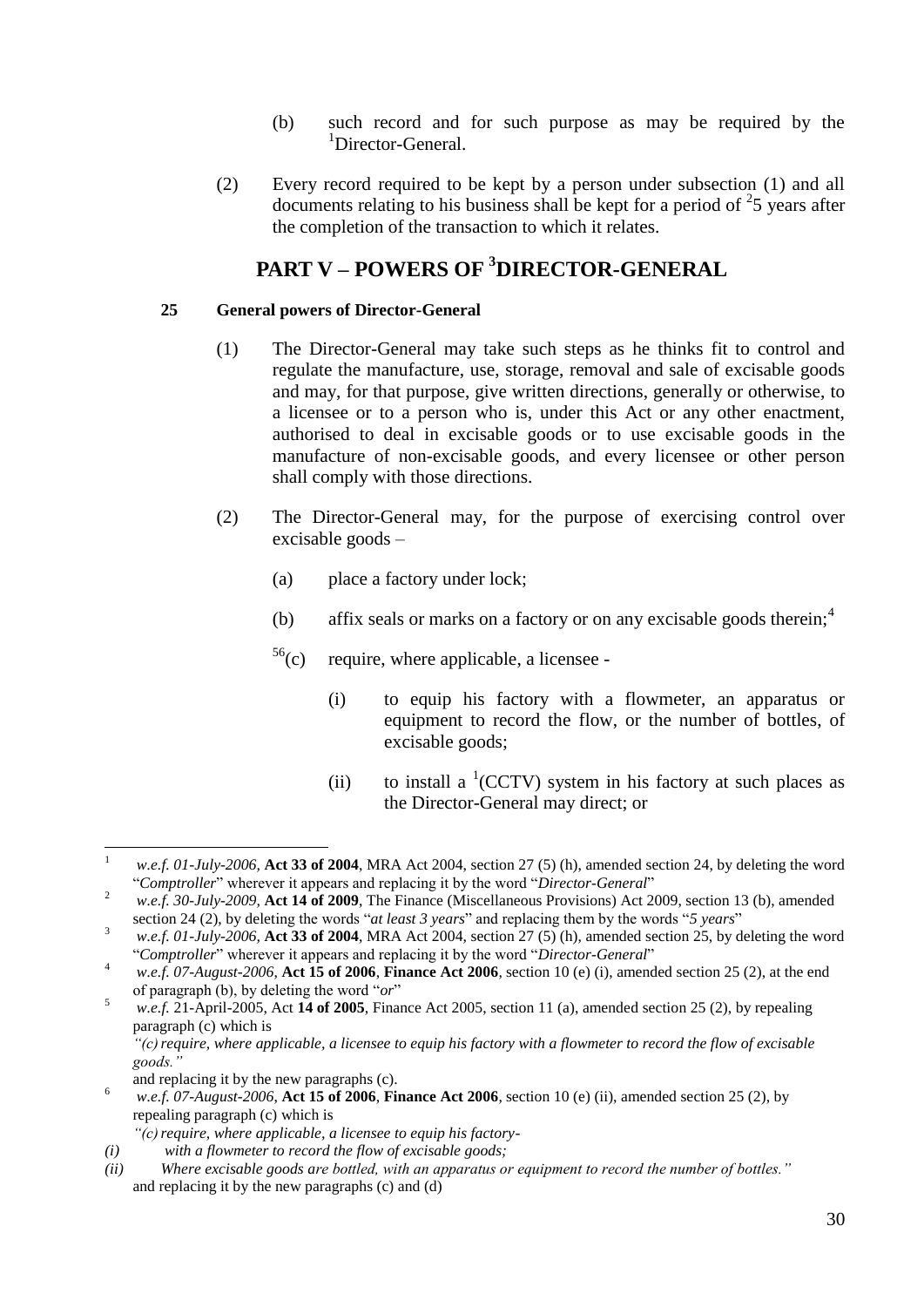- (b) such record and for such purpose as may be required by the <sup>1</sup>Director-General.
- (2) Every record required to be kept by a person under subsection (1) and all documents relating to his business shall be kept for a period of  $25$  years after the completion of the transaction to which it relates.

## **PART V – POWERS OF <sup>3</sup>DIRECTOR-GENERAL**

#### <span id="page-29-1"></span><span id="page-29-0"></span>**25 General powers of Director-General**

- (1) The Director-General may take such steps as he thinks fit to control and regulate the manufacture, use, storage, removal and sale of excisable goods and may, for that purpose, give written directions, generally or otherwise, to a licensee or to a person who is, under this Act or any other enactment, authorised to deal in excisable goods or to use excisable goods in the manufacture of non-excisable goods, and every licensee or other person shall comply with those directions.
- (2) The Director-General may, for the purpose of exercising control over excisable goods –
	- (a) place a factory under lock;
	- (b) affix seals or marks on a factory or on any excisable goods therein;  $4\overline{4}$
	- $56(c)$ require, where applicable, a licensee -
		- (i) to equip his factory with a flowmeter, an apparatus or equipment to record the flow, or the number of bottles, of excisable goods;
		- (ii) to install a  ${}^{1}(CCTV)$  system in his factory at such places as the Director-General may direct; or

 $\mathbf{1}$ <sup>1</sup> *w.e.f. 01-July-2006,* **Act 33 of 2004**, MRA Act 2004, section 27 (5) (h), amended section 24, by deleting the word "*Comptroller*" wherever it appears and replacing it by the word "*Director-General*"

<sup>2</sup> *w.e.f. 30-July-2009,* **Act 14 of 2009**, The Finance (Miscellaneous Provisions) Act 2009, section 13 (b), amended section 24 (2), by deleting the words "*at least 3 years*" and replacing them by the words "*5 years*"

<sup>3</sup> *w.e.f. 01-July-2006,* **Act 33 of 2004**, MRA Act 2004, section 27 (5) (h), amended section 25, by deleting the word "*Comptroller*" wherever it appears and replacing it by the word "*Director-General*"

<sup>&</sup>lt;sup>4</sup> *w.e.f.* 07-August-2006, **Act 15 of 2006**, **Finance Act 2006**, section 10 (e) (i), amended section 25 (2), at the end of paragraph (b), by deleting the word "*or*"

 $\frac{5}{w.e.f.}$  21-April-2005, Act **14 of 2005**, Finance Act 2005, section 11 (a), amended section 25 (2), by repealing paragraph (c) which is

*<sup>&</sup>quot;(c)require, where applicable, a licensee to equip his factory with a flowmeter to record the flow of excisable goods."*

and replacing it by the new paragraphs (c).

<sup>&</sup>lt;sup>6</sup> *w.e.f. 07-August-2006*, Act 15 of 2006, Finance Act 2006, section 10 (e) (ii), amended section 25 (2), by repealing paragraph (c) which is

*<sup>&</sup>quot;(c)require, where applicable, a licensee to equip his factory-*

*<sup>(</sup>i) with a flowmeter to record the flow of excisable goods;*

*<sup>(</sup>ii) Where excisable goods are bottled, with an apparatus or equipment to record the number of bottles."* and replacing it by the new paragraphs (c) and (d)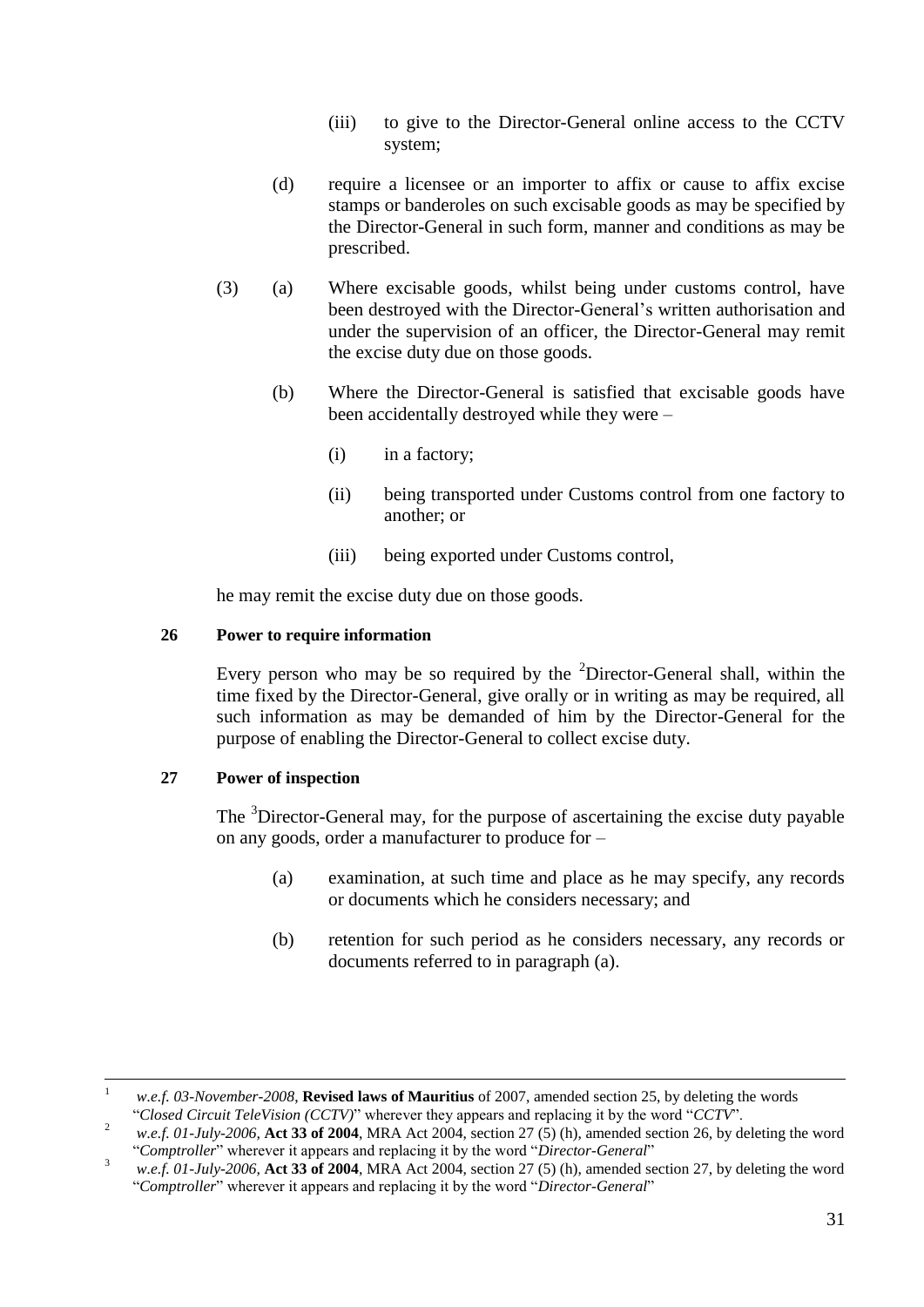- (iii) to give to the Director-General online access to the CCTV system;
- (d) require a licensee or an importer to affix or cause to affix excise stamps or banderoles on such excisable goods as may be specified by the Director-General in such form, manner and conditions as may be prescribed.
- (3) (a) Where excisable goods, whilst being under customs control, have been destroyed with the Director-General's written authorisation and under the supervision of an officer, the Director-General may remit the excise duty due on those goods.
	- (b) Where the Director-General is satisfied that excisable goods have been accidentally destroyed while they were –
		- (i) in a factory;
		- (ii) being transported under Customs control from one factory to another; or
		- (iii) being exported under Customs control,

he may remit the excise duty due on those goods.

#### <span id="page-30-0"></span>**26 Power to require information**

Every person who may be so required by the  $2$ Director-General shall, within the time fixed by the Director-General, give orally or in writing as may be required, all such information as may be demanded of him by the Director-General for the purpose of enabling the Director-General to collect excise duty.

#### <span id="page-30-1"></span>**27 Power of inspection**

The <sup>3</sup>Director-General may, for the purpose of ascertaining the excise duty payable on any goods, order a manufacturer to produce for –

- (a) examination, at such time and place as he may specify, any records or documents which he considers necessary; and
- (b) retention for such period as he considers necessary, any records or documents referred to in paragraph (a).

 $\overline{a}$ <sup>1</sup> *w.e.f. 03-November-2008*, **Revised laws of Mauritius** of 2007, amended section 25, by deleting the words "*Closed Circuit TeleVision (CCTV)*" wherever they appears and replacing it by the word "*CCTV*".

<sup>&</sup>lt;sup>2</sup> *w.e.f. 01-July-2006*, **Act 33 of 2004**, MRA Act 2004, section 27 (5) (h), amended section 26, by deleting the word "*Comptroller*" wherever it appears and replacing it by the word "*Director-General*"

<sup>3</sup> *w.e.f. 01-July-2006,* **Act 33 of 2004**, MRA Act 2004, section 27 (5) (h), amended section 27, by deleting the word "*Comptroller*" wherever it appears and replacing it by the word "*Director-General*"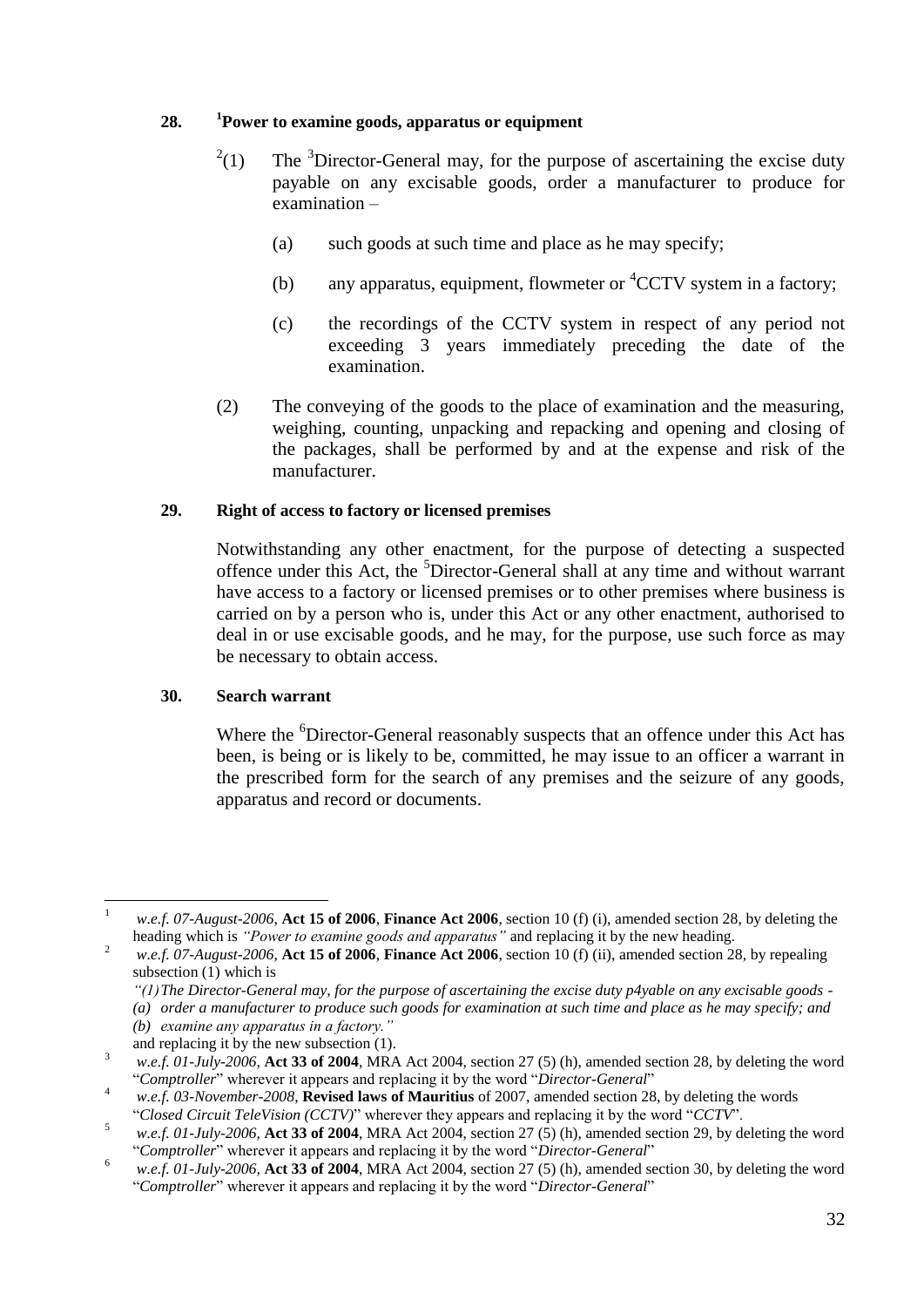#### <span id="page-31-0"></span>**28. <sup>1</sup>Power to examine goods, apparatus or equipment**

- $^{2}(1)$ The <sup>3</sup>Director-General may, for the purpose of ascertaining the excise duty payable on any excisable goods, order a manufacturer to produce for examination –
	- (a) such goods at such time and place as he may specify;
	- (b) any apparatus, equipment, flowmeter or  ${}^{4}CCTV$  system in a factory;
	- (c) the recordings of the CCTV system in respect of any period not exceeding 3 years immediately preceding the date of the examination.
- (2) The conveying of the goods to the place of examination and the measuring, weighing, counting, unpacking and repacking and opening and closing of the packages, shall be performed by and at the expense and risk of the manufacturer.

#### <span id="page-31-1"></span>**29. Right of access to factory or licensed premises**

Notwithstanding any other enactment, for the purpose of detecting a suspected offence under this Act, the <sup>5</sup>Director-General shall at any time and without warrant have access to a factory or licensed premises or to other premises where business is carried on by a person who is, under this Act or any other enactment, authorised to deal in or use excisable goods, and he may, for the purpose, use such force as may be necessary to obtain access.

#### <span id="page-31-2"></span>**30. Search warrant**

Where the <sup>6</sup>Director-General reasonably suspects that an offence under this Act has been, is being or is likely to be, committed, he may issue to an officer a warrant in the prescribed form for the search of any premises and the seizure of any goods, apparatus and record or documents.

*"(1)The Director-General may, for the purpose of ascertaining the excise duty p4yable on any excisable goods -*

and replacing it by the new subsection (1).

 $\mathbf{1}$ <sup>1</sup> *w.e.f. 07-August-2006*, **Act 15 of 2006**, **Finance Act 2006**, section 10 (f) (i), amended section 28, by deleting the heading which is *"Power to examine goods and apparatus"* and replacing it by the new heading.

<sup>&</sup>lt;sup>2</sup> *w.e.f.* 07-August-2006, Act 15 of 2006, Finance Act 2006, section 10 (f) (ii), amended section 28, by repealing subsection (1) which is

*<sup>(</sup>a) order a manufacturer to produce such goods for examination at such time and place as he may specify; and*

*<sup>(</sup>b) examine any apparatus in a factory."*

<sup>3</sup> *w.e.f. 01-July-2006,* **Act 33 of 2004**, MRA Act 2004, section 27 (5) (h), amended section 28, by deleting the word "*Comptroller*" wherever it appears and replacing it by the word "*Director-General*"

<sup>4</sup> *w.e.f. 03-November-2008*, **Revised laws of Mauritius** of 2007, amended section 28, by deleting the words "*Closed Circuit TeleVision (CCTV)*" wherever they appears and replacing it by the word "*CCTV*".

<sup>5</sup> *w.e.f. 01-July-2006,* **Act 33 of 2004**, MRA Act 2004, section 27 (5) (h), amended section 29, by deleting the word "*Comptroller*" wherever it appears and replacing it by the word "*Director-General*"

<sup>6</sup> *w.e.f. 01-July-2006,* **Act 33 of 2004**, MRA Act 2004, section 27 (5) (h), amended section 30, by deleting the word "*Comptroller*" wherever it appears and replacing it by the word "*Director-General*"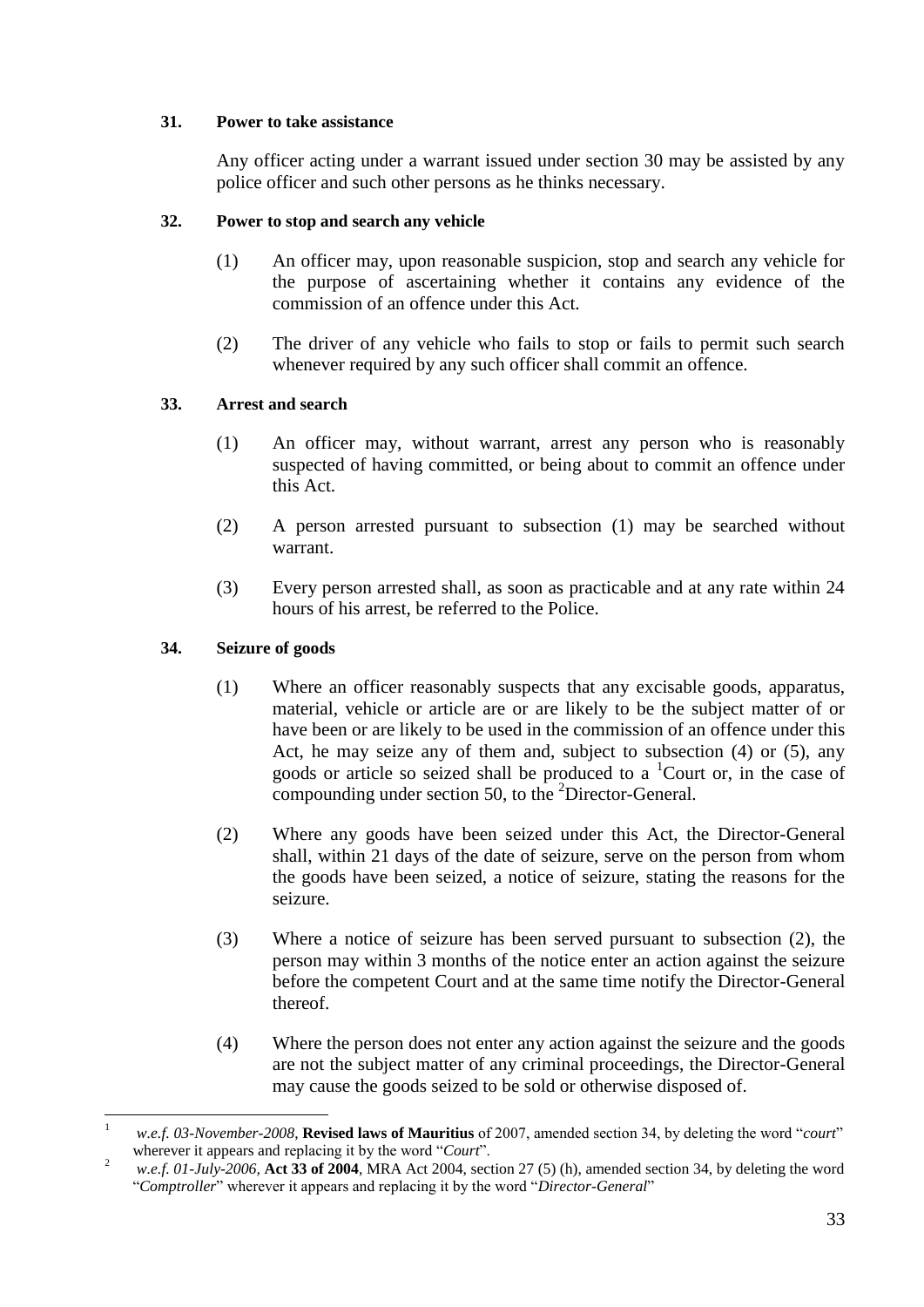#### <span id="page-32-0"></span>**31. Power to take assistance**

Any officer acting under a warrant issued under section 30 may be assisted by any police officer and such other persons as he thinks necessary.

#### <span id="page-32-1"></span>**32. Power to stop and search any vehicle**

- (1) An officer may, upon reasonable suspicion, stop and search any vehicle for the purpose of ascertaining whether it contains any evidence of the commission of an offence under this Act.
- (2) The driver of any vehicle who fails to stop or fails to permit such search whenever required by any such officer shall commit an offence.

#### <span id="page-32-2"></span>**33. Arrest and search**

- (1) An officer may, without warrant, arrest any person who is reasonably suspected of having committed, or being about to commit an offence under this Act.
- (2) A person arrested pursuant to subsection (1) may be searched without warrant.
- (3) Every person arrested shall, as soon as practicable and at any rate within 24 hours of his arrest, be referred to the Police.

#### <span id="page-32-3"></span>**34. Seizure of goods**

- (1) Where an officer reasonably suspects that any excisable goods, apparatus, material, vehicle or article are or are likely to be the subject matter of or have been or are likely to be used in the commission of an offence under this Act, he may seize any of them and, subject to subsection (4) or (5), any goods or article so seized shall be produced to a <sup>1</sup>Court or, in the case of compounding under section 50, to the <sup>2</sup>Director-General.
- (2) Where any goods have been seized under this Act, the Director-General shall, within 21 days of the date of seizure, serve on the person from whom the goods have been seized, a notice of seizure, stating the reasons for the seizure.
- (3) Where a notice of seizure has been served pursuant to subsection (2), the person may within 3 months of the notice enter an action against the seizure before the competent Court and at the same time notify the Director-General thereof.
- (4) Where the person does not enter any action against the seizure and the goods are not the subject matter of any criminal proceedings, the Director-General may cause the goods seized to be sold or otherwise disposed of.

<sup>1</sup> *w.e.f. 03-November-2008*, **Revised laws of Mauritius** of 2007, amended section 34, by deleting the word "*court*" wherever it appears and replacing it by the word "*Court*".

<sup>2</sup> *w.e.f. 01-July-2006,* **Act 33 of 2004**, MRA Act 2004, section 27 (5) (h), amended section 34, by deleting the word "*Comptroller*" wherever it appears and replacing it by the word "*Director-General*"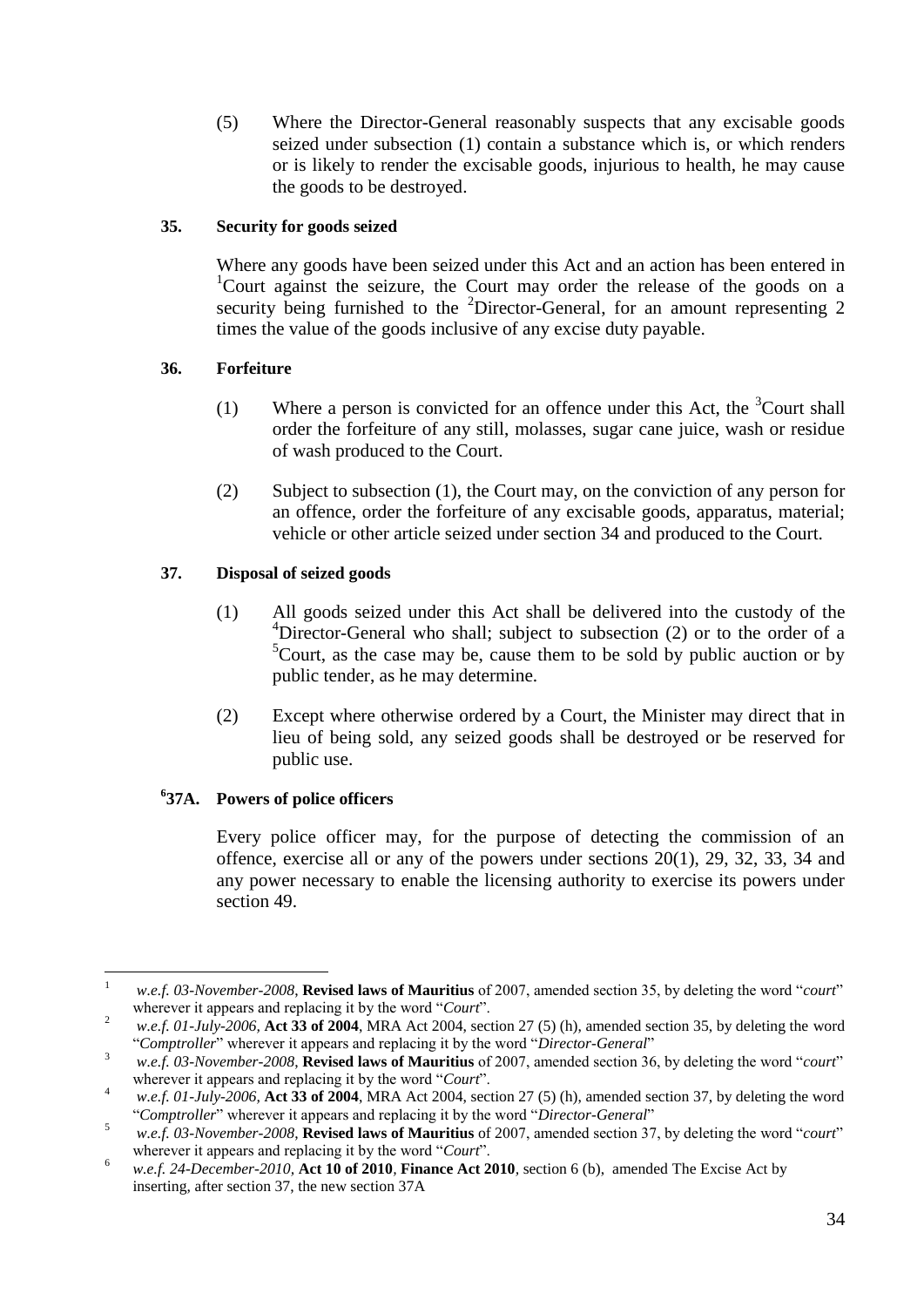(5) Where the Director-General reasonably suspects that any excisable goods seized under subsection (1) contain a substance which is, or which renders or is likely to render the excisable goods, injurious to health, he may cause the goods to be destroyed.

#### <span id="page-33-0"></span>**35. Security for goods seized**

Where any goods have been seized under this Act and an action has been entered in <sup>1</sup>Court against the seizure, the Court may order the release of the goods on a security being furnished to the  ${}^{2}$ Director-General, for an amount representing 2 times the value of the goods inclusive of any excise duty payable.

#### <span id="page-33-1"></span>**36. Forfeiture**

- (1) Where a person is convicted for an offence under this Act, the  ${}^{3}$ Court shall order the forfeiture of any still, molasses, sugar cane juice, wash or residue of wash produced to the Court.
- (2) Subject to subsection (1), the Court may, on the conviction of any person for an offence, order the forfeiture of any excisable goods, apparatus, material; vehicle or other article seized under section 34 and produced to the Court.

#### <span id="page-33-2"></span>**37. Disposal of seized goods**

- (1) All goods seized under this Act shall be delivered into the custody of the <sup>4</sup>Director-General who shall; subject to subsection (2) or to the order of a  ${}^{5}$ Court, as the case may be, cause them to be sold by public auction or by public tender, as he may determine.
- (2) Except where otherwise ordered by a Court, the Minister may direct that in lieu of being sold, any seized goods shall be destroyed or be reserved for public use.

#### <span id="page-33-3"></span>**6 37A. Powers of police officers**

 $\overline{a}$ 

Every police officer may, for the purpose of detecting the commission of an offence, exercise all or any of the powers under sections 20(1), 29, 32, 33, 34 and any power necessary to enable the licensing authority to exercise its powers under section 49.

<sup>1</sup> *w.e.f. 03-November-2008*, **Revised laws of Mauritius** of 2007, amended section 35, by deleting the word "*court*" wherever it appears and replacing it by the word "*Court*".

<sup>&</sup>lt;sup>2</sup> *w.e.f. 01-July-2006*, **Act 33 of 2004**, MRA Act 2004, section 27 (5) (h), amended section 35, by deleting the word "*Comptroller*" wherever it appears and replacing it by the word "*Director-General*"

<sup>3</sup> *w.e.f. 03-November-2008*, **Revised laws of Mauritius** of 2007, amended section 36, by deleting the word "*court*" wherever it appears and replacing it by the word "*Court*".

<sup>4</sup> *w.e.f. 01-July-2006,* **Act 33 of 2004**, MRA Act 2004, section 27 (5) (h), amended section 37, by deleting the word "*Comptroller*" wherever it appears and replacing it by the word "*Director-General*"

<sup>5</sup> *w.e.f. 03-November-2008*, **Revised laws of Mauritius** of 2007, amended section 37, by deleting the word "*court*" wherever it appears and replacing it by the word "*Court*".

<sup>6</sup> *w.e.f. 24-December-2010,* **Act 10 of 2010***,* **Finance Act 2010***,* section 6 (b), amended The Excise Act by inserting, after section 37, the new section 37A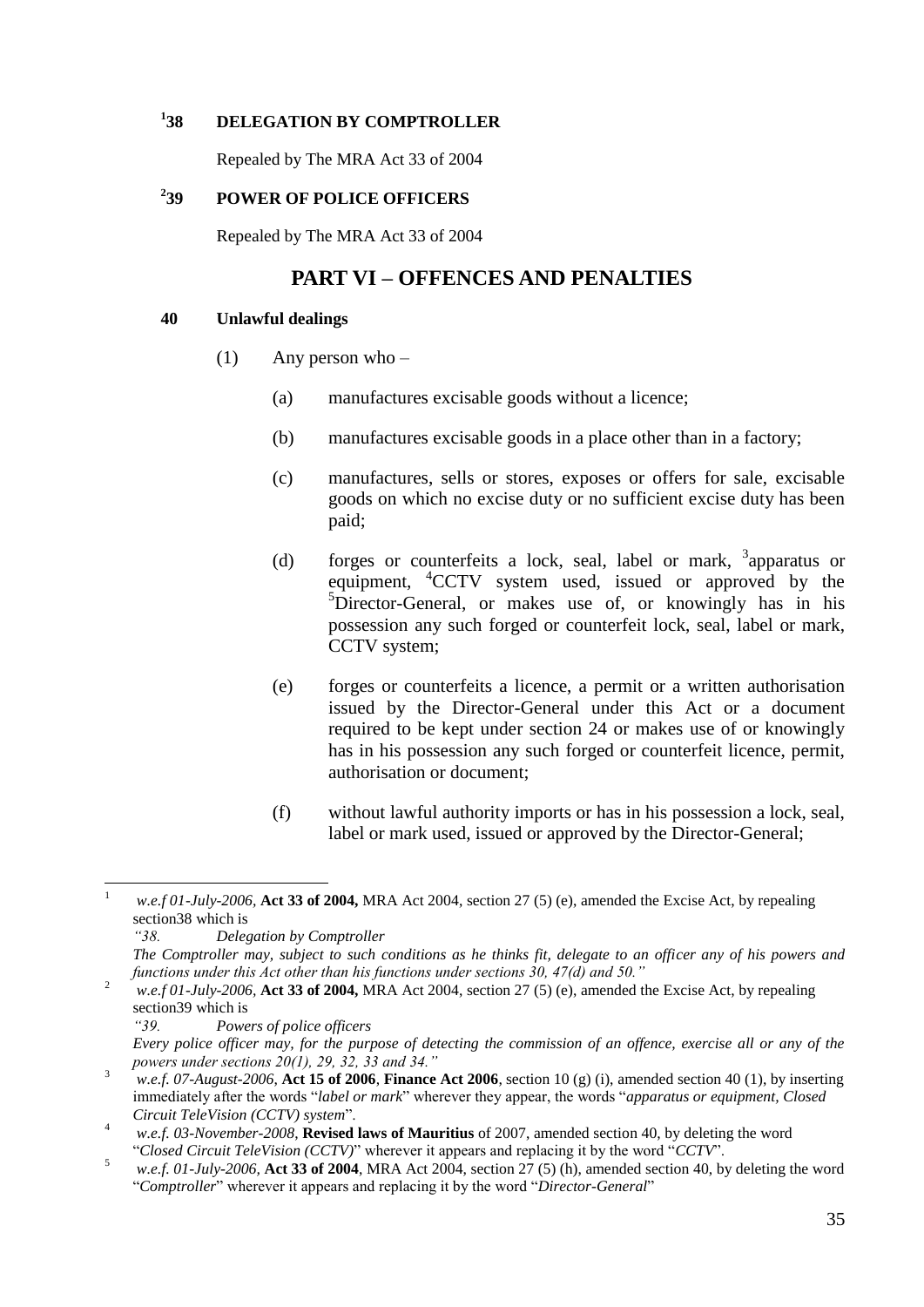#### <span id="page-34-0"></span>**1 38 DELEGATION BY COMPTROLLER**

Repealed by The MRA Act 33 of 2004

#### <span id="page-34-1"></span>**2 39 POWER OF POLICE OFFICERS**

Repealed by The MRA Act 33 of 2004

### **PART VI – OFFENCES AND PENALTIES**

#### <span id="page-34-3"></span><span id="page-34-2"></span>**40 Unlawful dealings**

- (1) Any person who
	- (a) manufactures excisable goods without a licence;
	- (b) manufactures excisable goods in a place other than in a factory;
	- (c) manufactures, sells or stores, exposes or offers for sale, excisable goods on which no excise duty or no sufficient excise duty has been paid;
	- (d) forges or counterfeits a lock, seal, label or mark, <sup>3</sup>apparatus or equipment, <sup>4</sup>CCTV system used, issued or approved by the  ${}^{5}$ Director-General, or makes use of, or knowingly has in his possession any such forged or counterfeit lock, seal, label or mark, CCTV system;
	- (e) forges or counterfeits a licence, a permit or a written authorisation issued by the Director-General under this Act or a document required to be kept under section 24 or makes use of or knowingly has in his possession any such forged or counterfeit licence, permit, authorisation or document;
	- (f) without lawful authority imports or has in his possession a lock, seal, label or mark used, issued or approved by the Director-General;

 $\mathbf{1}$ <sup>1</sup> *w.e.f 01-July-2006,* **Act 33 of 2004,** MRA Act 2004, section 27 (5) (e), amended the Excise Act, by repealing section38 which is

*<sup>&</sup>quot;38. Delegation by Comptroller*

*The Comptroller may, subject to such conditions as he thinks fit, delegate to an officer any of his powers and functions under this Act other than his functions under sections 30, 47(d) and 50."*

<sup>2</sup> *w.e.f 01-July-2006,* **Act 33 of 2004,** MRA Act 2004, section 27 (5) (e), amended the Excise Act, by repealing section39 which is

*<sup>&</sup>quot;39. Powers of police officers*

*Every police officer may, for the purpose of detecting the commission of an offence, exercise all or any of the powers under sections 20(1), 29, 32, 33 and 34."*

<sup>3</sup> *w.e.f. 07-August-2006*, **Act 15 of 2006**, **Finance Act 2006**, section 10 (g) (i), amended section 40 (1), by inserting immediately after the words "*label or mark*" wherever they appear, the words "*apparatus or equipment, Closed Circuit TeleVision (CCTV) system*".

<sup>4</sup> *w.e.f. 03-November-2008*, **Revised laws of Mauritius** of 2007, amended section 40, by deleting the word "*Closed Circuit TeleVision (CCTV)*" wherever it appears and replacing it by the word "*CCTV*".

<sup>5</sup> *w.e.f. 01-July-2006,* **Act 33 of 2004**, MRA Act 2004, section 27 (5) (h), amended section 40, by deleting the word "*Comptroller*" wherever it appears and replacing it by the word "*Director-General*"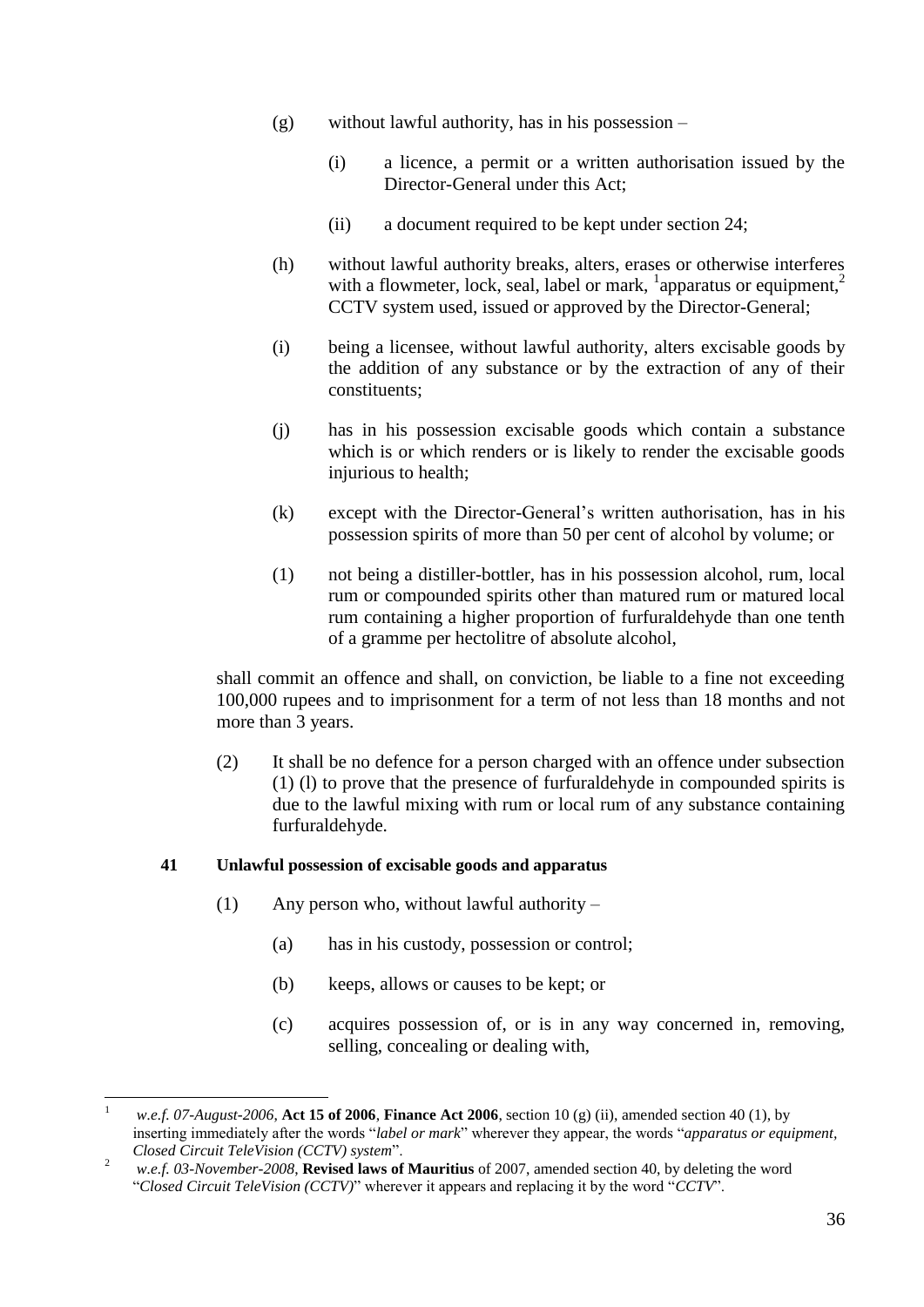- (g) without lawful authority, has in his possession
	- (i) a licence, a permit or a written authorisation issued by the Director-General under this Act;
	- (ii) a document required to be kept under section 24;
- (h) without lawful authority breaks, alters, erases or otherwise interferes with a flowmeter, lock, seal, label or mark,  $\frac{1}{2}$  apparatus or equipment,<sup>2</sup> CCTV system used, issued or approved by the Director-General;
- (i) being a licensee, without lawful authority, alters excisable goods by the addition of any substance or by the extraction of any of their constituents;
- (j) has in his possession excisable goods which contain a substance which is or which renders or is likely to render the excisable goods injurious to health:
- (k) except with the Director-General's written authorisation, has in his possession spirits of more than 50 per cent of alcohol by volume; or
- (1) not being a distiller-bottler, has in his possession alcohol, rum, local rum or compounded spirits other than matured rum or matured local rum containing a higher proportion of furfuraldehyde than one tenth of a gramme per hectolitre of absolute alcohol,

shall commit an offence and shall, on conviction, be liable to a fine not exceeding 100,000 rupees and to imprisonment for a term of not less than 18 months and not more than 3 years.

(2) It shall be no defence for a person charged with an offence under subsection (1) (l) to prove that the presence of furfuraldehyde in compounded spirits is due to the lawful mixing with rum or local rum of any substance containing furfuraldehyde.

#### <span id="page-35-0"></span>**41 Unlawful possession of excisable goods and apparatus**

- (1) Any person who, without lawful authority
	- (a) has in his custody, possession or control;
	- (b) keeps, allows or causes to be kept; or
	- (c) acquires possession of, or is in any way concerned in, removing, selling, concealing or dealing with,

 $\overline{a}$ <sup>1</sup> *w.e.f. 07-August-2006*, **Act 15 of 2006**, **Finance Act 2006**, section 10 (g) (ii), amended section 40 (1), by inserting immediately after the words "*label or mark*" wherever they appear, the words "*apparatus or equipment, Closed Circuit TeleVision (CCTV) system*".

<sup>2</sup> *w.e.f. 03-November-2008*, **Revised laws of Mauritius** of 2007, amended section 40, by deleting the word "*Closed Circuit TeleVision (CCTV)*" wherever it appears and replacing it by the word "*CCTV*".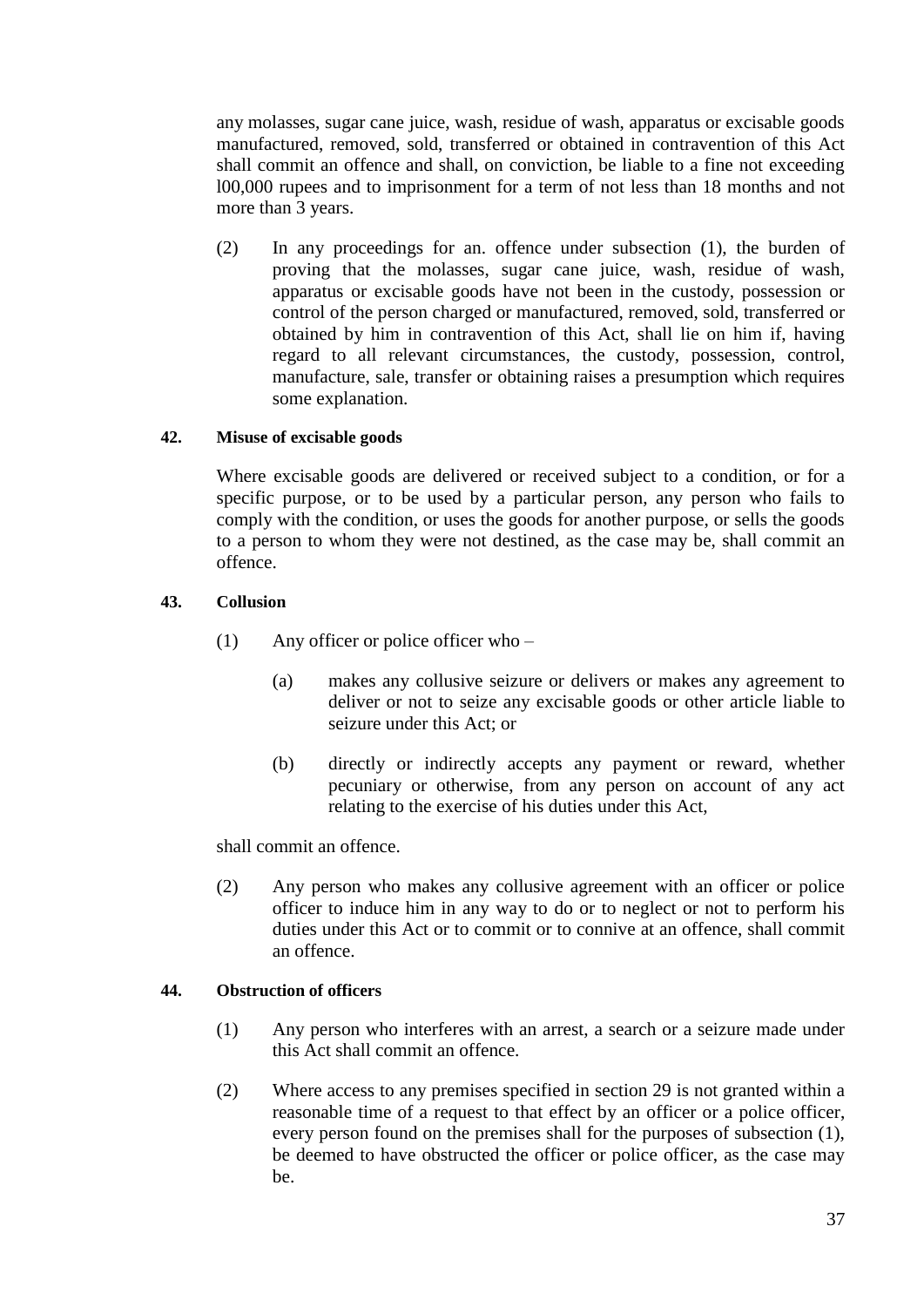any molasses, sugar cane juice, wash, residue of wash, apparatus or excisable goods manufactured, removed, sold, transferred or obtained in contravention of this Act shall commit an offence and shall, on conviction, be liable to a fine not exceeding l00,000 rupees and to imprisonment for a term of not less than 18 months and not more than 3 years.

(2) In any proceedings for an. offence under subsection (1), the burden of proving that the molasses, sugar cane juice, wash, residue of wash, apparatus or excisable goods have not been in the custody, possession or control of the person charged or manufactured, removed, sold, transferred or obtained by him in contravention of this Act, shall lie on him if, having regard to all relevant circumstances, the custody, possession, control, manufacture, sale, transfer or obtaining raises a presumption which requires some explanation.

#### **42. Misuse of excisable goods**

Where excisable goods are delivered or received subject to a condition, or for a specific purpose, or to be used by a particular person, any person who fails to comply with the condition, or uses the goods for another purpose, or sells the goods to a person to whom they were not destined, as the case may be, shall commit an offence.

#### **43. Collusion**

- (1) Any officer or police officer who
	- (a) makes any collusive seizure or delivers or makes any agreement to deliver or not to seize any excisable goods or other article liable to seizure under this Act; or
	- (b) directly or indirectly accepts any payment or reward, whether pecuniary or otherwise, from any person on account of any act relating to the exercise of his duties under this Act,

shall commit an offence.

(2) Any person who makes any collusive agreement with an officer or police officer to induce him in any way to do or to neglect or not to perform his duties under this Act or to commit or to connive at an offence, shall commit an offence.

#### **44. Obstruction of officers**

- (1) Any person who interferes with an arrest, a search or a seizure made under this Act shall commit an offence.
- (2) Where access to any premises specified in section 29 is not granted within a reasonable time of a request to that effect by an officer or a police officer, every person found on the premises shall for the purposes of subsection (1), be deemed to have obstructed the officer or police officer, as the case may be.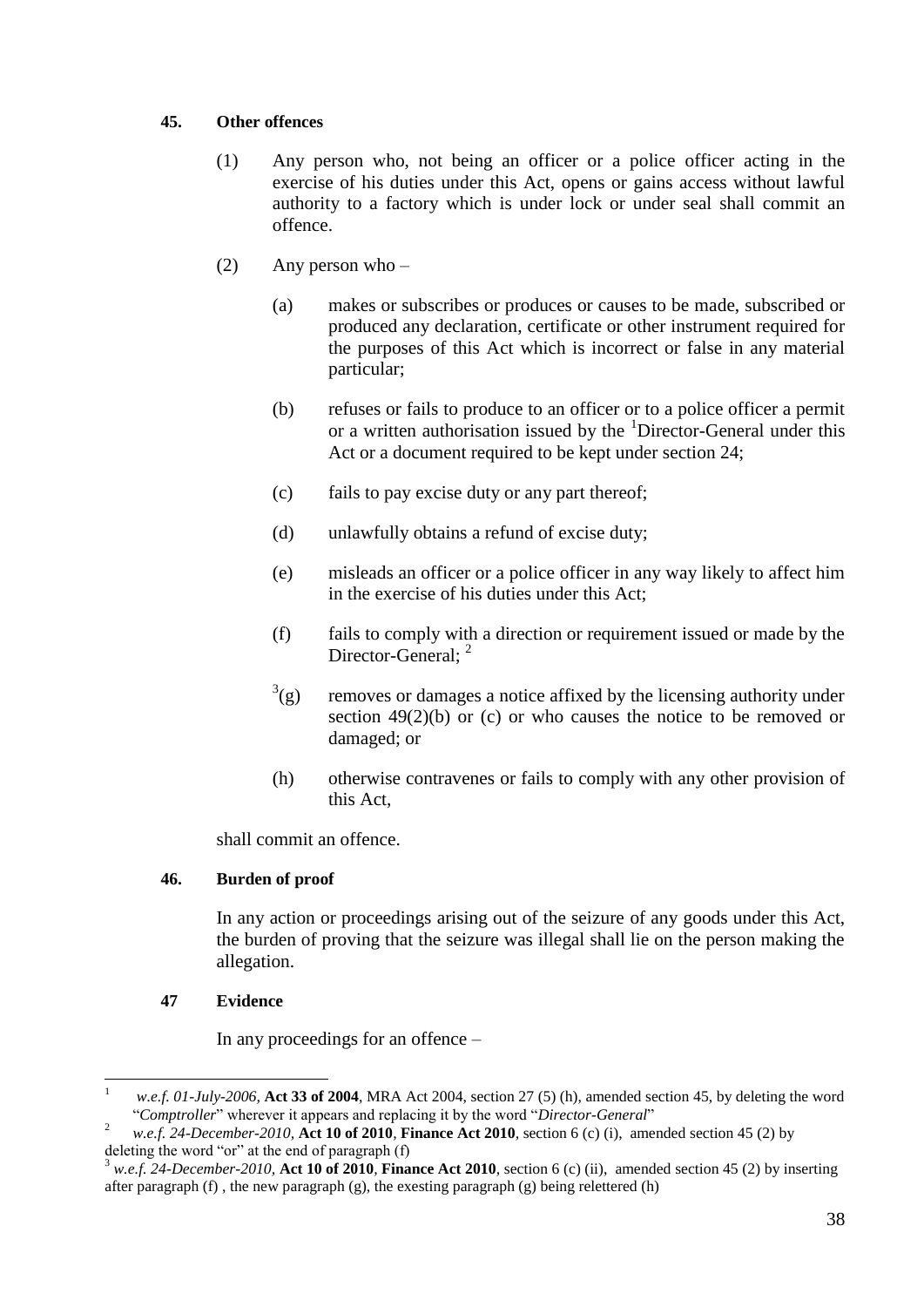#### **45. Other offences**

- (1) Any person who, not being an officer or a police officer acting in the exercise of his duties under this Act, opens or gains access without lawful authority to a factory which is under lock or under seal shall commit an offence.
- (2) Any person who
	- (a) makes or subscribes or produces or causes to be made, subscribed or produced any declaration, certificate or other instrument required for the purposes of this Act which is incorrect or false in any material particular;
	- (b) refuses or fails to produce to an officer or to a police officer a permit or a written authorisation issued by the <sup>1</sup>Director-General under this Act or a document required to be kept under section 24;
	- (c) fails to pay excise duty or any part thereof;
	- (d) unlawfully obtains a refund of excise duty;
	- (e) misleads an officer or a police officer in any way likely to affect him in the exercise of his duties under this Act;
	- (f) fails to comply with a direction or requirement issued or made by the Director-General; <sup>2</sup>
	- $3<sup>3</sup>(g)$ removes or damages a notice affixed by the licensing authority under section  $49(2)(b)$  or (c) or who causes the notice to be removed or damaged; or
	- (h) otherwise contravenes or fails to comply with any other provision of this Act,

shall commit an offence.

#### **46. Burden of proof**

In any action or proceedings arising out of the seizure of any goods under this Act, the burden of proving that the seizure was illegal shall lie on the person making the allegation.

#### **47 Evidence**

 $\overline{a}$ 

In any proceedings for an offence –

<sup>1</sup> *w.e.f. 01-July-2006,* **Act 33 of 2004**, MRA Act 2004, section 27 (5) (h), amended section 45, by deleting the word "*Comptroller*" wherever it appears and replacing it by the word "*Director-General*"

<sup>2</sup> *w.e.f. 24-December-2010,* **Act 10 of 2010***,* **Finance Act 2010***,* section 6 (c) (i), amended section 45 (2) by deleting the word "or" at the end of paragraph (f)

<sup>3</sup> *w.e.f. 24-December-2010,* **Act 10 of 2010***,* **Finance Act 2010***,* section 6 (c) (ii), amended section 45 (2) by inserting after paragraph (f) , the new paragraph (g), the exesting paragraph (g) being relettered (h)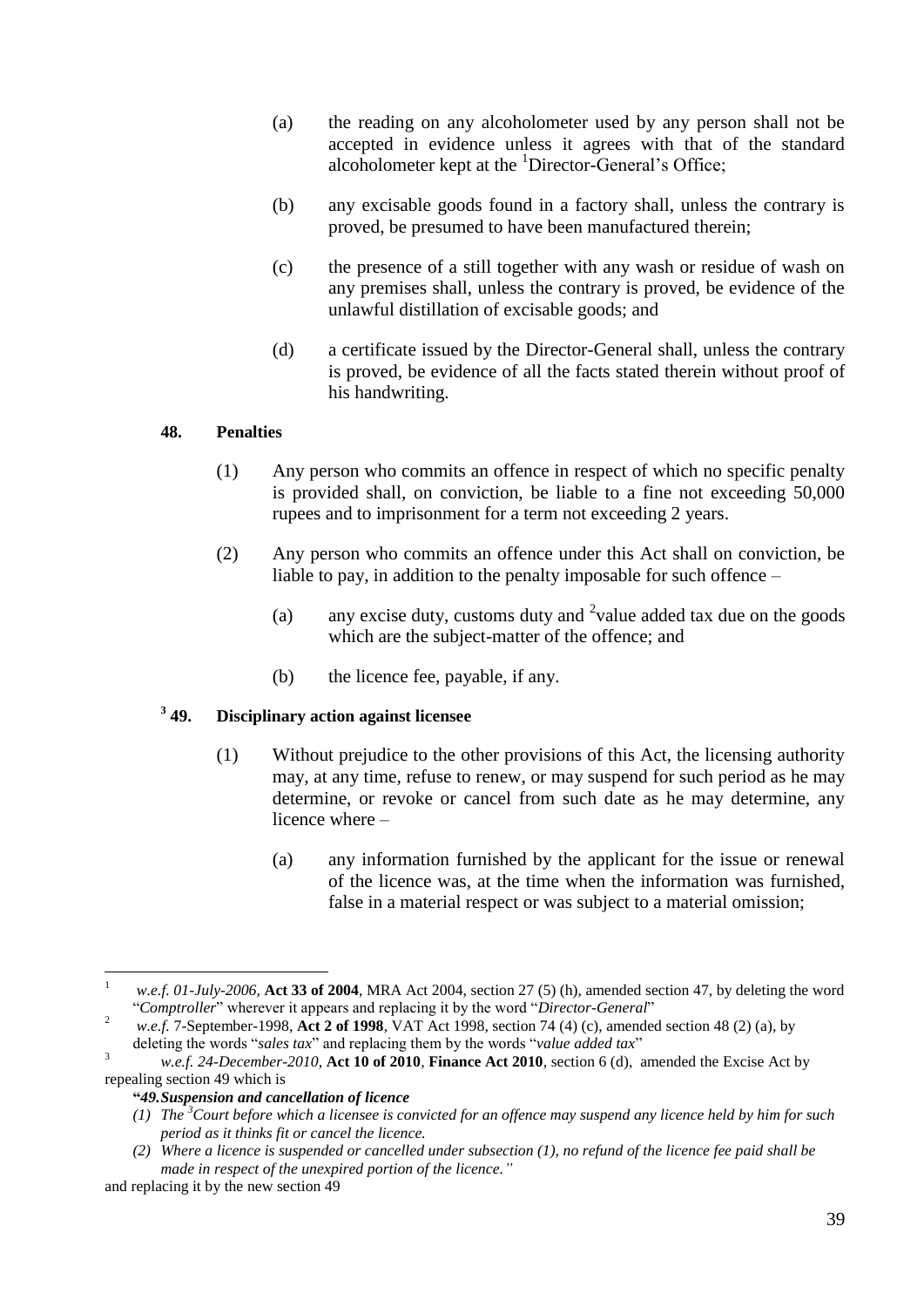- (a) the reading on any alcoholometer used by any person shall not be accepted in evidence unless it agrees with that of the standard alcoholometer kept at the <sup>1</sup>Director-General's Office;
- (b) any excisable goods found in a factory shall, unless the contrary is proved, be presumed to have been manufactured therein;
- (c) the presence of a still together with any wash or residue of wash on any premises shall, unless the contrary is proved, be evidence of the unlawful distillation of excisable goods; and
- (d) a certificate issued by the Director-General shall, unless the contrary is proved, be evidence of all the facts stated therein without proof of his handwriting.

#### **48. Penalties**

- (1) Any person who commits an offence in respect of which no specific penalty is provided shall, on conviction, be liable to a fine not exceeding 50,000 rupees and to imprisonment for a term not exceeding 2 years.
- (2) Any person who commits an offence under this Act shall on conviction, be liable to pay, in addition to the penalty imposable for such offence –
	- (a) any excise duty, customs duty and  $2$  value added tax due on the goods which are the subject-matter of the offence; and
	- (b) the licence fee, payable, if any.

#### $349.$ **49. Disciplinary action against licensee**

- (1) Without prejudice to the other provisions of this Act, the licensing authority may, at any time, refuse to renew, or may suspend for such period as he may determine, or revoke or cancel from such date as he may determine, any licence where –
	- (a) any information furnished by the applicant for the issue or renewal of the licence was, at the time when the information was furnished, false in a material respect or was subject to a material omission;

#### **"***49.Suspension and cancellation of licence*

 $\overline{a}$ 

<sup>1</sup> *w.e.f. 01-July-2006,* **Act 33 of 2004**, MRA Act 2004, section 27 (5) (h), amended section 47, by deleting the word "*Comptroller*" wherever it appears and replacing it by the word "*Director-General*"

<sup>2</sup> *w.e.f.* 7-September-1998, **Act 2 of 1998**, VAT Act 1998, section 74 (4) (c), amended section 48 (2) (a), by deleting the words "*sales tax*" and replacing them by the words "*value added tax*"

<sup>3</sup> *w.e.f. 24-December-2010,* **Act 10 of 2010***,* **Finance Act 2010***,* section 6 (d), amended the Excise Act by repealing section 49 which is

*<sup>(1)</sup> The <sup>3</sup>Court before which a licensee is convicted for an offence may suspend any licence held by him for such period as it thinks fit or cancel the licence.*

*<sup>(2)</sup> Where a licence is suspended or cancelled under subsection (1), no refund of the licence fee paid shall be made in respect of the unexpired portion of the licence."*

and replacing it by the new section 49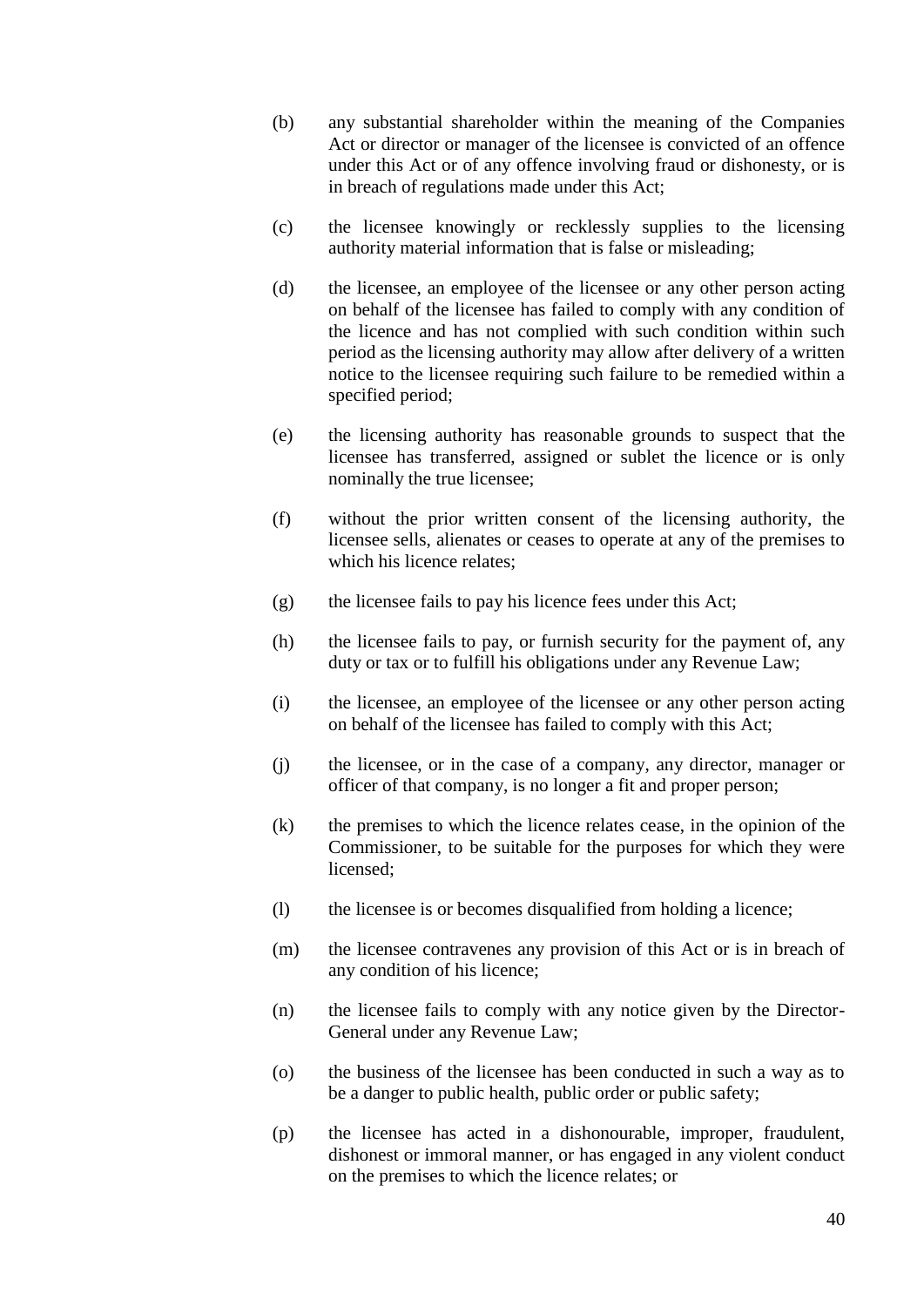- (b) any substantial shareholder within the meaning of the Companies Act or director or manager of the licensee is convicted of an offence under this Act or of any offence involving fraud or dishonesty, or is in breach of regulations made under this Act;
- (c) the licensee knowingly or recklessly supplies to the licensing authority material information that is false or misleading;
- (d) the licensee, an employee of the licensee or any other person acting on behalf of the licensee has failed to comply with any condition of the licence and has not complied with such condition within such period as the licensing authority may allow after delivery of a written notice to the licensee requiring such failure to be remedied within a specified period;
- (e) the licensing authority has reasonable grounds to suspect that the licensee has transferred, assigned or sublet the licence or is only nominally the true licensee;
- (f) without the prior written consent of the licensing authority, the licensee sells, alienates or ceases to operate at any of the premises to which his licence relates;
- (g) the licensee fails to pay his licence fees under this Act;
- (h) the licensee fails to pay, or furnish security for the payment of, any duty or tax or to fulfill his obligations under any Revenue Law;
- (i) the licensee, an employee of the licensee or any other person acting on behalf of the licensee has failed to comply with this Act;
- (j) the licensee, or in the case of a company, any director, manager or officer of that company, is no longer a fit and proper person;
- (k) the premises to which the licence relates cease, in the opinion of the Commissioner, to be suitable for the purposes for which they were licensed;
- (l) the licensee is or becomes disqualified from holding a licence;
- (m) the licensee contravenes any provision of this Act or is in breach of any condition of his licence;
- (n) the licensee fails to comply with any notice given by the Director-General under any Revenue Law;
- (o) the business of the licensee has been conducted in such a way as to be a danger to public health, public order or public safety;
- (p) the licensee has acted in a dishonourable, improper, fraudulent, dishonest or immoral manner, or has engaged in any violent conduct on the premises to which the licence relates; or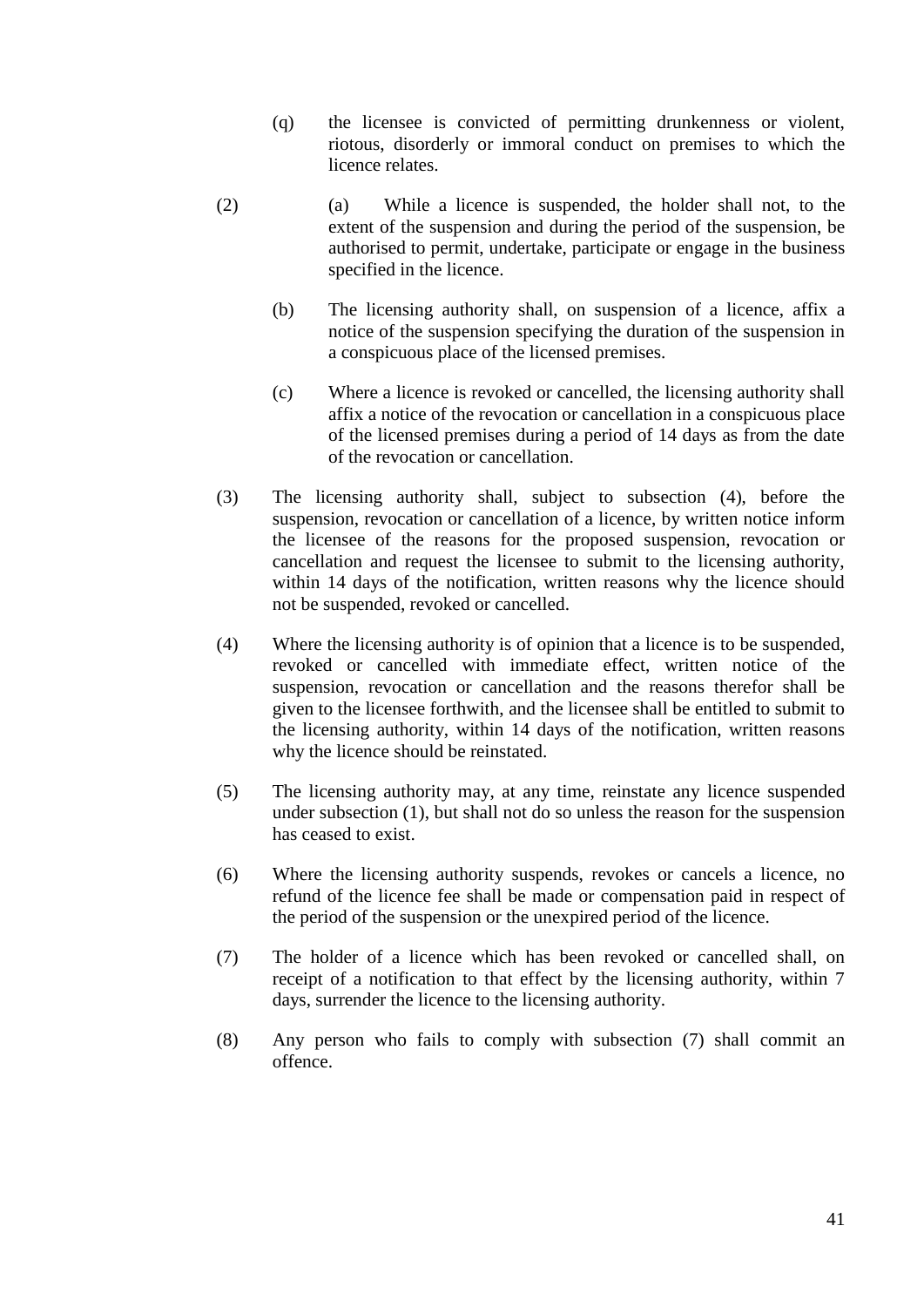- (q) the licensee is convicted of permitting drunkenness or violent, riotous, disorderly or immoral conduct on premises to which the licence relates.
- (2) (a) While a licence is suspended, the holder shall not, to the extent of the suspension and during the period of the suspension, be authorised to permit, undertake, participate or engage in the business specified in the licence.
	- (b) The licensing authority shall, on suspension of a licence, affix a notice of the suspension specifying the duration of the suspension in a conspicuous place of the licensed premises.
	- (c) Where a licence is revoked or cancelled, the licensing authority shall affix a notice of the revocation or cancellation in a conspicuous place of the licensed premises during a period of 14 days as from the date of the revocation or cancellation.
- (3) The licensing authority shall, subject to subsection (4), before the suspension, revocation or cancellation of a licence, by written notice inform the licensee of the reasons for the proposed suspension, revocation or cancellation and request the licensee to submit to the licensing authority, within 14 days of the notification, written reasons why the licence should not be suspended, revoked or cancelled.
- (4) Where the licensing authority is of opinion that a licence is to be suspended, revoked or cancelled with immediate effect, written notice of the suspension, revocation or cancellation and the reasons therefor shall be given to the licensee forthwith, and the licensee shall be entitled to submit to the licensing authority, within 14 days of the notification, written reasons why the licence should be reinstated.
- (5) The licensing authority may, at any time, reinstate any licence suspended under subsection (1), but shall not do so unless the reason for the suspension has ceased to exist.
- (6) Where the licensing authority suspends, revokes or cancels a licence, no refund of the licence fee shall be made or compensation paid in respect of the period of the suspension or the unexpired period of the licence.
- (7) The holder of a licence which has been revoked or cancelled shall, on receipt of a notification to that effect by the licensing authority, within 7 days, surrender the licence to the licensing authority.
- (8) Any person who fails to comply with subsection (7) shall commit an offence.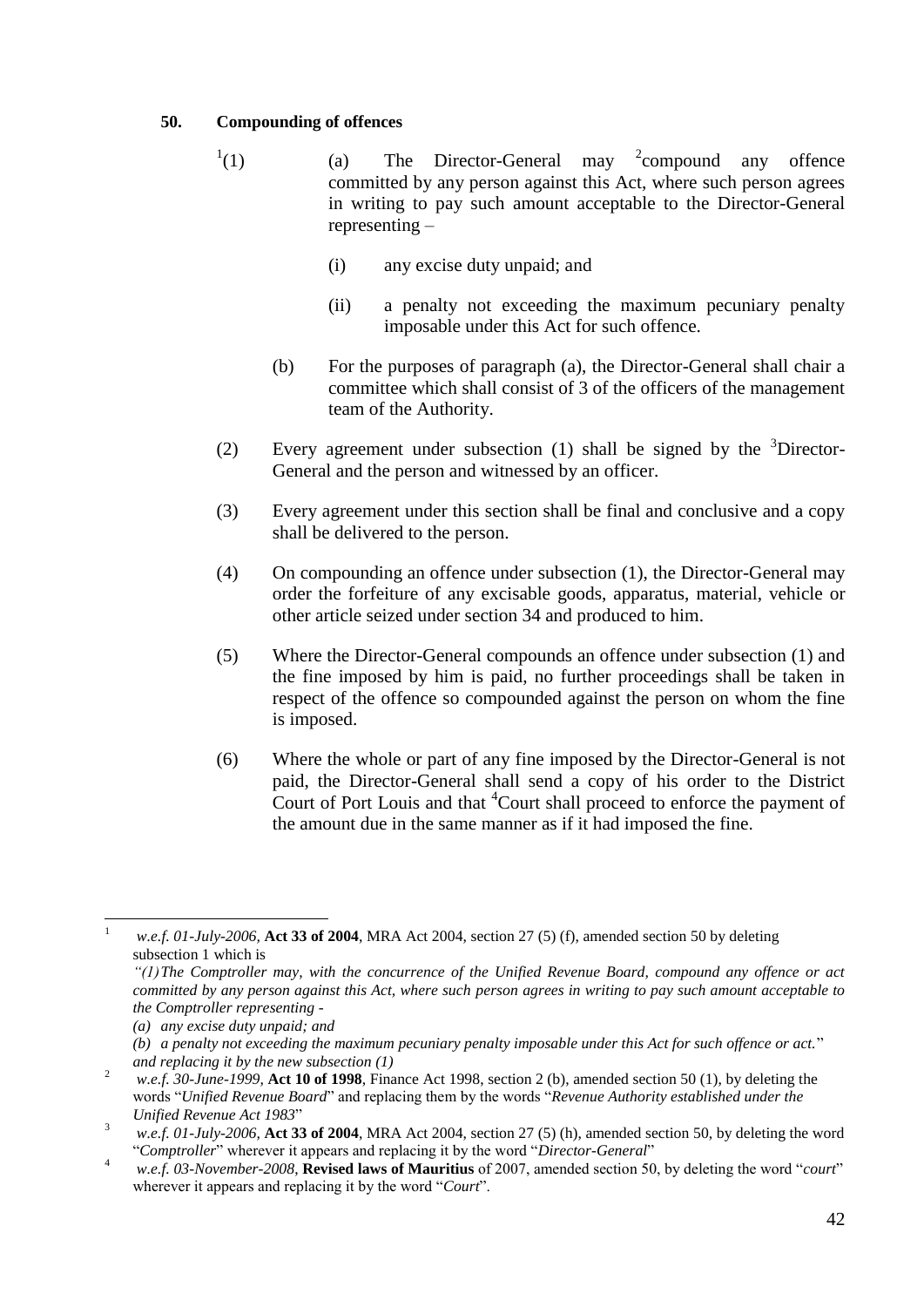#### **50. Compounding of offences**

- $^{1}(1)$ (1) (a) The Director-General may <sup>2</sup> compound any offence committed by any person against this Act, where such person agrees in writing to pay such amount acceptable to the Director-General representing –
	- (i) any excise duty unpaid; and
	- (ii) a penalty not exceeding the maximum pecuniary penalty imposable under this Act for such offence.
	- (b) For the purposes of paragraph (a), the Director-General shall chair a committee which shall consist of 3 of the officers of the management team of the Authority.
- (2) Every agreement under subsection (1) shall be signed by the  $3$ Director-General and the person and witnessed by an officer.
- (3) Every agreement under this section shall be final and conclusive and a copy shall be delivered to the person.
- (4) On compounding an offence under subsection (1), the Director-General may order the forfeiture of any excisable goods, apparatus, material, vehicle or other article seized under section 34 and produced to him.
- (5) Where the Director-General compounds an offence under subsection (1) and the fine imposed by him is paid, no further proceedings shall be taken in respect of the offence so compounded against the person on whom the fine is imposed.
- (6) Where the whole or part of any fine imposed by the Director-General is not paid, the Director-General shall send a copy of his order to the District Court of Port Louis and that <sup>4</sup>Court shall proceed to enforce the payment of the amount due in the same manner as if it had imposed the fine.

*(b) a penalty not exceeding the maximum pecuniary penalty imposable under this Act for such offence or act.*" *and replacing it by the new subsection (1)*

 $\mathbf{1}$ <sup>1</sup> *w.e.f. 01-July-2006,* **Act 33 of 2004**, MRA Act 2004, section 27 (5) (f), amended section 50 by deleting subsection 1 which is

*<sup>&</sup>quot;(1)The Comptroller may, with the concurrence of the Unified Revenue Board, compound any offence or act committed by any person against this Act, where such person agrees in writing to pay such amount acceptable to the Comptroller representing -*

*<sup>(</sup>a) any excise duty unpaid; and*

<sup>2</sup> *w.e.f. 30-June-1999,* **Act 10 of 1998**, Finance Act 1998, section 2 (b), amended section 50 (1), by deleting the words "*Unified Revenue Board*" and replacing them by the words "*Revenue Authority established under the Unified Revenue Act 1983*"

<sup>3</sup> *w.e.f. 01-July-2006,* **Act 33 of 2004**, MRA Act 2004, section 27 (5) (h), amended section 50, by deleting the word "*Comptroller*" wherever it appears and replacing it by the word "*Director-General*"

<sup>4</sup> *w.e.f. 03-November-2008*, **Revised laws of Mauritius** of 2007, amended section 50, by deleting the word "*court*" wherever it appears and replacing it by the word "*Court*".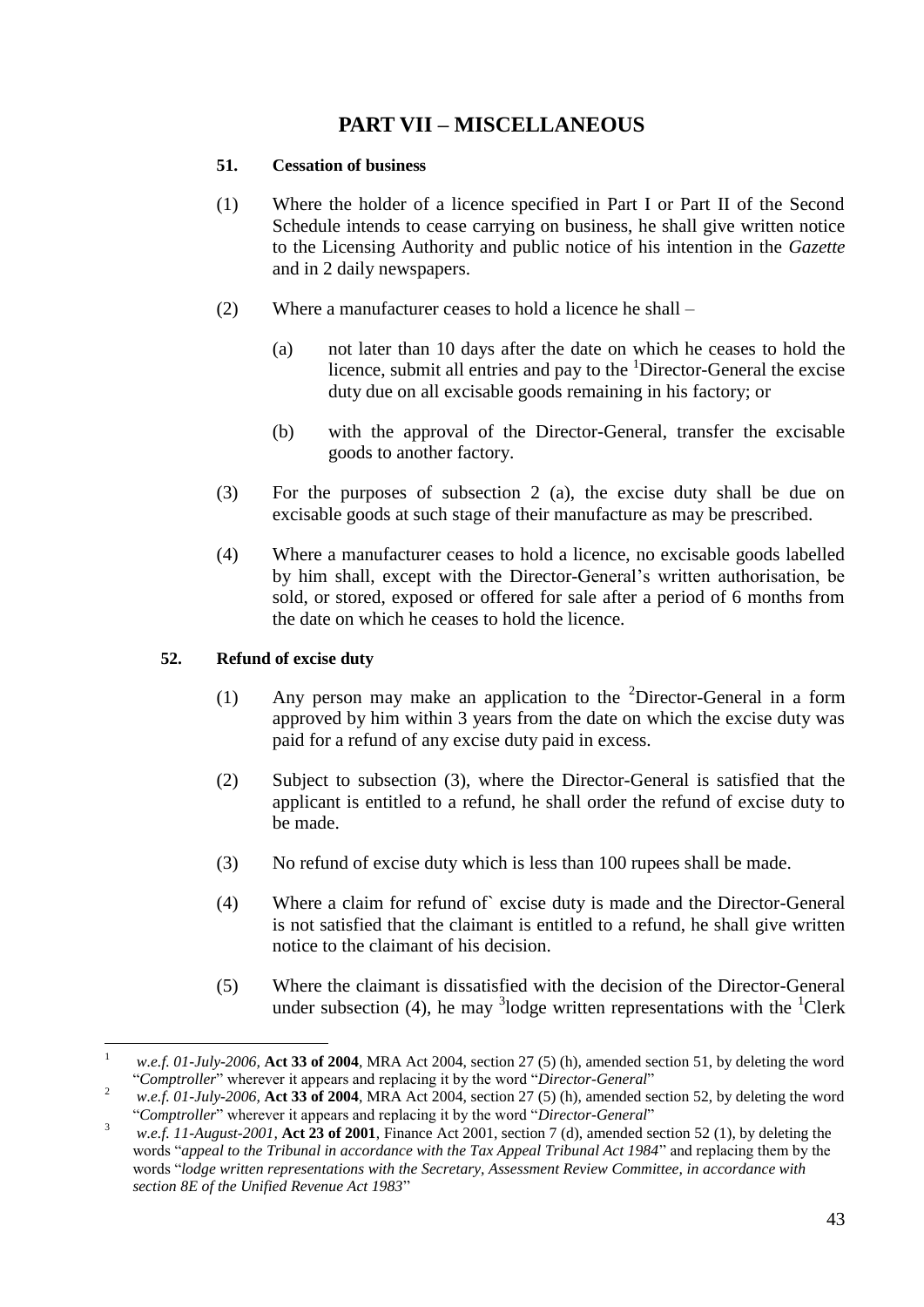## **PART VII – MISCELLANEOUS**

#### **51. Cessation of business**

- (1) Where the holder of a licence specified in Part I or Part II of the Second Schedule intends to cease carrying on business, he shall give written notice to the Licensing Authority and public notice of his intention in the *Gazette* and in 2 daily newspapers.
- (2) Where a manufacturer ceases to hold a licence he shall
	- (a) not later than 10 days after the date on which he ceases to hold the licence, submit all entries and pay to the  $1$ Director-General the excise duty due on all excisable goods remaining in his factory; or
	- (b) with the approval of the Director-General, transfer the excisable goods to another factory.
- (3) For the purposes of subsection 2 (a), the excise duty shall be due on excisable goods at such stage of their manufacture as may be prescribed.
- (4) Where a manufacturer ceases to hold a licence, no excisable goods labelled by him shall, except with the Director-General's written authorisation, be sold, or stored, exposed or offered for sale after a period of 6 months from the date on which he ceases to hold the licence.

#### **52. Refund of excise duty**

- (1) Any person may make an application to the  ${}^{2}$ Director-General in a form approved by him within 3 years from the date on which the excise duty was paid for a refund of any excise duty paid in excess.
- (2) Subject to subsection (3), where the Director-General is satisfied that the applicant is entitled to a refund, he shall order the refund of excise duty to be made.
- (3) No refund of excise duty which is less than 100 rupees shall be made.
- (4) Where a claim for refund of` excise duty is made and the Director-General is not satisfied that the claimant is entitled to a refund, he shall give written notice to the claimant of his decision.
- (5) Where the claimant is dissatisfied with the decision of the Director-General under subsection (4), he may <sup>3</sup>lodge written representations with the <sup>1</sup>Clerk

 $\mathbf{1}$ <sup>1</sup> *w.e.f. 01-July-2006,* **Act 33 of 2004**, MRA Act 2004, section 27 (5) (h), amended section 51, by deleting the word "*Comptroller*" wherever it appears and replacing it by the word "*Director-General*"

<sup>2</sup> *w.e.f. 01-July-2006,* **Act 33 of 2004**, MRA Act 2004, section 27 (5) (h), amended section 52, by deleting the word "*Comptroller*" wherever it appears and replacing it by the word "*Director-General*"

<sup>&</sup>lt;sup>3</sup> *w.e.f. 11-August-2001*, **Act 23 of 2001**, Finance Act 2001, section 7 (d), amended section 52 (1), by deleting the words "*appeal to the Tribunal in accordance with the Tax Appeal Tribunal Act 1984*" and replacing them by the words "*lodge written representations with the Secretary, Assessment Review Committee, in accordance with section 8E of the Unified Revenue Act 1983*"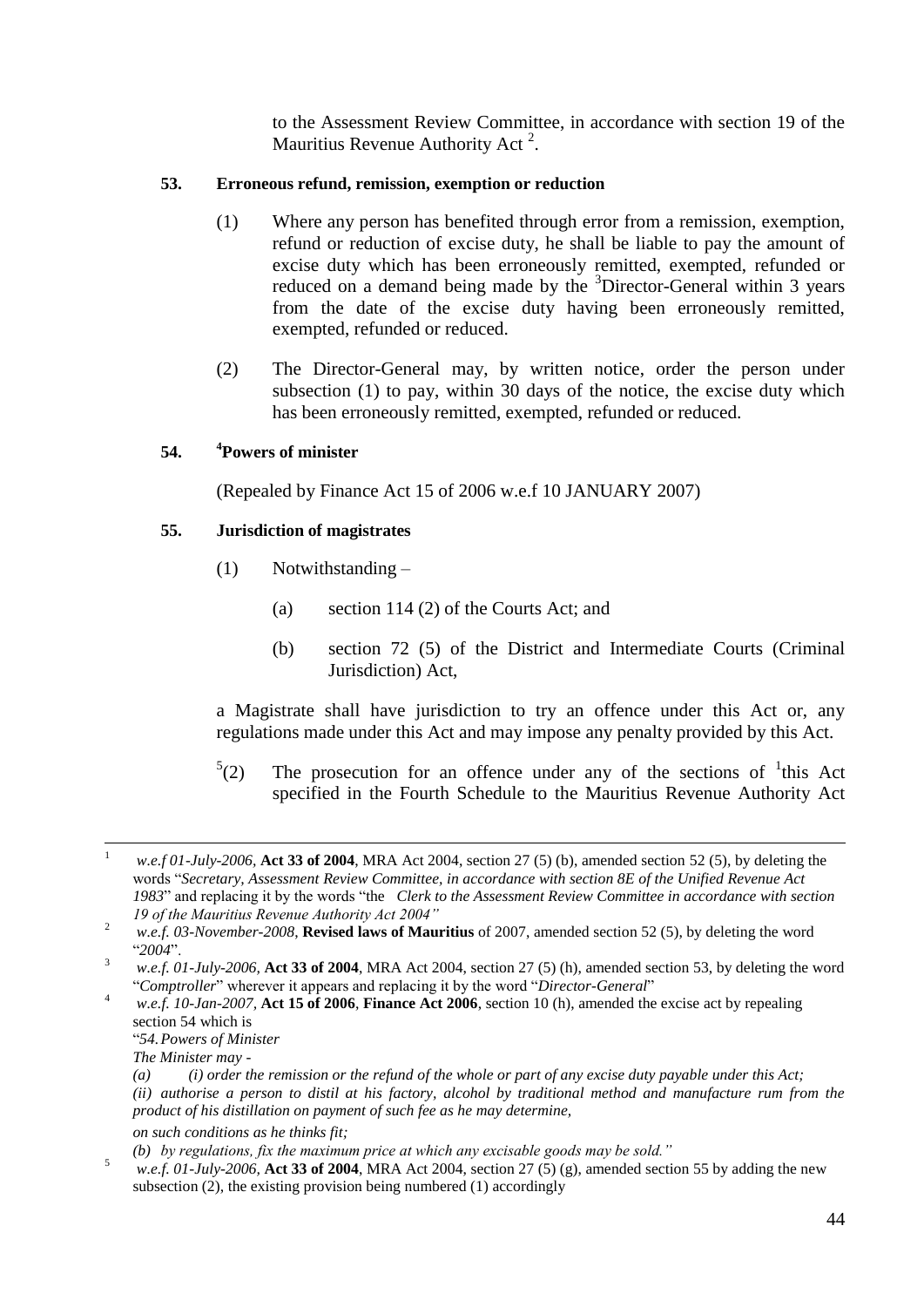to the Assessment Review Committee, in accordance with section 19 of the Mauritius Revenue Authority Act<sup>2</sup>.

#### **53. Erroneous refund, remission, exemption or reduction**

- (1) Where any person has benefited through error from a remission, exemption, refund or reduction of excise duty, he shall be liable to pay the amount of excise duty which has been erroneously remitted, exempted, refunded or reduced on a demand being made by the <sup>3</sup>Director-General within 3 years from the date of the excise duty having been erroneously remitted, exempted, refunded or reduced.
- (2) The Director-General may, by written notice, order the person under subsection (1) to pay, within 30 days of the notice, the excise duty which has been erroneously remitted, exempted, refunded or reduced.

#### **54. <sup>4</sup>Powers of minister**

(Repealed by Finance Act 15 of 2006 w.e.f 10 JANUARY 2007)

#### **55. Jurisdiction of magistrates**

- (1) Notwithstanding
	- (a) section 114 (2) of the Courts Act; and
	- (b) section 72 (5) of the District and Intermediate Courts (Criminal Jurisdiction) Act,

a Magistrate shall have jurisdiction to try an offence under this Act or, any regulations made under this Act and may impose any penalty provided by this Act.

 $^{5}(2)$ (2) The prosecution for an offence under any of the sections of  $\frac{1}{1}$ this Act specified in the Fourth Schedule to the Mauritius Revenue Authority Act

<sup>4</sup> *w.e.f. 10-Jan-2007,* **Act 15 of 2006**, **Finance Act 2006**, section 10 (h), amended the excise act by repealing section 54 which is

- "*54.Powers of Minister*
- *The Minister may -*

<sup>5</sup> *w.e.f. 01-July-2006,* **Act 33 of 2004**, MRA Act 2004, section 27 (5) (g), amended section 55 by adding the new subsection (2), the existing provision being numbered (1) accordingly

 $\mathbf{1}$ <sup>1</sup> *w.e.f 01-July-2006,* **Act 33 of 2004**, MRA Act 2004, section 27 (5) (b), amended section 52 (5), by deleting the words "*Secretary, Assessment Review Committee, in accordance with section 8E of the Unified Revenue Act 1983*" and replacing it by the words "the *Clerk to the Assessment Review Committee in accordance with section 19 of the Mauritius Revenue Authority Act 2004"*

<sup>&</sup>lt;sup>2</sup> *w.e.f. 03-November-2008*, **Revised laws of Mauritius** of 2007, amended section 52 (5), by deleting the word "*2004*".

<sup>3</sup> *w.e.f. 01-July-2006,* **Act 33 of 2004**, MRA Act 2004, section 27 (5) (h), amended section 53, by deleting the word "*Comptroller*" wherever it appears and replacing it by the word "*Director-General*"

*<sup>(</sup>a) (i) order the remission or the refund of the whole or part of any excise duty payable under this Act; (ii) authorise a person to distil at his factory, alcohol by traditional method and manufacture rum from the product of his distillation on payment of such fee as he may determine, on such conditions as he thinks fit;*

*<sup>(</sup>b) by regulations, fix the maximum price at which any excisable goods may be sold."*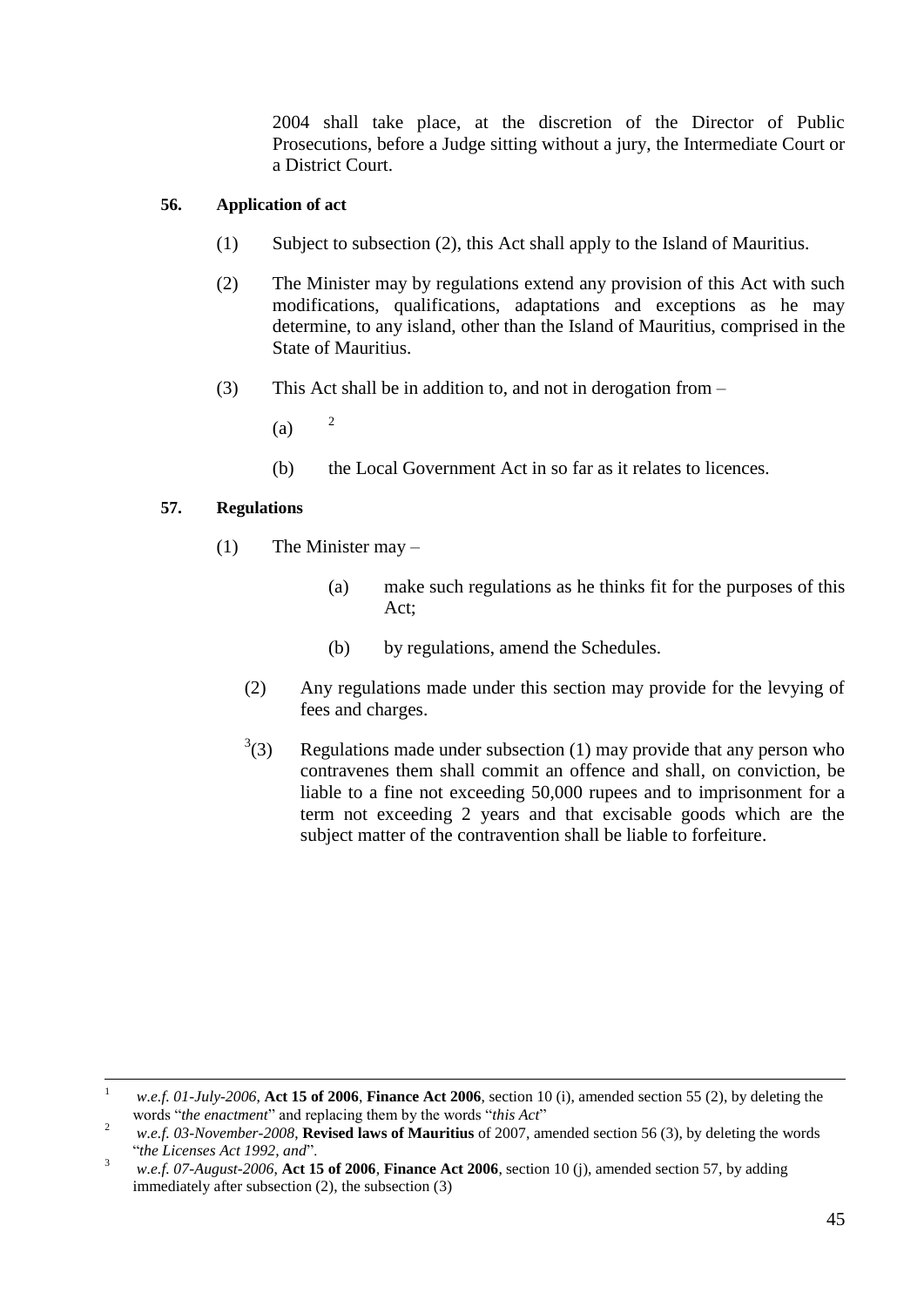2004 shall take place, at the discretion of the Director of Public Prosecutions, before a Judge sitting without a jury, the Intermediate Court or a District Court.

#### **56. Application of act**

- (1) Subject to subsection (2), this Act shall apply to the Island of Mauritius.
- (2) The Minister may by regulations extend any provision of this Act with such modifications, qualifications, adaptations and exceptions as he may determine, to any island, other than the Island of Mauritius, comprised in the State of Mauritius.
- (3) This Act shall be in addition to, and not in derogation from
	- $(a)$   $2$
	- (b) the Local Government Act in so far as it relates to licences.

#### **57. Regulations**

- (1) The Minister may
	- (a) make such regulations as he thinks fit for the purposes of this Act;
	- (b) by regulations, amend the Schedules.
	- (2) Any regulations made under this section may provide for the levying of fees and charges.
	- $3(3)$ Regulations made under subsection  $(1)$  may provide that any person who contravenes them shall commit an offence and shall, on conviction, be liable to a fine not exceeding 50,000 rupees and to imprisonment for a term not exceeding 2 years and that excisable goods which are the subject matter of the contravention shall be liable to forfeiture.

 $\mathbf{1}$ <sup>1</sup> *w.e.f. 01-July-2006*, **Act 15 of 2006**, **Finance Act 2006**, section 10 (i), amended section 55 (2), by deleting the words "*the enactment*" and replacing them by the words "*this Act*"

<sup>2</sup> *w.e.f. 03-November-2008*, **Revised laws of Mauritius** of 2007, amended section 56 (3), by deleting the words "*the Licenses Act 1992, and*".

<sup>3</sup> *w.e.f. 07-August-2006*, **Act 15 of 2006**, **Finance Act 2006**, section 10 (j), amended section 57, by adding immediately after subsection (2), the subsection (3)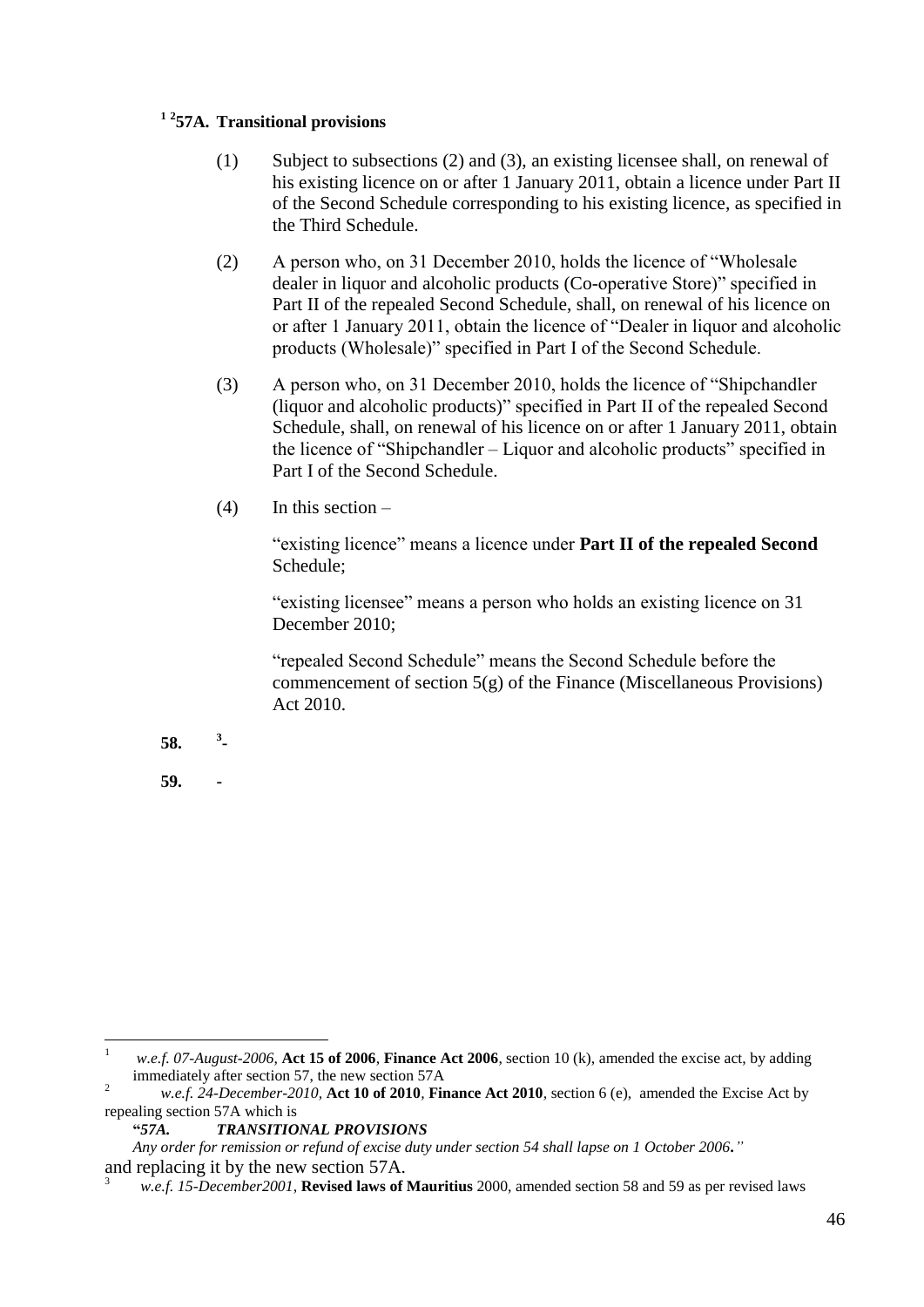#### **1 2 57A. Transitional provisions**

- (1) Subject to subsections (2) and (3), an existing licensee shall, on renewal of his existing licence on or after 1 January 2011, obtain a licence under Part II of the Second Schedule corresponding to his existing licence, as specified in the Third Schedule.
- (2) A person who, on 31 December 2010, holds the licence of "Wholesale dealer in liquor and alcoholic products (Co-operative Store)" specified in Part II of the repealed Second Schedule, shall, on renewal of his licence on or after 1 January 2011, obtain the licence of "Dealer in liquor and alcoholic products (Wholesale)" specified in Part I of the Second Schedule.
- (3) A person who, on 31 December 2010, holds the licence of "Shipchandler (liquor and alcoholic products)" specified in Part II of the repealed Second Schedule, shall, on renewal of his licence on or after 1 January 2011, obtain the licence of "Shipchandler – Liquor and alcoholic products" specified in Part I of the Second Schedule.
- (4) In this section –

"existing licence" means a licence under **Part II of the repealed Second**  Schedule;

"existing licensee" means a person who holds an existing licence on 31 December 2010;

"repealed Second Schedule" means the Second Schedule before the commencement of section 5(g) of the Finance (Miscellaneous Provisions) Act 2010.

- **58. <sup>3</sup> -**
- **59. -**

 $\mathbf{1}$ <sup>1</sup> *w.e.f. 07-August-2006*, **Act 15 of 2006**, **Finance Act 2006**, section 10 (k), amended the excise act, by adding immediately after section 57, the new section 57A

<sup>2</sup> *w.e.f. 24-December-2010,* **Act 10 of 2010***,* **Finance Act 2010***,* section 6 (e), amended the Excise Act by repealing section 57A which is

**<sup>&</sup>quot;***57A. TRANSITIONAL PROVISIONS*

*Any order for remission or refund of excise duty under section 54 shall lapse on 1 October 2006."* and replacing it by the new section 57A.

<sup>3</sup> *w.e.f. 15-December2001*, **Revised laws of Mauritius** 2000, amended section 58 and 59 as per revised laws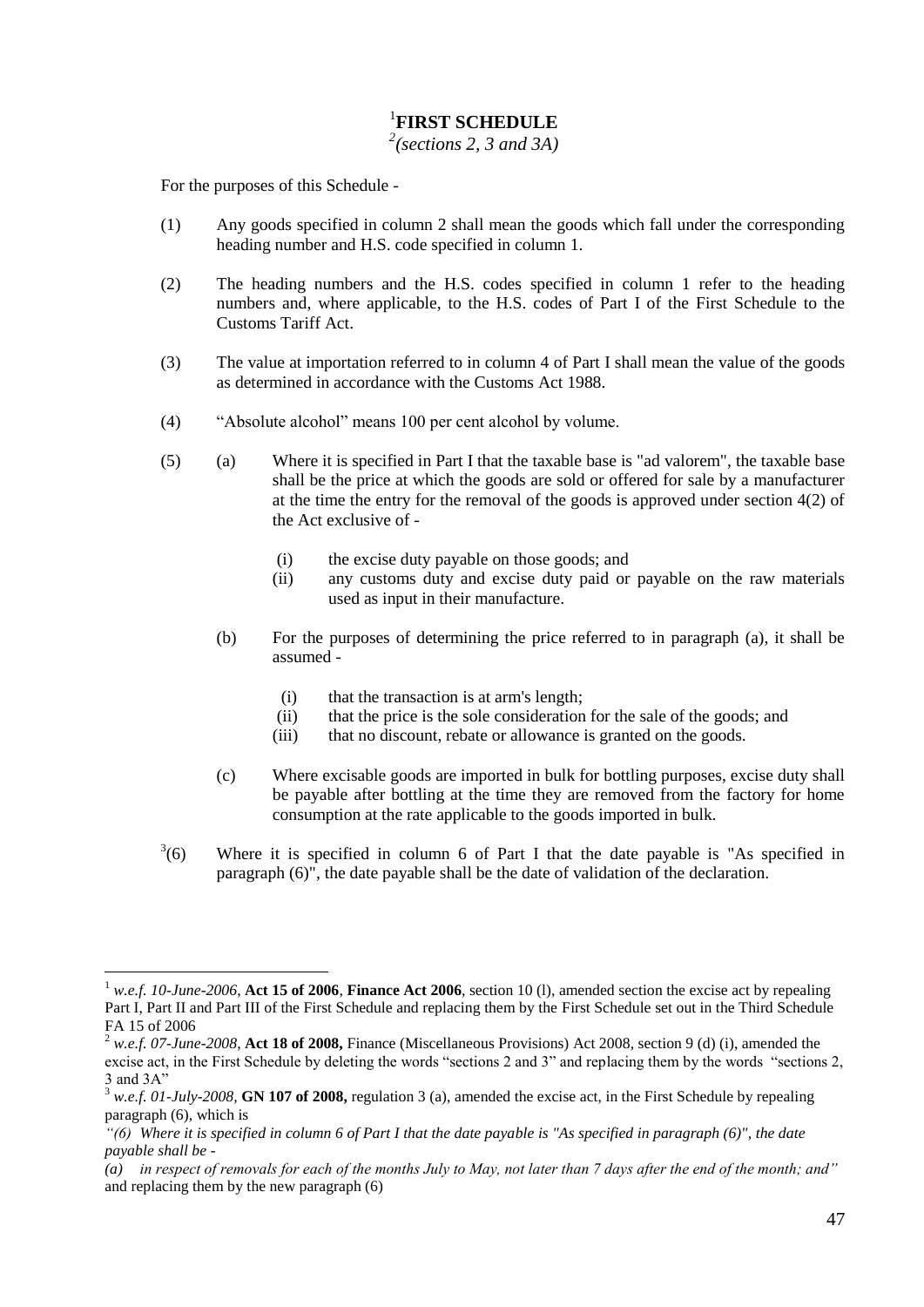#### 1 **FIRST SCHEDULE**

*2 (sections 2, 3 and 3A)*

For the purposes of this Schedule -

 $\overline{a}$ 

- (1) Any goods specified in column 2 shall mean the goods which fall under the corresponding heading number and H.S. code specified in column 1.
- (2) The heading numbers and the H.S. codes specified in column 1 refer to the heading numbers and, where applicable, to the H.S. codes of Part I of the First Schedule to the Customs Tariff Act.
- (3) The value at importation referred to in column 4 of Part I shall mean the value of the goods as determined in accordance with the Customs Act 1988.
- (4) "Absolute alcohol" means 100 per cent alcohol by volume.
- (5) (a) Where it is specified in Part I that the taxable base is "ad valorem", the taxable base shall be the price at which the goods are sold or offered for sale by a manufacturer at the time the entry for the removal of the goods is approved under section 4(2) of the Act exclusive of -
	- (i) the excise duty payable on those goods; and
	- (ii) any customs duty and excise duty paid or payable on the raw materials used as input in their manufacture.
	- (b) For the purposes of determining the price referred to in paragraph (a), it shall be assumed -
		- (i) that the transaction is at arm's length;
		- (ii) that the price is the sole consideration for the sale of the goods; and
		- (iii) that no discount, rebate or allowance is granted on the goods.
	- (c) Where excisable goods are imported in bulk for bottling purposes, excise duty shall be payable after bottling at the time they are removed from the factory for home consumption at the rate applicable to the goods imported in bulk.
- $3(6)$ Where it is specified in column 6 of Part I that the date payable is "As specified in paragraph (6)", the date payable shall be the date of validation of the declaration.

<sup>1</sup> *w.e.f. 10-June-2006*, **Act 15 of 2006**, **Finance Act 2006**, section 10 (l), amended section the excise act by repealing Part I, Part II and Part III of the First Schedule and replacing them by the First Schedule set out in the Third Schedule FA 15 of 2006

<sup>2</sup> *w.e.f. 07-June-2008*, **Act 18 of 2008,** Finance (Miscellaneous Provisions) Act 2008, section 9 (d) (i), amended the excise act, in the First Schedule by deleting the words "sections 2 and 3" and replacing them by the words "sections 2, 3 and 3A"

w.e.f. 01-July-2008, **GN 107 of 2008,** regulation 3 (a), amended the excise act, in the First Schedule by repealing paragraph (6), which is

*<sup>&</sup>quot;(6) Where it is specified in column 6 of Part I that the date payable is "As specified in paragraph (6)", the date payable shall be -*

*<sup>(</sup>a) in respect of removals for each of the months July to May, not later than 7 days after the end of the month; and"* and replacing them by the new paragraph (6)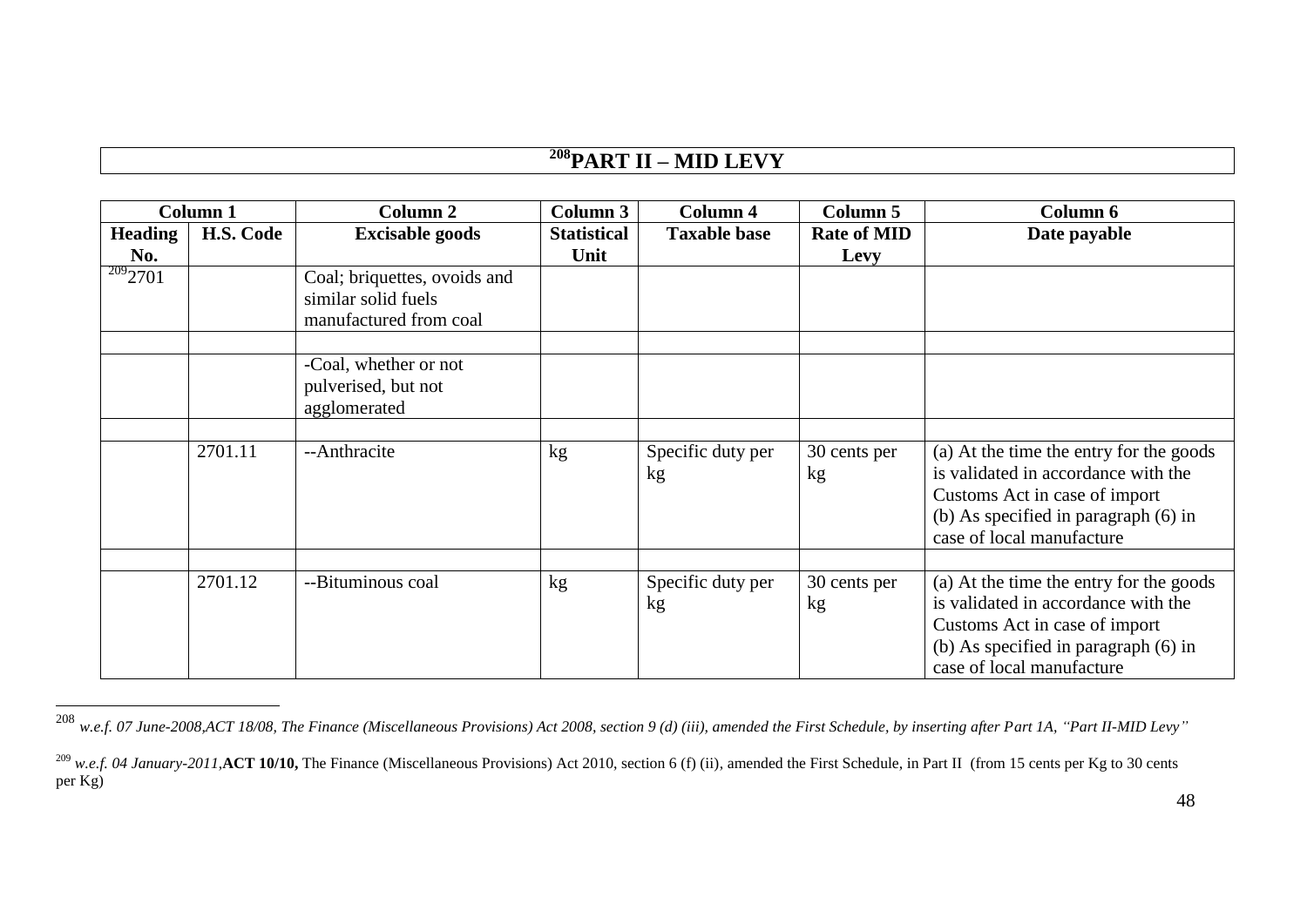# **<sup>208</sup>PART II – MID LEVY**

| Column <sub>1</sub>   |           | Column 2                                                                      | Column 3                   | Column 4                | Column 5                   | Column 6                                                                                                                                                                             |
|-----------------------|-----------|-------------------------------------------------------------------------------|----------------------------|-------------------------|----------------------------|--------------------------------------------------------------------------------------------------------------------------------------------------------------------------------------|
| <b>Heading</b><br>No. | H.S. Code | <b>Excisable goods</b>                                                        | <b>Statistical</b><br>Unit | <b>Taxable base</b>     | <b>Rate of MID</b><br>Levy | Date payable                                                                                                                                                                         |
| 2092701               |           | Coal; briquettes, ovoids and<br>similar solid fuels<br>manufactured from coal |                            |                         |                            |                                                                                                                                                                                      |
|                       |           | -Coal, whether or not<br>pulverised, but not<br>agglomerated                  |                            |                         |                            |                                                                                                                                                                                      |
|                       | 2701.11   | --Anthracite                                                                  | kg                         | Specific duty per<br>kg | 30 cents per<br>kg         | (a) At the time the entry for the goods<br>is validated in accordance with the<br>Customs Act in case of import<br>(b) As specified in paragraph (6) in<br>case of local manufacture |
|                       | 2701.12   | --Bituminous coal                                                             | kg                         | Specific duty per<br>kg | 30 cents per<br>kg         | (a) At the time the entry for the goods<br>is validated in accordance with the<br>Customs Act in case of import<br>(b) As specified in paragraph (6) in<br>case of local manufacture |

<sup>208</sup> *w.e.f. 07 June-2008,ACT 18/08, The Finance (Miscellaneous Provisions) Act 2008, section 9 (d) (iii), amended the First Schedule, by inserting after Part 1A, "Part II-MID Levy"*

<u>.</u>

<sup>&</sup>lt;sup>209</sup> w.e.f. 04 January-2011, **ACT 10/10**, The Finance (Miscellaneous Provisions) Act 2010, section 6 (f) (ii), amended the First Schedule, in Part II (from 15 cents per Kg to 30 cents per Kg)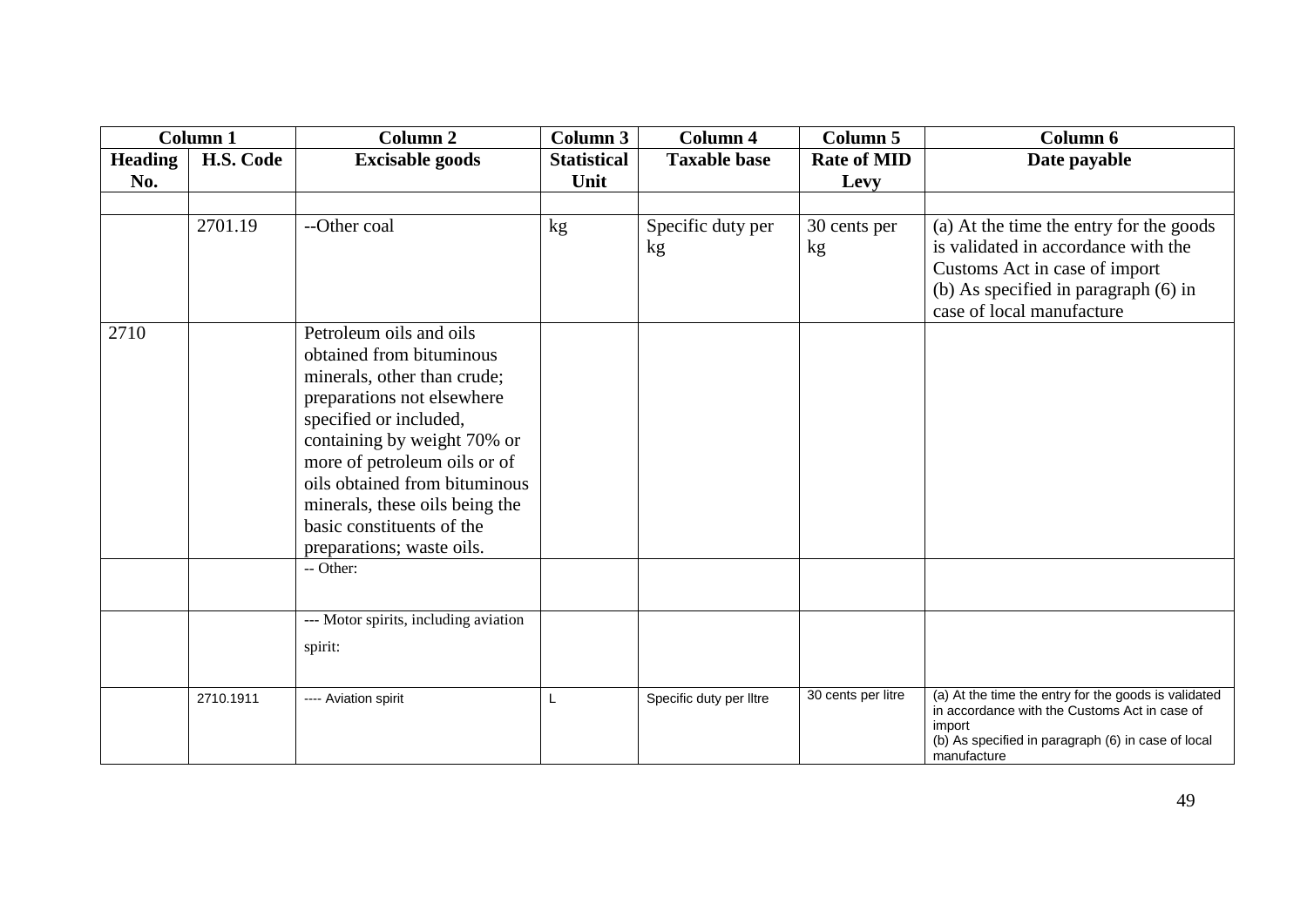| Column 1 |           | Column <sub>2</sub>                                                                                                                                                                                                                                                                                                                                 | Column 3           | <b>Column 4</b>         | Column 5           | Column 6                                                                                                                                                                             |
|----------|-----------|-----------------------------------------------------------------------------------------------------------------------------------------------------------------------------------------------------------------------------------------------------------------------------------------------------------------------------------------------------|--------------------|-------------------------|--------------------|--------------------------------------------------------------------------------------------------------------------------------------------------------------------------------------|
| Heading  | H.S. Code | <b>Excisable goods</b>                                                                                                                                                                                                                                                                                                                              | <b>Statistical</b> | <b>Taxable base</b>     | <b>Rate of MID</b> | Date payable                                                                                                                                                                         |
| No.      |           |                                                                                                                                                                                                                                                                                                                                                     | Unit               |                         | Levy               |                                                                                                                                                                                      |
|          |           |                                                                                                                                                                                                                                                                                                                                                     |                    |                         |                    |                                                                                                                                                                                      |
|          | 2701.19   | --Other coal                                                                                                                                                                                                                                                                                                                                        | kg                 | Specific duty per<br>kg | 30 cents per<br>kg | (a) At the time the entry for the goods<br>is validated in accordance with the<br>Customs Act in case of import<br>(b) As specified in paragraph (6) in<br>case of local manufacture |
| 2710     |           | Petroleum oils and oils<br>obtained from bituminous<br>minerals, other than crude;<br>preparations not elsewhere<br>specified or included,<br>containing by weight 70% or<br>more of petroleum oils or of<br>oils obtained from bituminous<br>minerals, these oils being the<br>basic constituents of the<br>preparations; waste oils.<br>-- Other: |                    |                         |                    |                                                                                                                                                                                      |
|          |           | --- Motor spirits, including aviation<br>spirit:                                                                                                                                                                                                                                                                                                    |                    |                         |                    |                                                                                                                                                                                      |
|          | 2710.1911 | ---- Aviation spirit                                                                                                                                                                                                                                                                                                                                | L                  | Specific duty per lltre | 30 cents per litre | (a) At the time the entry for the goods is validated<br>in accordance with the Customs Act in case of<br>import<br>(b) As specified in paragraph (6) in case of local<br>manufacture |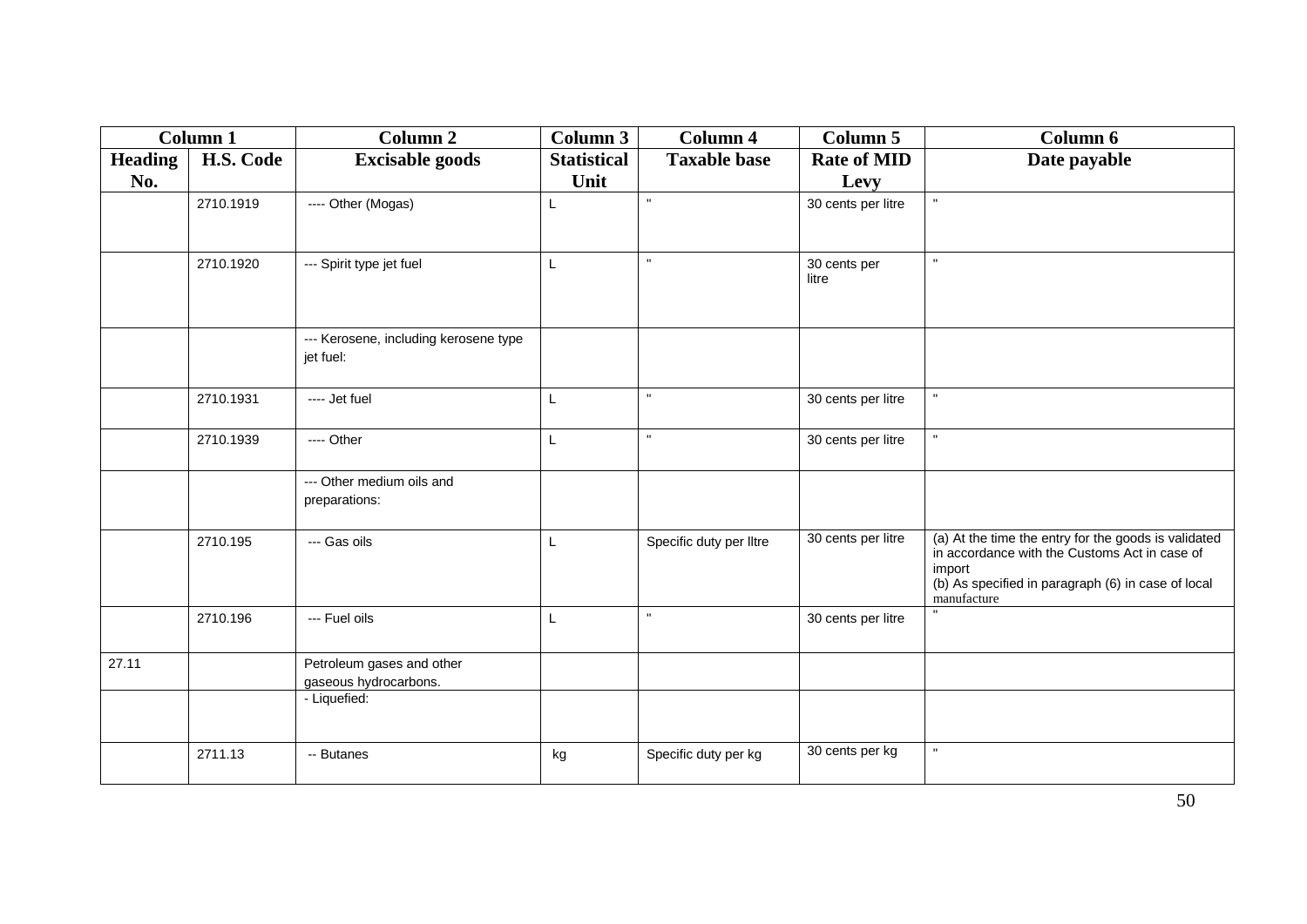| Column 1       |           | <b>Column 2</b>                                    | Column 3           | <b>Column 4</b>         | Column 5              | Column 6                                                                                                                                                                             |
|----------------|-----------|----------------------------------------------------|--------------------|-------------------------|-----------------------|--------------------------------------------------------------------------------------------------------------------------------------------------------------------------------------|
| <b>Heading</b> | H.S. Code | <b>Excisable goods</b>                             | <b>Statistical</b> | <b>Taxable base</b>     | <b>Rate of MID</b>    | Date payable                                                                                                                                                                         |
| No.            |           |                                                    | Unit               |                         | Levy                  |                                                                                                                                                                                      |
|                | 2710.1919 | ---- Other (Mogas)                                 | L                  | $\mathbf{u}$            | 30 cents per litre    | $\mathbf{u}$                                                                                                                                                                         |
|                | 2710.1920 | --- Spirit type jet fuel                           | L                  | $\mathbf{H}$            | 30 cents per<br>litre | $\mathbf{u}$                                                                                                                                                                         |
|                |           | --- Kerosene, including kerosene type<br>jet fuel: |                    |                         |                       |                                                                                                                                                                                      |
|                | 2710.1931 | ---- Jet fuel                                      | L                  | $\mathbf{u}$            | 30 cents per litre    | $\mathbf{H}$                                                                                                                                                                         |
|                | 2710.1939 | ---- Other                                         | L                  | $\mathbf{u}$            | 30 cents per litre    | $\mathbf{u}$                                                                                                                                                                         |
|                |           | --- Other medium oils and<br>preparations:         |                    |                         |                       |                                                                                                                                                                                      |
|                | 2710.195  | --- Gas oils                                       | L                  | Specific duty per lltre | 30 cents per litre    | (a) At the time the entry for the goods is validated<br>in accordance with the Customs Act in case of<br>import<br>(b) As specified in paragraph (6) in case of local<br>manufacture |
|                | 2710.196  | --- Fuel oils                                      | L                  | $\mathbf{u}$            | 30 cents per litre    |                                                                                                                                                                                      |
| 27.11          |           | Petroleum gases and other<br>gaseous hydrocarbons. |                    |                         |                       |                                                                                                                                                                                      |
|                |           | - Liquefied:                                       |                    |                         |                       |                                                                                                                                                                                      |
|                | 2711.13   | -- Butanes                                         | kg                 | Specific duty per kg    | 30 cents per kg       | $\mathbf{u}$                                                                                                                                                                         |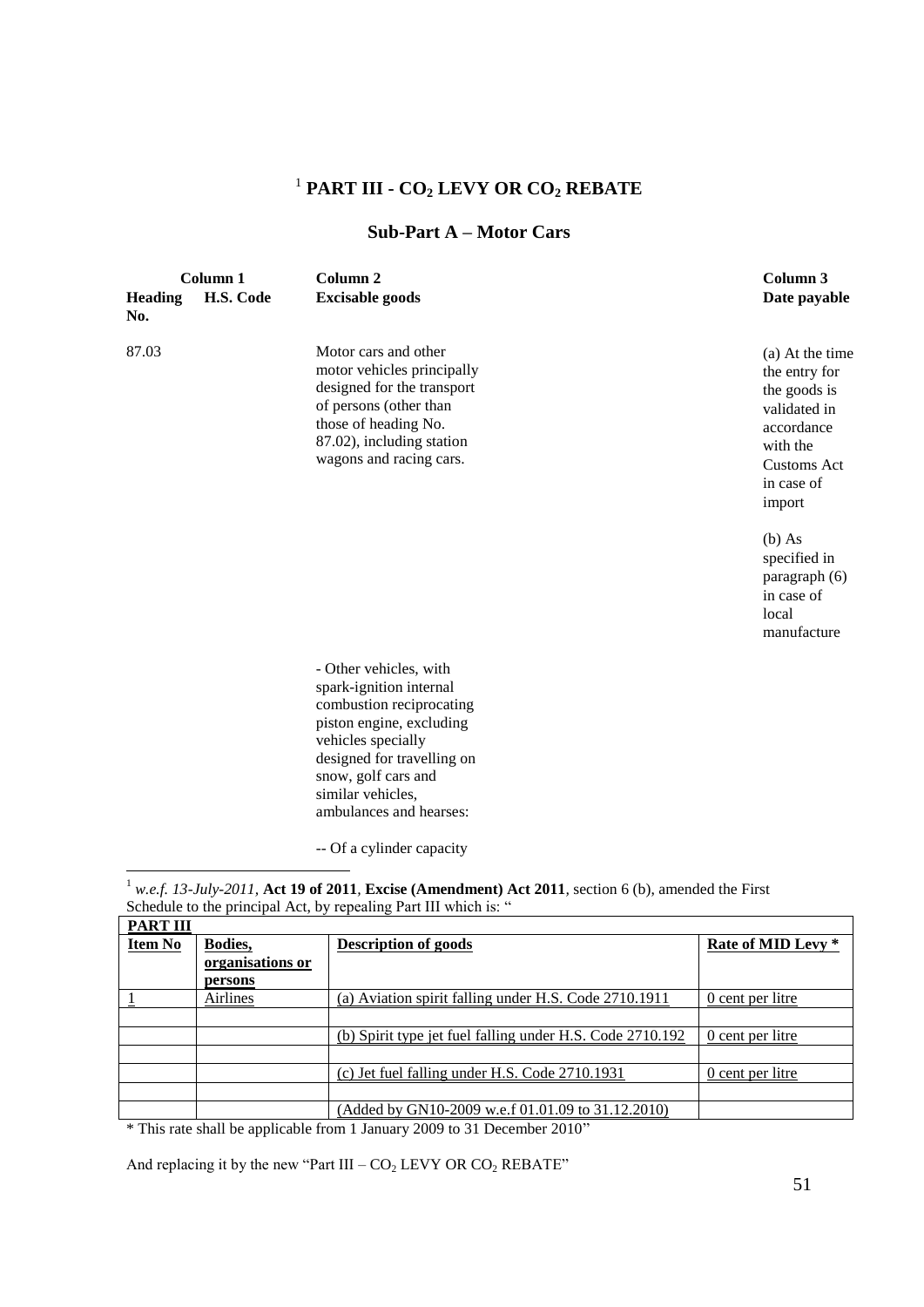## 1 **PART III - CO<sup>2</sup> LEVY OR CO<sup>2</sup> REBATE**

#### **Sub-Part A – Motor Cars**

| <b>Heading</b><br>No. | Column 1<br>H.S. Code | Column <sub>2</sub><br><b>Excisable goods</b>                                                                                                                                                                                        | Column 3<br>Date payable                                                                                                                 |
|-----------------------|-----------------------|--------------------------------------------------------------------------------------------------------------------------------------------------------------------------------------------------------------------------------------|------------------------------------------------------------------------------------------------------------------------------------------|
| 87.03                 |                       | Motor cars and other<br>motor vehicles principally<br>designed for the transport<br>of persons (other than<br>those of heading No.<br>87.02), including station<br>wagons and racing cars.                                           | (a) At the time<br>the entry for<br>the goods is<br>validated in<br>accordance<br>with the<br><b>Customs Act</b><br>in case of<br>import |
|                       |                       |                                                                                                                                                                                                                                      | $(b)$ As<br>specified in<br>paragraph (6)<br>in case of<br>local<br>manufacture                                                          |
|                       |                       | - Other vehicles, with<br>spark-ignition internal<br>combustion reciprocating<br>piston engine, excluding<br>vehicles specially<br>designed for travelling on<br>snow, golf cars and<br>similar vehicles,<br>ambulances and hearses: |                                                                                                                                          |

-- Of a cylinder capacity

<u>.</u>  $^1$  *w.e.f. 13-July-2011*, **Act 19 of 2011***, Excise (Amendment) Act 2011, section 6 (b), amended the First* Schedule to the principal Act, by repealing Part III which is: "

| <b>PART III</b> |                  |                                                           |                         |
|-----------------|------------------|-----------------------------------------------------------|-------------------------|
| <b>Item No</b>  | Bodies,          | <b>Description of goods</b>                               | Rate of MID Levy *      |
|                 | organisations or |                                                           |                         |
|                 | persons          |                                                           |                         |
|                 | Airlines         | (a) Aviation spirit falling under H.S. Code 2710.1911     | <u>0 cent</u> per litre |
|                 |                  |                                                           |                         |
|                 |                  | (b) Spirit type jet fuel falling under H.S. Code 2710.192 | 0 cent per litre        |
|                 |                  |                                                           |                         |
|                 |                  | (c) Jet fuel falling under H.S. Code 2710.1931            | 0 cent per litre        |
|                 |                  |                                                           |                         |
|                 |                  | (Added by GN10-2009 w.e.f 01.01.09 to 31.12.2010)         |                         |

\* This rate shall be applicable from 1 January 2009 to 31 December 2010"

And replacing it by the new "Part III –  $CO<sub>2</sub>$  LEVY OR  $CO<sub>2</sub>$  REBATE"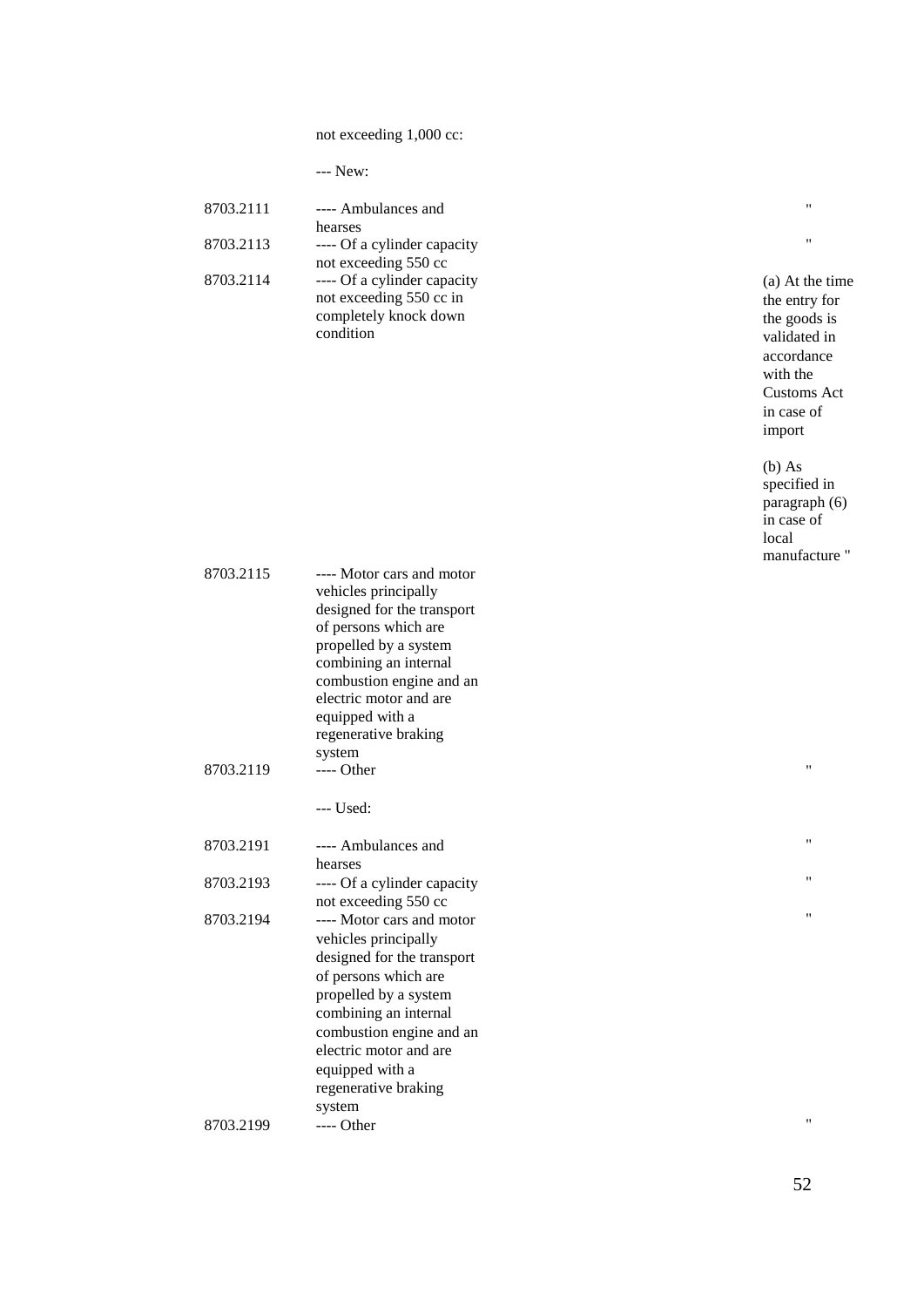not exceeding 1,000 cc:

| m.<br>×<br>۰.<br>×<br>× |
|-------------------------|
|-------------------------|

| 8703.2111 | ---- Ambulances and         |
|-----------|-----------------------------|
|           | hearses                     |
| 8703.2113 | ---- Of a cylinder capacity |
|           | not exceeding 550 cc        |
| 8703.2114 | ---- Of a cylinder capacity |
|           | not exceeding 550 cc in     |
|           | completely knock down       |
|           | condition                   |

" "

(a) At the time the entry for the goods is validated in accordance with the Customs Act in case of import

(b) As specified in paragraph (6) in case of local manufacture "

"

"

"

"

| 8703.2115 | ---- Motor cars and motor   |
|-----------|-----------------------------|
|           | vehicles principally        |
|           | designed for the transport  |
|           | of persons which are        |
|           | propelled by a system       |
|           | combining an internal       |
|           | combustion engine and an    |
|           | electric motor and are      |
|           | equipped with a             |
|           | regenerative braking        |
|           | system                      |
| 8703.2119 | ---- Other                  |
|           |                             |
|           | --- Used:                   |
|           |                             |
| 8703.2191 | ---- Ambulances and         |
|           | hearses                     |
| 8703.2193 | ---- Of a cylinder capacity |
|           | not exceeding 550 cc        |
| 8703.2194 | ---- Motor cars and motor   |
|           | vehicles principally        |
|           | designed for the transport  |
|           | of persons which are        |
|           | propelled by a system       |
|           | combining an internal       |
|           | combustion engine and an    |
|           | electric motor and are      |
|           | equipped with a             |
|           | regenerative braking        |
|           |                             |
|           | system                      |
| 8703.2199 | ---- Other                  |

"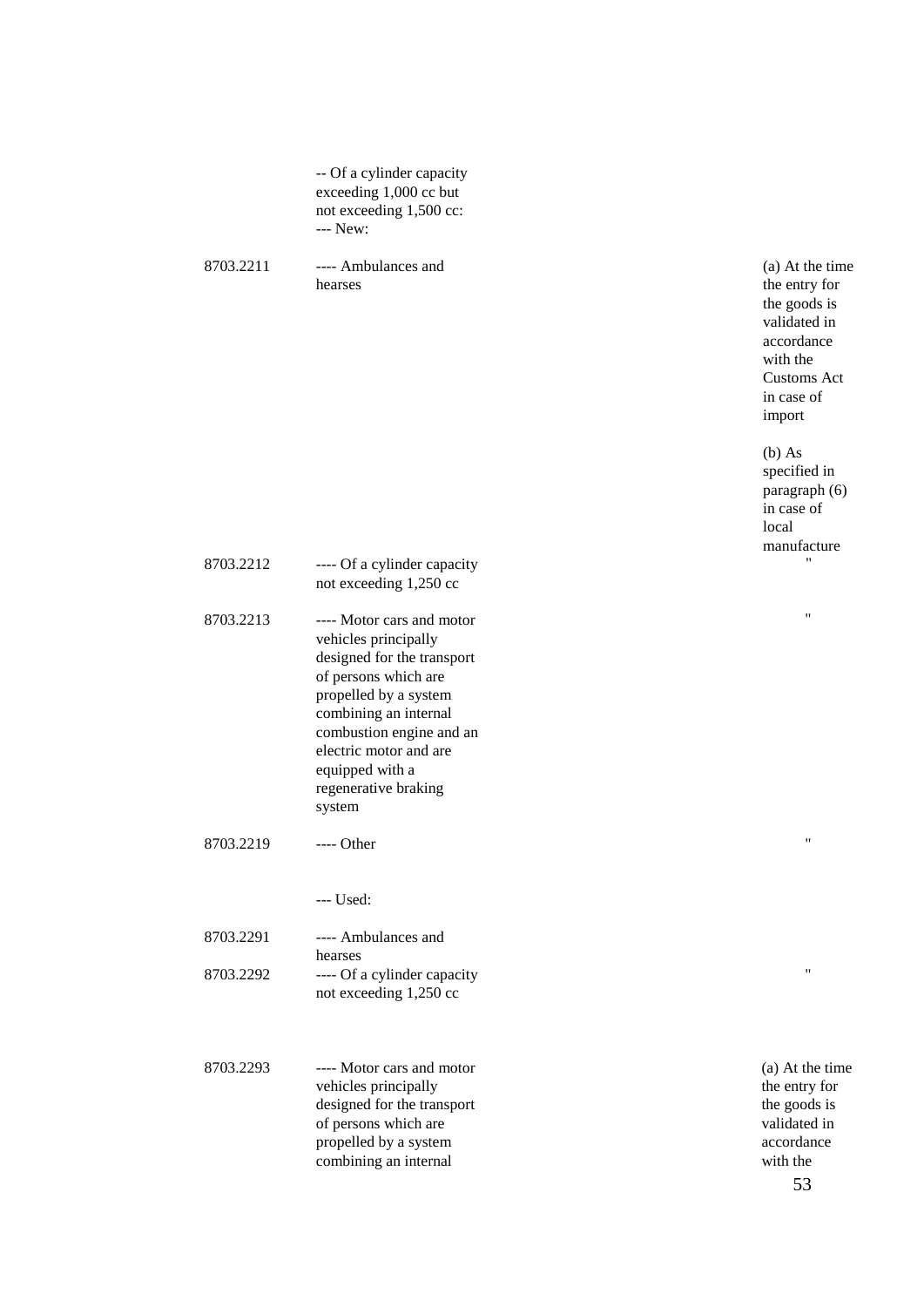|           | -- Of a cylinder capacity<br>exceeding 1,000 cc but<br>not exceeding 1,500 cc:<br>--- New:                                                                                                                                                                           |                                                                                                                                          |
|-----------|----------------------------------------------------------------------------------------------------------------------------------------------------------------------------------------------------------------------------------------------------------------------|------------------------------------------------------------------------------------------------------------------------------------------|
| 8703.2211 | ---- Ambulances and<br>hearses                                                                                                                                                                                                                                       | (a) At the time<br>the entry for<br>the goods is<br>validated in<br>accordance<br>with the<br><b>Customs Act</b><br>in case of<br>import |
|           |                                                                                                                                                                                                                                                                      | $(b)$ As<br>specified in<br>paragraph (6)<br>in case of<br>local<br>manufacture                                                          |
| 8703.2212 | ---- Of a cylinder capacity<br>not exceeding 1,250 cc                                                                                                                                                                                                                | 11                                                                                                                                       |
| 8703.2213 | ---- Motor cars and motor<br>vehicles principally<br>designed for the transport<br>of persons which are<br>propelled by a system<br>combining an internal<br>combustion engine and an<br>electric motor and are<br>equipped with a<br>regenerative braking<br>system | 11                                                                                                                                       |
| 8703.2219 | Other                                                                                                                                                                                                                                                                | $^{\prime\prime}$                                                                                                                        |
| 8703.2291 | $--$ Used:<br>---- Ambulances and<br>hearses                                                                                                                                                                                                                         |                                                                                                                                          |
| 8703.2292 | ---- Of a cylinder capacity<br>not exceeding 1,250 cc                                                                                                                                                                                                                | $\pmb{\mathsf{H}}$                                                                                                                       |
| 8703.2293 | ---- Motor cars and motor<br>vehicles principally<br>designed for the transport<br>of persons which are<br>propelled by a system<br>combining an internal                                                                                                            | (a) At the time<br>the entry for<br>the goods is<br>validated in<br>accordance<br>with the<br>53                                         |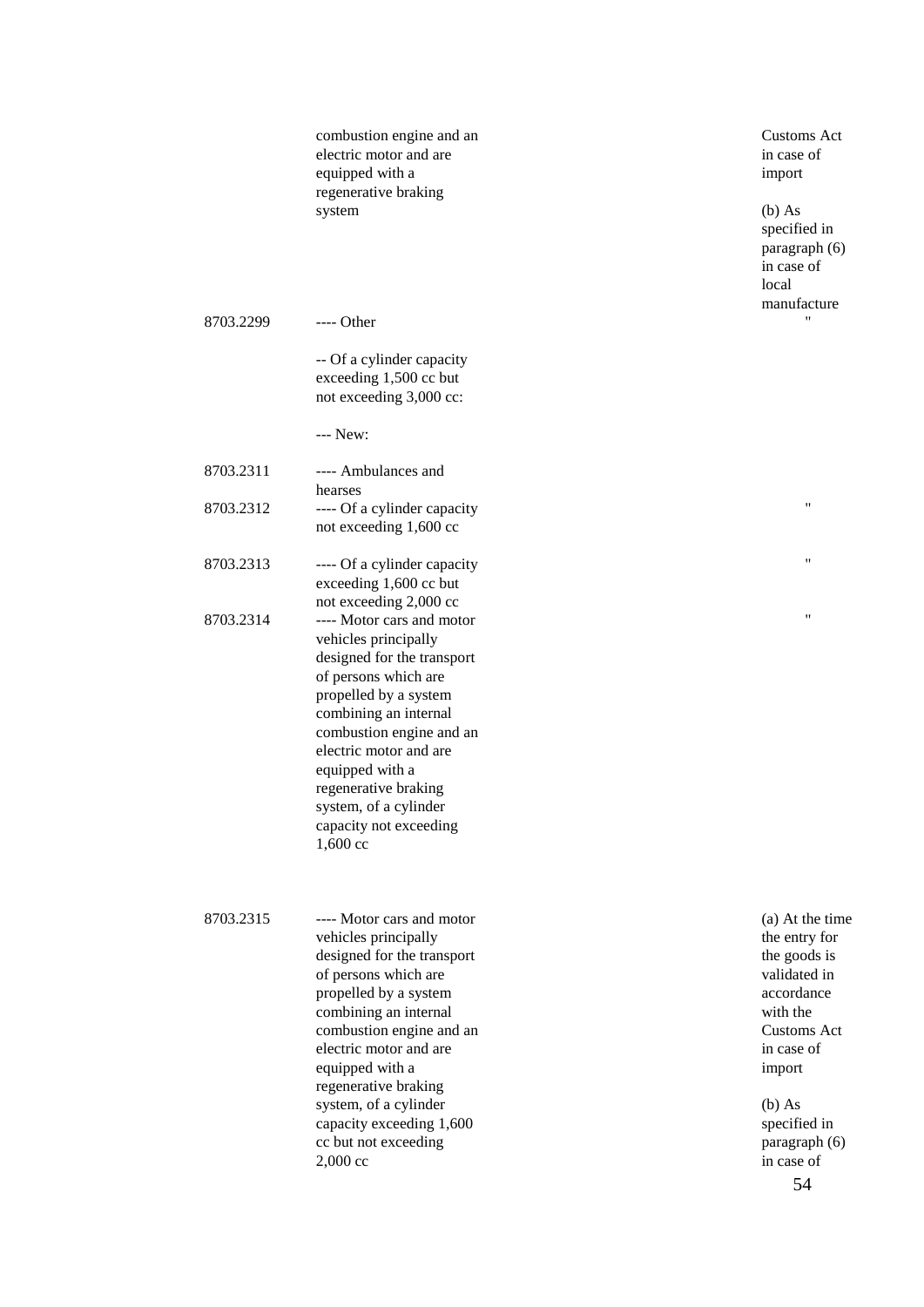|           | combustion engine and an<br>electric motor and are<br>equipped with a<br>regenerative braking<br>system                                                                                                                                                                                                                                             | <b>Customs Act</b><br>in case of<br>import<br>$(b)$ As<br>specified in<br>paragraph (6)<br>in case of<br>local<br>manufacture                                                                       |
|-----------|-----------------------------------------------------------------------------------------------------------------------------------------------------------------------------------------------------------------------------------------------------------------------------------------------------------------------------------------------------|-----------------------------------------------------------------------------------------------------------------------------------------------------------------------------------------------------|
| 8703.2299 | ---- Other<br>-- Of a cylinder capacity<br>exceeding 1,500 cc but<br>not exceeding 3,000 cc:                                                                                                                                                                                                                                                        | $^{\prime}$                                                                                                                                                                                         |
|           | --- New:                                                                                                                                                                                                                                                                                                                                            |                                                                                                                                                                                                     |
| 8703.2311 | ---- Ambulances and                                                                                                                                                                                                                                                                                                                                 |                                                                                                                                                                                                     |
| 8703.2312 | hearses<br>---- Of a cylinder capacity<br>not exceeding 1,600 cc                                                                                                                                                                                                                                                                                    | 11                                                                                                                                                                                                  |
| 8703.2313 | ---- Of a cylinder capacity<br>exceeding 1,600 cc but                                                                                                                                                                                                                                                                                               | $\pmb{\mathsf{H}}$                                                                                                                                                                                  |
| 8703.2314 | not exceeding 2,000 cc<br>---- Motor cars and motor<br>vehicles principally<br>designed for the transport<br>of persons which are<br>propelled by a system<br>combining an internal<br>combustion engine and an<br>electric motor and are<br>equipped with a<br>regenerative braking<br>system, of a cylinder<br>capacity not exceeding<br>1,600 cc | $\pmb{\mathsf{H}}$                                                                                                                                                                                  |
| 8703.2315 | ---- Motor cars and motor<br>vehicles principally<br>designed for the transport<br>of persons which are<br>propelled by a system<br>combining an internal<br>combustion engine and an<br>electric motor and are<br>equipped with a<br>regenerative braking<br>system, of a cylinder<br>capacity exceeding 1,600<br>cc but not exceeding<br>2,000 cc | (a) At the time<br>the entry for<br>the goods is<br>validated in<br>accordance<br>with the<br><b>Customs Act</b><br>in case of<br>import<br>$(b)$ As<br>specified in<br>paragraph (6)<br>in case of |

54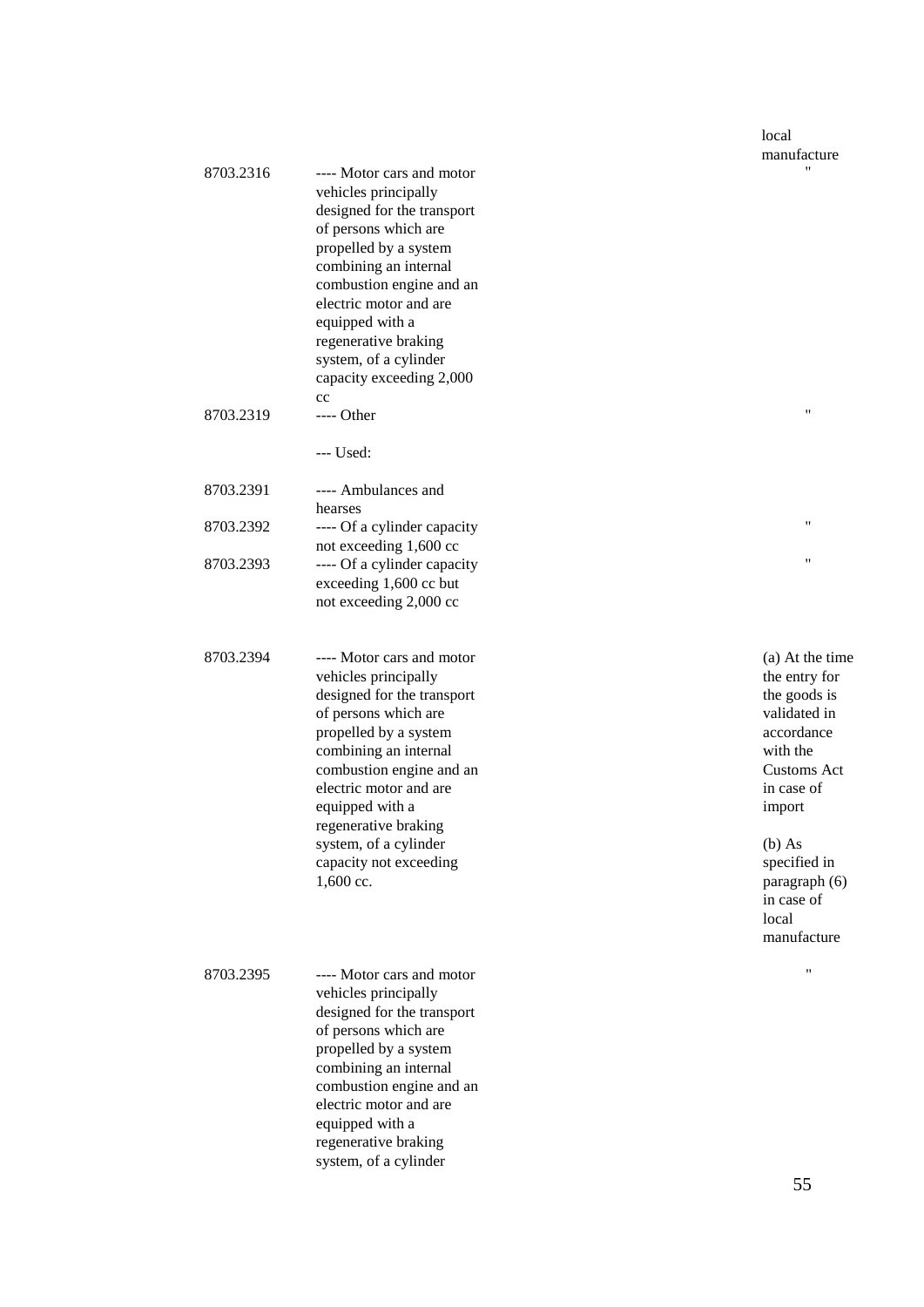#### local manufacture "

"

"

"

| 8703.2316 | ---- Motor cars and motor<br>vehicles principally<br>designed for the transport<br>of persons which are<br>propelled by a system<br>combining an internal<br>combustion engine and an<br>electric motor and are<br>equipped with a<br>regenerative braking<br>system, of a cylinder<br>capacity exceeding 2,000<br>cc      |
|-----------|----------------------------------------------------------------------------------------------------------------------------------------------------------------------------------------------------------------------------------------------------------------------------------------------------------------------------|
| 8703.2319 | ---- Other                                                                                                                                                                                                                                                                                                                 |
|           | $--$ Used:                                                                                                                                                                                                                                                                                                                 |
| 8703.2391 | ---- Ambulances and<br>hearses                                                                                                                                                                                                                                                                                             |
| 8703.2392 | ---- Of a cylinder capacity<br>not exceeding 1,600 cc                                                                                                                                                                                                                                                                      |
| 8703.2393 | ---- Of a cylinder capacity<br>exceeding 1,600 cc but<br>not exceeding 2,000 cc                                                                                                                                                                                                                                            |
| 8703.2394 | ---- Motor cars and motor<br>vehicles principally<br>designed for the transport<br>of persons which are<br>propelled by a system<br>combining an internal<br>combustion engine and an<br>electric motor and are<br>equipped with a<br>regenerative braking<br>system, of a cylinder<br>capacity not exceeding<br>1,600 cc. |
| 8703.2395 | ---- Motor cars and motor<br>vehicles principally<br>designed for the transport<br>of persons which are<br>propelled by a system<br>combining an internal<br>combustion engine and an<br>electric motor and are<br>equipped with a<br>regenerative braking<br>system, of a cylinder                                        |

(a) At the time the entry for the goods is validated in accordance with the Customs Act in case of import

(b) As specified in paragraph (6) in case of local manufacture

"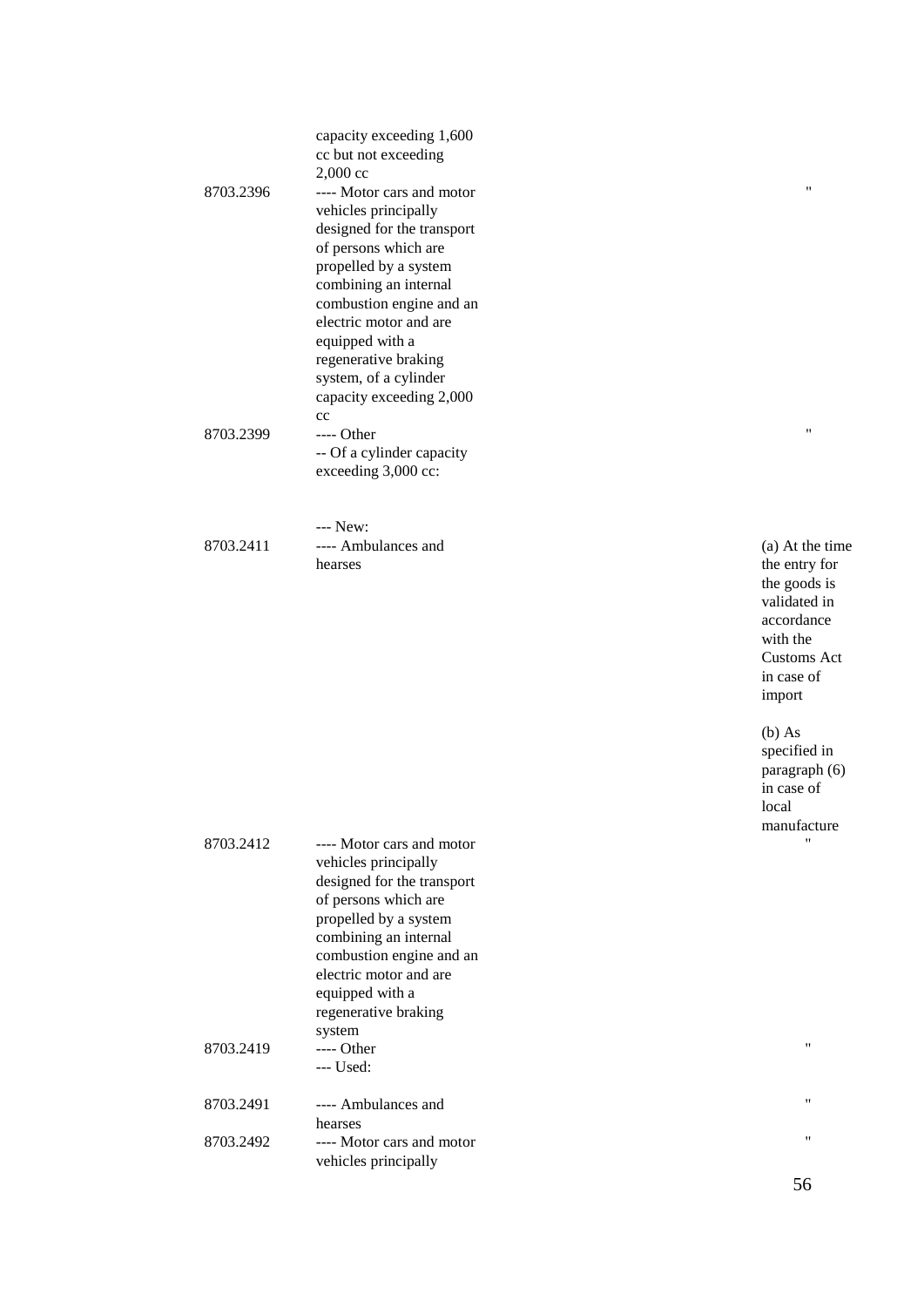|           | capacity exceeding 1,600   |
|-----------|----------------------------|
|           | cc but not exceeding       |
|           | $2,000 \text{ cc}$         |
| 8703.2396 | ---- Motor cars and motor  |
|           | vehicles principally       |
|           | designed for the transport |
|           | of persons which are       |
|           | propelled by a system      |
|           | combining an internal      |
|           | combustion engine and an   |
|           | electric motor and are     |
|           | equipped with a            |
|           | regenerative braking       |
|           | system, of a cylinder      |
|           | capacity exceeding 2,000   |
|           | cc                         |
| 8703.2399 | ---- Other                 |
|           | -- Of a cylinder capacity  |
|           | exceeding $3,000$ cc:      |
|           |                            |
|           |                            |
|           | --- New:                   |

8703.2411 ---- Ambulances and hearses

(a) At the time the entry for the goods is validated in accordance with the Customs Act in case of import

"

"

(b) As specified in paragraph (6) in case of local manufacture "

| 8703.2412 | ---- Motor cars and motor<br>vehicles principally<br>designed for the transport<br>of persons which are<br>propelled by a system<br>combining an internal<br>combustion engine and an<br>electric motor and are<br>equipped with a<br>regenerative braking<br>system |
|-----------|----------------------------------------------------------------------------------------------------------------------------------------------------------------------------------------------------------------------------------------------------------------------|
| 8703.2419 | $---$ Other<br>--- Used:                                                                                                                                                                                                                                             |
| 8703.2491 | ---- Ambulances and<br>hearses                                                                                                                                                                                                                                       |
| 8703.2492 | ---- Motor cars and motor<br>vehicles principally                                                                                                                                                                                                                    |

"

"

"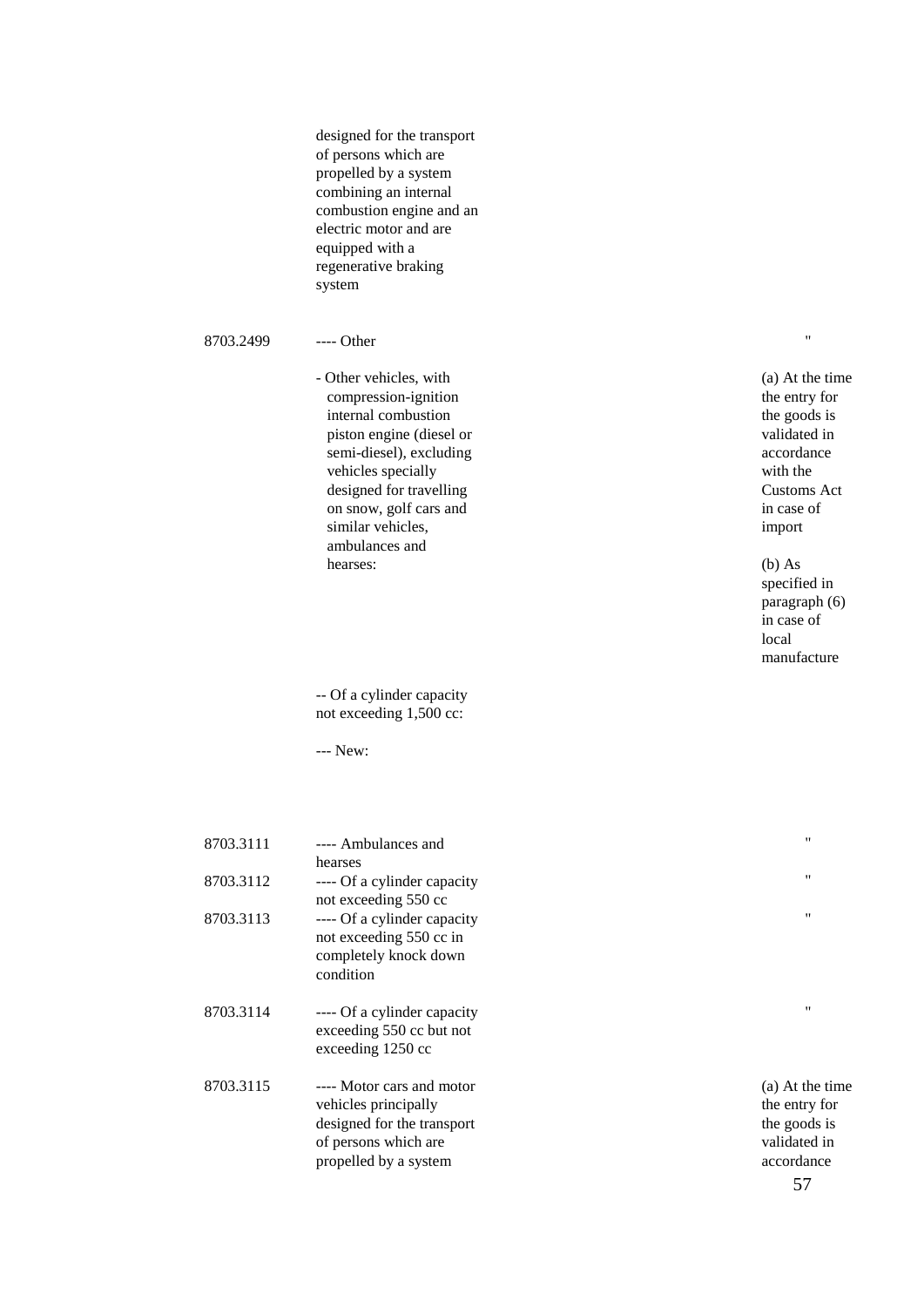designed for the transport of persons which are propelled by a system combining an internal combustion engine and an electric motor and are equipped with a regenerative braking system

#### 8703.2499 ---- Other

- Other vehicles, with compression -ignition internal combustion piston engine (diesel or semi -diesel), excluding vehicles specially designed for travelling on snow, golf cars and similar vehicles, ambulances and hearses:

-- Of a cylinder capacity not exceeding 1,500 cc:

--- New:

| 8703.3111 | ---- Ambulances and         | 11              |
|-----------|-----------------------------|-----------------|
|           | hearses                     |                 |
| 8703.3112 | ---- Of a cylinder capacity | 11              |
|           | not exceeding 550 cc        |                 |
| 8703.3113 | ---- Of a cylinder capacity | 11              |
|           | not exceeding 550 cc in     |                 |
|           | completely knock down       |                 |
|           | condition                   |                 |
| 8703.3114 | ---- Of a cylinder capacity | 11              |
|           | exceeding 550 cc but not    |                 |
|           | exceeding 1250 cc           |                 |
| 8703.3115 | ---- Motor cars and motor   | (a) At the time |
|           | vehicles principally        | the entry for   |
|           | designed for the transport  | the goods is    |
|           | of persons which are        | validated in    |
|           | propelled by a system       | accordance      |
|           |                             |                 |

(a) At the time the entry for the goods is validated in accordance with the Customs Act in case of import

"

#### (b) As specified in paragraph (6) in case of local manufacture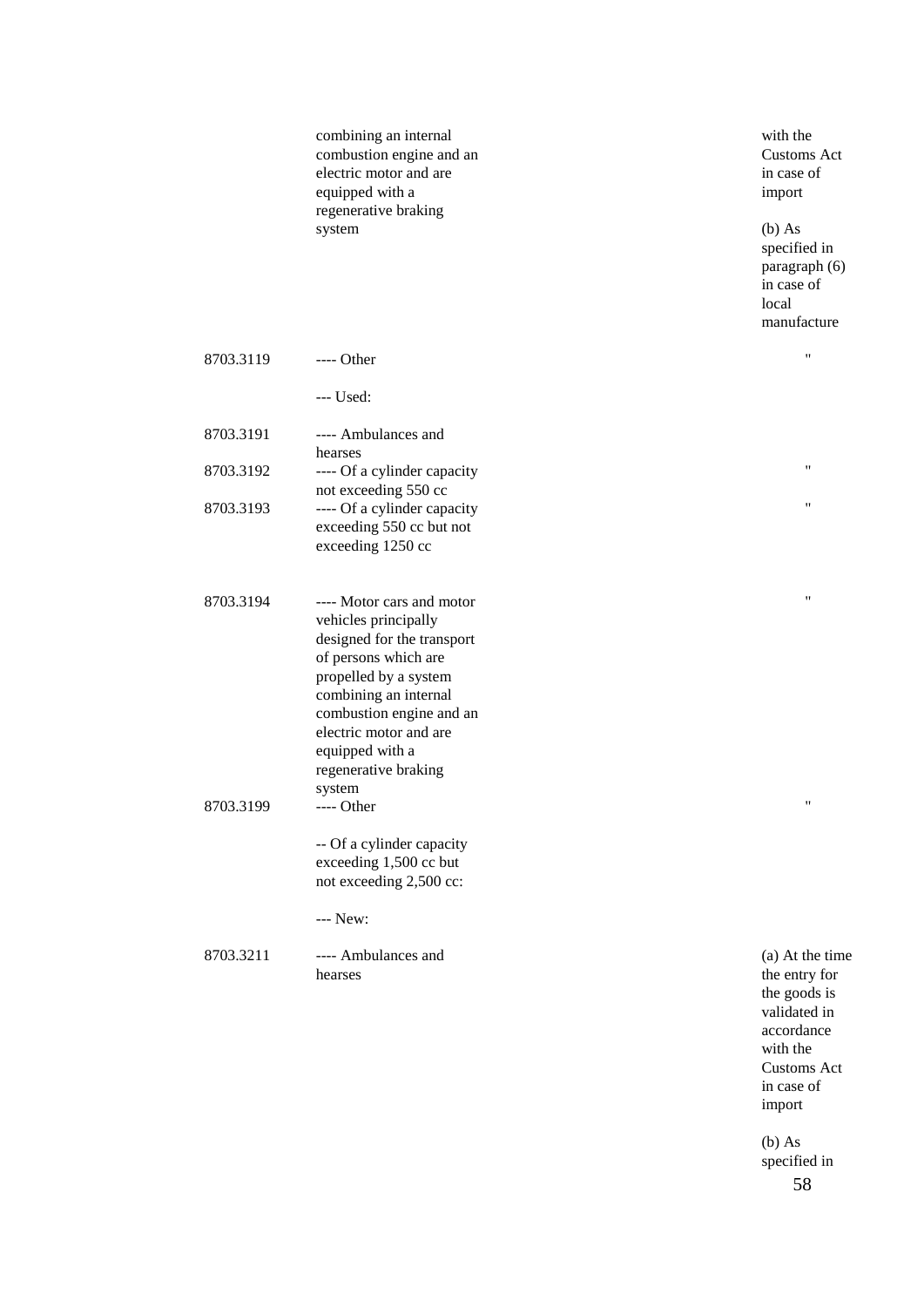combining an internal combustion engine and an electric motor and are equipped with a regenerative braking system

with the Customs Act in case of import

(b) As specified in paragraph (6) in case of local manufacture

"

"

"

"

"

| 8703.3119 | $---$ Other                                                                                                                                                                                                                                                          |  |
|-----------|----------------------------------------------------------------------------------------------------------------------------------------------------------------------------------------------------------------------------------------------------------------------|--|
|           | $--$ Used:                                                                                                                                                                                                                                                           |  |
| 8703.3191 | ---- Ambulances and<br>hearses                                                                                                                                                                                                                                       |  |
| 8703.3192 | ---- Of a cylinder capacity<br>not exceeding 550 cc                                                                                                                                                                                                                  |  |
| 8703.3193 | ---- Of a cylinder capacity<br>exceeding 550 cc but not<br>exceeding 1250 cc                                                                                                                                                                                         |  |
| 8703.3194 | ---- Motor cars and motor<br>vehicles principally<br>designed for the transport<br>of persons which are<br>propelled by a system<br>combining an internal<br>combustion engine and an<br>electric motor and are<br>equipped with a<br>regenerative braking<br>system |  |
| 8703.3199 | ---- Other                                                                                                                                                                                                                                                           |  |
|           | -- Of a cylinder capacity<br>exceeding 1,500 cc but<br>not exceeding 2,500 cc:                                                                                                                                                                                       |  |
|           | --- New:                                                                                                                                                                                                                                                             |  |
| 8703.3211 | ---- Ambulances and<br>hearses                                                                                                                                                                                                                                       |  |

(a) At the time the entry for the goods is validated in accordance with the Customs Act in case of import

58 (b) As specified in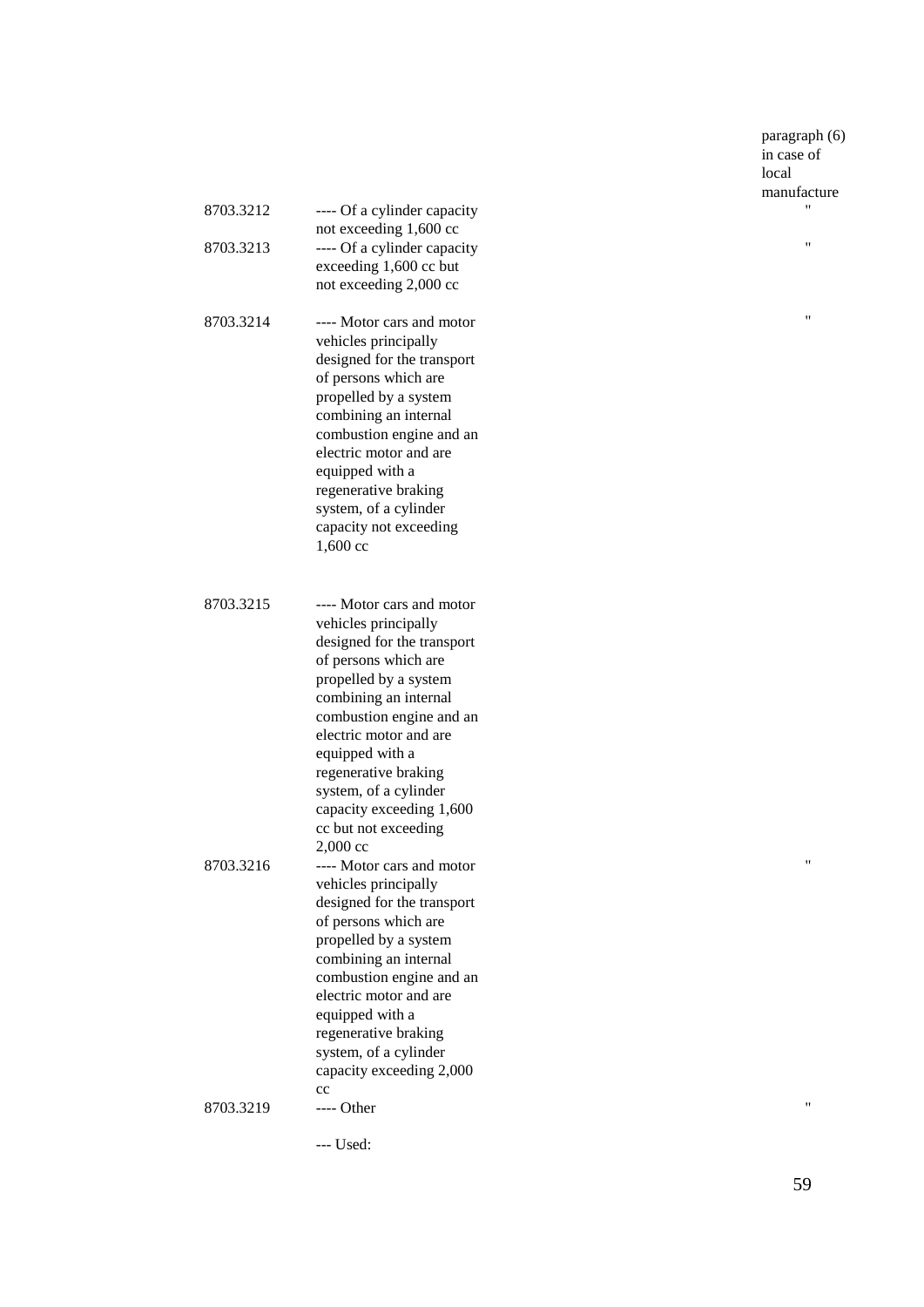paragraph (6) in case of local manufacture "

"

"

| 8703.3212<br>8703.3213 | ---- Of a cylinder capacity<br>not exceeding 1,600 cc<br>---- Of a cylinder capacity<br>exceeding 1,600 cc but<br>not exceeding 2,000 cc                                                                                                                                                                                                              |
|------------------------|-------------------------------------------------------------------------------------------------------------------------------------------------------------------------------------------------------------------------------------------------------------------------------------------------------------------------------------------------------|
| 8703.3214              | ---- Motor cars and motor<br>vehicles principally<br>designed for the transport<br>of persons which are<br>propelled by a system<br>combining an internal<br>combustion engine and an<br>electric motor and are<br>equipped with a<br>regenerative braking<br>system, of a cylinder<br>capacity not exceeding<br>1,600 cc                             |
| 8703.3215              | ---- Motor cars and motor<br>vehicles principally<br>designed for the transport<br>of persons which are<br>propelled by a system<br>combining an internal<br>combustion engine and an<br>electric motor and are<br>equipped with a<br>regenerative braking<br>system, of a cylinder<br>capacity exceeding 1,600<br>cc but not exceeding<br>$2,000$ cc |
| 8703.3216              | ---- Motor cars and motor<br>vehicles principally<br>designed for the transport<br>of persons which are<br>propelled by a system<br>combining an internal<br>combustion engine and an<br>electric motor and are<br>equipped with a<br>regenerative braking<br>system, of a cylinder<br>capacity exceeding 2,000                                       |
| 8703.3219              | cc<br>---- Other                                                                                                                                                                                                                                                                                                                                      |

--- Used:

"

 $\hat{\theta}$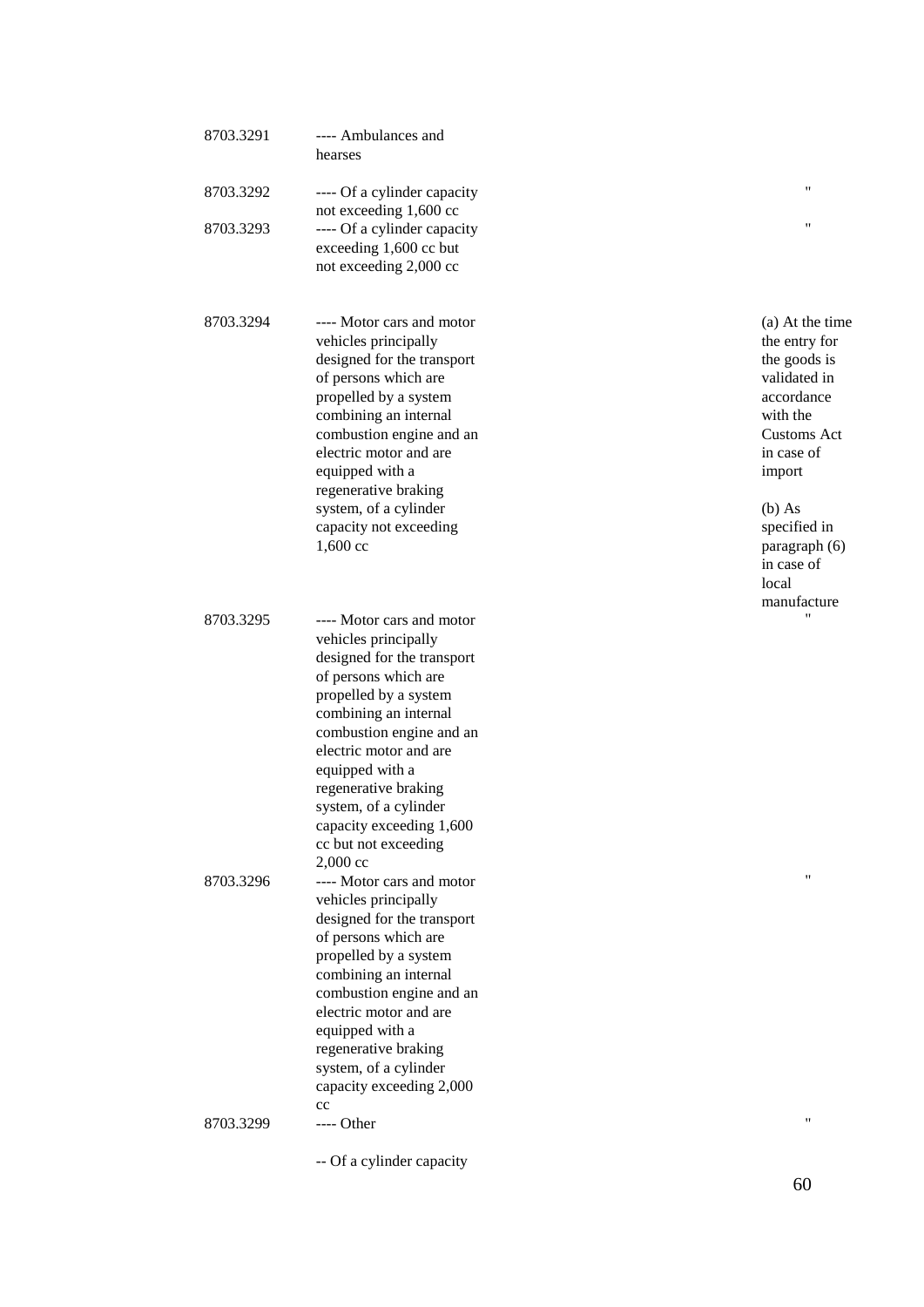| 8703.3291 | ---- Ambulances and<br>hearses                                                                                                                                                                                                                                                                                                                      |                                                                                                                                                                                                                      |
|-----------|-----------------------------------------------------------------------------------------------------------------------------------------------------------------------------------------------------------------------------------------------------------------------------------------------------------------------------------------------------|----------------------------------------------------------------------------------------------------------------------------------------------------------------------------------------------------------------------|
| 8703.3292 | ---- Of a cylinder capacity<br>not exceeding 1,600 cc                                                                                                                                                                                                                                                                                               | 11                                                                                                                                                                                                                   |
| 8703.3293 | ---- Of a cylinder capacity<br>exceeding 1,600 cc but<br>not exceeding 2,000 cc                                                                                                                                                                                                                                                                     | $\pmb{\mathsf{H}}$                                                                                                                                                                                                   |
| 8703.3294 | ---- Motor cars and motor<br>vehicles principally<br>designed for the transport<br>of persons which are<br>propelled by a system<br>combining an internal<br>combustion engine and an<br>electric motor and are<br>equipped with a<br>regenerative braking<br>system, of a cylinder<br>capacity not exceeding<br>1,600 cc                           | (a) At the time<br>the entry for<br>the goods is<br>validated in<br>accordance<br>with the<br>Customs Act<br>in case of<br>import<br>$(b)$ As<br>specified in<br>paragraph (6)<br>in case of<br>local<br>manufacture |
| 8703.3295 | ---- Motor cars and motor<br>vehicles principally<br>designed for the transport<br>of persons which are<br>propelled by a system<br>combining an internal<br>combustion engine and an<br>electric motor and are<br>equipped with a<br>regenerative braking<br>system, of a cylinder<br>capacity exceeding 1,600<br>cc but not exceeding<br>2,000 cc | $^{\prime}$                                                                                                                                                                                                          |
| 8703.3296 | ---- Motor cars and motor<br>vehicles principally<br>designed for the transport<br>of persons which are<br>propelled by a system<br>combining an internal<br>combustion engine and an<br>electric motor and are<br>equipped with a<br>regenerative braking<br>system, of a cylinder<br>capacity exceeding 2,000<br>cc                               | $\pmb{\mathsf{H}}$                                                                                                                                                                                                   |
| 8703.3299 | ---- Other                                                                                                                                                                                                                                                                                                                                          | $^{\dagger}$                                                                                                                                                                                                         |
|           | -- Of a cylinder capacity                                                                                                                                                                                                                                                                                                                           |                                                                                                                                                                                                                      |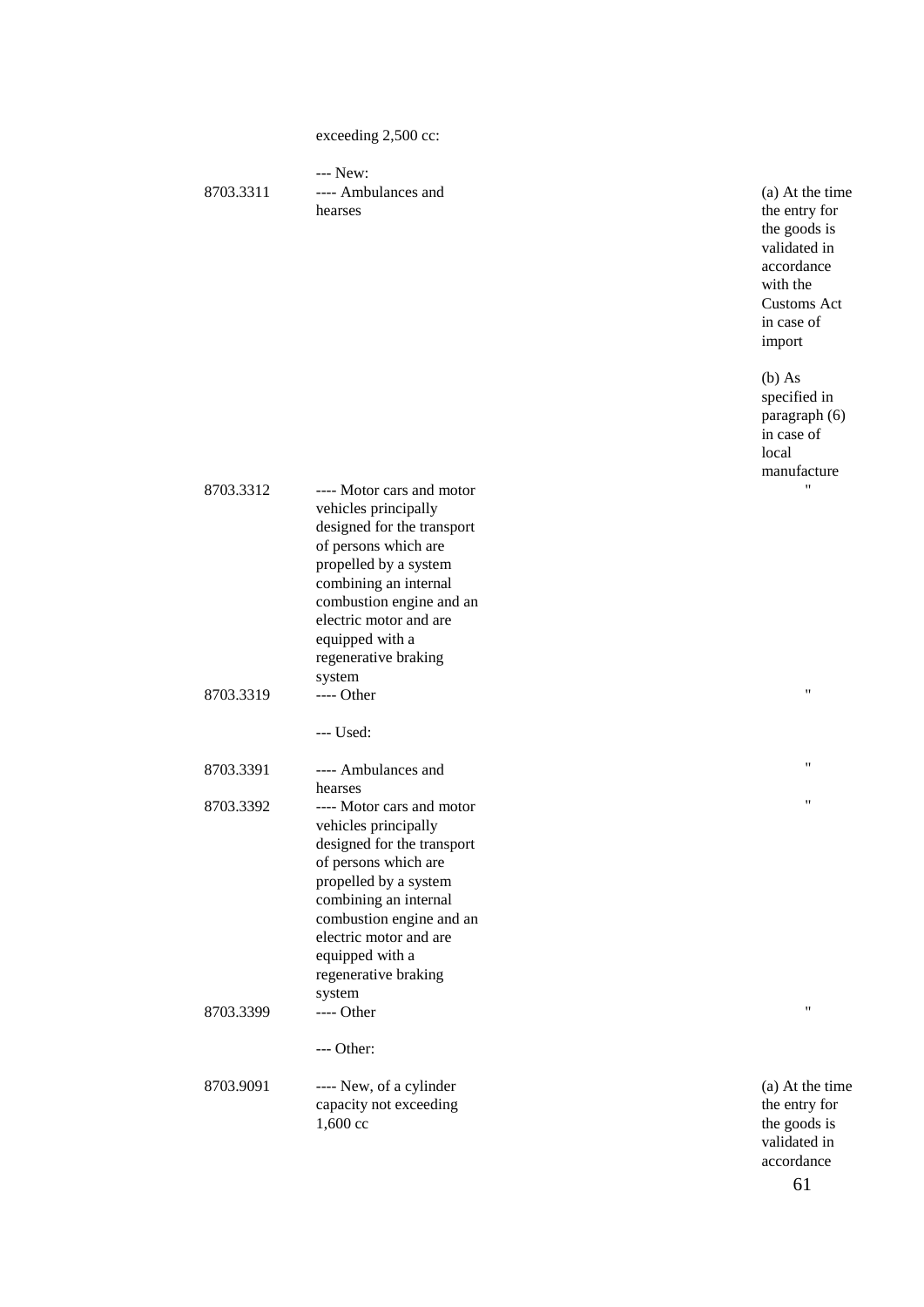exceeding 2,500 cc:

--- New: 8703.3311 ---- Ambulances and hearses

(a) At the time the entry for the goods is validated in accordance with the Customs Act in case of import

(b) As specified in paragraph (6) in case of local manufacture

| 8703.3312 | ---- Motor cars and motor  | 11              |
|-----------|----------------------------|-----------------|
|           | vehicles principally       |                 |
|           | designed for the transport |                 |
|           | of persons which are       |                 |
|           | propelled by a system      |                 |
|           | combining an internal      |                 |
|           | combustion engine and an   |                 |
|           | electric motor and are     |                 |
|           | equipped with a            |                 |
|           | regenerative braking       |                 |
|           | system                     |                 |
| 8703.3319 | ---- Other                 | 11              |
|           | --- Used:                  |                 |
| 8703.3391 | ---- Ambulances and        | "               |
|           | hearses                    |                 |
| 8703.3392 | ---- Motor cars and motor  | Ħ               |
|           | vehicles principally       |                 |
|           | designed for the transport |                 |
|           | of persons which are       |                 |
|           | propelled by a system      |                 |
|           | combining an internal      |                 |
|           | combustion engine and an   |                 |
|           | electric motor and are     |                 |
|           | equipped with a            |                 |
|           | regenerative braking       |                 |
|           | system                     |                 |
| 8703.3399 | ---- Other                 | 11              |
|           | $--- Other:$               |                 |
| 8703.9091 | ---- New, of a cylinder    | (a) At the time |
|           | capacity not exceeding     | the entry for   |
|           | 1,600 cc                   | the goods is    |
|           |                            | validated in    |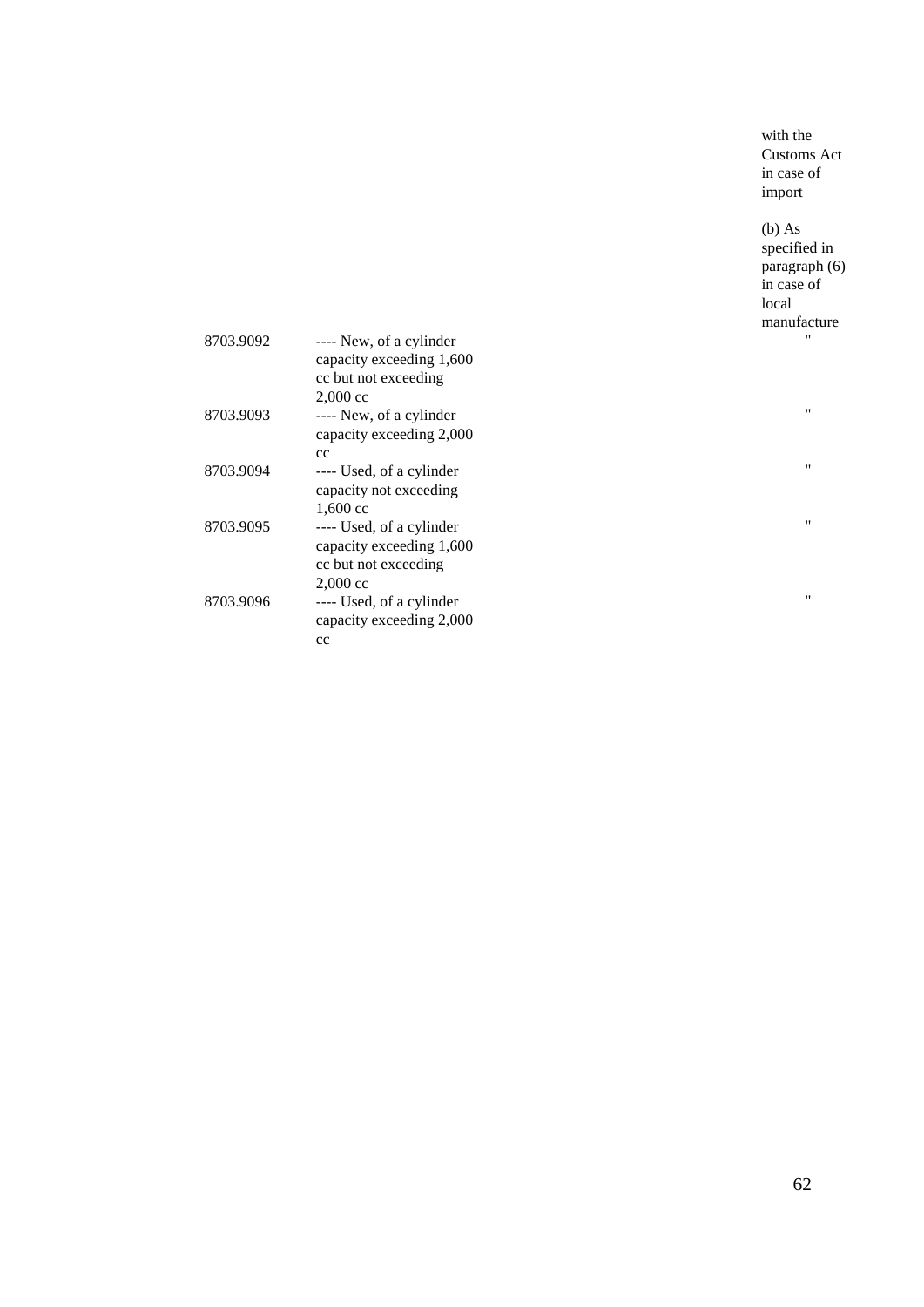with the Customs Act in case of import

(b) As specified in paragraph (6) in case of local manufacture "

 $\theta$ 

"

"

"

| 8703.9092 | ---- New, of a cylinder<br>capacity exceeding 1,600 |
|-----------|-----------------------------------------------------|
|           | cc but not exceeding                                |
|           | $2,000 \text{ cc}$                                  |
| 8703.9093 | ---- New, of a cylinder                             |
|           | capacity exceeding 2,000                            |
|           | cc                                                  |
| 8703.9094 | ---- Used, of a cylinder                            |
|           | capacity not exceeding                              |
|           | $1,600 \text{ cc}$                                  |
| 8703.9095 | ---- Used, of a cylinder                            |
|           | capacity exceeding 1,600                            |
|           | cc but not exceeding                                |
|           | $2,000 \text{ cc}$                                  |
| 8703.9096 | ---- Used, of a cylinder                            |
|           | capacity exceeding 2,000                            |
|           | cс                                                  |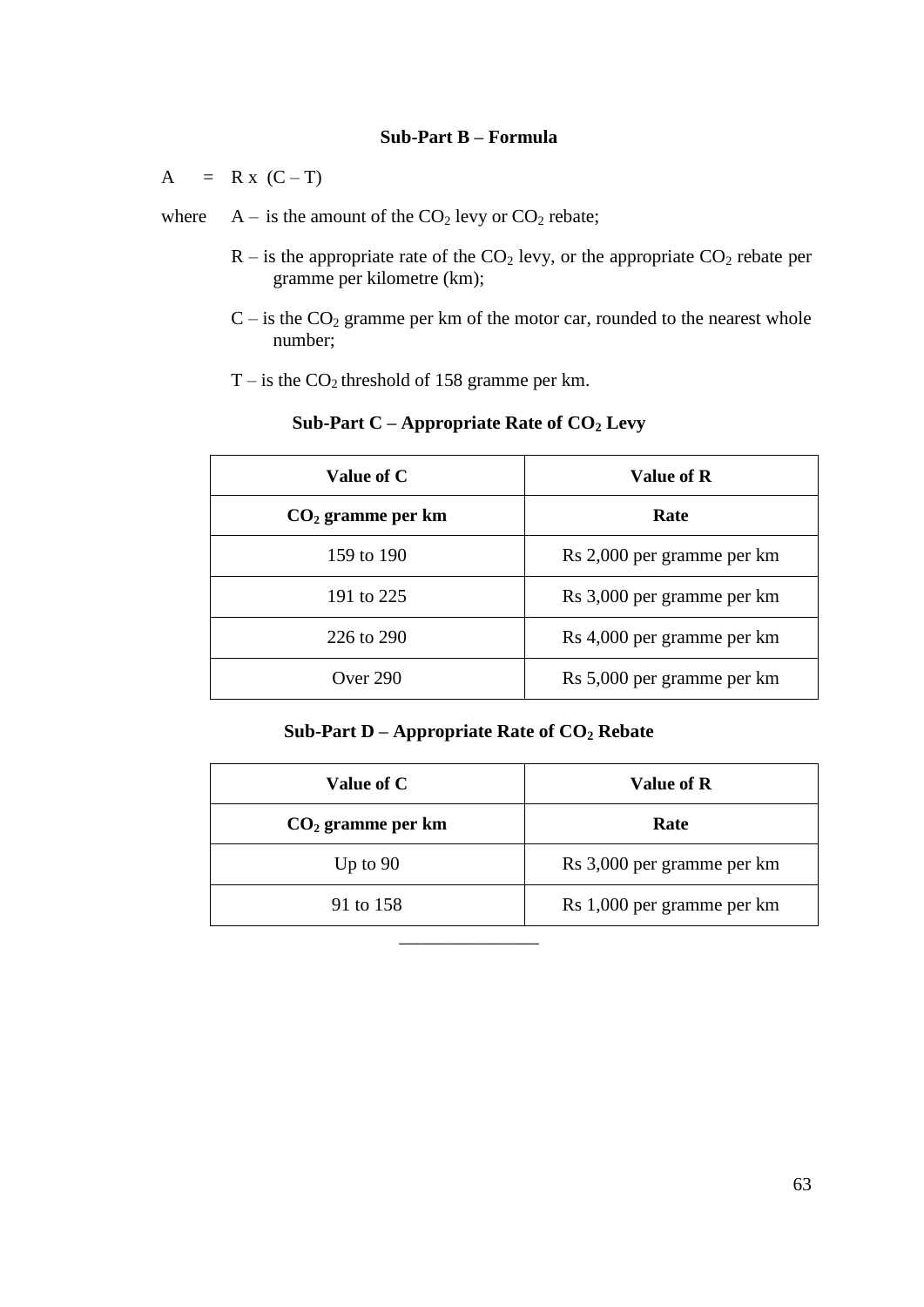#### **Sub-Part B – Formula**

 $A = R x (C - T)$ 

- where  $A is$  the amount of the  $CO<sub>2</sub>$  levy or  $CO<sub>2</sub>$  rebate;
	- $R -$  is the appropriate rate of the  $CO<sub>2</sub>$  levy, or the appropriate  $CO<sub>2</sub>$  rebate per gramme per kilometre (km);
	- $C i$ s the  $CO<sub>2</sub>$  gramme per km of the motor car, rounded to the nearest whole number;
	- $T -$  is the  $CO<sub>2</sub>$  threshold of 158 gramme per km.

| Value of C          | Value of R                 |
|---------------------|----------------------------|
| $CO2$ gramme per km | Rate                       |
| 159 to 190          | Rs 2,000 per gramme per km |
| 191 to 225          | Rs 3,000 per gramme per km |
| 226 to 290          | Rs 4,000 per gramme per km |
| Over 290            | Rs 5,000 per gramme per km |

### **Sub-Part C – Appropriate Rate of CO<sup>2</sup> Levy**

#### **Sub-Part D – Appropriate Rate of CO<sup>2</sup> Rebate**

| Value of C          | Value of R                 |
|---------------------|----------------------------|
| $CO2$ gramme per km | Rate                       |
| Up to $90$          | Rs 3,000 per gramme per km |
| 91 to 158           | Rs 1,000 per gramme per km |
|                     |                            |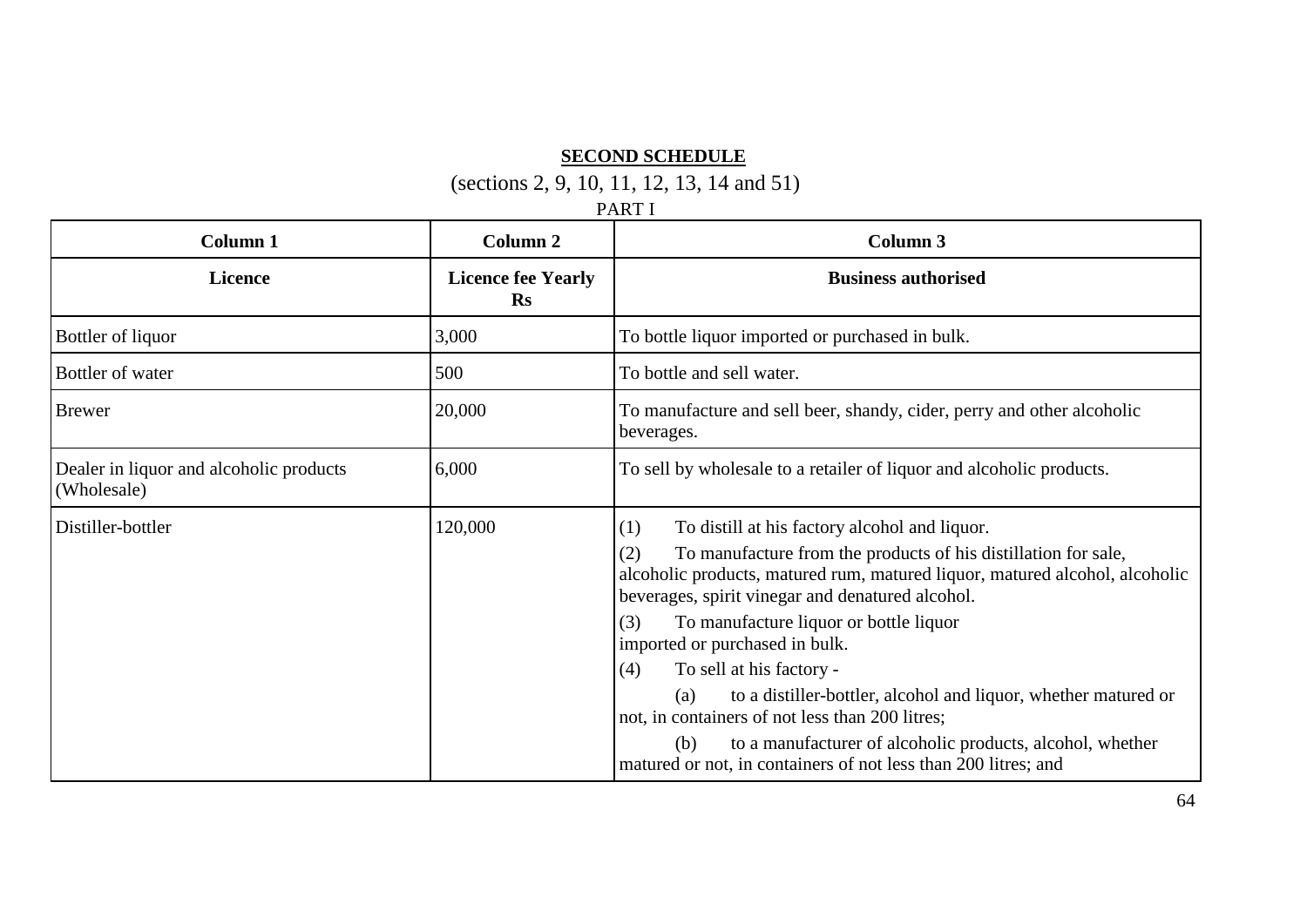## **SECOND SCHEDULE**

(sections 2, 9, 10, 11, 12, 13, 14 and 51)

PART I

| Column 1                                               | <b>Column 2</b>                        | Column 3                                                                                                                                                                                                                                                                                                                                                                                                                                                                                                                                                                                                                                                 |
|--------------------------------------------------------|----------------------------------------|----------------------------------------------------------------------------------------------------------------------------------------------------------------------------------------------------------------------------------------------------------------------------------------------------------------------------------------------------------------------------------------------------------------------------------------------------------------------------------------------------------------------------------------------------------------------------------------------------------------------------------------------------------|
| <b>Licence</b>                                         | <b>Licence fee Yearly</b><br><b>Rs</b> | <b>Business authorised</b>                                                                                                                                                                                                                                                                                                                                                                                                                                                                                                                                                                                                                               |
| Bottler of liquor                                      | 3,000                                  | To bottle liquor imported or purchased in bulk.                                                                                                                                                                                                                                                                                                                                                                                                                                                                                                                                                                                                          |
| Bottler of water                                       | 500                                    | To bottle and sell water.                                                                                                                                                                                                                                                                                                                                                                                                                                                                                                                                                                                                                                |
| <b>Brewer</b>                                          | 20,000                                 | To manufacture and sell beer, shandy, cider, perry and other alcoholic<br>beverages.                                                                                                                                                                                                                                                                                                                                                                                                                                                                                                                                                                     |
| Dealer in liquor and alcoholic products<br>(Wholesale) | 6,000                                  | To sell by wholesale to a retailer of liquor and alcoholic products.                                                                                                                                                                                                                                                                                                                                                                                                                                                                                                                                                                                     |
| Distiller-bottler                                      | 120,000                                | To distill at his factory alcohol and liquor.<br>(1)<br>To manufacture from the products of his distillation for sale,<br>(2)<br>alcoholic products, matured rum, matured liquor, matured alcohol, alcoholic<br>beverages, spirit vinegar and denatured alcohol.<br>(3)<br>To manufacture liquor or bottle liquor<br>imported or purchased in bulk.<br>To sell at his factory -<br>(4)<br>to a distiller-bottler, alcohol and liquor, whether matured or<br>(a)<br>not, in containers of not less than 200 litres;<br>to a manufacturer of alcoholic products, alcohol, whether<br>(b)<br>matured or not, in containers of not less than 200 litres; and |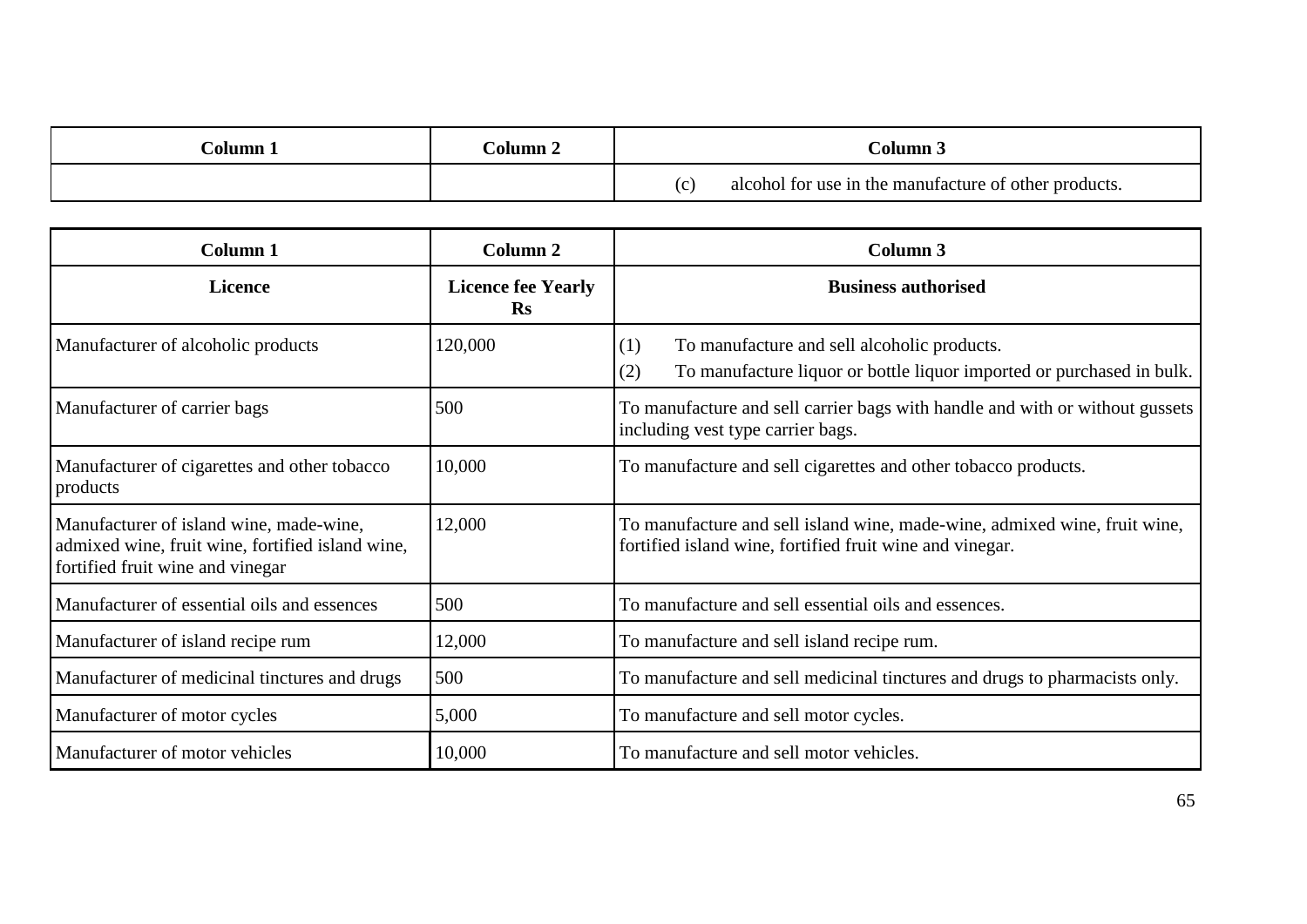| `olumn- | Dolumn 2 | `olumn .                                              |
|---------|----------|-------------------------------------------------------|
|         |          | alcohol for use in the manufacture of other products. |

| Column 1                                                                                                                        | Column 2                               | <b>Column 3</b>                                                                                                                       |
|---------------------------------------------------------------------------------------------------------------------------------|----------------------------------------|---------------------------------------------------------------------------------------------------------------------------------------|
| <b>Licence</b>                                                                                                                  | <b>Licence fee Yearly</b><br><b>Rs</b> | <b>Business authorised</b>                                                                                                            |
| Manufacturer of alcoholic products                                                                                              | 120,000                                | To manufacture and sell alcoholic products.<br>(1)<br>To manufacture liquor or bottle liquor imported or purchased in bulk.<br>(2)    |
| Manufacturer of carrier bags                                                                                                    | 500                                    | To manufacture and sell carrier bags with handle and with or without gussets<br>including vest type carrier bags.                     |
| Manufacturer of cigarettes and other tobacco<br>products                                                                        | 10,000                                 | To manufacture and sell cigarettes and other tobacco products.                                                                        |
| Manufacturer of island wine, made-wine,<br>admixed wine, fruit wine, fortified island wine,<br>fortified fruit wine and vinegar | 12,000                                 | To manufacture and sell island wine, made-wine, admixed wine, fruit wine,<br>fortified island wine, fortified fruit wine and vinegar. |
| Manufacturer of essential oils and essences                                                                                     | 500                                    | To manufacture and sell essential oils and essences.                                                                                  |
| Manufacturer of island recipe rum                                                                                               | 12,000                                 | To manufacture and sell island recipe rum.                                                                                            |
| Manufacturer of medicinal tinctures and drugs                                                                                   | 500                                    | To manufacture and sell medicinal tinctures and drugs to pharmacists only.                                                            |
| Manufacturer of motor cycles                                                                                                    | 5,000                                  | To manufacture and sell motor cycles.                                                                                                 |
| Manufacturer of motor vehicles                                                                                                  | 10,000                                 | To manufacture and sell motor vehicles.                                                                                               |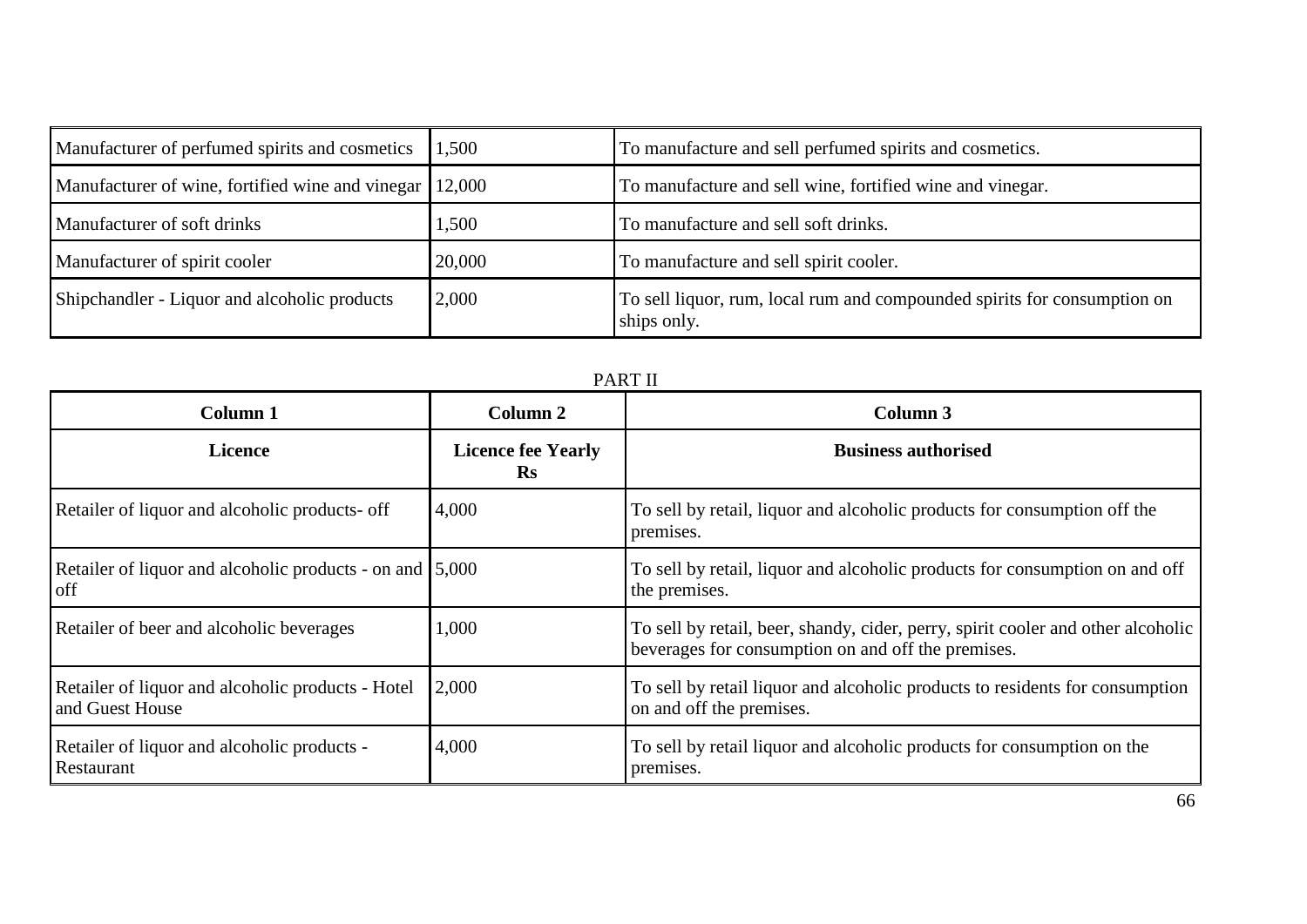| Manufacturer of perfumed spirits and cosmetics   | 1,500  | To manufacture and sell perfumed spirits and cosmetics.                                 |
|--------------------------------------------------|--------|-----------------------------------------------------------------------------------------|
| Manufacturer of wine, fortified wine and vinegar | 12,000 | To manufacture and sell wine, fortified wine and vinegar.                               |
| Manufacturer of soft drinks                      | 1,500  | To manufacture and sell soft drinks.                                                    |
| Manufacturer of spirit cooler                    | 20,000 | To manufacture and sell spirit cooler.                                                  |
| Shipchandler - Liquor and alcoholic products     | 2,000  | To sell liquor, rum, local rum and compounded spirits for consumption on<br>ships only. |

| Column <sub>1</sub>                                                             | Column 2                                    | Column 3                                                                                                                               |  |
|---------------------------------------------------------------------------------|---------------------------------------------|----------------------------------------------------------------------------------------------------------------------------------------|--|
| <b>Licence</b>                                                                  | <b>Licence fee Yearly</b><br>$\mathbf{R}$ s | <b>Business authorised</b>                                                                                                             |  |
| Retailer of liquor and alcoholic products- off                                  | 4,000                                       | To sell by retail, liquor and alcoholic products for consumption off the<br>premises.                                                  |  |
| Retailer of liquor and alcoholic products - on and $\vert 5,000 \rangle$<br>off |                                             | To sell by retail, liquor and alcoholic products for consumption on and off<br>the premises.                                           |  |
| Retailer of beer and alcoholic beverages                                        | 1,000                                       | To sell by retail, beer, shandy, cider, perry, spirit cooler and other alcoholic<br>beverages for consumption on and off the premises. |  |
| Retailer of liquor and alcoholic products - Hotel<br>and Guest House            | 2,000                                       | To sell by retail liquor and alcoholic products to residents for consumption<br>on and off the premises.                               |  |
| Retailer of liquor and alcoholic products -<br>Restaurant                       | 4,000                                       | To sell by retail liquor and alcoholic products for consumption on the<br>premises.                                                    |  |

|--|--|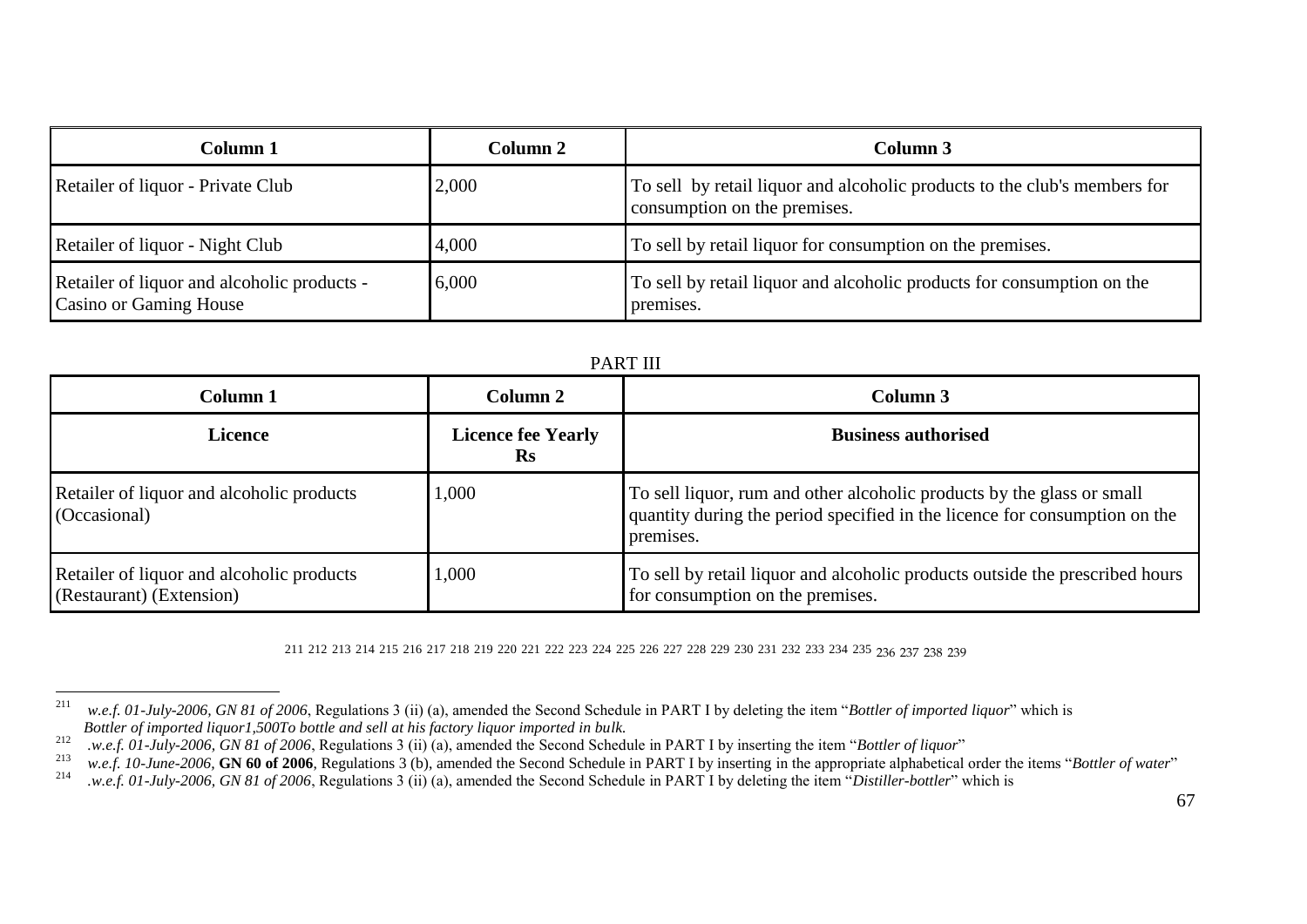| Column 1                                                                     | Column 2 | Column 3                                                                                                  |
|------------------------------------------------------------------------------|----------|-----------------------------------------------------------------------------------------------------------|
| Retailer of liquor - Private Club                                            | 2,000    | To sell by retail liquor and alcoholic products to the club's members for<br>consumption on the premises. |
| Retailer of liquor - Night Club                                              | 4,000    | To sell by retail liquor for consumption on the premises.                                                 |
| Retailer of liquor and alcoholic products -<br><b>Casino or Gaming House</b> | 6,000    | To sell by retail liquor and alcoholic products for consumption on the<br>premises.                       |

| <b>PART III</b>                                                       |                                 |                                                                                                                                                                   |  |
|-----------------------------------------------------------------------|---------------------------------|-------------------------------------------------------------------------------------------------------------------------------------------------------------------|--|
| Column 1                                                              | Column 2                        | Column 3                                                                                                                                                          |  |
| <b>Licence</b>                                                        | <b>Licence fee Yearly</b><br>Rs | <b>Business authorised</b>                                                                                                                                        |  |
| Retailer of liquor and alcoholic products<br>(Occasional)             | 1,000                           | To sell liquor, rum and other alcoholic products by the glass or small<br>quantity during the period specified in the licence for consumption on the<br>premises. |  |
| Retailer of liquor and alcoholic products<br>(Restaurant) (Extension) | 1,000                           | To sell by retail liquor and alcoholic products outside the prescribed hours<br>for consumption on the premises.                                                  |  |

211 212 213 214 215 216 217 218 219 220 221 222 223 224 225 226 227 228 229 230 231 232 233 234 235 236 237 238 239

<sup>211</sup> <sup>211</sup> *w.e.f. 01-July-2006, GN 81 of 2006*, Regulations 3 (ii) (a), amended the Second Schedule in PART I by deleting the item "*Bottler of imported liquor*" which is *Bottler of imported liquor1,500To bottle and sell at his factory liquor imported in bulk.*

<sup>212</sup> *.w.e.f. 01-July-2006, GN 81 of 2006*, Regulations 3 (ii) (a), amended the Second Schedule in PART I by inserting the item "*Bottler of liquor*"

<sup>213</sup> *w.e.f. 10-June-2006,* **GN 60 of 2006**, Regulations 3 (b), amended the Second Schedule in PART I by inserting in the appropriate alphabetical order the items "*Bottler of water*"

<sup>214</sup> *.w.e.f. 01-July-2006, GN 81 of 2006*, Regulations 3 (ii) (a), amended the Second Schedule in PART I by deleting the item "*Distiller-bottler*" which is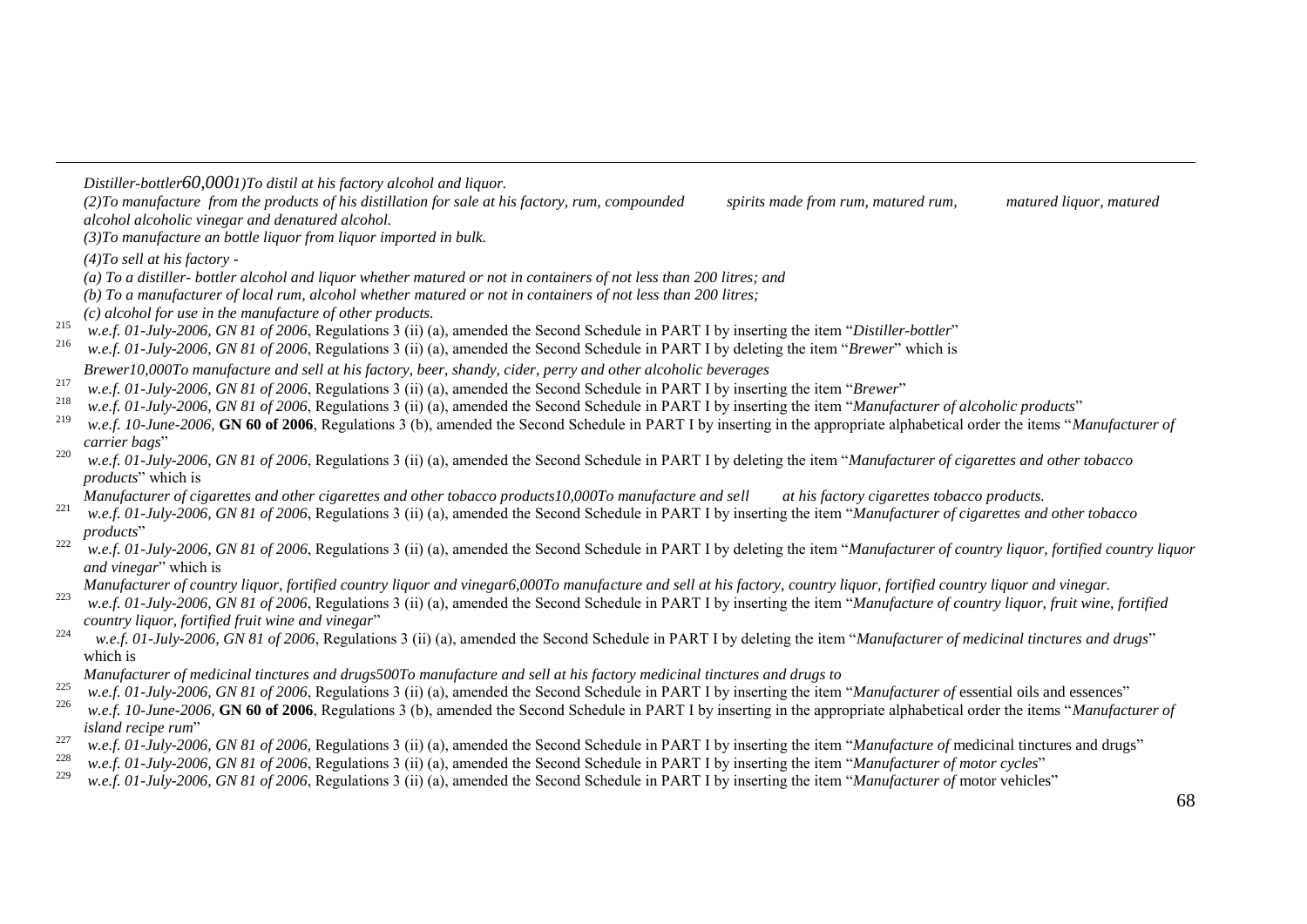*Distiller-bottler60,0001)To distil at his factory alcohol and liquor.*

*(2)To manufacture from the products of his distillation for sale at his factory, rum, compounded spirits made from rum, matured rum, matured liquor, matured alcohol alcoholic vinegar and denatured alcohol.*

*(3)To manufacture an bottle liquor from liquor imported in bulk.*

*(4)To sell at his factory -*

-

*(a) To a distiller- bottler alcohol and liquor whether matured or not in containers of not less than 200 litres; and* 

*(b) To a manufacturer of local rum, alcohol whether matured or not in containers of not less than 200 litres;*

*(c) alcohol for use in the manufacture of other products.*

<sup>215</sup> *w.e.f. 01-July-2006, GN 81 of 2006*, Regulations 3 (ii) (a), amended the Second Schedule in PART I by inserting the item "*Distiller-bottler*"

<sup>216</sup> *w.e.f. 01-July-2006, GN 81 of 2006*, Regulations 3 (ii) (a), amended the Second Schedule in PART I by deleting the item "*Brewer*" which is

*Brewer10,000To manufacture and sell at his factory, beer, shandy, cider, perry and other alcoholic beverages*

- <sup>217</sup> *w.e.f. 01-July-2006, GN 81 of 2006*, Regulations 3 (ii) (a), amended the Second Schedule in PART I by inserting the item "*Brewer*"
- <sup>218</sup> *w.e.f. 01-July-2006, GN 81 of 2006,* Regulations 3 (ii) (a), amended the Second Schedule in PART I by inserting the item "*Manufacturer of alcoholic products*"<br><sup>219</sup> and 6.10 Juny 2006, GN 60 of 2006. Benelations 2
- w.e.f. 10-June-2006, **GN 60 of 2006**, Regulations 3 (b), amended the Second Schedule in PART I by inserting in the appropriate alphabetical order the items "*Manufacturer of carrier bags*"
- <sup>220</sup> *w.e.f. 01-July-2006, GN 81 of 2006*, Regulations 3 (ii) (a), amended the Second Schedule in PART I by deleting the item "*Manufacturer of cigarettes and other tobacco products*" which is

*Manufacturer of cigarettes and other cigarettes and other tobacco products10,000To manufacture and sell at his factory cigarettes tobacco products.*

- <sup>221</sup> *w.e.f. 01-July-2006, GN 81 of 2006*, Regulations 3 (ii) (a), amended the Second Schedule in PART I by inserting the item "*Manufacturer of cigarettes and other tobacco products*"
- <sup>222</sup> *w.e.f. 01-July-2006, GN 81 of 2006*, Regulations 3 (ii) (a), amended the Second Schedule in PART I by deleting the item "*Manufacturer of country liquor, fortified country liquor and vinegar*" which is

*Manufacturer of country liquor, fortified country liquor and vinegar6,000To manufacture and sell at his factory, country liquor, fortified country liquor and vinegar.*

- <sup>223</sup> *w.e.f. 01-July-2006, GN 81 of 2006*, Regulations 3 (ii) (a), amended the Second Schedule in PART I by inserting the item "*Manufacture of country liquor, fruit wine, fortified country liquor, fortified fruit wine and vinegar*"
- <sup>224</sup> *w.e.f. 01-July-2006, GN 81 of 2006*, Regulations 3 (ii) (a), amended the Second Schedule in PART I by deleting the item "*Manufacturer of medicinal tinctures and drugs*" which is
- *Manufacturer of medicinal tinctures and drugs500To manufacture and sell at his factory medicinal tinctures and drugs to*
- <sup>225</sup> *w.e.f. 01-July-2006, GN 81 of 2006*, Regulations 3 (ii) (a), amended the Second Schedule in PART I by inserting the item "*Manufacturer of* essential oils and essences"
- w.e.f. 10-June-2006, **GN 60 of 2006**, Regulations 3 (b), amended the Second Schedule in PART I by inserting in the appropriate alphabetical order the items "*Manufacturer of island recipe rum*"
- <sup>227</sup> *w.e.f. 01-July-2006, GN 81 of 2006*, Regulations 3 (ii) (a), amended the Second Schedule in PART I by inserting the item "*Manufacture of* medicinal tinctures and drugs"
- <sup>228</sup> *w.e.f. 01-July-2006, GN 81 of 2006*, Regulations 3 (ii) (a), amended the Second Schedule in PART I by inserting the item "*Manufacturer of motor cycles*"
- <sup>229</sup> *w.e.f. 01-July-2006, GN 81 of 2006*, Regulations 3 (ii) (a), amended the Second Schedule in PART I by inserting the item "*Manufacturer of* motor vehicles"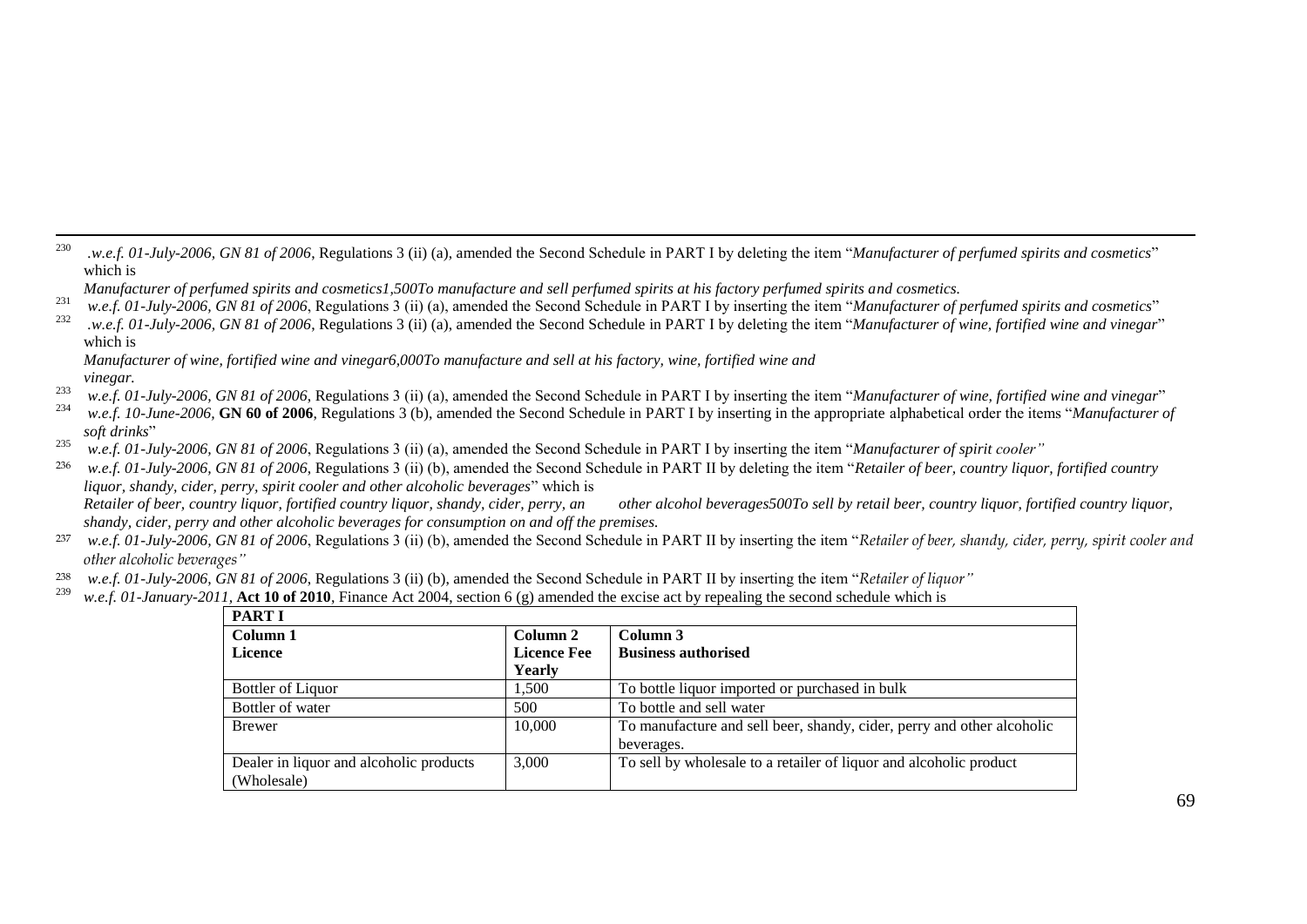230 <sup>230</sup> *.w.e.f. 01-July-2006, GN 81 of 2006*, Regulations 3 (ii) (a), amended the Second Schedule in PART I by deleting the item "*Manufacturer of perfumed spirits and cosmetics*" which is

- <sup>231</sup> *w.e.f. 01-July-2006, GN 81 of 2006*, Regulations 3 (ii) (a), amended the Second Schedule in PART I by inserting the item "*Manufacturer of perfumed spirits and cosmetics*"
- <sup>232</sup> *.w.e.f. 01-July-2006, GN 81 of 2006*, Regulations 3 (ii) (a), amended the Second Schedule in PART I by deleting the item "*Manufacturer of wine, fortified wine and vinegar*" which is

*Manufacturer of wine, fortified wine and vinegar6,000To manufacture and sell at his factory, wine, fortified wine and vinegar.*

- <sup>233</sup> w.e.f. 01-July-2006, GN 81 of 2006, Regulations 3 (ii) (a), amended the Second Schedule in PART I by inserting the item "*Manufacturer of wine, fortified wine and vinegar*"<br><sup>234</sup> and 10 June 2006, GN 60 of 2006. Beg
- w.e.f. 10-June-2006, **GN 60 of 2006**, Regulations 3 (b), amended the Second Schedule in PART I by inserting in the appropriate alphabetical order the items "*Manufacturer of soft drinks*"
- <sup>235</sup> *w.e.f. 01-July-2006, GN 81 of 2006*, Regulations 3 (ii) (a), amended the Second Schedule in PART I by inserting the item "*Manufacturer of spirit cooler"*

<sup>236</sup> *w.e.f. 01-July-2006, GN 81 of 2006*, Regulations 3 (ii) (b), amended the Second Schedule in PART II by deleting the item "*Retailer of beer, country liquor, fortified country liquor, shandy, cider, perry, spirit cooler and other alcoholic beverages*" which is *Retailer of beer, country liquor, fortified country liquor, shandy, cider, perry, an other alcohol beverages500To sell by retail beer, country liquor, fortified country liquor, shandy, cider, perry and other alcoholic beverages for consumption on and off the premises.*

- <sup>237</sup> *w.e.f. 01-July-2006, GN 81 of 2006*, Regulations 3 (ii) (b), amended the Second Schedule in PART II by inserting the item "*Retailer of beer, shandy, cider, perry, spirit cooler and other alcoholic beverages"*
- <sup>238</sup> *w.e.f. 01-July-2006, GN 81 of 2006*, Regulations 3 (ii) (b), amended the Second Schedule in PART II by inserting the item "*Retailer of liquor*"<br><sup>239</sup> w.e.f. 01 January 2011, Act 10 of 2010. Finance Act 2004, secti
- w.e.f. 01-January-2011, **Act 10 of 2010**, Finance Act 2004, section 6 (g) amended the excise act by repealing the second schedule which is

| <b>PART I</b>                           |                    |                                                                        |
|-----------------------------------------|--------------------|------------------------------------------------------------------------|
| Column 1                                | Column 2           | Column 3                                                               |
| Licence                                 | <b>Licence Fee</b> | <b>Business authorised</b>                                             |
|                                         | Yearly             |                                                                        |
| <b>Bottler of Liquor</b>                | 1,500              | To bottle liquor imported or purchased in bulk                         |
| Bottler of water                        | 500                | To bottle and sell water                                               |
| Brewer                                  | 10,000             | To manufacture and sell beer, shandy, cider, perry and other alcoholic |
|                                         |                    | beverages.                                                             |
| Dealer in liquor and alcoholic products | 3,000              | To sell by wholesale to a retailer of liquor and alcoholic product     |
| (Wholesale)                             |                    |                                                                        |

*Manufacturer of perfumed spirits and cosmetics1,500To manufacture and sell perfumed spirits at his factory perfumed spirits and cosmetics.*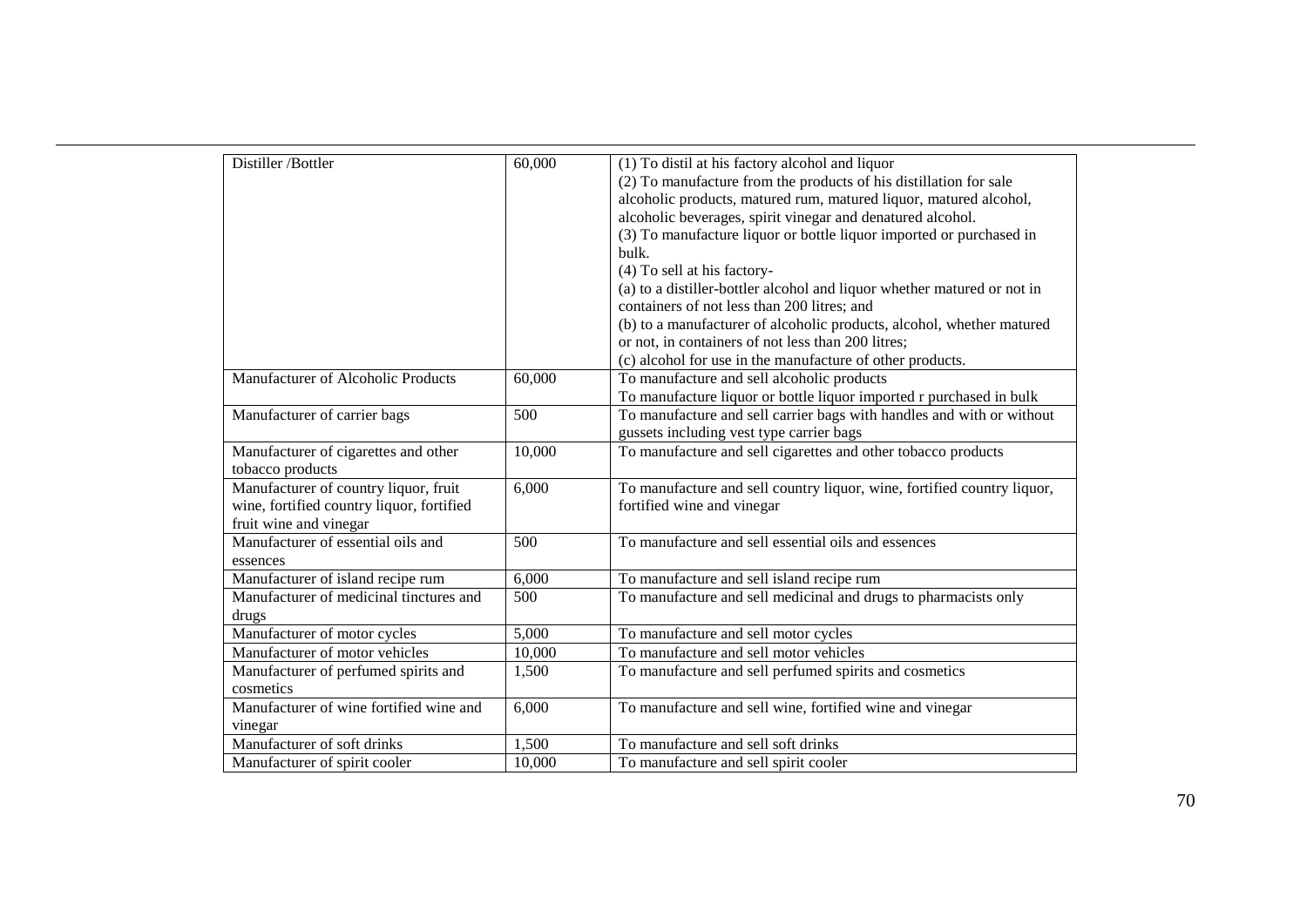| Distiller /Bottler                        | 60,000 | (1) To distil at his factory alcohol and liquor                         |
|-------------------------------------------|--------|-------------------------------------------------------------------------|
|                                           |        | (2) To manufacture from the products of his distillation for sale       |
|                                           |        | alcoholic products, matured rum, matured liquor, matured alcohol,       |
|                                           |        | alcoholic beverages, spirit vinegar and denatured alcohol.              |
|                                           |        | (3) To manufacture liquor or bottle liquor imported or purchased in     |
|                                           |        | bulk.                                                                   |
|                                           |        | (4) To sell at his factory-                                             |
|                                           |        | (a) to a distiller-bottler alcohol and liquor whether matured or not in |
|                                           |        | containers of not less than 200 litres; and                             |
|                                           |        | (b) to a manufacturer of alcoholic products, alcohol, whether matured   |
|                                           |        | or not, in containers of not less than 200 litres;                      |
|                                           |        | (c) alcohol for use in the manufacture of other products.               |
| Manufacturer of Alcoholic Products        | 60,000 | To manufacture and sell alcoholic products                              |
|                                           |        | To manufacture liquor or bottle liquor imported r purchased in bulk     |
| Manufacturer of carrier bags              | 500    | To manufacture and sell carrier bags with handles and with or without   |
|                                           |        | gussets including vest type carrier bags                                |
| Manufacturer of cigarettes and other      | 10,000 | To manufacture and sell cigarettes and other tobacco products           |
| tobacco products                          |        |                                                                         |
| Manufacturer of country liquor, fruit     | 6,000  | To manufacture and sell country liquor, wine, fortified country liquor, |
| wine, fortified country liquor, fortified |        | fortified wine and vinegar                                              |
| fruit wine and vinegar                    |        |                                                                         |
| Manufacturer of essential oils and        | 500    | To manufacture and sell essential oils and essences                     |
| essences                                  |        |                                                                         |
| Manufacturer of island recipe rum         | 6,000  | To manufacture and sell island recipe rum                               |
| Manufacturer of medicinal tinctures and   | 500    | To manufacture and sell medicinal and drugs to pharmacists only         |
| drugs                                     |        |                                                                         |
| Manufacturer of motor cycles              | 5,000  | To manufacture and sell motor cycles                                    |
| Manufacturer of motor vehicles            | 10,000 | To manufacture and sell motor vehicles                                  |
| Manufacturer of perfumed spirits and      | 1,500  | To manufacture and sell perfumed spirits and cosmetics                  |
| cosmetics                                 |        |                                                                         |
| Manufacturer of wine fortified wine and   | 6,000  | To manufacture and sell wine, fortified wine and vinegar                |
| vinegar                                   |        |                                                                         |
| Manufacturer of soft drinks               | 1,500  | To manufacture and sell soft drinks                                     |
| Manufacturer of spirit cooler             | 10,000 | To manufacture and sell spirit cooler                                   |

-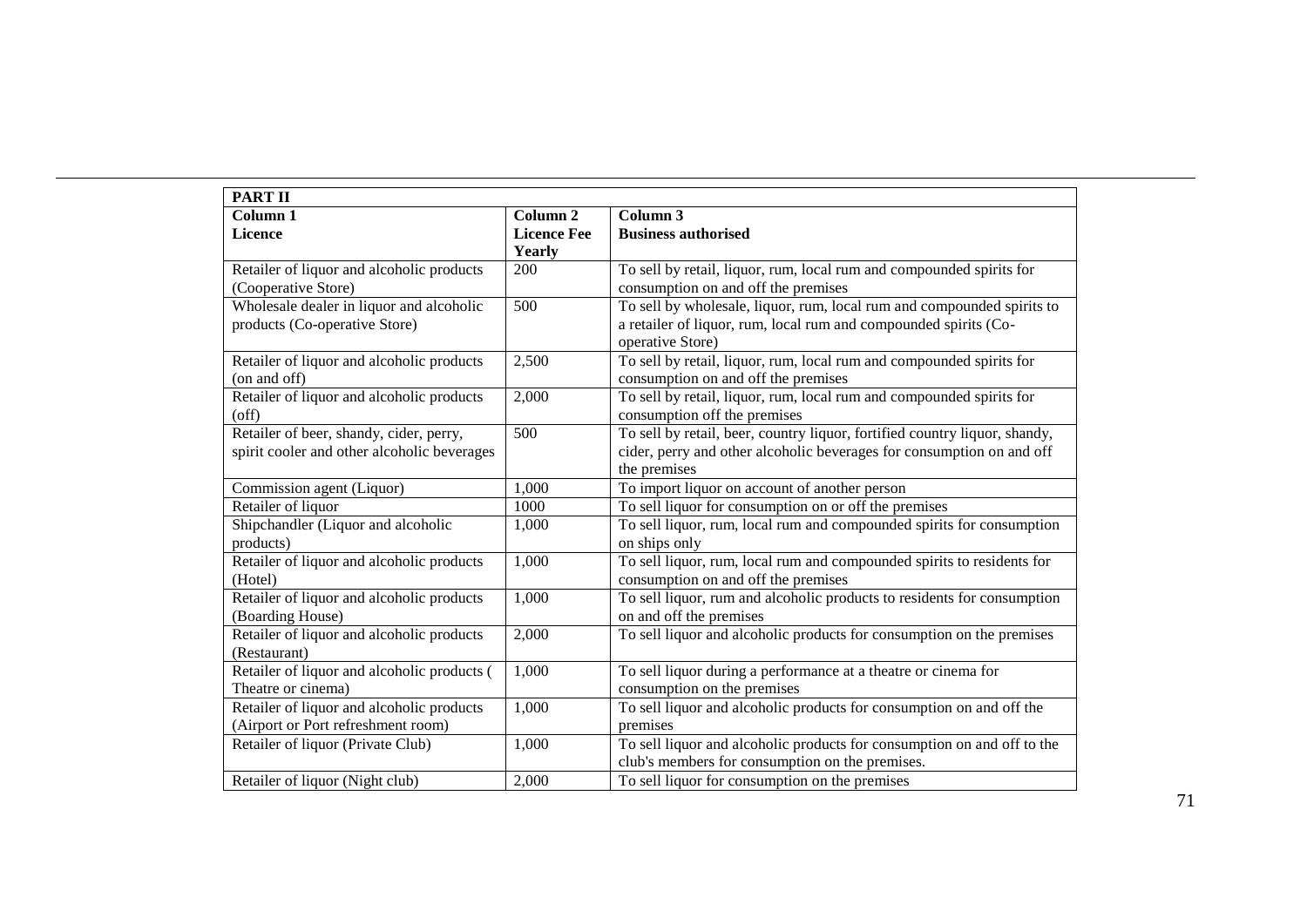| <b>PART II</b>                              |                     |                                                                            |
|---------------------------------------------|---------------------|----------------------------------------------------------------------------|
| Column 1                                    | Column <sub>2</sub> | Column 3                                                                   |
| <b>Licence</b>                              | <b>Licence Fee</b>  | <b>Business authorised</b>                                                 |
|                                             | Yearly              |                                                                            |
| Retailer of liquor and alcoholic products   | 200                 | To sell by retail, liquor, rum, local rum and compounded spirits for       |
| (Cooperative Store)                         |                     | consumption on and off the premises                                        |
| Wholesale dealer in liquor and alcoholic    | $\overline{500}$    | To sell by wholesale, liquor, rum, local rum and compounded spirits to     |
| products (Co-operative Store)               |                     | a retailer of liquor, rum, local rum and compounded spirits (Co-           |
|                                             |                     | operative Store)                                                           |
| Retailer of liquor and alcoholic products   | 2,500               | To sell by retail, liquor, rum, local rum and compounded spirits for       |
| (on and off)                                |                     | consumption on and off the premises                                        |
| Retailer of liquor and alcoholic products   | 2,000               | To sell by retail, liquor, rum, local rum and compounded spirits for       |
| (off)                                       |                     | consumption off the premises                                               |
| Retailer of beer, shandy, cider, perry,     | 500                 | To sell by retail, beer, country liquor, fortified country liquor, shandy, |
| spirit cooler and other alcoholic beverages |                     | cider, perry and other alcoholic beverages for consumption on and off      |
|                                             |                     | the premises                                                               |
| Commission agent (Liquor)                   | 1,000               | To import liquor on account of another person                              |
| Retailer of liquor                          | 1000                | To sell liquor for consumption on or off the premises                      |
| Shipchandler (Liquor and alcoholic          | 1,000               | To sell liquor, rum, local rum and compounded spirits for consumption      |
| products)                                   |                     | on ships only                                                              |
| Retailer of liquor and alcoholic products   | 1,000               | To sell liquor, rum, local rum and compounded spirits to residents for     |
| (Hotel)                                     |                     | consumption on and off the premises                                        |
| Retailer of liquor and alcoholic products   | 1,000               | To sell liquor, rum and alcoholic products to residents for consumption    |
| (Boarding House)                            |                     | on and off the premises                                                    |
| Retailer of liquor and alcoholic products   | 2,000               | To sell liquor and alcoholic products for consumption on the premises      |
| (Restaurant)                                |                     |                                                                            |
| Retailer of liquor and alcoholic products ( | 1,000               | To sell liquor during a performance at a theatre or cinema for             |
| Theatre or cinema)                          |                     | consumption on the premises                                                |
| Retailer of liquor and alcoholic products   | 1,000               | To sell liquor and alcoholic products for consumption on and off the       |
| (Airport or Port refreshment room)          |                     | premises                                                                   |
| Retailer of liquor (Private Club)           | 1,000               | To sell liquor and alcoholic products for consumption on and off to the    |
|                                             |                     | club's members for consumption on the premises.                            |
| Retailer of liquor (Night club)             | 2,000               | To sell liquor for consumption on the premises                             |

-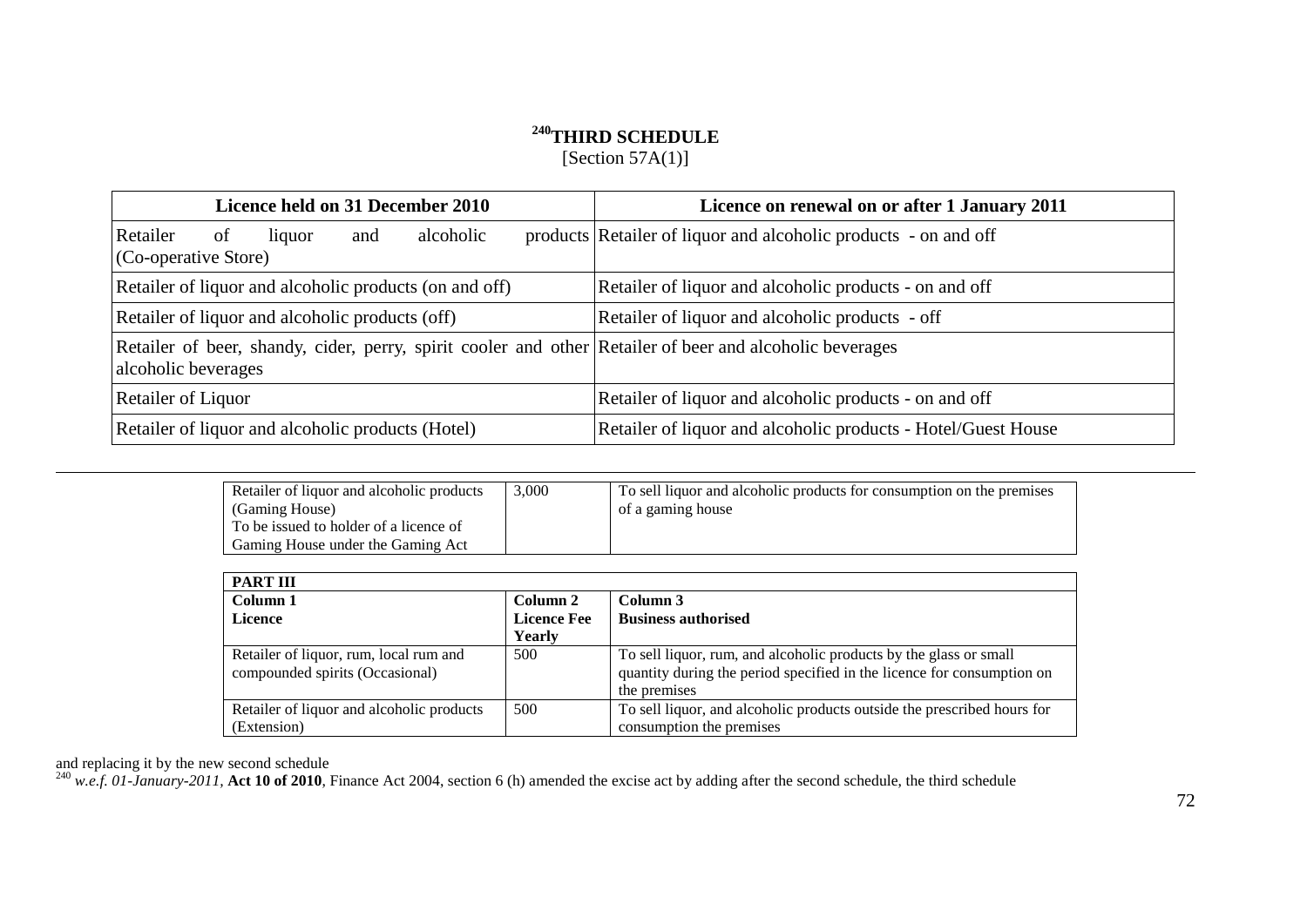## **<sup>240</sup>THIRD SCHEDULE**

[Section 57A(1)]

| <b>Licence held on 31 December 2010</b>                                                                                         | Licence on renewal on or after 1 January 2011                   |
|---------------------------------------------------------------------------------------------------------------------------------|-----------------------------------------------------------------|
| alcoholic<br>Retailer<br>of<br>liquor<br>and<br>(Co-operative Store)                                                            | products Retailer of liquor and alcoholic products - on and off |
| Retailer of liquor and alcoholic products (on and off)                                                                          | Retailer of liquor and alcoholic products - on and off          |
| Retailer of liquor and alcoholic products (off)                                                                                 | Retailer of liquor and alcoholic products - off                 |
| Retailer of beer, shandy, cider, perry, spirit cooler and other Retailer of beer and alcoholic beverages<br>alcoholic beverages |                                                                 |
| Retailer of Liquor                                                                                                              | Retailer of liquor and alcoholic products - on and off          |
| Retailer of liquor and alcoholic products (Hotel)                                                                               | Retailer of liquor and alcoholic products - Hotel/Guest House   |

| Retailer of liquor and alcoholic products<br>(Gaming House)                 | 3.000 | To sell liquor and alcoholic products for consumption on the premises<br>of a gaming house |
|-----------------------------------------------------------------------------|-------|--------------------------------------------------------------------------------------------|
| To be issued to holder of a licence of<br>Gaming House under the Gaming Act |       |                                                                                            |

| <b>PART III</b>                                                           |                    |                                                                                                                                                             |
|---------------------------------------------------------------------------|--------------------|-------------------------------------------------------------------------------------------------------------------------------------------------------------|
| Column 1                                                                  | Column 2           | Column 3                                                                                                                                                    |
| <b>Licence</b>                                                            | <b>Licence Fee</b> | <b>Business authorised</b>                                                                                                                                  |
|                                                                           | Yearly             |                                                                                                                                                             |
| Retailer of liquor, rum, local rum and<br>compounded spirits (Occasional) | 500                | To sell liquor, rum, and alcoholic products by the glass or small<br>quantity during the period specified in the licence for consumption on<br>the premises |
| Retailer of liquor and alcoholic products                                 | 500                | To sell liquor, and alcoholic products outside the prescribed hours for                                                                                     |
| (Extension)                                                               |                    | consumption the premises                                                                                                                                    |

and replacing it by the new second schedule

-

 $^{240}$  *w.e.f.* 01-January-2011, Act 10 of 2010, Finance Act 2004, section 6 (h) amended the excise act by adding after the second schedule, the third schedule